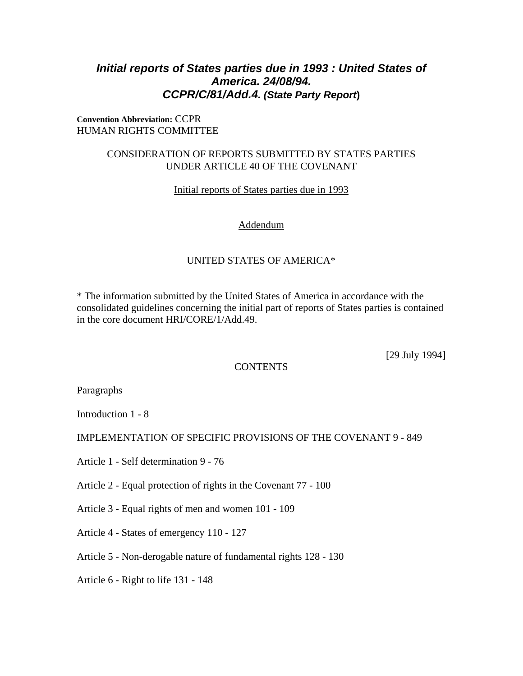# *Initial reports of States parties due in 1993 : United States of America. 24/08/94. CCPR/C/81/Add.4. (State Party Report***)**

### **Convention Abbreviation:** CCPR HUMAN RIGHTS COMMITTEE

### CONSIDERATION OF REPORTS SUBMITTED BY STATES PARTIES UNDER ARTICLE 40 OF THE COVENANT

Initial reports of States parties due in 1993

### Addendum

## UNITED STATES OF AMERICA\*

\* The information submitted by the United States of America in accordance with the consolidated guidelines concerning the initial part of reports of States parties is contained in the core document HRI/CORE/1/Add.49.

[29 July 1994]

### **CONTENTS**

**Paragraphs** 

Introduction 1 - 8

IMPLEMENTATION OF SPECIFIC PROVISIONS OF THE COVENANT 9 - 849

Article 1 - Self determination 9 - 76

Article 2 - Equal protection of rights in the Covenant 77 - 100

- Article 3 Equal rights of men and women 101 109
- Article 4 States of emergency 110 127
- Article 5 Non-derogable nature of fundamental rights 128 130
- Article 6 Right to life 131 148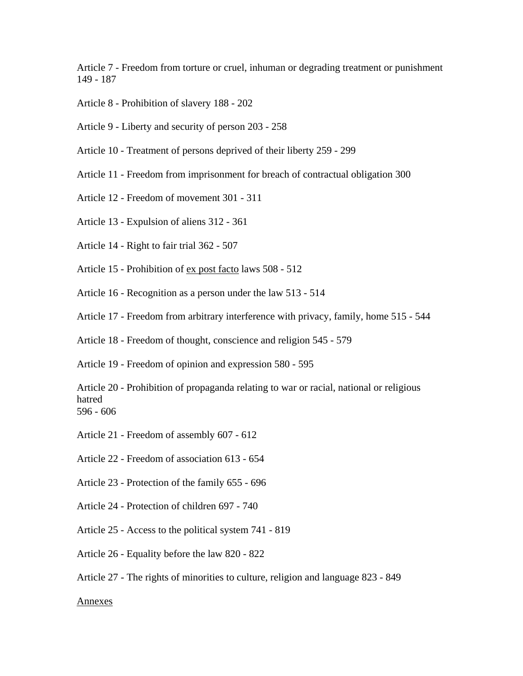Article 7 - Freedom from torture or cruel, inhuman or degrading treatment or punishment 149 - 187

- Article 8 Prohibition of slavery 188 202
- Article 9 Liberty and security of person 203 258
- Article 10 Treatment of persons deprived of their liberty 259 299
- Article 11 Freedom from imprisonment for breach of contractual obligation 300
- Article 12 Freedom of movement 301 311
- Article 13 Expulsion of aliens 312 361
- Article 14 Right to fair trial 362 507
- Article 15 Prohibition of ex post facto laws 508 512
- Article 16 Recognition as a person under the law 513 514
- Article 17 Freedom from arbitrary interference with privacy, family, home 515 544
- Article 18 Freedom of thought, conscience and religion 545 579

Article 19 - Freedom of opinion and expression 580 - 595

Article 20 - Prohibition of propaganda relating to war or racial, national or religious hatred 596 - 606

- Article 21 Freedom of assembly 607 612
- Article 22 Freedom of association 613 654
- Article 23 Protection of the family 655 696
- Article 24 Protection of children 697 740
- Article 25 Access to the political system 741 819
- Article 26 Equality before the law 820 822
- Article 27 The rights of minorities to culture, religion and language 823 849

#### Annexes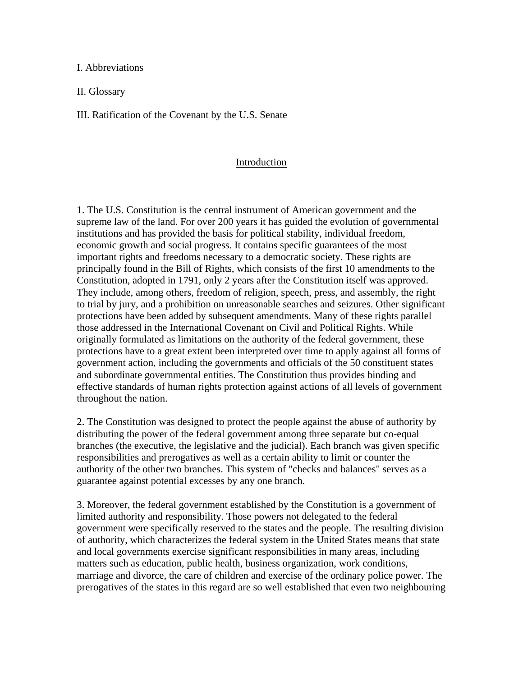I. Abbreviations

II. Glossary

III. Ratification of the Covenant by the U.S. Senate

### Introduction

1. The U.S. Constitution is the central instrument of American government and the supreme law of the land. For over 200 years it has guided the evolution of governmental institutions and has provided the basis for political stability, individual freedom, economic growth and social progress. It contains specific guarantees of the most important rights and freedoms necessary to a democratic society. These rights are principally found in the Bill of Rights, which consists of the first 10 amendments to the Constitution, adopted in 1791, only 2 years after the Constitution itself was approved. They include, among others, freedom of religion, speech, press, and assembly, the right to trial by jury, and a prohibition on unreasonable searches and seizures. Other significant protections have been added by subsequent amendments. Many of these rights parallel those addressed in the International Covenant on Civil and Political Rights. While originally formulated as limitations on the authority of the federal government, these protections have to a great extent been interpreted over time to apply against all forms of government action, including the governments and officials of the 50 constituent states and subordinate governmental entities. The Constitution thus provides binding and effective standards of human rights protection against actions of all levels of government throughout the nation.

2. The Constitution was designed to protect the people against the abuse of authority by distributing the power of the federal government among three separate but co-equal branches (the executive, the legislative and the judicial). Each branch was given specific responsibilities and prerogatives as well as a certain ability to limit or counter the authority of the other two branches. This system of "checks and balances" serves as a guarantee against potential excesses by any one branch.

3. Moreover, the federal government established by the Constitution is a government of limited authority and responsibility. Those powers not delegated to the federal government were specifically reserved to the states and the people. The resulting division of authority, which characterizes the federal system in the United States means that state and local governments exercise significant responsibilities in many areas, including matters such as education, public health, business organization, work conditions, marriage and divorce, the care of children and exercise of the ordinary police power. The prerogatives of the states in this regard are so well established that even two neighbouring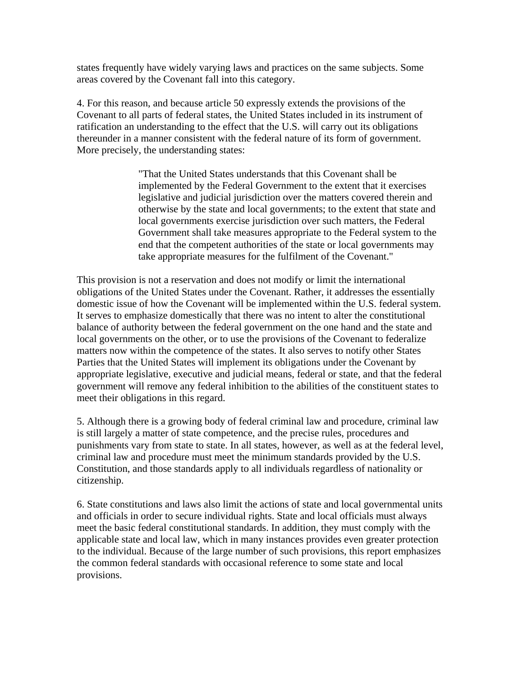states frequently have widely varying laws and practices on the same subjects. Some areas covered by the Covenant fall into this category.

4. For this reason, and because article 50 expressly extends the provisions of the Covenant to all parts of federal states, the United States included in its instrument of ratification an understanding to the effect that the U.S. will carry out its obligations thereunder in a manner consistent with the federal nature of its form of government. More precisely, the understanding states:

> "That the United States understands that this Covenant shall be implemented by the Federal Government to the extent that it exercises legislative and judicial jurisdiction over the matters covered therein and otherwise by the state and local governments; to the extent that state and local governments exercise jurisdiction over such matters, the Federal Government shall take measures appropriate to the Federal system to the end that the competent authorities of the state or local governments may take appropriate measures for the fulfilment of the Covenant."

This provision is not a reservation and does not modify or limit the international obligations of the United States under the Covenant. Rather, it addresses the essentially domestic issue of how the Covenant will be implemented within the U.S. federal system. It serves to emphasize domestically that there was no intent to alter the constitutional balance of authority between the federal government on the one hand and the state and local governments on the other, or to use the provisions of the Covenant to federalize matters now within the competence of the states. It also serves to notify other States Parties that the United States will implement its obligations under the Covenant by appropriate legislative, executive and judicial means, federal or state, and that the federal government will remove any federal inhibition to the abilities of the constituent states to meet their obligations in this regard.

5. Although there is a growing body of federal criminal law and procedure, criminal law is still largely a matter of state competence, and the precise rules, procedures and punishments vary from state to state. In all states, however, as well as at the federal level, criminal law and procedure must meet the minimum standards provided by the U.S. Constitution, and those standards apply to all individuals regardless of nationality or citizenship.

6. State constitutions and laws also limit the actions of state and local governmental units and officials in order to secure individual rights. State and local officials must always meet the basic federal constitutional standards. In addition, they must comply with the applicable state and local law, which in many instances provides even greater protection to the individual. Because of the large number of such provisions, this report emphasizes the common federal standards with occasional reference to some state and local provisions.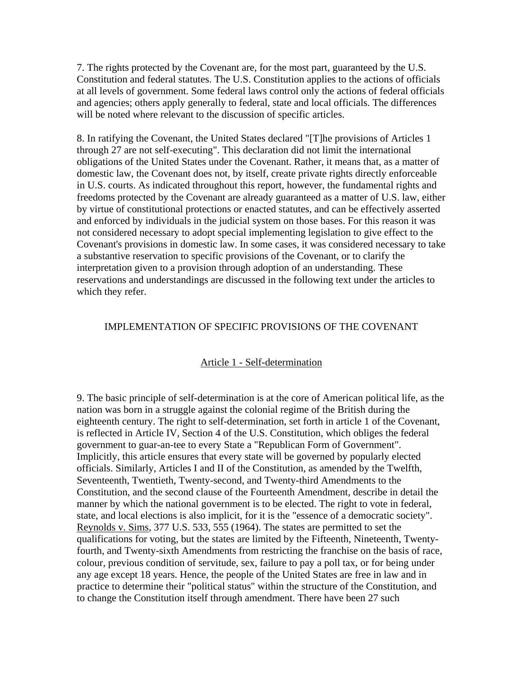7. The rights protected by the Covenant are, for the most part, guaranteed by the U.S. Constitution and federal statutes. The U.S. Constitution applies to the actions of officials at all levels of government. Some federal laws control only the actions of federal officials and agencies; others apply generally to federal, state and local officials. The differences will be noted where relevant to the discussion of specific articles.

8. In ratifying the Covenant, the United States declared "[T]he provisions of Articles 1 through 27 are not self-executing". This declaration did not limit the international obligations of the United States under the Covenant. Rather, it means that, as a matter of domestic law, the Covenant does not, by itself, create private rights directly enforceable in U.S. courts. As indicated throughout this report, however, the fundamental rights and freedoms protected by the Covenant are already guaranteed as a matter of U.S. law, either by virtue of constitutional protections or enacted statutes, and can be effectively asserted and enforced by individuals in the judicial system on those bases. For this reason it was not considered necessary to adopt special implementing legislation to give effect to the Covenant's provisions in domestic law. In some cases, it was considered necessary to take a substantive reservation to specific provisions of the Covenant, or to clarify the interpretation given to a provision through adoption of an understanding. These reservations and understandings are discussed in the following text under the articles to which they refer.

### IMPLEMENTATION OF SPECIFIC PROVISIONS OF THE COVENANT

### Article 1 - Self-determination

9. The basic principle of self-determination is at the core of American political life, as the nation was born in a struggle against the colonial regime of the British during the eighteenth century. The right to self-determination, set forth in article 1 of the Covenant, is reflected in Article IV, Section 4 of the U.S. Constitution, which obliges the federal government to guar-an-tee to every State a "Republican Form of Government". Implicitly, this article ensures that every state will be governed by popularly elected officials. Similarly, Articles I and II of the Constitution, as amended by the Twelfth, Seventeenth, Twentieth, Twenty-second, and Twenty-third Amendments to the Constitution, and the second clause of the Fourteenth Amendment, describe in detail the manner by which the national government is to be elected. The right to vote in federal, state, and local elections is also implicit, for it is the "essence of a democratic society". Reynolds v. Sims, 377 U.S. 533, 555 (1964). The states are permitted to set the qualifications for voting, but the states are limited by the Fifteenth, Nineteenth, Twentyfourth, and Twenty-sixth Amendments from restricting the franchise on the basis of race, colour, previous condition of servitude, sex, failure to pay a poll tax, or for being under any age except 18 years. Hence, the people of the United States are free in law and in practice to determine their "political status" within the structure of the Constitution, and to change the Constitution itself through amendment. There have been 27 such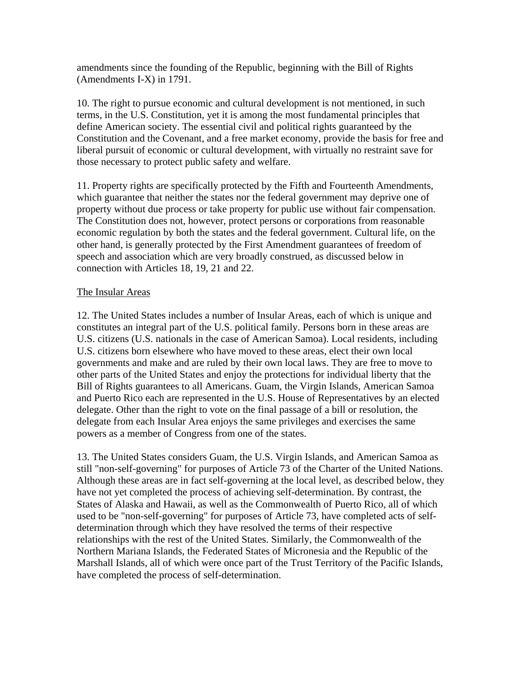amendments since the founding of the Republic, beginning with the Bill of Rights (Amendments I-X) in 1791.

10. The right to pursue economic and cultural development is not mentioned, in such terms, in the U.S. Constitution, yet it is among the most fundamental principles that define American society. The essential civil and political rights guaranteed by the Constitution and the Covenant, and a free market economy, provide the basis for free and liberal pursuit of economic or cultural development, with virtually no restraint save for those necessary to protect public safety and welfare.

11. Property rights are specifically protected by the Fifth and Fourteenth Amendments, which guarantee that neither the states nor the federal government may deprive one of property without due process or take property for public use without fair compensation. The Constitution does not, however, protect persons or corporations from reasonable economic regulation by both the states and the federal government. Cultural life, on the other hand, is generally protected by the First Amendment guarantees of freedom of speech and association which are very broadly construed, as discussed below in connection with Articles 18, 19, 21 and 22.

### The Insular Areas

12. The United States includes a number of Insular Areas, each of which is unique and constitutes an integral part of the U.S. political family. Persons born in these areas are U.S. citizens (U.S. nationals in the case of American Samoa). Local residents, including U.S. citizens born elsewhere who have moved to these areas, elect their own local governments and make and are ruled by their own local laws. They are free to move to other parts of the United States and enjoy the protections for individual liberty that the Bill of Rights guarantees to all Americans. Guam, the Virgin Islands, American Samoa and Puerto Rico each are represented in the U.S. House of Representatives by an elected delegate. Other than the right to vote on the final passage of a bill or resolution, the delegate from each Insular Area enjoys the same privileges and exercises the same powers as a member of Congress from one of the states.

13. The United States considers Guam, the U.S. Virgin Islands, and American Samoa as still "non-self-governing" for purposes of Article 73 of the Charter of the United Nations. Although these areas are in fact self-governing at the local level, as described below, they have not yet completed the process of achieving self-determination. By contrast, the States of Alaska and Hawaii, as well as the Commonwealth of Puerto Rico, all of which used to be "non-self-governing" for purposes of Article 73, have completed acts of selfdetermination through which they have resolved the terms of their respective relationships with the rest of the United States. Similarly, the Commonwealth of the Northern Mariana Islands, the Federated States of Micronesia and the Republic of the Marshall Islands, all of which were once part of the Trust Territory of the Pacific Islands, have completed the process of self-determination.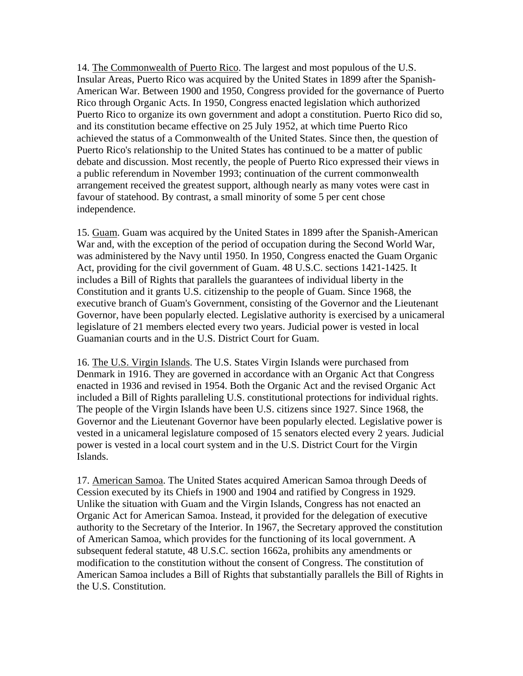14. The Commonwealth of Puerto Rico. The largest and most populous of the U.S. Insular Areas, Puerto Rico was acquired by the United States in 1899 after the Spanish-American War. Between 1900 and 1950, Congress provided for the governance of Puerto Rico through Organic Acts. In 1950, Congress enacted legislation which authorized Puerto Rico to organize its own government and adopt a constitution. Puerto Rico did so, and its constitution became effective on 25 July 1952, at which time Puerto Rico achieved the status of a Commonwealth of the United States. Since then, the question of Puerto Rico's relationship to the United States has continued to be a matter of public debate and discussion. Most recently, the people of Puerto Rico expressed their views in a public referendum in November 1993; continuation of the current commonwealth arrangement received the greatest support, although nearly as many votes were cast in favour of statehood. By contrast, a small minority of some 5 per cent chose independence.

15. Guam. Guam was acquired by the United States in 1899 after the Spanish-American War and, with the exception of the period of occupation during the Second World War, was administered by the Navy until 1950. In 1950, Congress enacted the Guam Organic Act, providing for the civil government of Guam. 48 U.S.C. sections 1421-1425. It includes a Bill of Rights that parallels the guarantees of individual liberty in the Constitution and it grants U.S. citizenship to the people of Guam. Since 1968, the executive branch of Guam's Government, consisting of the Governor and the Lieutenant Governor, have been popularly elected. Legislative authority is exercised by a unicameral legislature of 21 members elected every two years. Judicial power is vested in local Guamanian courts and in the U.S. District Court for Guam.

16. The U.S. Virgin Islands. The U.S. States Virgin Islands were purchased from Denmark in 1916. They are governed in accordance with an Organic Act that Congress enacted in 1936 and revised in 1954. Both the Organic Act and the revised Organic Act included a Bill of Rights paralleling U.S. constitutional protections for individual rights. The people of the Virgin Islands have been U.S. citizens since 1927. Since 1968, the Governor and the Lieutenant Governor have been popularly elected. Legislative power is vested in a unicameral legislature composed of 15 senators elected every 2 years. Judicial power is vested in a local court system and in the U.S. District Court for the Virgin Islands.

17. American Samoa. The United States acquired American Samoa through Deeds of Cession executed by its Chiefs in 1900 and 1904 and ratified by Congress in 1929. Unlike the situation with Guam and the Virgin Islands, Congress has not enacted an Organic Act for American Samoa. Instead, it provided for the delegation of executive authority to the Secretary of the Interior. In 1967, the Secretary approved the constitution of American Samoa, which provides for the functioning of its local government. A subsequent federal statute, 48 U.S.C. section 1662a, prohibits any amendments or modification to the constitution without the consent of Congress. The constitution of American Samoa includes a Bill of Rights that substantially parallels the Bill of Rights in the U.S. Constitution.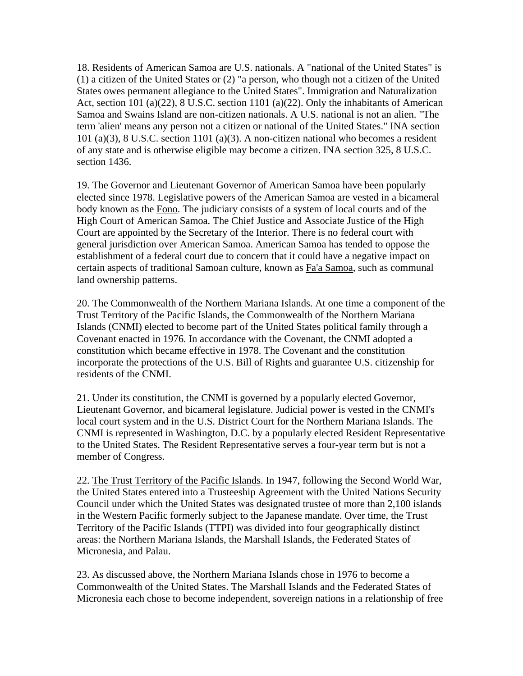18. Residents of American Samoa are U.S. nationals. A "national of the United States" is (1) a citizen of the United States or (2) "a person, who though not a citizen of the United States owes permanent allegiance to the United States". Immigration and Naturalization Act, section 101 (a)(22), 8 U.S.C. section 1101 (a)(22). Only the inhabitants of American Samoa and Swains Island are non-citizen nationals. A U.S. national is not an alien. "The term 'alien' means any person not a citizen or national of the United States." INA section 101 (a)(3), 8 U.S.C. section 1101 (a)(3). A non-citizen national who becomes a resident of any state and is otherwise eligible may become a citizen. INA section 325, 8 U.S.C. section 1436.

19. The Governor and Lieutenant Governor of American Samoa have been popularly elected since 1978. Legislative powers of the American Samoa are vested in a bicameral body known as the Fono. The judiciary consists of a system of local courts and of the High Court of American Samoa. The Chief Justice and Associate Justice of the High Court are appointed by the Secretary of the Interior. There is no federal court with general jurisdiction over American Samoa. American Samoa has tended to oppose the establishment of a federal court due to concern that it could have a negative impact on certain aspects of traditional Samoan culture, known as Fa'a Samoa, such as communal land ownership patterns.

20. The Commonwealth of the Northern Mariana Islands. At one time a component of the Trust Territory of the Pacific Islands, the Commonwealth of the Northern Mariana Islands (CNMI) elected to become part of the United States political family through a Covenant enacted in 1976. In accordance with the Covenant, the CNMI adopted a constitution which became effective in 1978. The Covenant and the constitution incorporate the protections of the U.S. Bill of Rights and guarantee U.S. citizenship for residents of the CNMI.

21. Under its constitution, the CNMI is governed by a popularly elected Governor, Lieutenant Governor, and bicameral legislature. Judicial power is vested in the CNMI's local court system and in the U.S. District Court for the Northern Mariana Islands. The CNMI is represented in Washington, D.C. by a popularly elected Resident Representative to the United States. The Resident Representative serves a four-year term but is not a member of Congress.

22. The Trust Territory of the Pacific Islands. In 1947, following the Second World War, the United States entered into a Trusteeship Agreement with the United Nations Security Council under which the United States was designated trustee of more than 2,100 islands in the Western Pacific formerly subject to the Japanese mandate. Over time, the Trust Territory of the Pacific Islands (TTPI) was divided into four geographically distinct areas: the Northern Mariana Islands, the Marshall Islands, the Federated States of Micronesia, and Palau.

23. As discussed above, the Northern Mariana Islands chose in 1976 to become a Commonwealth of the United States. The Marshall Islands and the Federated States of Micronesia each chose to become independent, sovereign nations in a relationship of free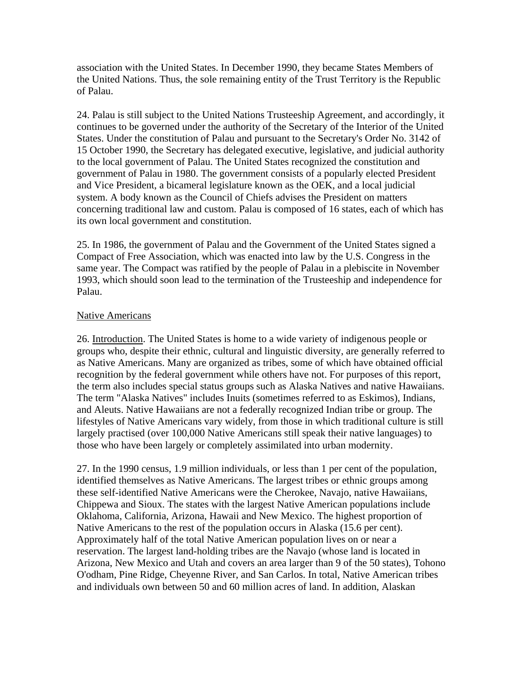association with the United States. In December 1990, they became States Members of the United Nations. Thus, the sole remaining entity of the Trust Territory is the Republic of Palau.

24. Palau is still subject to the United Nations Trusteeship Agreement, and accordingly, it continues to be governed under the authority of the Secretary of the Interior of the United States. Under the constitution of Palau and pursuant to the Secretary's Order No. 3142 of 15 October 1990, the Secretary has delegated executive, legislative, and judicial authority to the local government of Palau. The United States recognized the constitution and government of Palau in 1980. The government consists of a popularly elected President and Vice President, a bicameral legislature known as the OEK, and a local judicial system. A body known as the Council of Chiefs advises the President on matters concerning traditional law and custom. Palau is composed of 16 states, each of which has its own local government and constitution.

25. In 1986, the government of Palau and the Government of the United States signed a Compact of Free Association, which was enacted into law by the U.S. Congress in the same year. The Compact was ratified by the people of Palau in a plebiscite in November 1993, which should soon lead to the termination of the Trusteeship and independence for Palau.

### Native Americans

26. Introduction. The United States is home to a wide variety of indigenous people or groups who, despite their ethnic, cultural and linguistic diversity, are generally referred to as Native Americans. Many are organized as tribes, some of which have obtained official recognition by the federal government while others have not. For purposes of this report, the term also includes special status groups such as Alaska Natives and native Hawaiians. The term "Alaska Natives" includes Inuits (sometimes referred to as Eskimos), Indians, and Aleuts. Native Hawaiians are not a federally recognized Indian tribe or group. The lifestyles of Native Americans vary widely, from those in which traditional culture is still largely practised (over 100,000 Native Americans still speak their native languages) to those who have been largely or completely assimilated into urban modernity.

27. In the 1990 census, 1.9 million individuals, or less than 1 per cent of the population, identified themselves as Native Americans. The largest tribes or ethnic groups among these self-identified Native Americans were the Cherokee, Navajo, native Hawaiians, Chippewa and Sioux. The states with the largest Native American populations include Oklahoma, California, Arizona, Hawaii and New Mexico. The highest proportion of Native Americans to the rest of the population occurs in Alaska (15.6 per cent). Approximately half of the total Native American population lives on or near a reservation. The largest land-holding tribes are the Navajo (whose land is located in Arizona, New Mexico and Utah and covers an area larger than 9 of the 50 states), Tohono O'odham, Pine Ridge, Cheyenne River, and San Carlos. In total, Native American tribes and individuals own between 50 and 60 million acres of land. In addition, Alaskan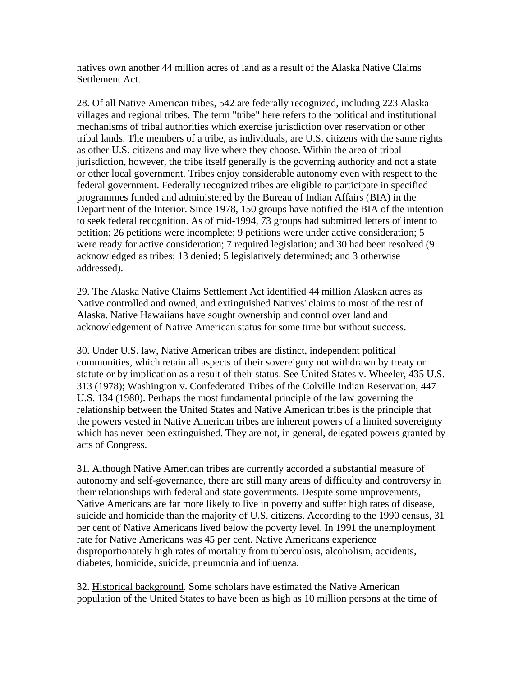natives own another 44 million acres of land as a result of the Alaska Native Claims Settlement Act.

28. Of all Native American tribes, 542 are federally recognized, including 223 Alaska villages and regional tribes. The term "tribe" here refers to the political and institutional mechanisms of tribal authorities which exercise jurisdiction over reservation or other tribal lands. The members of a tribe, as individuals, are U.S. citizens with the same rights as other U.S. citizens and may live where they choose. Within the area of tribal jurisdiction, however, the tribe itself generally is the governing authority and not a state or other local government. Tribes enjoy considerable autonomy even with respect to the federal government. Federally recognized tribes are eligible to participate in specified programmes funded and administered by the Bureau of Indian Affairs (BIA) in the Department of the Interior. Since 1978, 150 groups have notified the BIA of the intention to seek federal recognition. As of mid-1994, 73 groups had submitted letters of intent to petition; 26 petitions were incomplete; 9 petitions were under active consideration; 5 were ready for active consideration; 7 required legislation; and 30 had been resolved (9 acknowledged as tribes; 13 denied; 5 legislatively determined; and 3 otherwise addressed).

29. The Alaska Native Claims Settlement Act identified 44 million Alaskan acres as Native controlled and owned, and extinguished Natives' claims to most of the rest of Alaska. Native Hawaiians have sought ownership and control over land and acknowledgement of Native American status for some time but without success.

30. Under U.S. law, Native American tribes are distinct, independent political communities, which retain all aspects of their sovereignty not withdrawn by treaty or statute or by implication as a result of their status. See United States v. Wheeler, 435 U.S. 313 (1978); Washington v. Confederated Tribes of the Colville Indian Reservation, 447 U.S. 134 (1980). Perhaps the most fundamental principle of the law governing the relationship between the United States and Native American tribes is the principle that the powers vested in Native American tribes are inherent powers of a limited sovereignty which has never been extinguished. They are not, in general, delegated powers granted by acts of Congress.

31. Although Native American tribes are currently accorded a substantial measure of autonomy and self-governance, there are still many areas of difficulty and controversy in their relationships with federal and state governments. Despite some improvements, Native Americans are far more likely to live in poverty and suffer high rates of disease, suicide and homicide than the majority of U.S. citizens. According to the 1990 census, 31 per cent of Native Americans lived below the poverty level. In 1991 the unemployment rate for Native Americans was 45 per cent. Native Americans experience disproportionately high rates of mortality from tuberculosis, alcoholism, accidents, diabetes, homicide, suicide, pneumonia and influenza.

32. Historical background. Some scholars have estimated the Native American population of the United States to have been as high as 10 million persons at the time of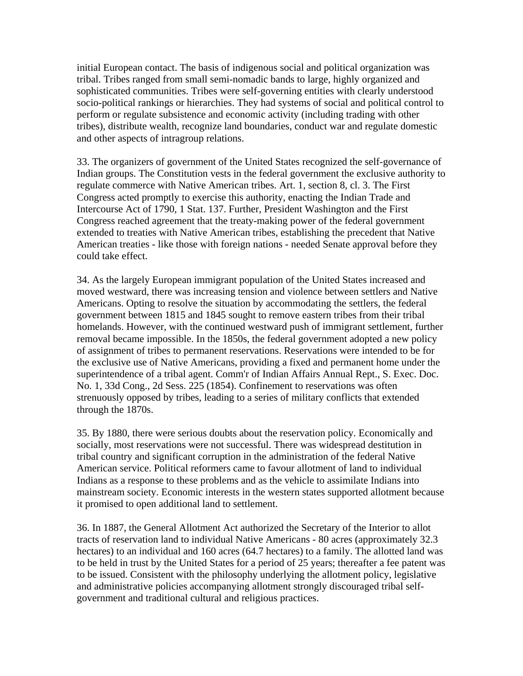initial European contact. The basis of indigenous social and political organization was tribal. Tribes ranged from small semi-nomadic bands to large, highly organized and sophisticated communities. Tribes were self-governing entities with clearly understood socio-political rankings or hierarchies. They had systems of social and political control to perform or regulate subsistence and economic activity (including trading with other tribes), distribute wealth, recognize land boundaries, conduct war and regulate domestic and other aspects of intragroup relations.

33. The organizers of government of the United States recognized the self-governance of Indian groups. The Constitution vests in the federal government the exclusive authority to regulate commerce with Native American tribes. Art. 1, section 8, cl. 3. The First Congress acted promptly to exercise this authority, enacting the Indian Trade and Intercourse Act of 1790, 1 Stat. 137. Further, President Washington and the First Congress reached agreement that the treaty-making power of the federal government extended to treaties with Native American tribes, establishing the precedent that Native American treaties - like those with foreign nations - needed Senate approval before they could take effect.

34. As the largely European immigrant population of the United States increased and moved westward, there was increasing tension and violence between settlers and Native Americans. Opting to resolve the situation by accommodating the settlers, the federal government between 1815 and 1845 sought to remove eastern tribes from their tribal homelands. However, with the continued westward push of immigrant settlement, further removal became impossible. In the 1850s, the federal government adopted a new policy of assignment of tribes to permanent reservations. Reservations were intended to be for the exclusive use of Native Americans, providing a fixed and permanent home under the superintendence of a tribal agent. Comm'r of Indian Affairs Annual Rept., S. Exec. Doc. No. 1, 33d Cong., 2d Sess. 225 (1854). Confinement to reservations was often strenuously opposed by tribes, leading to a series of military conflicts that extended through the 1870s.

35. By 1880, there were serious doubts about the reservation policy. Economically and socially, most reservations were not successful. There was widespread destitution in tribal country and significant corruption in the administration of the federal Native American service. Political reformers came to favour allotment of land to individual Indians as a response to these problems and as the vehicle to assimilate Indians into mainstream society. Economic interests in the western states supported allotment because it promised to open additional land to settlement.

36. In 1887, the General Allotment Act authorized the Secretary of the Interior to allot tracts of reservation land to individual Native Americans - 80 acres (approximately 32.3 hectares) to an individual and 160 acres (64.7 hectares) to a family. The allotted land was to be held in trust by the United States for a period of 25 years; thereafter a fee patent was to be issued. Consistent with the philosophy underlying the allotment policy, legislative and administrative policies accompanying allotment strongly discouraged tribal selfgovernment and traditional cultural and religious practices.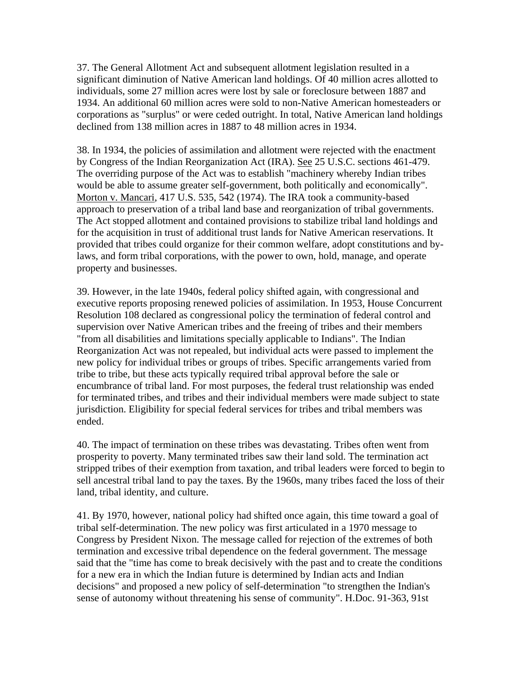37. The General Allotment Act and subsequent allotment legislation resulted in a significant diminution of Native American land holdings. Of 40 million acres allotted to individuals, some 27 million acres were lost by sale or foreclosure between 1887 and 1934. An additional 60 million acres were sold to non-Native American homesteaders or corporations as "surplus" or were ceded outright. In total, Native American land holdings declined from 138 million acres in 1887 to 48 million acres in 1934.

38. In 1934, the policies of assimilation and allotment were rejected with the enactment by Congress of the Indian Reorganization Act (IRA). See 25 U.S.C. sections 461-479. The overriding purpose of the Act was to establish "machinery whereby Indian tribes would be able to assume greater self-government, both politically and economically". Morton v. Mancari, 417 U.S. 535, 542 (1974). The IRA took a community-based approach to preservation of a tribal land base and reorganization of tribal governments. The Act stopped allotment and contained provisions to stabilize tribal land holdings and for the acquisition in trust of additional trust lands for Native American reservations. It provided that tribes could organize for their common welfare, adopt constitutions and bylaws, and form tribal corporations, with the power to own, hold, manage, and operate property and businesses.

39. However, in the late 1940s, federal policy shifted again, with congressional and executive reports proposing renewed policies of assimilation. In 1953, House Concurrent Resolution 108 declared as congressional policy the termination of federal control and supervision over Native American tribes and the freeing of tribes and their members "from all disabilities and limitations specially applicable to Indians". The Indian Reorganization Act was not repealed, but individual acts were passed to implement the new policy for individual tribes or groups of tribes. Specific arrangements varied from tribe to tribe, but these acts typically required tribal approval before the sale or encumbrance of tribal land. For most purposes, the federal trust relationship was ended for terminated tribes, and tribes and their individual members were made subject to state jurisdiction. Eligibility for special federal services for tribes and tribal members was ended.

40. The impact of termination on these tribes was devastating. Tribes often went from prosperity to poverty. Many terminated tribes saw their land sold. The termination act stripped tribes of their exemption from taxation, and tribal leaders were forced to begin to sell ancestral tribal land to pay the taxes. By the 1960s, many tribes faced the loss of their land, tribal identity, and culture.

41. By 1970, however, national policy had shifted once again, this time toward a goal of tribal self-determination. The new policy was first articulated in a 1970 message to Congress by President Nixon. The message called for rejection of the extremes of both termination and excessive tribal dependence on the federal government. The message said that the "time has come to break decisively with the past and to create the conditions for a new era in which the Indian future is determined by Indian acts and Indian decisions" and proposed a new policy of self-determination "to strengthen the Indian's sense of autonomy without threatening his sense of community". H.Doc. 91-363, 91st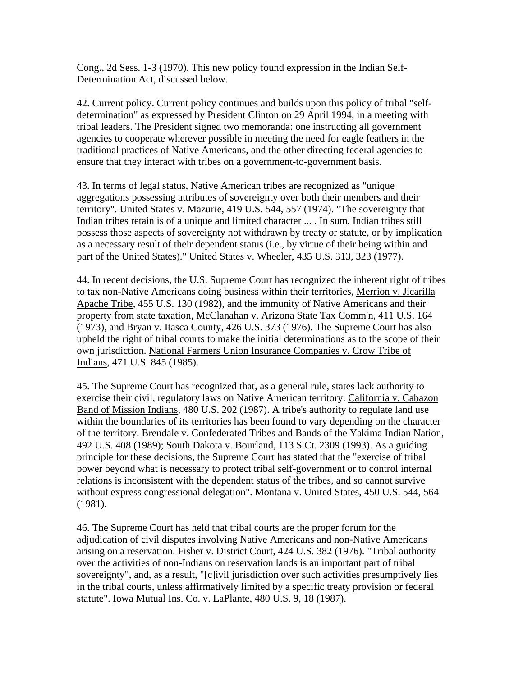Cong., 2d Sess. 1-3 (1970). This new policy found expression in the Indian Self-Determination Act, discussed below.

42. Current policy. Current policy continues and builds upon this policy of tribal "selfdetermination" as expressed by President Clinton on 29 April 1994, in a meeting with tribal leaders. The President signed two memoranda: one instructing all government agencies to cooperate wherever possible in meeting the need for eagle feathers in the traditional practices of Native Americans, and the other directing federal agencies to ensure that they interact with tribes on a government-to-government basis.

43. In terms of legal status, Native American tribes are recognized as "unique aggregations possessing attributes of sovereignty over both their members and their territory". United States v. Mazurie, 419 U.S. 544, 557 (1974). "The sovereignty that Indian tribes retain is of a unique and limited character ... . In sum, Indian tribes still possess those aspects of sovereignty not withdrawn by treaty or statute, or by implication as a necessary result of their dependent status (i.e., by virtue of their being within and part of the United States)." United States v. Wheeler, 435 U.S. 313, 323 (1977).

44. In recent decisions, the U.S. Supreme Court has recognized the inherent right of tribes to tax non-Native Americans doing business within their territories, Merrion v. Jicarilla Apache Tribe, 455 U.S. 130 (1982), and the immunity of Native Americans and their property from state taxation, McClanahan v. Arizona State Tax Comm'n, 411 U.S. 164 (1973), and Bryan v. Itasca County, 426 U.S. 373 (1976). The Supreme Court has also upheld the right of tribal courts to make the initial determinations as to the scope of their own jurisdiction. National Farmers Union Insurance Companies v. Crow Tribe of Indians, 471 U.S. 845 (1985).

45. The Supreme Court has recognized that, as a general rule, states lack authority to exercise their civil, regulatory laws on Native American territory. California v. Cabazon Band of Mission Indians, 480 U.S. 202 (1987). A tribe's authority to regulate land use within the boundaries of its territories has been found to vary depending on the character of the territory. Brendale v. Confederated Tribes and Bands of the Yakima Indian Nation, 492 U.S. 408 (1989); South Dakota v. Bourland, 113 S.Ct. 2309 (1993). As a guiding principle for these decisions, the Supreme Court has stated that the "exercise of tribal power beyond what is necessary to protect tribal self-government or to control internal relations is inconsistent with the dependent status of the tribes, and so cannot survive without express congressional delegation". Montana v. United States, 450 U.S. 544, 564 (1981).

46. The Supreme Court has held that tribal courts are the proper forum for the adjudication of civil disputes involving Native Americans and non-Native Americans arising on a reservation. Fisher v. District Court, 424 U.S. 382 (1976). "Tribal authority over the activities of non-Indians on reservation lands is an important part of tribal sovereignty", and, as a result, "[c]ivil jurisdiction over such activities presumptively lies in the tribal courts, unless affirmatively limited by a specific treaty provision or federal statute". Iowa Mutual Ins. Co. v. LaPlante, 480 U.S. 9, 18 (1987).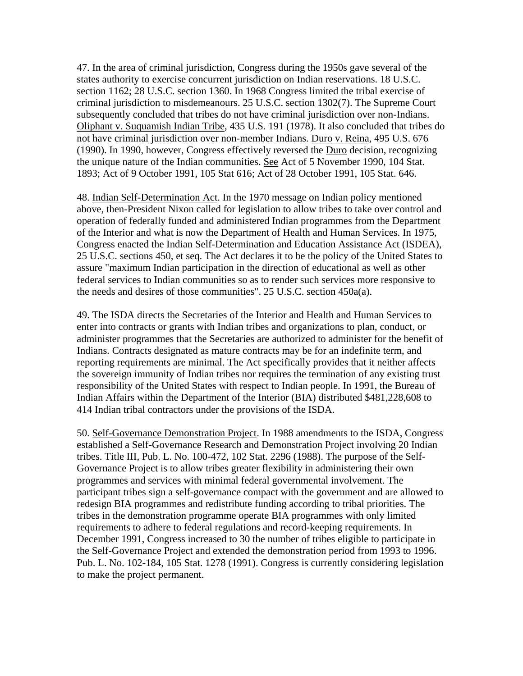47. In the area of criminal jurisdiction, Congress during the 1950s gave several of the states authority to exercise concurrent jurisdiction on Indian reservations. 18 U.S.C. section 1162; 28 U.S.C. section 1360. In 1968 Congress limited the tribal exercise of criminal jurisdiction to misdemeanours. 25 U.S.C. section 1302(7). The Supreme Court subsequently concluded that tribes do not have criminal jurisdiction over non-Indians. Oliphant v. Suquamish Indian Tribe, 435 U.S. 191 (1978). It also concluded that tribes do not have criminal jurisdiction over non-member Indians. Duro v. Reina, 495 U.S. 676 (1990). In 1990, however, Congress effectively reversed the Duro decision, recognizing the unique nature of the Indian communities. See Act of 5 November 1990, 104 Stat. 1893; Act of 9 October 1991, 105 Stat 616; Act of 28 October 1991, 105 Stat. 646.

48. Indian Self-Determination Act. In the 1970 message on Indian policy mentioned above, then-President Nixon called for legislation to allow tribes to take over control and operation of federally funded and administered Indian programmes from the Department of the Interior and what is now the Department of Health and Human Services. In 1975, Congress enacted the Indian Self-Determination and Education Assistance Act (ISDEA), 25 U.S.C. sections 450, et seq. The Act declares it to be the policy of the United States to assure "maximum Indian participation in the direction of educational as well as other federal services to Indian communities so as to render such services more responsive to the needs and desires of those communities". 25 U.S.C. section 450a(a).

49. The ISDA directs the Secretaries of the Interior and Health and Human Services to enter into contracts or grants with Indian tribes and organizations to plan, conduct, or administer programmes that the Secretaries are authorized to administer for the benefit of Indians. Contracts designated as mature contracts may be for an indefinite term, and reporting requirements are minimal. The Act specifically provides that it neither affects the sovereign immunity of Indian tribes nor requires the termination of any existing trust responsibility of the United States with respect to Indian people. In 1991, the Bureau of Indian Affairs within the Department of the Interior (BIA) distributed \$481,228,608 to 414 Indian tribal contractors under the provisions of the ISDA.

50. Self-Governance Demonstration Project. In 1988 amendments to the ISDA, Congress established a Self-Governance Research and Demonstration Project involving 20 Indian tribes. Title III, Pub. L. No. 100-472, 102 Stat. 2296 (1988). The purpose of the Self-Governance Project is to allow tribes greater flexibility in administering their own programmes and services with minimal federal governmental involvement. The participant tribes sign a self-governance compact with the government and are allowed to redesign BIA programmes and redistribute funding according to tribal priorities. The tribes in the demonstration programme operate BIA programmes with only limited requirements to adhere to federal regulations and record-keeping requirements. In December 1991, Congress increased to 30 the number of tribes eligible to participate in the Self-Governance Project and extended the demonstration period from 1993 to 1996. Pub. L. No. 102-184, 105 Stat. 1278 (1991). Congress is currently considering legislation to make the project permanent.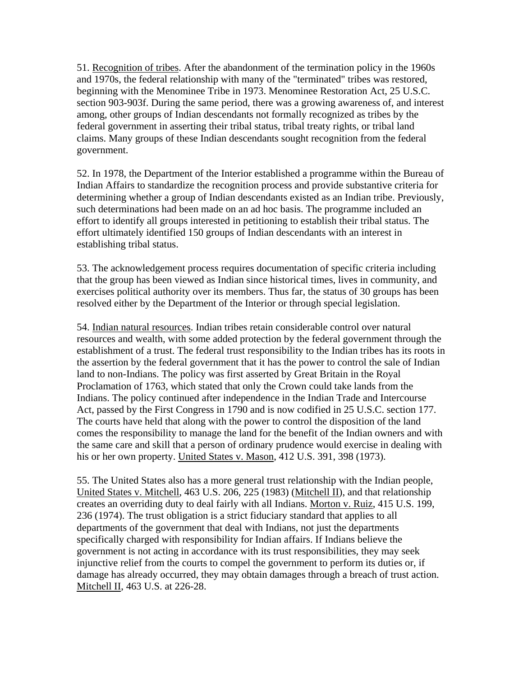51. Recognition of tribes. After the abandonment of the termination policy in the 1960s and 1970s, the federal relationship with many of the "terminated" tribes was restored, beginning with the Menominee Tribe in 1973. Menominee Restoration Act, 25 U.S.C. section 903-903f. During the same period, there was a growing awareness of, and interest among, other groups of Indian descendants not formally recognized as tribes by the federal government in asserting their tribal status, tribal treaty rights, or tribal land claims. Many groups of these Indian descendants sought recognition from the federal government.

52. In 1978, the Department of the Interior established a programme within the Bureau of Indian Affairs to standardize the recognition process and provide substantive criteria for determining whether a group of Indian descendants existed as an Indian tribe. Previously, such determinations had been made on an ad hoc basis. The programme included an effort to identify all groups interested in petitioning to establish their tribal status. The effort ultimately identified 150 groups of Indian descendants with an interest in establishing tribal status.

53. The acknowledgement process requires documentation of specific criteria including that the group has been viewed as Indian since historical times, lives in community, and exercises political authority over its members. Thus far, the status of 30 groups has been resolved either by the Department of the Interior or through special legislation.

54. Indian natural resources. Indian tribes retain considerable control over natural resources and wealth, with some added protection by the federal government through the establishment of a trust. The federal trust responsibility to the Indian tribes has its roots in the assertion by the federal government that it has the power to control the sale of Indian land to non-Indians. The policy was first asserted by Great Britain in the Royal Proclamation of 1763, which stated that only the Crown could take lands from the Indians. The policy continued after independence in the Indian Trade and Intercourse Act, passed by the First Congress in 1790 and is now codified in 25 U.S.C. section 177. The courts have held that along with the power to control the disposition of the land comes the responsibility to manage the land for the benefit of the Indian owners and with the same care and skill that a person of ordinary prudence would exercise in dealing with his or her own property. United States v. Mason, 412 U.S. 391, 398 (1973).

55. The United States also has a more general trust relationship with the Indian people, United States v. Mitchell, 463 U.S. 206, 225 (1983) (Mitchell II), and that relationship creates an overriding duty to deal fairly with all Indians. Morton v. Ruiz, 415 U.S. 199, 236 (1974). The trust obligation is a strict fiduciary standard that applies to all departments of the government that deal with Indians, not just the departments specifically charged with responsibility for Indian affairs. If Indians believe the government is not acting in accordance with its trust responsibilities, they may seek injunctive relief from the courts to compel the government to perform its duties or, if damage has already occurred, they may obtain damages through a breach of trust action. Mitchell II, 463 U.S. at 226-28.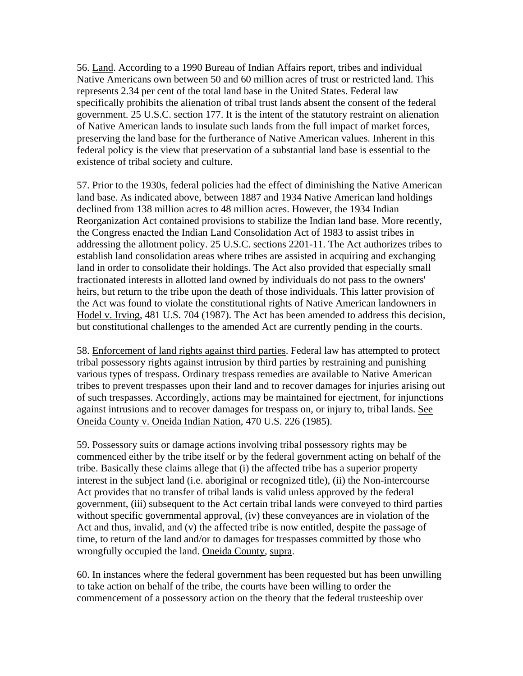56. Land. According to a 1990 Bureau of Indian Affairs report, tribes and individual Native Americans own between 50 and 60 million acres of trust or restricted land. This represents 2.34 per cent of the total land base in the United States. Federal law specifically prohibits the alienation of tribal trust lands absent the consent of the federal government. 25 U.S.C. section 177. It is the intent of the statutory restraint on alienation of Native American lands to insulate such lands from the full impact of market forces, preserving the land base for the furtherance of Native American values. Inherent in this federal policy is the view that preservation of a substantial land base is essential to the existence of tribal society and culture.

57. Prior to the 1930s, federal policies had the effect of diminishing the Native American land base. As indicated above, between 1887 and 1934 Native American land holdings declined from 138 million acres to 48 million acres. However, the 1934 Indian Reorganization Act contained provisions to stabilize the Indian land base. More recently, the Congress enacted the Indian Land Consolidation Act of 1983 to assist tribes in addressing the allotment policy. 25 U.S.C. sections 2201-11. The Act authorizes tribes to establish land consolidation areas where tribes are assisted in acquiring and exchanging land in order to consolidate their holdings. The Act also provided that especially small fractionated interests in allotted land owned by individuals do not pass to the owners' heirs, but return to the tribe upon the death of those individuals. This latter provision of the Act was found to violate the constitutional rights of Native American landowners in Hodel v. Irving, 481 U.S. 704 (1987). The Act has been amended to address this decision, but constitutional challenges to the amended Act are currently pending in the courts.

58. Enforcement of land rights against third parties. Federal law has attempted to protect tribal possessory rights against intrusion by third parties by restraining and punishing various types of trespass. Ordinary trespass remedies are available to Native American tribes to prevent trespasses upon their land and to recover damages for injuries arising out of such trespasses. Accordingly, actions may be maintained for ejectment, for injunctions against intrusions and to recover damages for trespass on, or injury to, tribal lands. See Oneida County v. Oneida Indian Nation, 470 U.S. 226 (1985).

59. Possessory suits or damage actions involving tribal possessory rights may be commenced either by the tribe itself or by the federal government acting on behalf of the tribe. Basically these claims allege that (i) the affected tribe has a superior property interest in the subject land (i.e. aboriginal or recognized title), (ii) the Non-intercourse Act provides that no transfer of tribal lands is valid unless approved by the federal government, (iii) subsequent to the Act certain tribal lands were conveyed to third parties without specific governmental approval, (iv) these conveyances are in violation of the Act and thus, invalid, and (v) the affected tribe is now entitled, despite the passage of time, to return of the land and/or to damages for trespasses committed by those who wrongfully occupied the land. Oneida County, supra.

60. In instances where the federal government has been requested but has been unwilling to take action on behalf of the tribe, the courts have been willing to order the commencement of a possessory action on the theory that the federal trusteeship over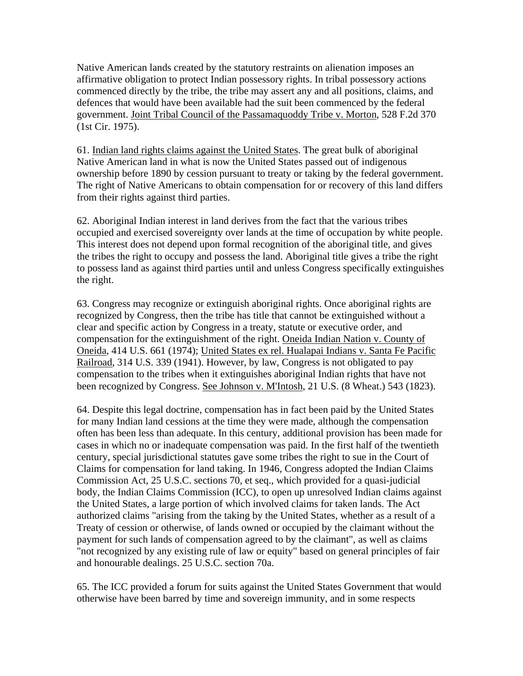Native American lands created by the statutory restraints on alienation imposes an affirmative obligation to protect Indian possessory rights. In tribal possessory actions commenced directly by the tribe, the tribe may assert any and all positions, claims, and defences that would have been available had the suit been commenced by the federal government. Joint Tribal Council of the Passamaquoddy Tribe v. Morton, 528 F.2d 370 (1st Cir. 1975).

61. Indian land rights claims against the United States. The great bulk of aboriginal Native American land in what is now the United States passed out of indigenous ownership before 1890 by cession pursuant to treaty or taking by the federal government. The right of Native Americans to obtain compensation for or recovery of this land differs from their rights against third parties.

62. Aboriginal Indian interest in land derives from the fact that the various tribes occupied and exercised sovereignty over lands at the time of occupation by white people. This interest does not depend upon formal recognition of the aboriginal title, and gives the tribes the right to occupy and possess the land. Aboriginal title gives a tribe the right to possess land as against third parties until and unless Congress specifically extinguishes the right.

63. Congress may recognize or extinguish aboriginal rights. Once aboriginal rights are recognized by Congress, then the tribe has title that cannot be extinguished without a clear and specific action by Congress in a treaty, statute or executive order, and compensation for the extinguishment of the right. Oneida Indian Nation v. County of Oneida, 414 U.S. 661 (1974); United States ex rel. Hualapai Indians v. Santa Fe Pacific Railroad, 314 U.S. 339 (1941). However, by law, Congress is not obligated to pay compensation to the tribes when it extinguishes aboriginal Indian rights that have not been recognized by Congress. See Johnson v. M'Intosh, 21 U.S. (8 Wheat.) 543 (1823).

64. Despite this legal doctrine, compensation has in fact been paid by the United States for many Indian land cessions at the time they were made, although the compensation often has been less than adequate. In this century, additional provision has been made for cases in which no or inadequate compensation was paid. In the first half of the twentieth century, special jurisdictional statutes gave some tribes the right to sue in the Court of Claims for compensation for land taking. In 1946, Congress adopted the Indian Claims Commission Act, 25 U.S.C. sections 70, et seq., which provided for a quasi-judicial body, the Indian Claims Commission (ICC), to open up unresolved Indian claims against the United States, a large portion of which involved claims for taken lands. The Act authorized claims "arising from the taking by the United States, whether as a result of a Treaty of cession or otherwise, of lands owned or occupied by the claimant without the payment for such lands of compensation agreed to by the claimant", as well as claims "not recognized by any existing rule of law or equity" based on general principles of fair and honourable dealings. 25 U.S.C. section 70a.

65. The ICC provided a forum for suits against the United States Government that would otherwise have been barred by time and sovereign immunity, and in some respects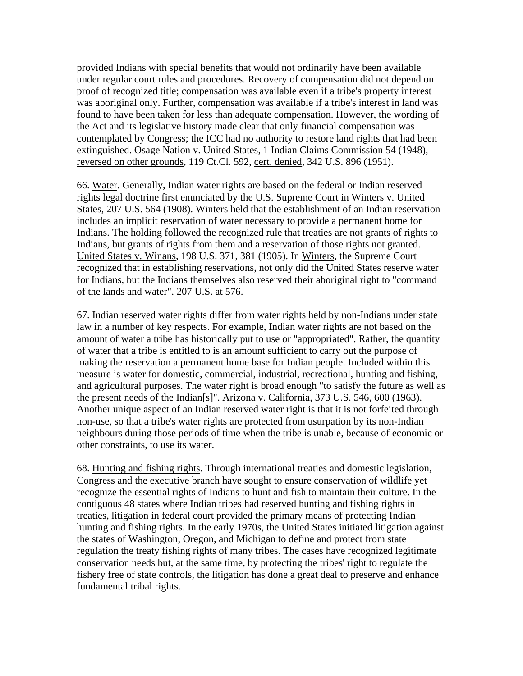provided Indians with special benefits that would not ordinarily have been available under regular court rules and procedures. Recovery of compensation did not depend on proof of recognized title; compensation was available even if a tribe's property interest was aboriginal only. Further, compensation was available if a tribe's interest in land was found to have been taken for less than adequate compensation. However, the wording of the Act and its legislative history made clear that only financial compensation was contemplated by Congress; the ICC had no authority to restore land rights that had been extinguished. Osage Nation v. United States, 1 Indian Claims Commission 54 (1948), reversed on other grounds, 119 Ct.Cl. 592, cert. denied, 342 U.S. 896 (1951).

66. Water. Generally, Indian water rights are based on the federal or Indian reserved rights legal doctrine first enunciated by the U.S. Supreme Court in Winters v. United States, 207 U.S. 564 (1908). Winters held that the establishment of an Indian reservation includes an implicit reservation of water necessary to provide a permanent home for Indians. The holding followed the recognized rule that treaties are not grants of rights to Indians, but grants of rights from them and a reservation of those rights not granted. United States v. Winans, 198 U.S. 371, 381 (1905). In Winters, the Supreme Court recognized that in establishing reservations, not only did the United States reserve water for Indians, but the Indians themselves also reserved their aboriginal right to "command of the lands and water". 207 U.S. at 576.

67. Indian reserved water rights differ from water rights held by non-Indians under state law in a number of key respects. For example, Indian water rights are not based on the amount of water a tribe has historically put to use or "appropriated". Rather, the quantity of water that a tribe is entitled to is an amount sufficient to carry out the purpose of making the reservation a permanent home base for Indian people. Included within this measure is water for domestic, commercial, industrial, recreational, hunting and fishing, and agricultural purposes. The water right is broad enough "to satisfy the future as well as the present needs of the Indian[s]". Arizona v. California, 373 U.S. 546, 600 (1963). Another unique aspect of an Indian reserved water right is that it is not forfeited through non-use, so that a tribe's water rights are protected from usurpation by its non-Indian neighbours during those periods of time when the tribe is unable, because of economic or other constraints, to use its water.

68. Hunting and fishing rights. Through international treaties and domestic legislation, Congress and the executive branch have sought to ensure conservation of wildlife yet recognize the essential rights of Indians to hunt and fish to maintain their culture. In the contiguous 48 states where Indian tribes had reserved hunting and fishing rights in treaties, litigation in federal court provided the primary means of protecting Indian hunting and fishing rights. In the early 1970s, the United States initiated litigation against the states of Washington, Oregon, and Michigan to define and protect from state regulation the treaty fishing rights of many tribes. The cases have recognized legitimate conservation needs but, at the same time, by protecting the tribes' right to regulate the fishery free of state controls, the litigation has done a great deal to preserve and enhance fundamental tribal rights.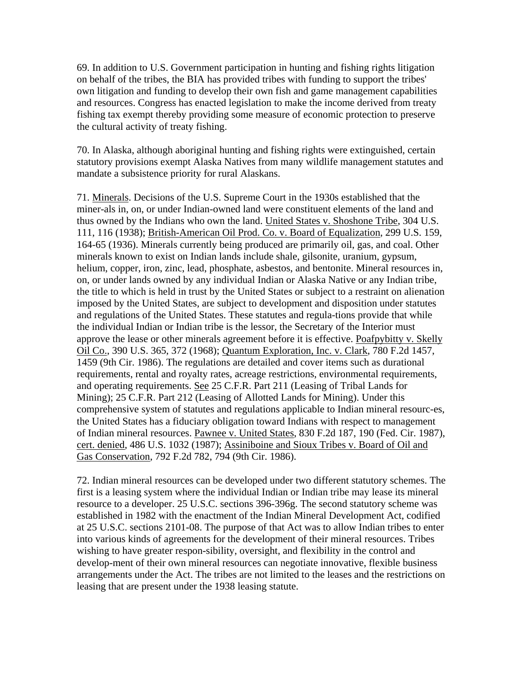69. In addition to U.S. Government participation in hunting and fishing rights litigation on behalf of the tribes, the BIA has provided tribes with funding to support the tribes' own litigation and funding to develop their own fish and game management capabilities and resources. Congress has enacted legislation to make the income derived from treaty fishing tax exempt thereby providing some measure of economic protection to preserve the cultural activity of treaty fishing.

70. In Alaska, although aboriginal hunting and fishing rights were extinguished, certain statutory provisions exempt Alaska Natives from many wildlife management statutes and mandate a subsistence priority for rural Alaskans.

71. Minerals. Decisions of the U.S. Supreme Court in the 1930s established that the miner-als in, on, or under Indian-owned land were constituent elements of the land and thus owned by the Indians who own the land. United States v. Shoshone Tribe, 304 U.S. 111, 116 (1938); British-American Oil Prod. Co. v. Board of Equalization, 299 U.S. 159, 164-65 (1936). Minerals currently being produced are primarily oil, gas, and coal. Other minerals known to exist on Indian lands include shale, gilsonite, uranium, gypsum, helium, copper, iron, zinc, lead, phosphate, asbestos, and bentonite. Mineral resources in, on, or under lands owned by any individual Indian or Alaska Native or any Indian tribe, the title to which is held in trust by the United States or subject to a restraint on alienation imposed by the United States, are subject to development and disposition under statutes and regulations of the United States. These statutes and regula-tions provide that while the individual Indian or Indian tribe is the lessor, the Secretary of the Interior must approve the lease or other minerals agreement before it is effective. Poafpybitty v. Skelly Oil Co., 390 U.S. 365, 372 (1968); Quantum Exploration, Inc. v. Clark, 780 F.2d 1457, 1459 (9th Cir. 1986). The regulations are detailed and cover items such as durational requirements, rental and royalty rates, acreage restrictions, environmental requirements, and operating requirements. See 25 C.F.R. Part 211 (Leasing of Tribal Lands for Mining); 25 C.F.R. Part 212 (Leasing of Allotted Lands for Mining). Under this comprehensive system of statutes and regulations applicable to Indian mineral resourc-es, the United States has a fiduciary obligation toward Indians with respect to management of Indian mineral resources. Pawnee v. United States, 830 F.2d 187, 190 (Fed. Cir. 1987), cert. denied, 486 U.S. 1032 (1987); Assiniboine and Sioux Tribes v. Board of Oil and Gas Conservation, 792 F.2d 782, 794 (9th Cir. 1986).

72. Indian mineral resources can be developed under two different statutory schemes. The first is a leasing system where the individual Indian or Indian tribe may lease its mineral resource to a developer. 25 U.S.C. sections 396-396g. The second statutory scheme was established in 1982 with the enactment of the Indian Mineral Development Act, codified at 25 U.S.C. sections 2101-08. The purpose of that Act was to allow Indian tribes to enter into various kinds of agreements for the development of their mineral resources. Tribes wishing to have greater respon-sibility, oversight, and flexibility in the control and develop-ment of their own mineral resources can negotiate innovative, flexible business arrangements under the Act. The tribes are not limited to the leases and the restrictions on leasing that are present under the 1938 leasing statute.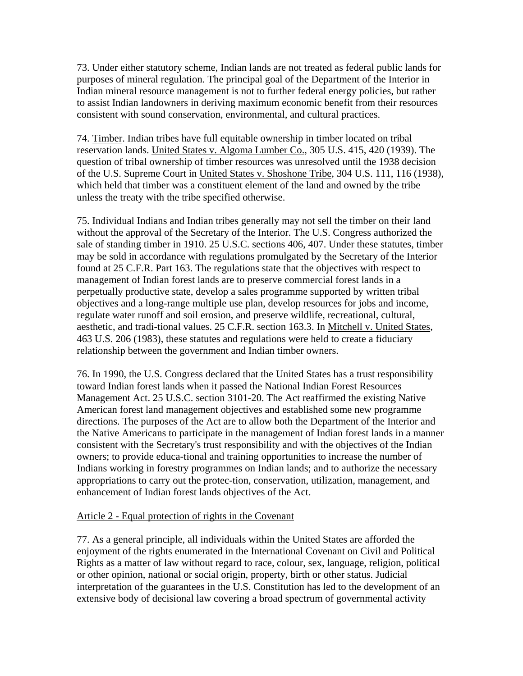73. Under either statutory scheme, Indian lands are not treated as federal public lands for purposes of mineral regulation. The principal goal of the Department of the Interior in Indian mineral resource management is not to further federal energy policies, but rather to assist Indian landowners in deriving maximum economic benefit from their resources consistent with sound conservation, environmental, and cultural practices.

74. Timber. Indian tribes have full equitable ownership in timber located on tribal reservation lands. United States v. Algoma Lumber Co., 305 U.S. 415, 420 (1939). The question of tribal ownership of timber resources was unresolved until the 1938 decision of the U.S. Supreme Court in United States v. Shoshone Tribe, 304 U.S. 111, 116 (1938), which held that timber was a constituent element of the land and owned by the tribe unless the treaty with the tribe specified otherwise.

75. Individual Indians and Indian tribes generally may not sell the timber on their land without the approval of the Secretary of the Interior. The U.S. Congress authorized the sale of standing timber in 1910. 25 U.S.C. sections 406, 407. Under these statutes, timber may be sold in accordance with regulations promulgated by the Secretary of the Interior found at 25 C.F.R. Part 163. The regulations state that the objectives with respect to management of Indian forest lands are to preserve commercial forest lands in a perpetually productive state, develop a sales programme supported by written tribal objectives and a long-range multiple use plan, develop resources for jobs and income, regulate water runoff and soil erosion, and preserve wildlife, recreational, cultural, aesthetic, and tradi-tional values. 25 C.F.R. section 163.3. In Mitchell v. United States, 463 U.S. 206 (1983), these statutes and regulations were held to create a fiduciary relationship between the government and Indian timber owners.

76. In 1990, the U.S. Congress declared that the United States has a trust responsibility toward Indian forest lands when it passed the National Indian Forest Resources Management Act. 25 U.S.C. section 3101-20. The Act reaffirmed the existing Native American forest land management objectives and established some new programme directions. The purposes of the Act are to allow both the Department of the Interior and the Native Americans to participate in the management of Indian forest lands in a manner consistent with the Secretary's trust responsibility and with the objectives of the Indian owners; to provide educa-tional and training opportunities to increase the number of Indians working in forestry programmes on Indian lands; and to authorize the necessary appropriations to carry out the protec-tion, conservation, utilization, management, and enhancement of Indian forest lands objectives of the Act.

### Article 2 - Equal protection of rights in the Covenant

77. As a general principle, all individuals within the United States are afforded the enjoyment of the rights enumerated in the International Covenant on Civil and Political Rights as a matter of law without regard to race, colour, sex, language, religion, political or other opinion, national or social origin, property, birth or other status. Judicial interpretation of the guarantees in the U.S. Constitution has led to the development of an extensive body of decisional law covering a broad spectrum of governmental activity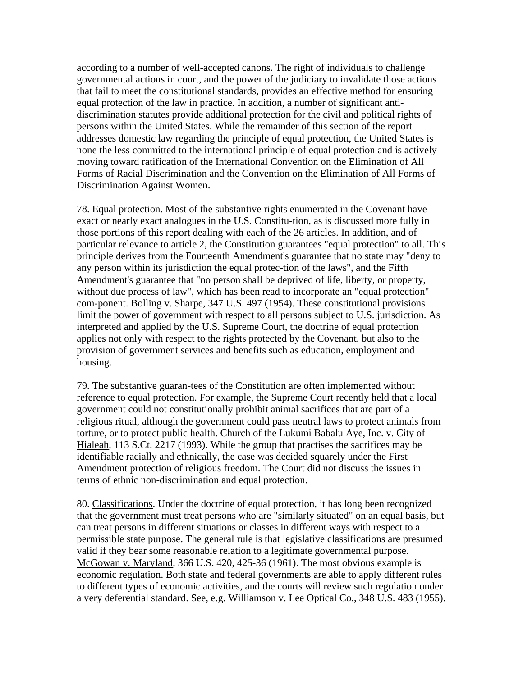according to a number of well-accepted canons. The right of individuals to challenge governmental actions in court, and the power of the judiciary to invalidate those actions that fail to meet the constitutional standards, provides an effective method for ensuring equal protection of the law in practice. In addition, a number of significant antidiscrimination statutes provide additional protection for the civil and political rights of persons within the United States. While the remainder of this section of the report addresses domestic law regarding the principle of equal protection, the United States is none the less committed to the international principle of equal protection and is actively moving toward ratification of the International Convention on the Elimination of All Forms of Racial Discrimination and the Convention on the Elimination of All Forms of Discrimination Against Women.

78. Equal protection. Most of the substantive rights enumerated in the Covenant have exact or nearly exact analogues in the U.S. Constitu-tion, as is discussed more fully in those portions of this report dealing with each of the 26 articles. In addition, and of particular relevance to article 2, the Constitution guarantees "equal protection" to all. This principle derives from the Fourteenth Amendment's guarantee that no state may "deny to any person within its jurisdiction the equal protec-tion of the laws", and the Fifth Amendment's guarantee that "no person shall be deprived of life, liberty, or property, without due process of law", which has been read to incorporate an "equal protection" com-ponent. Bolling v. Sharpe, 347 U.S. 497 (1954). These constitutional provisions limit the power of government with respect to all persons subject to U.S. jurisdiction. As interpreted and applied by the U.S. Supreme Court, the doctrine of equal protection applies not only with respect to the rights protected by the Covenant, but also to the provision of government services and benefits such as education, employment and housing.

79. The substantive guaran-tees of the Constitution are often implemented without reference to equal protection. For example, the Supreme Court recently held that a local government could not constitutionally prohibit animal sacrifices that are part of a religious ritual, although the government could pass neutral laws to protect animals from torture, or to protect public health. Church of the Lukumi Babalu Aye, Inc. v. City of Hialeah, 113 S.Ct. 2217 (1993). While the group that practises the sacrifices may be identifiable racially and ethnically, the case was decided squarely under the First Amendment protection of religious freedom. The Court did not discuss the issues in terms of ethnic non-discrimination and equal protection.

80. Classifications. Under the doctrine of equal protection, it has long been recognized that the government must treat persons who are "similarly situated" on an equal basis, but can treat persons in different situations or classes in different ways with respect to a permissible state purpose. The general rule is that legislative classifications are presumed valid if they bear some reasonable relation to a legitimate governmental purpose. McGowan v. Maryland, 366 U.S. 420, 425-36 (1961). The most obvious example is economic regulation. Both state and federal governments are able to apply different rules to different types of economic activities, and the courts will review such regulation under a very deferential standard. See, e.g. Williamson v. Lee Optical Co., 348 U.S. 483 (1955).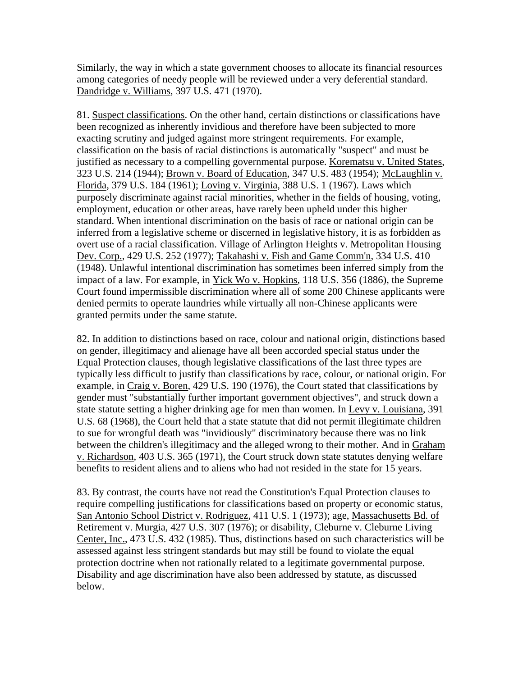Similarly, the way in which a state government chooses to allocate its financial resources among categories of needy people will be reviewed under a very deferential standard. Dandridge v. Williams, 397 U.S. 471 (1970).

81. Suspect classifications. On the other hand, certain distinctions or classifications have been recognized as inherently invidious and therefore have been subjected to more exacting scrutiny and judged against more stringent requirements. For example, classification on the basis of racial distinctions is automatically "suspect" and must be justified as necessary to a compelling governmental purpose. Korematsu v. United States, 323 U.S. 214 (1944); Brown v. Board of Education, 347 U.S. 483 (1954); McLaughlin v. Florida, 379 U.S. 184 (1961); Loving v. Virginia, 388 U.S. 1 (1967). Laws which purposely discriminate against racial minorities, whether in the fields of housing, voting, employment, education or other areas, have rarely been upheld under this higher standard. When intentional discrimination on the basis of race or national origin can be inferred from a legislative scheme or discerned in legislative history, it is as forbidden as overt use of a racial classification. Village of Arlington Heights v. Metropolitan Housing Dev. Corp., 429 U.S. 252 (1977); Takahashi v. Fish and Game Comm'n, 334 U.S. 410 (1948). Unlawful intentional discrimination has sometimes been inferred simply from the impact of a law. For example, in Yick Wo v. Hopkins, 118 U.S. 356 (1886), the Supreme Court found impermissible discrimination where all of some 200 Chinese applicants were denied permits to operate laundries while virtually all non-Chinese applicants were granted permits under the same statute.

82. In addition to distinctions based on race, colour and national origin, distinctions based on gender, illegitimacy and alienage have all been accorded special status under the Equal Protection clauses, though legislative classifications of the last three types are typically less difficult to justify than classifications by race, colour, or national origin. For example, in Craig v. Boren, 429 U.S. 190 (1976), the Court stated that classifications by gender must "substantially further important government objectives", and struck down a state statute setting a higher drinking age for men than women. In Levy v. Louisiana, 391 U.S. 68 (1968), the Court held that a state statute that did not permit illegitimate children to sue for wrongful death was "invidiously" discriminatory because there was no link between the children's illegitimacy and the alleged wrong to their mother. And in Graham v. Richardson, 403 U.S. 365 (1971), the Court struck down state statutes denying welfare benefits to resident aliens and to aliens who had not resided in the state for 15 years.

83. By contrast, the courts have not read the Constitution's Equal Protection clauses to require compelling justifications for classifications based on property or economic status, San Antonio School District v. Rodriguez, 411 U.S. 1 (1973); age, Massachusetts Bd. of Retirement v. Murgia, 427 U.S. 307 (1976); or disability, Cleburne v. Cleburne Living Center, Inc., 473 U.S. 432 (1985). Thus, distinctions based on such characteristics will be assessed against less stringent standards but may still be found to violate the equal protection doctrine when not rationally related to a legitimate governmental purpose. Disability and age discrimination have also been addressed by statute, as discussed below.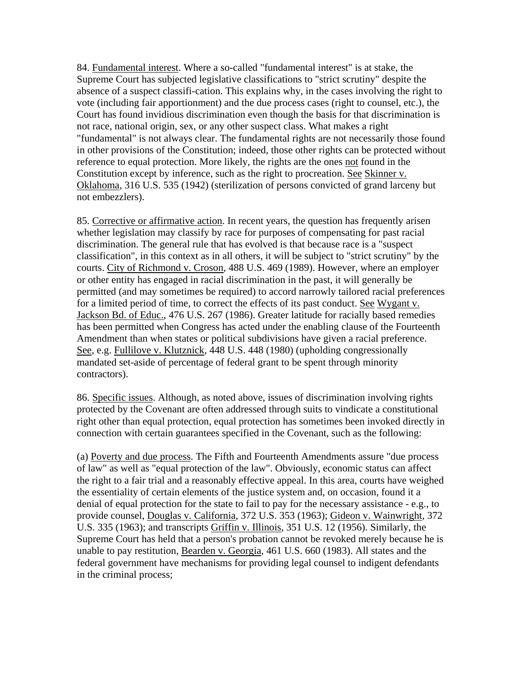84. Fundamental interest. Where a so-called "fundamental interest" is at stake, the Supreme Court has subjected legislative classifications to "strict scrutiny" despite the absence of a suspect classifi-cation. This explains why, in the cases involving the right to vote (including fair apportionment) and the due process cases (right to counsel, etc.), the Court has found invidious discrimination even though the basis for that discrimination is not race, national origin, sex, or any other suspect class. What makes a right "fundamental" is not always clear. The fundamental rights are not necessarily those found in other provisions of the Constitution; indeed, those other rights can be protected without reference to equal protection. More likely, the rights are the ones not found in the Constitution except by inference, such as the right to procreation. See Skinner v. Oklahoma, 316 U.S. 535 (1942) (sterilization of persons convicted of grand larceny but not embezzlers).

85. Corrective or affirmative action. In recent years, the question has frequently arisen whether legislation may classify by race for purposes of compensating for past racial discrimination. The general rule that has evolved is that because race is a "suspect classification", in this context as in all others, it will be subject to "strict scrutiny" by the courts. City of Richmond v. Croson, 488 U.S. 469 (1989). However, where an employer or other entity has engaged in racial discrimination in the past, it will generally be permitted (and may sometimes be required) to accord narrowly tailored racial preferences for a limited period of time, to correct the effects of its past conduct. See Wygant v. Jackson Bd. of Educ., 476 U.S. 267 (1986). Greater latitude for racially based remedies has been permitted when Congress has acted under the enabling clause of the Fourteenth Amendment than when states or political subdivisions have given a racial preference. See, e.g. Fullilove v. Klutznick, 448 U.S. 448 (1980) (upholding congressionally mandated set-aside of percentage of federal grant to be spent through minority contractors).

86. Specific issues. Although, as noted above, issues of discrimination involving rights protected by the Covenant are often addressed through suits to vindicate a constitutional right other than equal protection, equal protection has sometimes been invoked directly in connection with certain guarantees specified in the Covenant, such as the following:

(a) Poverty and due process. The Fifth and Fourteenth Amendments assure "due process of law" as well as "equal protection of the law". Obviously, economic status can affect the right to a fair trial and a reasonably effective appeal. In this area, courts have weighed the essentiality of certain elements of the justice system and, on occasion, found it a denial of equal protection for the state to fail to pay for the necessary assistance - e.g., to provide counsel, Douglas v. California, 372 U.S. 353 (1963); Gideon v. Wainwright, 372 U.S. 335 (1963); and transcripts Griffin v. Illinois, 351 U.S. 12 (1956). Similarly, the Supreme Court has held that a person's probation cannot be revoked merely because he is unable to pay restitution, Bearden v. Georgia, 461 U.S. 660 (1983). All states and the federal government have mechanisms for providing legal counsel to indigent defendants in the criminal process;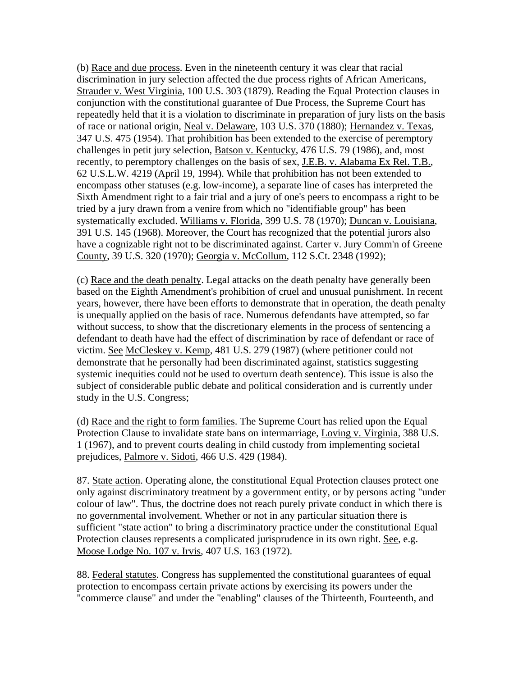(b) Race and due process. Even in the nineteenth century it was clear that racial discrimination in jury selection affected the due process rights of African Americans, Strauder v. West Virginia, 100 U.S. 303 (1879). Reading the Equal Protection clauses in conjunction with the constitutional guarantee of Due Process, the Supreme Court has repeatedly held that it is a violation to discriminate in preparation of jury lists on the basis of race or national origin, Neal v. Delaware, 103 U.S. 370 (1880); Hernandez v. Texas, 347 U.S. 475 (1954). That prohibition has been extended to the exercise of peremptory challenges in petit jury selection, Batson v. Kentucky, 476 U.S. 79 (1986), and, most recently, to peremptory challenges on the basis of sex, J.E.B. v. Alabama Ex Rel. T.B., 62 U.S.L.W. 4219 (April 19, 1994). While that prohibition has not been extended to encompass other statuses (e.g. low-income), a separate line of cases has interpreted the Sixth Amendment right to a fair trial and a jury of one's peers to encompass a right to be tried by a jury drawn from a venire from which no "identifiable group" has been systematically excluded. Williams v. Florida, 399 U.S. 78 (1970); Duncan v. Louisiana, 391 U.S. 145 (1968). Moreover, the Court has recognized that the potential jurors also have a cognizable right not to be discriminated against. Carter v. Jury Comm'n of Greene County, 39 U.S. 320 (1970); Georgia v. McCollum, 112 S.Ct. 2348 (1992);

(c) Race and the death penalty. Legal attacks on the death penalty have generally been based on the Eighth Amendment's prohibition of cruel and unusual punishment. In recent years, however, there have been efforts to demonstrate that in operation, the death penalty is unequally applied on the basis of race. Numerous defendants have attempted, so far without success, to show that the discretionary elements in the process of sentencing a defendant to death have had the effect of discrimination by race of defendant or race of victim. See McCleskey v. Kemp, 481 U.S. 279 (1987) (where petitioner could not demonstrate that he personally had been discriminated against, statistics suggesting systemic inequities could not be used to overturn death sentence). This issue is also the subject of considerable public debate and political consideration and is currently under study in the U.S. Congress;

(d) Race and the right to form families. The Supreme Court has relied upon the Equal Protection Clause to invalidate state bans on intermarriage, Loving v. Virginia, 388 U.S. 1 (1967), and to prevent courts dealing in child custody from implementing societal prejudices, Palmore v. Sidoti, 466 U.S. 429 (1984).

87. State action. Operating alone, the constitutional Equal Protection clauses protect one only against discriminatory treatment by a government entity, or by persons acting "under colour of law". Thus, the doctrine does not reach purely private conduct in which there is no governmental involvement. Whether or not in any particular situation there is sufficient "state action" to bring a discriminatory practice under the constitutional Equal Protection clauses represents a complicated jurisprudence in its own right. See, e.g. Moose Lodge No. 107 v. Irvis, 407 U.S. 163 (1972).

88. Federal statutes. Congress has supplemented the constitutional guarantees of equal protection to encompass certain private actions by exercising its powers under the "commerce clause" and under the "enabling" clauses of the Thirteenth, Fourteenth, and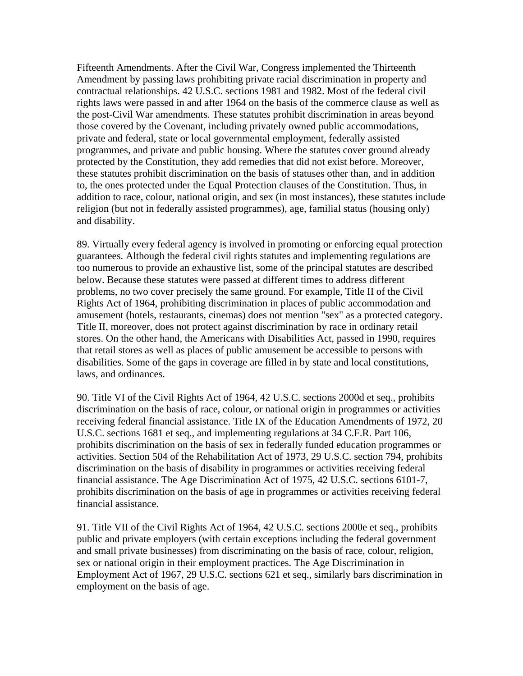Fifteenth Amendments. After the Civil War, Congress implemented the Thirteenth Amendment by passing laws prohibiting private racial discrimination in property and contractual relationships. 42 U.S.C. sections 1981 and 1982. Most of the federal civil rights laws were passed in and after 1964 on the basis of the commerce clause as well as the post-Civil War amendments. These statutes prohibit discrimination in areas beyond those covered by the Covenant, including privately owned public accommodations, private and federal, state or local governmental employment, federally assisted programmes, and private and public housing. Where the statutes cover ground already protected by the Constitution, they add remedies that did not exist before. Moreover, these statutes prohibit discrimination on the basis of statuses other than, and in addition to, the ones protected under the Equal Protection clauses of the Constitution. Thus, in addition to race, colour, national origin, and sex (in most instances), these statutes include religion (but not in federally assisted programmes), age, familial status (housing only) and disability.

89. Virtually every federal agency is involved in promoting or enforcing equal protection guarantees. Although the federal civil rights statutes and implementing regulations are too numerous to provide an exhaustive list, some of the principal statutes are described below. Because these statutes were passed at different times to address different problems, no two cover precisely the same ground. For example, Title II of the Civil Rights Act of 1964, prohibiting discrimination in places of public accommodation and amusement (hotels, restaurants, cinemas) does not mention "sex" as a protected category. Title II, moreover, does not protect against discrimination by race in ordinary retail stores. On the other hand, the Americans with Disabilities Act, passed in 1990, requires that retail stores as well as places of public amusement be accessible to persons with disabilities. Some of the gaps in coverage are filled in by state and local constitutions, laws, and ordinances.

90. Title VI of the Civil Rights Act of 1964, 42 U.S.C. sections 2000d et seq., prohibits discrimination on the basis of race, colour, or national origin in programmes or activities receiving federal financial assistance. Title IX of the Education Amendments of 1972, 20 U.S.C. sections 1681 et seq., and implementing regulations at 34 C.F.R. Part 106, prohibits discrimination on the basis of sex in federally funded education programmes or activities. Section 504 of the Rehabilitation Act of 1973, 29 U.S.C. section 794, prohibits discrimination on the basis of disability in programmes or activities receiving federal financial assistance. The Age Discrimination Act of 1975, 42 U.S.C. sections 6101-7, prohibits discrimination on the basis of age in programmes or activities receiving federal financial assistance.

91. Title VII of the Civil Rights Act of 1964, 42 U.S.C. sections 2000e et seq., prohibits public and private employers (with certain exceptions including the federal government and small private businesses) from discriminating on the basis of race, colour, religion, sex or national origin in their employment practices. The Age Discrimination in Employment Act of 1967, 29 U.S.C. sections 621 et seq., similarly bars discrimination in employment on the basis of age.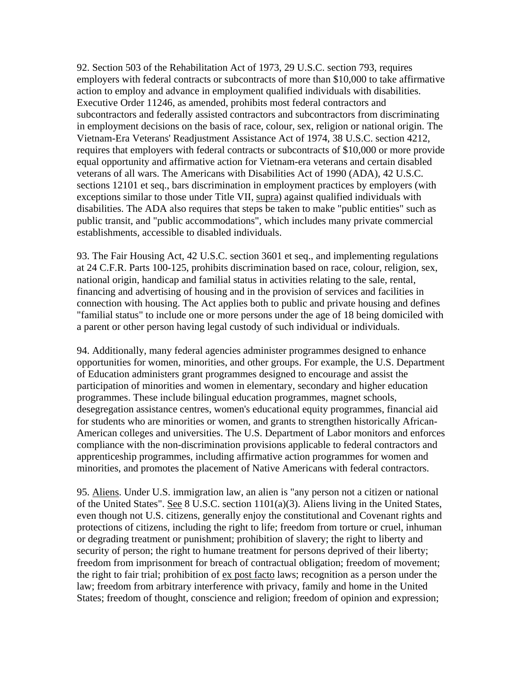92. Section 503 of the Rehabilitation Act of 1973, 29 U.S.C. section 793, requires employers with federal contracts or subcontracts of more than \$10,000 to take affirmative action to employ and advance in employment qualified individuals with disabilities. Executive Order 11246, as amended, prohibits most federal contractors and subcontractors and federally assisted contractors and subcontractors from discriminating in employment decisions on the basis of race, colour, sex, religion or national origin. The Vietnam-Era Veterans' Readjustment Assistance Act of 1974, 38 U.S.C. section 4212, requires that employers with federal contracts or subcontracts of \$10,000 or more provide equal opportunity and affirmative action for Vietnam-era veterans and certain disabled veterans of all wars. The Americans with Disabilities Act of 1990 (ADA), 42 U.S.C. sections 12101 et seq., bars discrimination in employment practices by employers (with exceptions similar to those under Title VII, supra) against qualified individuals with disabilities. The ADA also requires that steps be taken to make "public entities" such as public transit, and "public accommodations", which includes many private commercial establishments, accessible to disabled individuals.

93. The Fair Housing Act, 42 U.S.C. section 3601 et seq., and implementing regulations at 24 C.F.R. Parts 100-125, prohibits discrimination based on race, colour, religion, sex, national origin, handicap and familial status in activities relating to the sale, rental, financing and advertising of housing and in the provision of services and facilities in connection with housing. The Act applies both to public and private housing and defines "familial status" to include one or more persons under the age of 18 being domiciled with a parent or other person having legal custody of such individual or individuals.

94. Additionally, many federal agencies administer programmes designed to enhance opportunities for women, minorities, and other groups. For example, the U.S. Department of Education administers grant programmes designed to encourage and assist the participation of minorities and women in elementary, secondary and higher education programmes. These include bilingual education programmes, magnet schools, desegregation assistance centres, women's educational equity programmes, financial aid for students who are minorities or women, and grants to strengthen historically African-American colleges and universities. The U.S. Department of Labor monitors and enforces compliance with the non-discrimination provisions applicable to federal contractors and apprenticeship programmes, including affirmative action programmes for women and minorities, and promotes the placement of Native Americans with federal contractors.

95. Aliens. Under U.S. immigration law, an alien is "any person not a citizen or national of the United States". See 8 U.S.C. section 1101(a)(3). Aliens living in the United States, even though not U.S. citizens, generally enjoy the constitutional and Covenant rights and protections of citizens, including the right to life; freedom from torture or cruel, inhuman or degrading treatment or punishment; prohibition of slavery; the right to liberty and security of person; the right to humane treatment for persons deprived of their liberty; freedom from imprisonment for breach of contractual obligation; freedom of movement; the right to fair trial; prohibition of ex post facto laws; recognition as a person under the law; freedom from arbitrary interference with privacy, family and home in the United States; freedom of thought, conscience and religion; freedom of opinion and expression;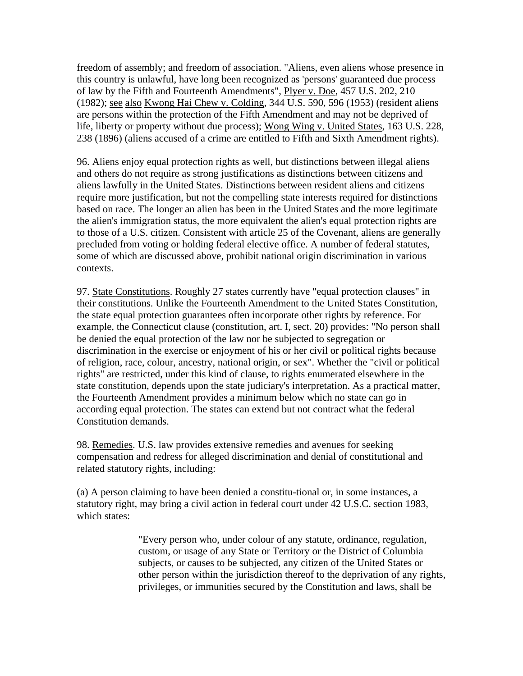freedom of assembly; and freedom of association. "Aliens, even aliens whose presence in this country is unlawful, have long been recognized as 'persons' guaranteed due process of law by the Fifth and Fourteenth Amendments", Plyer v. Doe, 457 U.S. 202, 210 (1982); see also Kwong Hai Chew v. Colding, 344 U.S. 590, 596 (1953) (resident aliens are persons within the protection of the Fifth Amendment and may not be deprived of life, liberty or property without due process); Wong Wing v. United States, 163 U.S. 228, 238 (1896) (aliens accused of a crime are entitled to Fifth and Sixth Amendment rights).

96. Aliens enjoy equal protection rights as well, but distinctions between illegal aliens and others do not require as strong justifications as distinctions between citizens and aliens lawfully in the United States. Distinctions between resident aliens and citizens require more justification, but not the compelling state interests required for distinctions based on race. The longer an alien has been in the United States and the more legitimate the alien's immigration status, the more equivalent the alien's equal protection rights are to those of a U.S. citizen. Consistent with article 25 of the Covenant, aliens are generally precluded from voting or holding federal elective office. A number of federal statutes, some of which are discussed above, prohibit national origin discrimination in various contexts.

97. State Constitutions. Roughly 27 states currently have "equal protection clauses" in their constitutions. Unlike the Fourteenth Amendment to the United States Constitution, the state equal protection guarantees often incorporate other rights by reference. For example, the Connecticut clause (constitution, art. I, sect. 20) provides: "No person shall be denied the equal protection of the law nor be subjected to segregation or discrimination in the exercise or enjoyment of his or her civil or political rights because of religion, race, colour, ancestry, national origin, or sex". Whether the "civil or political rights" are restricted, under this kind of clause, to rights enumerated elsewhere in the state constitution, depends upon the state judiciary's interpretation. As a practical matter, the Fourteenth Amendment provides a minimum below which no state can go in according equal protection. The states can extend but not contract what the federal Constitution demands.

98. Remedies. U.S. law provides extensive remedies and avenues for seeking compensation and redress for alleged discrimination and denial of constitutional and related statutory rights, including:

(a) A person claiming to have been denied a constitu-tional or, in some instances, a statutory right, may bring a civil action in federal court under 42 U.S.C. section 1983, which states:

> "Every person who, under colour of any statute, ordinance, regulation, custom, or usage of any State or Territory or the District of Columbia subjects, or causes to be subjected, any citizen of the United States or other person within the jurisdiction thereof to the deprivation of any rights, privileges, or immunities secured by the Constitution and laws, shall be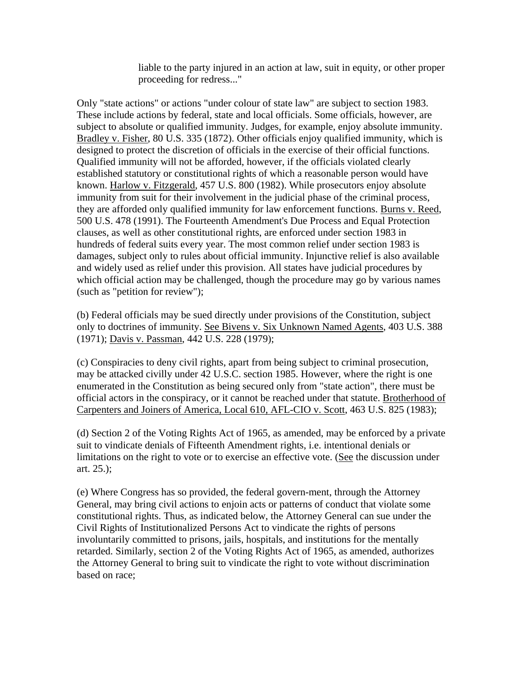liable to the party injured in an action at law, suit in equity, or other proper proceeding for redress..."

Only "state actions" or actions "under colour of state law" are subject to section 1983. These include actions by federal, state and local officials. Some officials, however, are subject to absolute or qualified immunity. Judges, for example, enjoy absolute immunity. Bradley v. Fisher, 80 U.S. 335 (1872). Other officials enjoy qualified immunity, which is designed to protect the discretion of officials in the exercise of their official functions. Qualified immunity will not be afforded, however, if the officials violated clearly established statutory or constitutional rights of which a reasonable person would have known. Harlow v. Fitzgerald, 457 U.S. 800 (1982). While prosecutors enjoy absolute immunity from suit for their involvement in the judicial phase of the criminal process, they are afforded only qualified immunity for law enforcement functions. Burns v. Reed, 500 U.S. 478 (1991). The Fourteenth Amendment's Due Process and Equal Protection clauses, as well as other constitutional rights, are enforced under section 1983 in hundreds of federal suits every year. The most common relief under section 1983 is damages, subject only to rules about official immunity. Injunctive relief is also available and widely used as relief under this provision. All states have judicial procedures by which official action may be challenged, though the procedure may go by various names (such as "petition for review");

(b) Federal officials may be sued directly under provisions of the Constitution, subject only to doctrines of immunity. See Bivens v. Six Unknown Named Agents, 403 U.S. 388 (1971); Davis v. Passman, 442 U.S. 228 (1979);

(c) Conspiracies to deny civil rights, apart from being subject to criminal prosecution, may be attacked civilly under 42 U.S.C. section 1985. However, where the right is one enumerated in the Constitution as being secured only from "state action", there must be official actors in the conspiracy, or it cannot be reached under that statute. Brotherhood of Carpenters and Joiners of America, Local 610, AFL-CIO v. Scott, 463 U.S. 825 (1983);

(d) Section 2 of the Voting Rights Act of 1965, as amended, may be enforced by a private suit to vindicate denials of Fifteenth Amendment rights, i.e. intentional denials or limitations on the right to vote or to exercise an effective vote. (See the discussion under art. 25.);

(e) Where Congress has so provided, the federal govern-ment, through the Attorney General, may bring civil actions to enjoin acts or patterns of conduct that violate some constitutional rights. Thus, as indicated below, the Attorney General can sue under the Civil Rights of Institutionalized Persons Act to vindicate the rights of persons involuntarily committed to prisons, jails, hospitals, and institutions for the mentally retarded. Similarly, section 2 of the Voting Rights Act of 1965, as amended, authorizes the Attorney General to bring suit to vindicate the right to vote without discrimination based on race;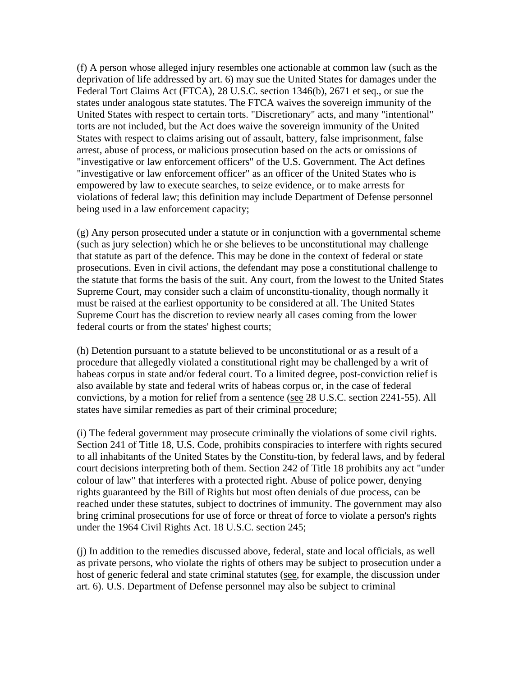(f) A person whose alleged injury resembles one actionable at common law (such as the deprivation of life addressed by art. 6) may sue the United States for damages under the Federal Tort Claims Act (FTCA), 28 U.S.C. section 1346(b), 2671 et seq., or sue the states under analogous state statutes. The FTCA waives the sovereign immunity of the United States with respect to certain torts. "Discretionary" acts, and many "intentional" torts are not included, but the Act does waive the sovereign immunity of the United States with respect to claims arising out of assault, battery, false imprisonment, false arrest, abuse of process, or malicious prosecution based on the acts or omissions of "investigative or law enforcement officers" of the U.S. Government. The Act defines "investigative or law enforcement officer" as an officer of the United States who is empowered by law to execute searches, to seize evidence, or to make arrests for violations of federal law; this definition may include Department of Defense personnel being used in a law enforcement capacity;

(g) Any person prosecuted under a statute or in conjunction with a governmental scheme (such as jury selection) which he or she believes to be unconstitutional may challenge that statute as part of the defence. This may be done in the context of federal or state prosecutions. Even in civil actions, the defendant may pose a constitutional challenge to the statute that forms the basis of the suit. Any court, from the lowest to the United States Supreme Court, may consider such a claim of unconstitu-tionality, though normally it must be raised at the earliest opportunity to be considered at all. The United States Supreme Court has the discretion to review nearly all cases coming from the lower federal courts or from the states' highest courts;

(h) Detention pursuant to a statute believed to be unconstitutional or as a result of a procedure that allegedly violated a constitutional right may be challenged by a writ of habeas corpus in state and/or federal court. To a limited degree, post-conviction relief is also available by state and federal writs of habeas corpus or, in the case of federal convictions, by a motion for relief from a sentence (see 28 U.S.C. section 2241-55). All states have similar remedies as part of their criminal procedure;

(i) The federal government may prosecute criminally the violations of some civil rights. Section 241 of Title 18, U.S. Code, prohibits conspiracies to interfere with rights secured to all inhabitants of the United States by the Constitu-tion, by federal laws, and by federal court decisions interpreting both of them. Section 242 of Title 18 prohibits any act "under colour of law" that interferes with a protected right. Abuse of police power, denying rights guaranteed by the Bill of Rights but most often denials of due process, can be reached under these statutes, subject to doctrines of immunity. The government may also bring criminal prosecutions for use of force or threat of force to violate a person's rights under the 1964 Civil Rights Act. 18 U.S.C. section 245;

(j) In addition to the remedies discussed above, federal, state and local officials, as well as private persons, who violate the rights of others may be subject to prosecution under a host of generic federal and state criminal statutes (see, for example, the discussion under art. 6). U.S. Department of Defense personnel may also be subject to criminal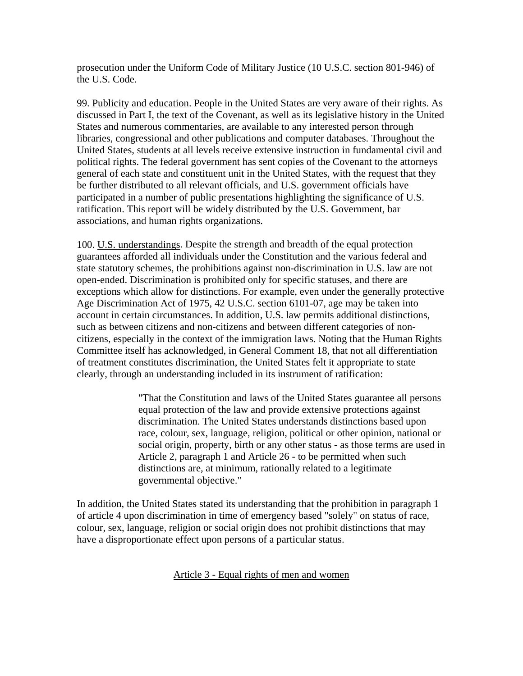prosecution under the Uniform Code of Military Justice (10 U.S.C. section 801-946) of the U.S. Code.

99. Publicity and education. People in the United States are very aware of their rights. As discussed in Part I, the text of the Covenant, as well as its legislative history in the United States and numerous commentaries, are available to any interested person through libraries, congressional and other publications and computer databases. Throughout the United States, students at all levels receive extensive instruction in fundamental civil and political rights. The federal government has sent copies of the Covenant to the attorneys general of each state and constituent unit in the United States, with the request that they be further distributed to all relevant officials, and U.S. government officials have participated in a number of public presentations highlighting the significance of U.S. ratification. This report will be widely distributed by the U.S. Government, bar associations, and human rights organizations.

100. U.S. understandings. Despite the strength and breadth of the equal protection guarantees afforded all individuals under the Constitution and the various federal and state statutory schemes, the prohibitions against non-discrimination in U.S. law are not open-ended. Discrimination is prohibited only for specific statuses, and there are exceptions which allow for distinctions. For example, even under the generally protective Age Discrimination Act of 1975, 42 U.S.C. section 6101-07, age may be taken into account in certain circumstances. In addition, U.S. law permits additional distinctions, such as between citizens and non-citizens and between different categories of noncitizens, especially in the context of the immigration laws. Noting that the Human Rights Committee itself has acknowledged, in General Comment 18, that not all differentiation of treatment constitutes discrimination, the United States felt it appropriate to state clearly, through an understanding included in its instrument of ratification:

> "That the Constitution and laws of the United States guarantee all persons equal protection of the law and provide extensive protections against discrimination. The United States understands distinctions based upon race, colour, sex, language, religion, political or other opinion, national or social origin, property, birth or any other status - as those terms are used in Article 2, paragraph 1 and Article 26 - to be permitted when such distinctions are, at minimum, rationally related to a legitimate governmental objective."

In addition, the United States stated its understanding that the prohibition in paragraph 1 of article 4 upon discrimination in time of emergency based "solely" on status of race, colour, sex, language, religion or social origin does not prohibit distinctions that may have a disproportionate effect upon persons of a particular status.

### Article 3 - Equal rights of men and women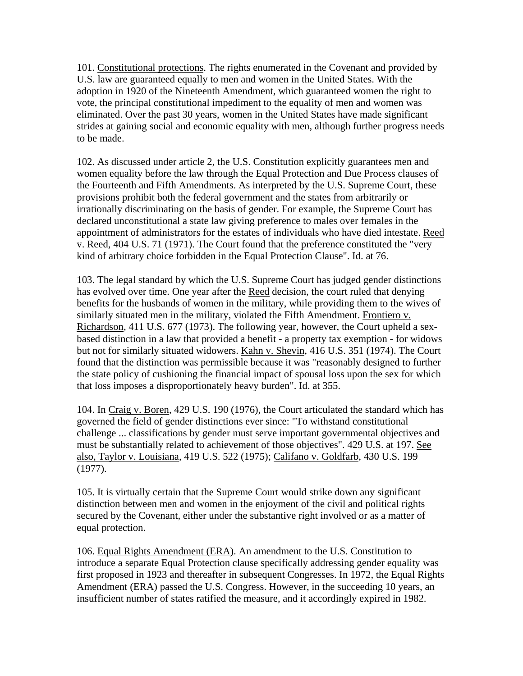101. Constitutional protections. The rights enumerated in the Covenant and provided by U.S. law are guaranteed equally to men and women in the United States. With the adoption in 1920 of the Nineteenth Amendment, which guaranteed women the right to vote, the principal constitutional impediment to the equality of men and women was eliminated. Over the past 30 years, women in the United States have made significant strides at gaining social and economic equality with men, although further progress needs to be made.

102. As discussed under article 2, the U.S. Constitution explicitly guarantees men and women equality before the law through the Equal Protection and Due Process clauses of the Fourteenth and Fifth Amendments. As interpreted by the U.S. Supreme Court, these provisions prohibit both the federal government and the states from arbitrarily or irrationally discriminating on the basis of gender. For example, the Supreme Court has declared unconstitutional a state law giving preference to males over females in the appointment of administrators for the estates of individuals who have died intestate. Reed v. Reed, 404 U.S. 71 (1971). The Court found that the preference constituted the "very kind of arbitrary choice forbidden in the Equal Protection Clause". Id. at 76.

103. The legal standard by which the U.S. Supreme Court has judged gender distinctions has evolved over time. One year after the Reed decision, the court ruled that denying benefits for the husbands of women in the military, while providing them to the wives of similarly situated men in the military, violated the Fifth Amendment. Frontiero v. Richardson, 411 U.S. 677 (1973). The following year, however, the Court upheld a sexbased distinction in a law that provided a benefit - a property tax exemption - for widows but not for similarly situated widowers. Kahn v. Shevin, 416 U.S. 351 (1974). The Court found that the distinction was permissible because it was "reasonably designed to further the state policy of cushioning the financial impact of spousal loss upon the sex for which that loss imposes a disproportionately heavy burden". Id. at 355.

104. In Craig v. Boren, 429 U.S. 190 (1976), the Court articulated the standard which has governed the field of gender distinctions ever since: "To withstand constitutional challenge ... classifications by gender must serve important governmental objectives and must be substantially related to achievement of those objectives". 429 U.S. at 197. See also, Taylor v. Louisiana, 419 U.S. 522 (1975); Califano v. Goldfarb, 430 U.S. 199 (1977).

105. It is virtually certain that the Supreme Court would strike down any significant distinction between men and women in the enjoyment of the civil and political rights secured by the Covenant, either under the substantive right involved or as a matter of equal protection.

106. Equal Rights Amendment (ERA). An amendment to the U.S. Constitution to introduce a separate Equal Protection clause specifically addressing gender equality was first proposed in 1923 and thereafter in subsequent Congresses. In 1972, the Equal Rights Amendment (ERA) passed the U.S. Congress. However, in the succeeding 10 years, an insufficient number of states ratified the measure, and it accordingly expired in 1982.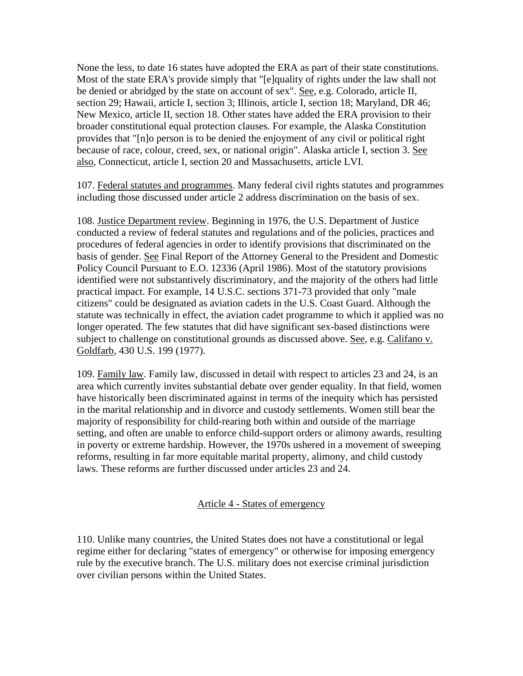None the less, to date 16 states have adopted the ERA as part of their state constitutions. Most of the state ERA's provide simply that "[e]quality of rights under the law shall not be denied or abridged by the state on account of sex". See, e.g. Colorado, article II, section 29; Hawaii, article I, section 3; Illinois, article I, section 18; Maryland, DR 46; New Mexico, article II, section 18. Other states have added the ERA provision to their broader constitutional equal protection clauses. For example, the Alaska Constitution provides that "[n]o person is to be denied the enjoyment of any civil or political right because of race, colour, creed, sex, or national origin". Alaska article I, section 3. See also, Connecticut, article I, section 20 and Massachusetts, article LVI.

107. Federal statutes and programmes. Many federal civil rights statutes and programmes including those discussed under article 2 address discrimination on the basis of sex.

108. Justice Department review. Beginning in 1976, the U.S. Department of Justice conducted a review of federal statutes and regulations and of the policies, practices and procedures of federal agencies in order to identify provisions that discriminated on the basis of gender. See Final Report of the Attorney General to the President and Domestic Policy Council Pursuant to E.O. 12336 (April 1986). Most of the statutory provisions identified were not substantively discriminatory, and the majority of the others had little practical impact. For example, 14 U.S.C. sections 371-73 provided that only "male citizens" could be designated as aviation cadets in the U.S. Coast Guard. Although the statute was technically in effect, the aviation cadet programme to which it applied was no longer operated. The few statutes that did have significant sex-based distinctions were subject to challenge on constitutional grounds as discussed above. See, e.g. Califano v. Goldfarb, 430 U.S. 199 (1977).

109. Family law. Family law, discussed in detail with respect to articles 23 and 24, is an area which currently invites substantial debate over gender equality. In that field, women have historically been discriminated against in terms of the inequity which has persisted in the marital relationship and in divorce and custody settlements. Women still bear the majority of responsibility for child-rearing both within and outside of the marriage setting, and often are unable to enforce child-support orders or alimony awards, resulting in poverty or extreme hardship. However, the 1970s ushered in a movement of sweeping reforms, resulting in far more equitable marital property, alimony, and child custody laws. These reforms are further discussed under articles 23 and 24.

#### Article 4 - States of emergency

110. Unlike many countries, the United States does not have a constitutional or legal regime either for declaring "states of emergency" or otherwise for imposing emergency rule by the executive branch. The U.S. military does not exercise criminal jurisdiction over civilian persons within the United States.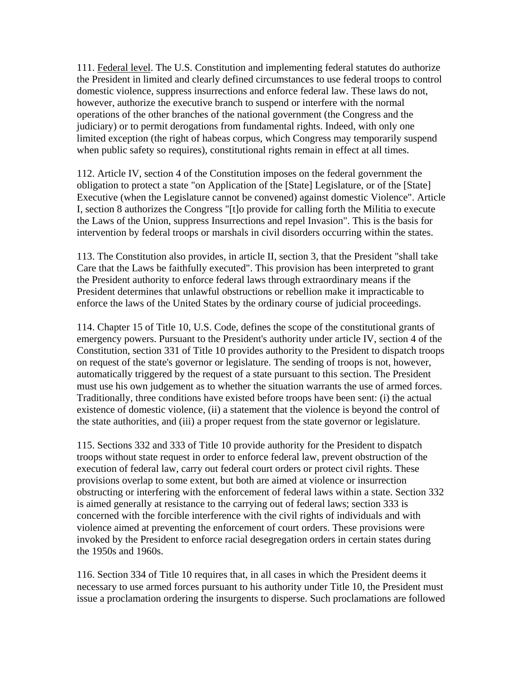111. Federal level. The U.S. Constitution and implementing federal statutes do authorize the President in limited and clearly defined circumstances to use federal troops to control domestic violence, suppress insurrections and enforce federal law. These laws do not, however, authorize the executive branch to suspend or interfere with the normal operations of the other branches of the national government (the Congress and the judiciary) or to permit derogations from fundamental rights. Indeed, with only one limited exception (the right of habeas corpus, which Congress may temporarily suspend when public safety so requires), constitutional rights remain in effect at all times.

112. Article IV, section 4 of the Constitution imposes on the federal government the obligation to protect a state "on Application of the [State] Legislature, or of the [State] Executive (when the Legislature cannot be convened) against domestic Violence". Article I, section 8 authorizes the Congress "[t]o provide for calling forth the Militia to execute the Laws of the Union, suppress Insurrections and repel Invasion". This is the basis for intervention by federal troops or marshals in civil disorders occurring within the states.

113. The Constitution also provides, in article II, section 3, that the President "shall take Care that the Laws be faithfully executed". This provision has been interpreted to grant the President authority to enforce federal laws through extraordinary means if the President determines that unlawful obstructions or rebellion make it impracticable to enforce the laws of the United States by the ordinary course of judicial proceedings.

114. Chapter 15 of Title 10, U.S. Code, defines the scope of the constitutional grants of emergency powers. Pursuant to the President's authority under article IV, section 4 of the Constitution, section 331 of Title 10 provides authority to the President to dispatch troops on request of the state's governor or legislature. The sending of troops is not, however, automatically triggered by the request of a state pursuant to this section. The President must use his own judgement as to whether the situation warrants the use of armed forces. Traditionally, three conditions have existed before troops have been sent: (i) the actual existence of domestic violence, (ii) a statement that the violence is beyond the control of the state authorities, and (iii) a proper request from the state governor or legislature.

115. Sections 332 and 333 of Title 10 provide authority for the President to dispatch troops without state request in order to enforce federal law, prevent obstruction of the execution of federal law, carry out federal court orders or protect civil rights. These provisions overlap to some extent, but both are aimed at violence or insurrection obstructing or interfering with the enforcement of federal laws within a state. Section 332 is aimed generally at resistance to the carrying out of federal laws; section 333 is concerned with the forcible interference with the civil rights of individuals and with violence aimed at preventing the enforcement of court orders. These provisions were invoked by the President to enforce racial desegregation orders in certain states during the 1950s and 1960s.

116. Section 334 of Title 10 requires that, in all cases in which the President deems it necessary to use armed forces pursuant to his authority under Title 10, the President must issue a proclamation ordering the insurgents to disperse. Such proclamations are followed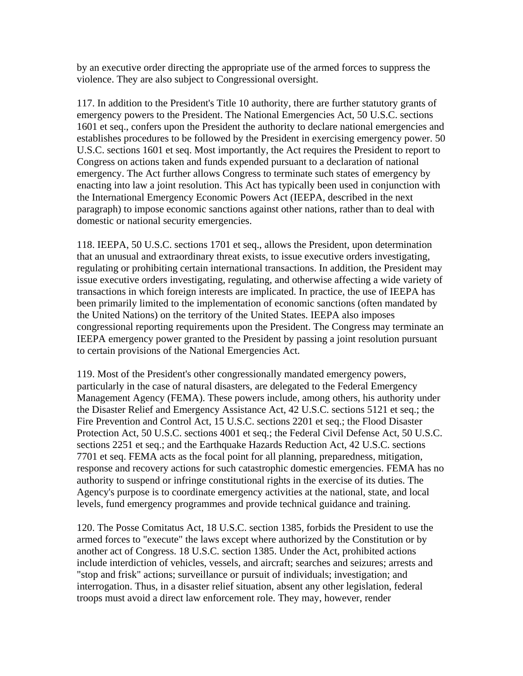by an executive order directing the appropriate use of the armed forces to suppress the violence. They are also subject to Congressional oversight.

117. In addition to the President's Title 10 authority, there are further statutory grants of emergency powers to the President. The National Emergencies Act, 50 U.S.C. sections 1601 et seq., confers upon the President the authority to declare national emergencies and establishes procedures to be followed by the President in exercising emergency power. 50 U.S.C. sections 1601 et seq. Most importantly, the Act requires the President to report to Congress on actions taken and funds expended pursuant to a declaration of national emergency. The Act further allows Congress to terminate such states of emergency by enacting into law a joint resolution. This Act has typically been used in conjunction with the International Emergency Economic Powers Act (IEEPA, described in the next paragraph) to impose economic sanctions against other nations, rather than to deal with domestic or national security emergencies.

118. IEEPA, 50 U.S.C. sections 1701 et seq., allows the President, upon determination that an unusual and extraordinary threat exists, to issue executive orders investigating, regulating or prohibiting certain international transactions. In addition, the President may issue executive orders investigating, regulating, and otherwise affecting a wide variety of transactions in which foreign interests are implicated. In practice, the use of IEEPA has been primarily limited to the implementation of economic sanctions (often mandated by the United Nations) on the territory of the United States. IEEPA also imposes congressional reporting requirements upon the President. The Congress may terminate an IEEPA emergency power granted to the President by passing a joint resolution pursuant to certain provisions of the National Emergencies Act.

119. Most of the President's other congressionally mandated emergency powers, particularly in the case of natural disasters, are delegated to the Federal Emergency Management Agency (FEMA). These powers include, among others, his authority under the Disaster Relief and Emergency Assistance Act, 42 U.S.C. sections 5121 et seq.; the Fire Prevention and Control Act, 15 U.S.C. sections 2201 et seq.; the Flood Disaster Protection Act, 50 U.S.C. sections 4001 et seq.; the Federal Civil Defense Act, 50 U.S.C. sections 2251 et seq.; and the Earthquake Hazards Reduction Act, 42 U.S.C. sections 7701 et seq. FEMA acts as the focal point for all planning, preparedness, mitigation, response and recovery actions for such catastrophic domestic emergencies. FEMA has no authority to suspend or infringe constitutional rights in the exercise of its duties. The Agency's purpose is to coordinate emergency activities at the national, state, and local levels, fund emergency programmes and provide technical guidance and training.

120. The Posse Comitatus Act, 18 U.S.C. section 1385, forbids the President to use the armed forces to "execute" the laws except where authorized by the Constitution or by another act of Congress. 18 U.S.C. section 1385. Under the Act, prohibited actions include interdiction of vehicles, vessels, and aircraft; searches and seizures; arrests and "stop and frisk" actions; surveillance or pursuit of individuals; investigation; and interrogation. Thus, in a disaster relief situation, absent any other legislation, federal troops must avoid a direct law enforcement role. They may, however, render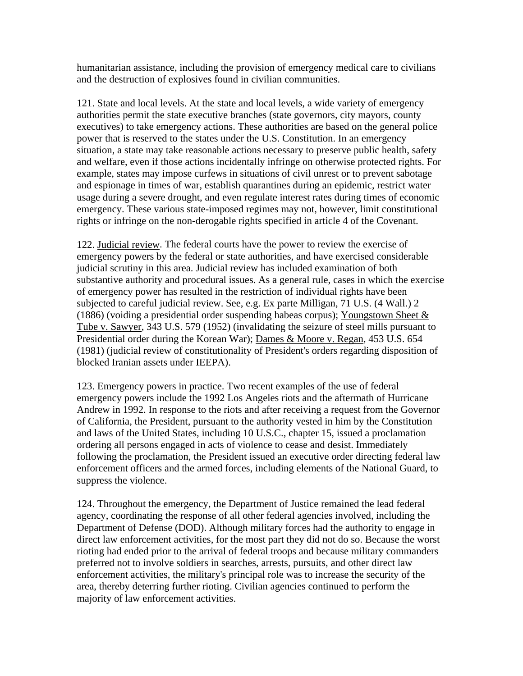humanitarian assistance, including the provision of emergency medical care to civilians and the destruction of explosives found in civilian communities.

121. State and local levels. At the state and local levels, a wide variety of emergency authorities permit the state executive branches (state governors, city mayors, county executives) to take emergency actions. These authorities are based on the general police power that is reserved to the states under the U.S. Constitution. In an emergency situation, a state may take reasonable actions necessary to preserve public health, safety and welfare, even if those actions incidentally infringe on otherwise protected rights. For example, states may impose curfews in situations of civil unrest or to prevent sabotage and espionage in times of war, establish quarantines during an epidemic, restrict water usage during a severe drought, and even regulate interest rates during times of economic emergency. These various state-imposed regimes may not, however, limit constitutional rights or infringe on the non-derogable rights specified in article 4 of the Covenant.

122. Judicial review. The federal courts have the power to review the exercise of emergency powers by the federal or state authorities, and have exercised considerable judicial scrutiny in this area. Judicial review has included examination of both substantive authority and procedural issues. As a general rule, cases in which the exercise of emergency power has resulted in the restriction of individual rights have been subjected to careful judicial review. See, e.g. Ex parte Milligan, 71 U.S. (4 Wall.) 2 (1886) (voiding a presidential order suspending habeas corpus); Youngstown Sheet  $\&$ Tube v. Sawyer, 343 U.S. 579 (1952) (invalidating the seizure of steel mills pursuant to Presidential order during the Korean War); Dames & Moore v. Regan, 453 U.S. 654 (1981) (judicial review of constitutionality of President's orders regarding disposition of blocked Iranian assets under IEEPA).

123. Emergency powers in practice. Two recent examples of the use of federal emergency powers include the 1992 Los Angeles riots and the aftermath of Hurricane Andrew in 1992. In response to the riots and after receiving a request from the Governor of California, the President, pursuant to the authority vested in him by the Constitution and laws of the United States, including 10 U.S.C., chapter 15, issued a proclamation ordering all persons engaged in acts of violence to cease and desist. Immediately following the proclamation, the President issued an executive order directing federal law enforcement officers and the armed forces, including elements of the National Guard, to suppress the violence.

124. Throughout the emergency, the Department of Justice remained the lead federal agency, coordinating the response of all other federal agencies involved, including the Department of Defense (DOD). Although military forces had the authority to engage in direct law enforcement activities, for the most part they did not do so. Because the worst rioting had ended prior to the arrival of federal troops and because military commanders preferred not to involve soldiers in searches, arrests, pursuits, and other direct law enforcement activities, the military's principal role was to increase the security of the area, thereby deterring further rioting. Civilian agencies continued to perform the majority of law enforcement activities.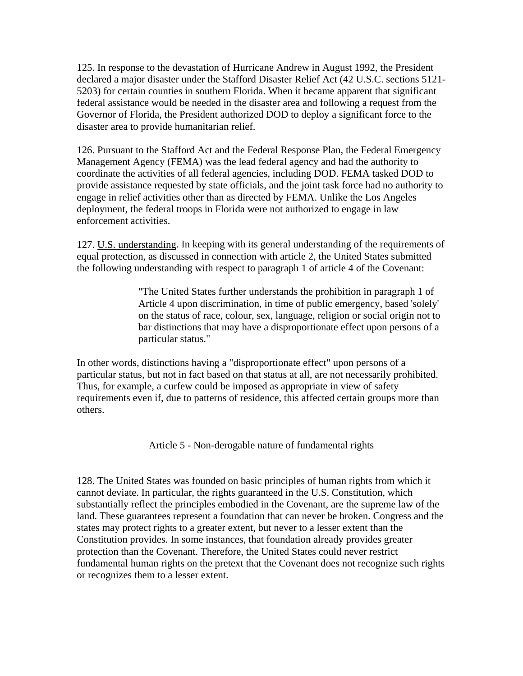125. In response to the devastation of Hurricane Andrew in August 1992, the President declared a major disaster under the Stafford Disaster Relief Act (42 U.S.C. sections 5121- 5203) for certain counties in southern Florida. When it became apparent that significant federal assistance would be needed in the disaster area and following a request from the Governor of Florida, the President authorized DOD to deploy a significant force to the disaster area to provide humanitarian relief.

126. Pursuant to the Stafford Act and the Federal Response Plan, the Federal Emergency Management Agency (FEMA) was the lead federal agency and had the authority to coordinate the activities of all federal agencies, including DOD. FEMA tasked DOD to provide assistance requested by state officials, and the joint task force had no authority to engage in relief activities other than as directed by FEMA. Unlike the Los Angeles deployment, the federal troops in Florida were not authorized to engage in law enforcement activities.

127. U.S. understanding. In keeping with its general understanding of the requirements of equal protection, as discussed in connection with article 2, the United States submitted the following understanding with respect to paragraph 1 of article 4 of the Covenant:

> "The United States further understands the prohibition in paragraph 1 of Article 4 upon discrimination, in time of public emergency, based 'solely' on the status of race, colour, sex, language, religion or social origin not to bar distinctions that may have a disproportionate effect upon persons of a particular status."

In other words, distinctions having a "disproportionate effect" upon persons of a particular status, but not in fact based on that status at all, are not necessarily prohibited. Thus, for example, a curfew could be imposed as appropriate in view of safety requirements even if, due to patterns of residence, this affected certain groups more than others.

### Article 5 - Non-derogable nature of fundamental rights

128. The United States was founded on basic principles of human rights from which it cannot deviate. In particular, the rights guaranteed in the U.S. Constitution, which substantially reflect the principles embodied in the Covenant, are the supreme law of the land. These guarantees represent a foundation that can never be broken. Congress and the states may protect rights to a greater extent, but never to a lesser extent than the Constitution provides. In some instances, that foundation already provides greater protection than the Covenant. Therefore, the United States could never restrict fundamental human rights on the pretext that the Covenant does not recognize such rights or recognizes them to a lesser extent.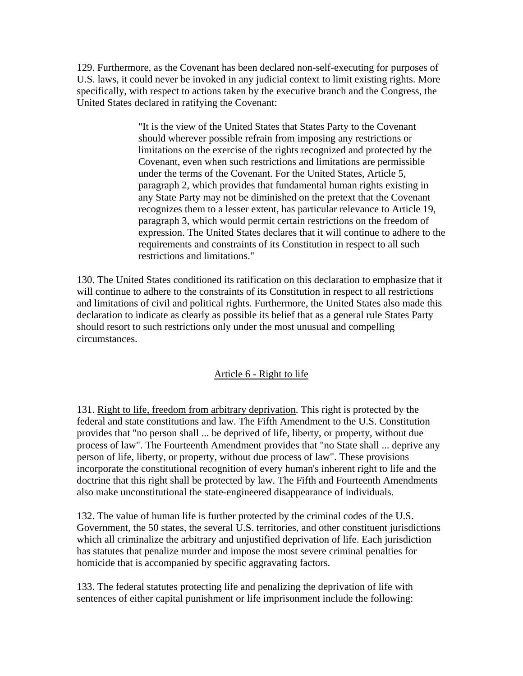129. Furthermore, as the Covenant has been declared non-self-executing for purposes of U.S. laws, it could never be invoked in any judicial context to limit existing rights. More specifically, with respect to actions taken by the executive branch and the Congress, the United States declared in ratifying the Covenant:

> "It is the view of the United States that States Party to the Covenant should wherever possible refrain from imposing any restrictions or limitations on the exercise of the rights recognized and protected by the Covenant, even when such restrictions and limitations are permissible under the terms of the Covenant. For the United States, Article 5, paragraph 2, which provides that fundamental human rights existing in any State Party may not be diminished on the pretext that the Covenant recognizes them to a lesser extent, has particular relevance to Article 19, paragraph 3, which would permit certain restrictions on the freedom of expression. The United States declares that it will continue to adhere to the requirements and constraints of its Constitution in respect to all such restrictions and limitations."

130. The United States conditioned its ratification on this declaration to emphasize that it will continue to adhere to the constraints of its Constitution in respect to all restrictions and limitations of civil and political rights. Furthermore, the United States also made this declaration to indicate as clearly as possible its belief that as a general rule States Party should resort to such restrictions only under the most unusual and compelling circumstances.

# Article 6 - Right to life

131. Right to life, freedom from arbitrary deprivation. This right is protected by the federal and state constitutions and law. The Fifth Amendment to the U.S. Constitution provides that "no person shall ... be deprived of life, liberty, or property, without due process of law". The Fourteenth Amendment provides that "no State shall ... deprive any person of life, liberty, or property, without due process of law". These provisions incorporate the constitutional recognition of every human's inherent right to life and the doctrine that this right shall be protected by law. The Fifth and Fourteenth Amendments also make unconstitutional the state-engineered disappearance of individuals.

132. The value of human life is further protected by the criminal codes of the U.S. Government, the 50 states, the several U.S. territories, and other constituent jurisdictions which all criminalize the arbitrary and unjustified deprivation of life. Each jurisdiction has statutes that penalize murder and impose the most severe criminal penalties for homicide that is accompanied by specific aggravating factors.

133. The federal statutes protecting life and penalizing the deprivation of life with sentences of either capital punishment or life imprisonment include the following: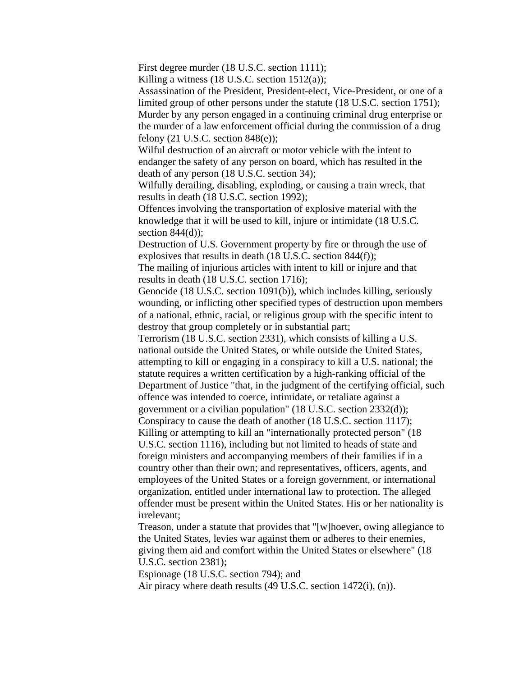First degree murder (18 U.S.C. section 1111);

Killing a witness (18 U.S.C. section 1512(a));

Assassination of the President, President-elect, Vice-President, or one of a limited group of other persons under the statute (18 U.S.C. section 1751); Murder by any person engaged in a continuing criminal drug enterprise or the murder of a law enforcement official during the commission of a drug felony  $(21$  U.S.C. section  $848(e)$ ;

Wilful destruction of an aircraft or motor vehicle with the intent to endanger the safety of any person on board, which has resulted in the death of any person (18 U.S.C. section 34);

Wilfully derailing, disabling, exploding, or causing a train wreck, that results in death (18 U.S.C. section 1992);

Offences involving the transportation of explosive material with the knowledge that it will be used to kill, injure or intimidate (18 U.S.C. section  $844(d)$ :

Destruction of U.S. Government property by fire or through the use of explosives that results in death (18 U.S.C. section 844(f));

The mailing of injurious articles with intent to kill or injure and that results in death (18 U.S.C. section 1716);

Genocide (18 U.S.C. section 1091(b)), which includes killing, seriously wounding, or inflicting other specified types of destruction upon members of a national, ethnic, racial, or religious group with the specific intent to destroy that group completely or in substantial part;

Terrorism (18 U.S.C. section 2331), which consists of killing a U.S. national outside the United States, or while outside the United States, attempting to kill or engaging in a conspiracy to kill a U.S. national; the statute requires a written certification by a high-ranking official of the Department of Justice "that, in the judgment of the certifying official, such offence was intended to coerce, intimidate, or retaliate against a

government or a civilian population" (18 U.S.C. section 2332(d));

Conspiracy to cause the death of another (18 U.S.C. section 1117); Killing or attempting to kill an "internationally protected person" (18) U.S.C. section 1116), including but not limited to heads of state and foreign ministers and accompanying members of their families if in a country other than their own; and representatives, officers, agents, and employees of the United States or a foreign government, or international organization, entitled under international law to protection. The alleged offender must be present within the United States. His or her nationality is irrelevant;

Treason, under a statute that provides that "[w]hoever, owing allegiance to the United States, levies war against them or adheres to their enemies, giving them aid and comfort within the United States or elsewhere" (18 U.S.C. section 2381);

Espionage (18 U.S.C. section 794); and

Air piracy where death results (49 U.S.C. section 1472(i), (n)).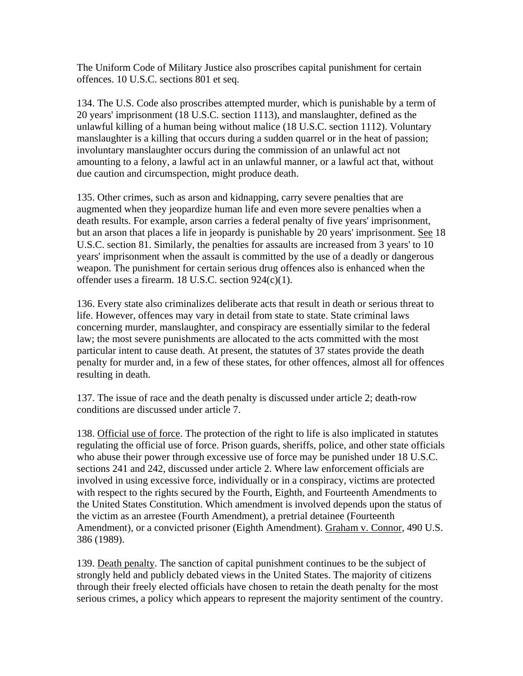The Uniform Code of Military Justice also proscribes capital punishment for certain offences. 10 U.S.C. sections 801 et seq.

134. The U.S. Code also proscribes attempted murder, which is punishable by a term of 20 years' imprisonment (18 U.S.C. section 1113), and manslaughter, defined as the unlawful killing of a human being without malice (18 U.S.C. section 1112). Voluntary manslaughter is a killing that occurs during a sudden quarrel or in the heat of passion; involuntary manslaughter occurs during the commission of an unlawful act not amounting to a felony, a lawful act in an unlawful manner, or a lawful act that, without due caution and circumspection, might produce death.

135. Other crimes, such as arson and kidnapping, carry severe penalties that are augmented when they jeopardize human life and even more severe penalties when a death results. For example, arson carries a federal penalty of five years' imprisonment, but an arson that places a life in jeopardy is punishable by 20 years' imprisonment. See 18 U.S.C. section 81. Similarly, the penalties for assaults are increased from 3 years' to 10 years' imprisonment when the assault is committed by the use of a deadly or dangerous weapon. The punishment for certain serious drug offences also is enhanced when the offender uses a firearm. 18 U.S.C. section 924(c)(1).

136. Every state also criminalizes deliberate acts that result in death or serious threat to life. However, offences may vary in detail from state to state. State criminal laws concerning murder, manslaughter, and conspiracy are essentially similar to the federal law; the most severe punishments are allocated to the acts committed with the most particular intent to cause death. At present, the statutes of 37 states provide the death penalty for murder and, in a few of these states, for other offences, almost all for offences resulting in death.

137. The issue of race and the death penalty is discussed under article 2; death-row conditions are discussed under article 7.

138. Official use of force. The protection of the right to life is also implicated in statutes regulating the official use of force. Prison guards, sheriffs, police, and other state officials who abuse their power through excessive use of force may be punished under 18 U.S.C. sections 241 and 242, discussed under article 2. Where law enforcement officials are involved in using excessive force, individually or in a conspiracy, victims are protected with respect to the rights secured by the Fourth, Eighth, and Fourteenth Amendments to the United States Constitution. Which amendment is involved depends upon the status of the victim as an arrestee (Fourth Amendment), a pretrial detainee (Fourteenth Amendment), or a convicted prisoner (Eighth Amendment). Graham v. Connor, 490 U.S. 386 (1989).

139. Death penalty. The sanction of capital punishment continues to be the subject of strongly held and publicly debated views in the United States. The majority of citizens through their freely elected officials have chosen to retain the death penalty for the most serious crimes, a policy which appears to represent the majority sentiment of the country.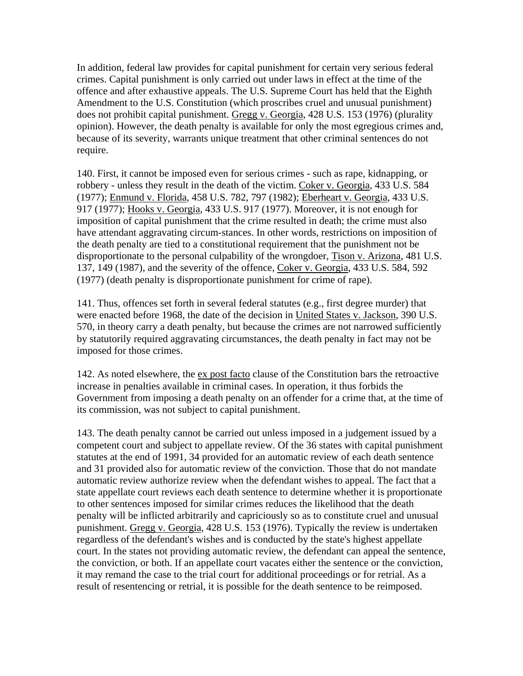In addition, federal law provides for capital punishment for certain very serious federal crimes. Capital punishment is only carried out under laws in effect at the time of the offence and after exhaustive appeals. The U.S. Supreme Court has held that the Eighth Amendment to the U.S. Constitution (which proscribes cruel and unusual punishment) does not prohibit capital punishment. Gregg v. Georgia, 428 U.S. 153 (1976) (plurality opinion). However, the death penalty is available for only the most egregious crimes and, because of its severity, warrants unique treatment that other criminal sentences do not require.

140. First, it cannot be imposed even for serious crimes - such as rape, kidnapping, or robbery - unless they result in the death of the victim. Coker v. Georgia, 433 U.S. 584 (1977); Enmund v. Florida, 458 U.S. 782, 797 (1982); Eberheart v. Georgia, 433 U.S. 917 (1977); Hooks v. Georgia, 433 U.S. 917 (1977). Moreover, it is not enough for imposition of capital punishment that the crime resulted in death; the crime must also have attendant aggravating circum-stances. In other words, restrictions on imposition of the death penalty are tied to a constitutional requirement that the punishment not be disproportionate to the personal culpability of the wrongdoer, Tison v. Arizona, 481 U.S. 137, 149 (1987), and the severity of the offence, Coker v. Georgia, 433 U.S. 584, 592 (1977) (death penalty is disproportionate punishment for crime of rape).

141. Thus, offences set forth in several federal statutes (e.g., first degree murder) that were enacted before 1968, the date of the decision in United States v. Jackson, 390 U.S. 570, in theory carry a death penalty, but because the crimes are not narrowed sufficiently by statutorily required aggravating circumstances, the death penalty in fact may not be imposed for those crimes.

142. As noted elsewhere, the <u>ex post facto</u> clause of the Constitution bars the retroactive increase in penalties available in criminal cases. In operation, it thus forbids the Government from imposing a death penalty on an offender for a crime that, at the time of its commission, was not subject to capital punishment.

143. The death penalty cannot be carried out unless imposed in a judgement issued by a competent court and subject to appellate review. Of the 36 states with capital punishment statutes at the end of 1991, 34 provided for an automatic review of each death sentence and 31 provided also for automatic review of the conviction. Those that do not mandate automatic review authorize review when the defendant wishes to appeal. The fact that a state appellate court reviews each death sentence to determine whether it is proportionate to other sentences imposed for similar crimes reduces the likelihood that the death penalty will be inflicted arbitrarily and capriciously so as to constitute cruel and unusual punishment. Gregg v. Georgia, 428 U.S. 153 (1976). Typically the review is undertaken regardless of the defendant's wishes and is conducted by the state's highest appellate court. In the states not providing automatic review, the defendant can appeal the sentence, the conviction, or both. If an appellate court vacates either the sentence or the conviction, it may remand the case to the trial court for additional proceedings or for retrial. As a result of resentencing or retrial, it is possible for the death sentence to be reimposed.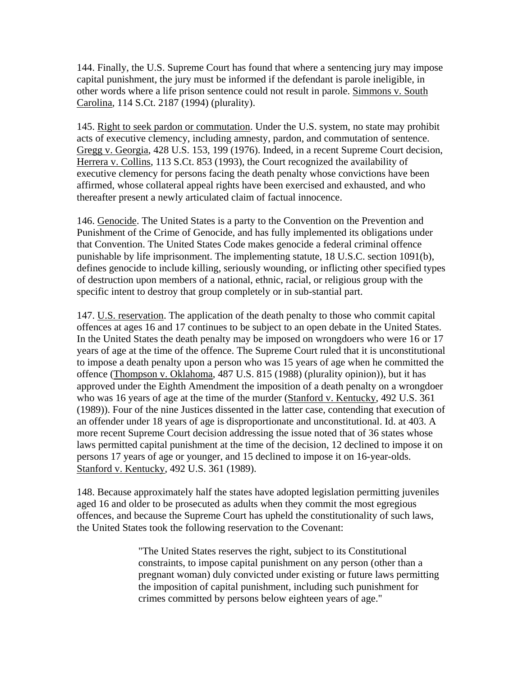144. Finally, the U.S. Supreme Court has found that where a sentencing jury may impose capital punishment, the jury must be informed if the defendant is parole ineligible, in other words where a life prison sentence could not result in parole. Simmons v. South Carolina, 114 S.Ct. 2187 (1994) (plurality).

145. Right to seek pardon or commutation. Under the U.S. system, no state may prohibit acts of executive clemency, including amnesty, pardon, and commutation of sentence. Gregg v. Georgia, 428 U.S. 153, 199 (1976). Indeed, in a recent Supreme Court decision, Herrera v. Collins, 113 S.Ct. 853 (1993), the Court recognized the availability of executive clemency for persons facing the death penalty whose convictions have been affirmed, whose collateral appeal rights have been exercised and exhausted, and who thereafter present a newly articulated claim of factual innocence.

146. Genocide. The United States is a party to the Convention on the Prevention and Punishment of the Crime of Genocide, and has fully implemented its obligations under that Convention. The United States Code makes genocide a federal criminal offence punishable by life imprisonment. The implementing statute, 18 U.S.C. section 1091(b), defines genocide to include killing, seriously wounding, or inflicting other specified types of destruction upon members of a national, ethnic, racial, or religious group with the specific intent to destroy that group completely or in sub-stantial part.

147. U.S. reservation. The application of the death penalty to those who commit capital offences at ages 16 and 17 continues to be subject to an open debate in the United States. In the United States the death penalty may be imposed on wrongdoers who were 16 or 17 years of age at the time of the offence. The Supreme Court ruled that it is unconstitutional to impose a death penalty upon a person who was 15 years of age when he committed the offence (Thompson v. Oklahoma, 487 U.S. 815 (1988) (plurality opinion)), but it has approved under the Eighth Amendment the imposition of a death penalty on a wrongdoer who was 16 years of age at the time of the murder (Stanford v. Kentucky, 492 U.S. 361 (1989)). Four of the nine Justices dissented in the latter case, contending that execution of an offender under 18 years of age is disproportionate and unconstitutional. Id. at 403. A more recent Supreme Court decision addressing the issue noted that of 36 states whose laws permitted capital punishment at the time of the decision, 12 declined to impose it on persons 17 years of age or younger, and 15 declined to impose it on 16-year-olds. Stanford v. Kentucky, 492 U.S. 361 (1989).

148. Because approximately half the states have adopted legislation permitting juveniles aged 16 and older to be prosecuted as adults when they commit the most egregious offences, and because the Supreme Court has upheld the constitutionality of such laws, the United States took the following reservation to the Covenant:

> "The United States reserves the right, subject to its Constitutional constraints, to impose capital punishment on any person (other than a pregnant woman) duly convicted under existing or future laws permitting the imposition of capital punishment, including such punishment for crimes committed by persons below eighteen years of age."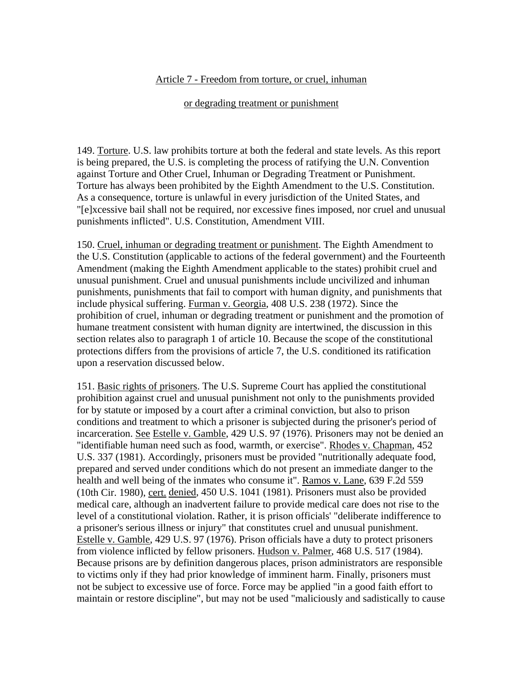### Article 7 - Freedom from torture, or cruel, inhuman

#### or degrading treatment or punishment

149. Torture. U.S. law prohibits torture at both the federal and state levels. As this report is being prepared, the U.S. is completing the process of ratifying the U.N. Convention against Torture and Other Cruel, Inhuman or Degrading Treatment or Punishment. Torture has always been prohibited by the Eighth Amendment to the U.S. Constitution. As a consequence, torture is unlawful in every jurisdiction of the United States, and "[e]xcessive bail shall not be required, nor excessive fines imposed, nor cruel and unusual punishments inflicted". U.S. Constitution, Amendment VIII.

150. Cruel, inhuman or degrading treatment or punishment. The Eighth Amendment to the U.S. Constitution (applicable to actions of the federal government) and the Fourteenth Amendment (making the Eighth Amendment applicable to the states) prohibit cruel and unusual punishment. Cruel and unusual punishments include uncivilized and inhuman punishments, punishments that fail to comport with human dignity, and punishments that include physical suffering. Furman v. Georgia, 408 U.S. 238 (1972). Since the prohibition of cruel, inhuman or degrading treatment or punishment and the promotion of humane treatment consistent with human dignity are intertwined, the discussion in this section relates also to paragraph 1 of article 10. Because the scope of the constitutional protections differs from the provisions of article 7, the U.S. conditioned its ratification upon a reservation discussed below.

151. Basic rights of prisoners. The U.S. Supreme Court has applied the constitutional prohibition against cruel and unusual punishment not only to the punishments provided for by statute or imposed by a court after a criminal conviction, but also to prison conditions and treatment to which a prisoner is subjected during the prisoner's period of incarceration. See Estelle v. Gamble, 429 U.S. 97 (1976). Prisoners may not be denied an "identifiable human need such as food, warmth, or exercise". Rhodes v. Chapman, 452 U.S. 337 (1981). Accordingly, prisoners must be provided "nutritionally adequate food, prepared and served under conditions which do not present an immediate danger to the health and well being of the inmates who consume it". Ramos v. Lane, 639 F.2d 559 (10th Cir. 1980), cert. denied, 450 U.S. 1041 (1981). Prisoners must also be provided medical care, although an inadvertent failure to provide medical care does not rise to the level of a constitutional violation. Rather, it is prison officials' "deliberate indifference to a prisoner's serious illness or injury" that constitutes cruel and unusual punishment. Estelle v. Gamble, 429 U.S. 97 (1976). Prison officials have a duty to protect prisoners from violence inflicted by fellow prisoners. Hudson v. Palmer, 468 U.S. 517 (1984). Because prisons are by definition dangerous places, prison administrators are responsible to victims only if they had prior knowledge of imminent harm. Finally, prisoners must not be subject to excessive use of force. Force may be applied "in a good faith effort to maintain or restore discipline", but may not be used "maliciously and sadistically to cause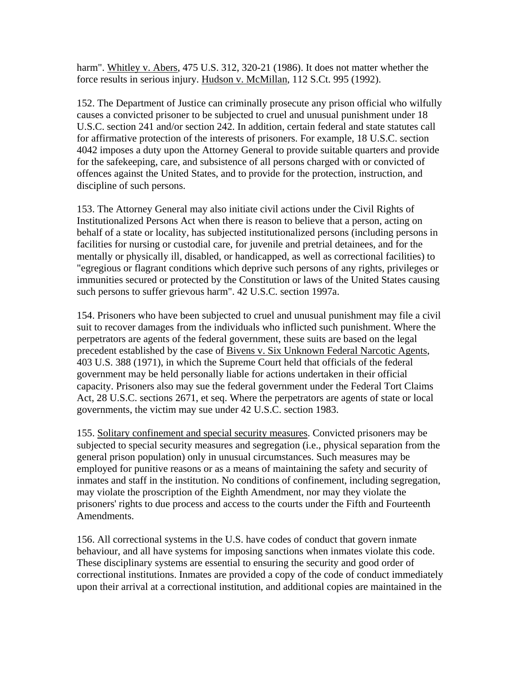harm". Whitley v. Abers, 475 U.S. 312, 320-21 (1986). It does not matter whether the force results in serious injury. Hudson v. McMillan, 112 S.Ct. 995 (1992).

152. The Department of Justice can criminally prosecute any prison official who wilfully causes a convicted prisoner to be subjected to cruel and unusual punishment under 18 U.S.C. section 241 and/or section 242. In addition, certain federal and state statutes call for affirmative protection of the interests of prisoners. For example, 18 U.S.C. section 4042 imposes a duty upon the Attorney General to provide suitable quarters and provide for the safekeeping, care, and subsistence of all persons charged with or convicted of offences against the United States, and to provide for the protection, instruction, and discipline of such persons.

153. The Attorney General may also initiate civil actions under the Civil Rights of Institutionalized Persons Act when there is reason to believe that a person, acting on behalf of a state or locality, has subjected institutionalized persons (including persons in facilities for nursing or custodial care, for juvenile and pretrial detainees, and for the mentally or physically ill, disabled, or handicapped, as well as correctional facilities) to "egregious or flagrant conditions which deprive such persons of any rights, privileges or immunities secured or protected by the Constitution or laws of the United States causing such persons to suffer grievous harm". 42 U.S.C. section 1997a.

154. Prisoners who have been subjected to cruel and unusual punishment may file a civil suit to recover damages from the individuals who inflicted such punishment. Where the perpetrators are agents of the federal government, these suits are based on the legal precedent established by the case of Bivens v. Six Unknown Federal Narcotic Agents, 403 U.S. 388 (1971), in which the Supreme Court held that officials of the federal government may be held personally liable for actions undertaken in their official capacity. Prisoners also may sue the federal government under the Federal Tort Claims Act, 28 U.S.C. sections 2671, et seq. Where the perpetrators are agents of state or local governments, the victim may sue under 42 U.S.C. section 1983.

155. Solitary confinement and special security measures. Convicted prisoners may be subjected to special security measures and segregation (i.e., physical separation from the general prison population) only in unusual circumstances. Such measures may be employed for punitive reasons or as a means of maintaining the safety and security of inmates and staff in the institution. No conditions of confinement, including segregation, may violate the proscription of the Eighth Amendment, nor may they violate the prisoners' rights to due process and access to the courts under the Fifth and Fourteenth Amendments.

156. All correctional systems in the U.S. have codes of conduct that govern inmate behaviour, and all have systems for imposing sanctions when inmates violate this code. These disciplinary systems are essential to ensuring the security and good order of correctional institutions. Inmates are provided a copy of the code of conduct immediately upon their arrival at a correctional institution, and additional copies are maintained in the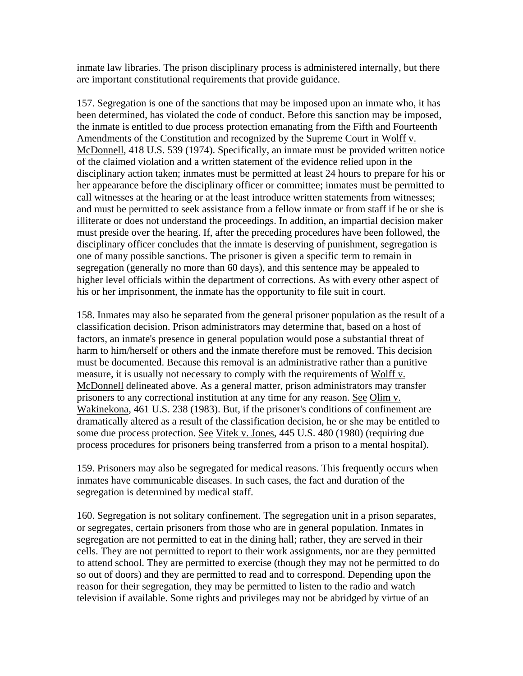inmate law libraries. The prison disciplinary process is administered internally, but there are important constitutional requirements that provide guidance.

157. Segregation is one of the sanctions that may be imposed upon an inmate who, it has been determined, has violated the code of conduct. Before this sanction may be imposed, the inmate is entitled to due process protection emanating from the Fifth and Fourteenth Amendments of the Constitution and recognized by the Supreme Court in Wolff v. McDonnell, 418 U.S. 539 (1974). Specifically, an inmate must be provided written notice of the claimed violation and a written statement of the evidence relied upon in the disciplinary action taken; inmates must be permitted at least 24 hours to prepare for his or her appearance before the disciplinary officer or committee; inmates must be permitted to call witnesses at the hearing or at the least introduce written statements from witnesses; and must be permitted to seek assistance from a fellow inmate or from staff if he or she is illiterate or does not understand the proceedings. In addition, an impartial decision maker must preside over the hearing. If, after the preceding procedures have been followed, the disciplinary officer concludes that the inmate is deserving of punishment, segregation is one of many possible sanctions. The prisoner is given a specific term to remain in segregation (generally no more than 60 days), and this sentence may be appealed to higher level officials within the department of corrections. As with every other aspect of his or her imprisonment, the inmate has the opportunity to file suit in court.

158. Inmates may also be separated from the general prisoner population as the result of a classification decision. Prison administrators may determine that, based on a host of factors, an inmate's presence in general population would pose a substantial threat of harm to him/herself or others and the inmate therefore must be removed. This decision must be documented. Because this removal is an administrative rather than a punitive measure, it is usually not necessary to comply with the requirements of Wolff v. McDonnell delineated above. As a general matter, prison administrators may transfer prisoners to any correctional institution at any time for any reason. See Olim v. Wakinekona, 461 U.S. 238 (1983). But, if the prisoner's conditions of confinement are dramatically altered as a result of the classification decision, he or she may be entitled to some due process protection. See Vitek v. Jones, 445 U.S. 480 (1980) (requiring due process procedures for prisoners being transferred from a prison to a mental hospital).

159. Prisoners may also be segregated for medical reasons. This frequently occurs when inmates have communicable diseases. In such cases, the fact and duration of the segregation is determined by medical staff.

160. Segregation is not solitary confinement. The segregation unit in a prison separates, or segregates, certain prisoners from those who are in general population. Inmates in segregation are not permitted to eat in the dining hall; rather, they are served in their cells. They are not permitted to report to their work assignments, nor are they permitted to attend school. They are permitted to exercise (though they may not be permitted to do so out of doors) and they are permitted to read and to correspond. Depending upon the reason for their segregation, they may be permitted to listen to the radio and watch television if available. Some rights and privileges may not be abridged by virtue of an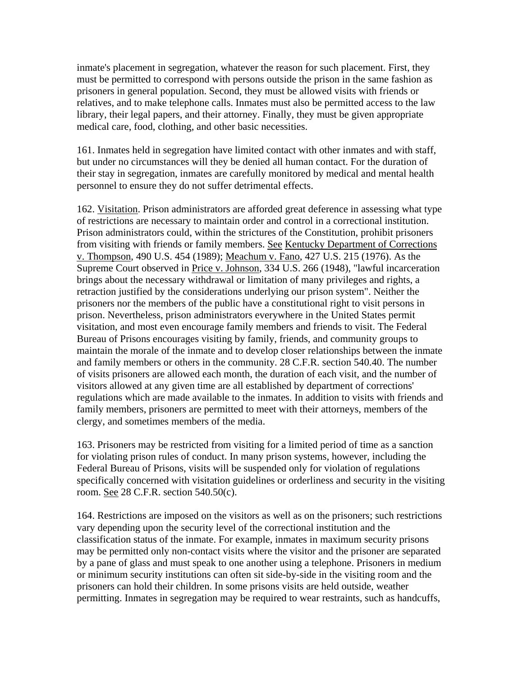inmate's placement in segregation, whatever the reason for such placement. First, they must be permitted to correspond with persons outside the prison in the same fashion as prisoners in general population. Second, they must be allowed visits with friends or relatives, and to make telephone calls. Inmates must also be permitted access to the law library, their legal papers, and their attorney. Finally, they must be given appropriate medical care, food, clothing, and other basic necessities.

161. Inmates held in segregation have limited contact with other inmates and with staff, but under no circumstances will they be denied all human contact. For the duration of their stay in segregation, inmates are carefully monitored by medical and mental health personnel to ensure they do not suffer detrimental effects.

162. Visitation. Prison administrators are afforded great deference in assessing what type of restrictions are necessary to maintain order and control in a correctional institution. Prison administrators could, within the strictures of the Constitution, prohibit prisoners from visiting with friends or family members. See Kentucky Department of Corrections v. Thompson, 490 U.S. 454 (1989); Meachum v. Fano, 427 U.S. 215 (1976). As the Supreme Court observed in Price v. Johnson, 334 U.S. 266 (1948), "lawful incarceration brings about the necessary withdrawal or limitation of many privileges and rights, a retraction justified by the considerations underlying our prison system". Neither the prisoners nor the members of the public have a constitutional right to visit persons in prison. Nevertheless, prison administrators everywhere in the United States permit visitation, and most even encourage family members and friends to visit. The Federal Bureau of Prisons encourages visiting by family, friends, and community groups to maintain the morale of the inmate and to develop closer relationships between the inmate and family members or others in the community. 28 C.F.R. section 540.40. The number of visits prisoners are allowed each month, the duration of each visit, and the number of visitors allowed at any given time are all established by department of corrections' regulations which are made available to the inmates. In addition to visits with friends and family members, prisoners are permitted to meet with their attorneys, members of the clergy, and sometimes members of the media.

163. Prisoners may be restricted from visiting for a limited period of time as a sanction for violating prison rules of conduct. In many prison systems, however, including the Federal Bureau of Prisons, visits will be suspended only for violation of regulations specifically concerned with visitation guidelines or orderliness and security in the visiting room. See 28 C.F.R. section 540.50(c).

164. Restrictions are imposed on the visitors as well as on the prisoners; such restrictions vary depending upon the security level of the correctional institution and the classification status of the inmate. For example, inmates in maximum security prisons may be permitted only non-contact visits where the visitor and the prisoner are separated by a pane of glass and must speak to one another using a telephone. Prisoners in medium or minimum security institutions can often sit side-by-side in the visiting room and the prisoners can hold their children. In some prisons visits are held outside, weather permitting. Inmates in segregation may be required to wear restraints, such as handcuffs,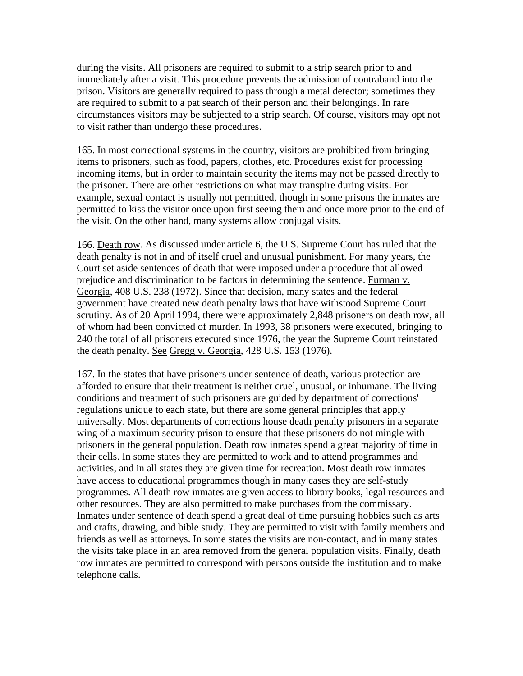during the visits. All prisoners are required to submit to a strip search prior to and immediately after a visit. This procedure prevents the admission of contraband into the prison. Visitors are generally required to pass through a metal detector; sometimes they are required to submit to a pat search of their person and their belongings. In rare circumstances visitors may be subjected to a strip search. Of course, visitors may opt not to visit rather than undergo these procedures.

165. In most correctional systems in the country, visitors are prohibited from bringing items to prisoners, such as food, papers, clothes, etc. Procedures exist for processing incoming items, but in order to maintain security the items may not be passed directly to the prisoner. There are other restrictions on what may transpire during visits. For example, sexual contact is usually not permitted, though in some prisons the inmates are permitted to kiss the visitor once upon first seeing them and once more prior to the end of the visit. On the other hand, many systems allow conjugal visits.

166. Death row. As discussed under article 6, the U.S. Supreme Court has ruled that the death penalty is not in and of itself cruel and unusual punishment. For many years, the Court set aside sentences of death that were imposed under a procedure that allowed prejudice and discrimination to be factors in determining the sentence. Furman v. Georgia, 408 U.S. 238 (1972). Since that decision, many states and the federal government have created new death penalty laws that have withstood Supreme Court scrutiny. As of 20 April 1994, there were approximately 2,848 prisoners on death row, all of whom had been convicted of murder. In 1993, 38 prisoners were executed, bringing to 240 the total of all prisoners executed since 1976, the year the Supreme Court reinstated the death penalty. See Gregg v. Georgia, 428 U.S. 153 (1976).

167. In the states that have prisoners under sentence of death, various protection are afforded to ensure that their treatment is neither cruel, unusual, or inhumane. The living conditions and treatment of such prisoners are guided by department of corrections' regulations unique to each state, but there are some general principles that apply universally. Most departments of corrections house death penalty prisoners in a separate wing of a maximum security prison to ensure that these prisoners do not mingle with prisoners in the general population. Death row inmates spend a great majority of time in their cells. In some states they are permitted to work and to attend programmes and activities, and in all states they are given time for recreation. Most death row inmates have access to educational programmes though in many cases they are self-study programmes. All death row inmates are given access to library books, legal resources and other resources. They are also permitted to make purchases from the commissary. Inmates under sentence of death spend a great deal of time pursuing hobbies such as arts and crafts, drawing, and bible study. They are permitted to visit with family members and friends as well as attorneys. In some states the visits are non-contact, and in many states the visits take place in an area removed from the general population visits. Finally, death row inmates are permitted to correspond with persons outside the institution and to make telephone calls.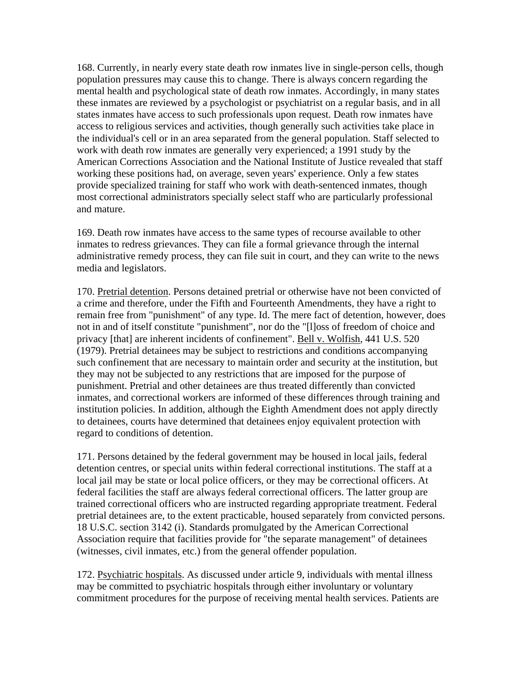168. Currently, in nearly every state death row inmates live in single-person cells, though population pressures may cause this to change. There is always concern regarding the mental health and psychological state of death row inmates. Accordingly, in many states these inmates are reviewed by a psychologist or psychiatrist on a regular basis, and in all states inmates have access to such professionals upon request. Death row inmates have access to religious services and activities, though generally such activities take place in the individual's cell or in an area separated from the general population. Staff selected to work with death row inmates are generally very experienced; a 1991 study by the American Corrections Association and the National Institute of Justice revealed that staff working these positions had, on average, seven years' experience. Only a few states provide specialized training for staff who work with death-sentenced inmates, though most correctional administrators specially select staff who are particularly professional and mature.

169. Death row inmates have access to the same types of recourse available to other inmates to redress grievances. They can file a formal grievance through the internal administrative remedy process, they can file suit in court, and they can write to the news media and legislators.

170. Pretrial detention. Persons detained pretrial or otherwise have not been convicted of a crime and therefore, under the Fifth and Fourteenth Amendments, they have a right to remain free from "punishment" of any type. Id. The mere fact of detention, however, does not in and of itself constitute "punishment", nor do the "[l]oss of freedom of choice and privacy [that] are inherent incidents of confinement". Bell v. Wolfish, 441 U.S. 520 (1979). Pretrial detainees may be subject to restrictions and conditions accompanying such confinement that are necessary to maintain order and security at the institution, but they may not be subjected to any restrictions that are imposed for the purpose of punishment. Pretrial and other detainees are thus treated differently than convicted inmates, and correctional workers are informed of these differences through training and institution policies. In addition, although the Eighth Amendment does not apply directly to detainees, courts have determined that detainees enjoy equivalent protection with regard to conditions of detention.

171. Persons detained by the federal government may be housed in local jails, federal detention centres, or special units within federal correctional institutions. The staff at a local jail may be state or local police officers, or they may be correctional officers. At federal facilities the staff are always federal correctional officers. The latter group are trained correctional officers who are instructed regarding appropriate treatment. Federal pretrial detainees are, to the extent practicable, housed separately from convicted persons. 18 U.S.C. section 3142 (i). Standards promulgated by the American Correctional Association require that facilities provide for "the separate management" of detainees (witnesses, civil inmates, etc.) from the general offender population.

172. Psychiatric hospitals. As discussed under article 9, individuals with mental illness may be committed to psychiatric hospitals through either involuntary or voluntary commitment procedures for the purpose of receiving mental health services. Patients are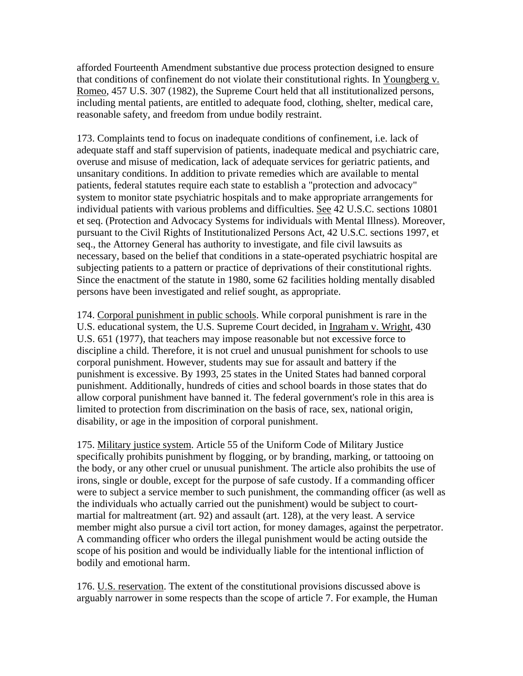afforded Fourteenth Amendment substantive due process protection designed to ensure that conditions of confinement do not violate their constitutional rights. In Youngberg v. Romeo, 457 U.S. 307 (1982), the Supreme Court held that all institutionalized persons, including mental patients, are entitled to adequate food, clothing, shelter, medical care, reasonable safety, and freedom from undue bodily restraint.

173. Complaints tend to focus on inadequate conditions of confinement, i.e. lack of adequate staff and staff supervision of patients, inadequate medical and psychiatric care, overuse and misuse of medication, lack of adequate services for geriatric patients, and unsanitary conditions. In addition to private remedies which are available to mental patients, federal statutes require each state to establish a "protection and advocacy" system to monitor state psychiatric hospitals and to make appropriate arrangements for individual patients with various problems and difficulties. See 42 U.S.C. sections 10801 et seq. (Protection and Advocacy Systems for individuals with Mental Illness). Moreover, pursuant to the Civil Rights of Institutionalized Persons Act, 42 U.S.C. sections 1997, et seq., the Attorney General has authority to investigate, and file civil lawsuits as necessary, based on the belief that conditions in a state-operated psychiatric hospital are subjecting patients to a pattern or practice of deprivations of their constitutional rights. Since the enactment of the statute in 1980, some 62 facilities holding mentally disabled persons have been investigated and relief sought, as appropriate.

174. Corporal punishment in public schools. While corporal punishment is rare in the U.S. educational system, the U.S. Supreme Court decided, in Ingraham v. Wright, 430 U.S. 651 (1977), that teachers may impose reasonable but not excessive force to discipline a child. Therefore, it is not cruel and unusual punishment for schools to use corporal punishment. However, students may sue for assault and battery if the punishment is excessive. By 1993, 25 states in the United States had banned corporal punishment. Additionally, hundreds of cities and school boards in those states that do allow corporal punishment have banned it. The federal government's role in this area is limited to protection from discrimination on the basis of race, sex, national origin, disability, or age in the imposition of corporal punishment.

175. Military justice system. Article 55 of the Uniform Code of Military Justice specifically prohibits punishment by flogging, or by branding, marking, or tattooing on the body, or any other cruel or unusual punishment. The article also prohibits the use of irons, single or double, except for the purpose of safe custody. If a commanding officer were to subject a service member to such punishment, the commanding officer (as well as the individuals who actually carried out the punishment) would be subject to courtmartial for maltreatment (art. 92) and assault (art. 128), at the very least. A service member might also pursue a civil tort action, for money damages, against the perpetrator. A commanding officer who orders the illegal punishment would be acting outside the scope of his position and would be individually liable for the intentional infliction of bodily and emotional harm.

176. U.S. reservation. The extent of the constitutional provisions discussed above is arguably narrower in some respects than the scope of article 7. For example, the Human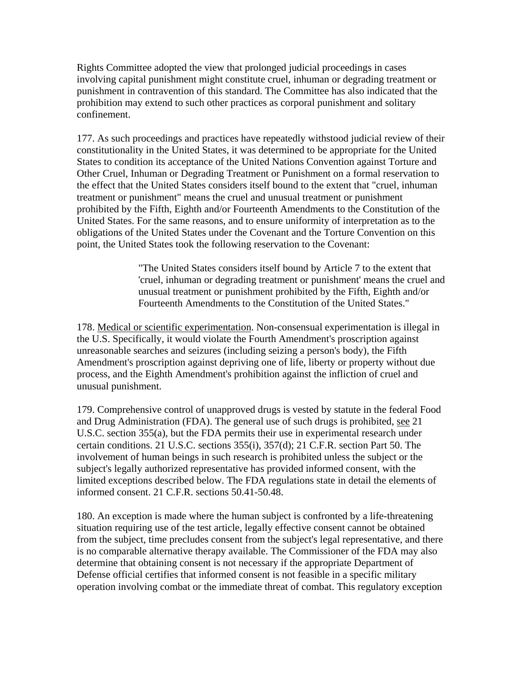Rights Committee adopted the view that prolonged judicial proceedings in cases involving capital punishment might constitute cruel, inhuman or degrading treatment or punishment in contravention of this standard. The Committee has also indicated that the prohibition may extend to such other practices as corporal punishment and solitary confinement.

177. As such proceedings and practices have repeatedly withstood judicial review of their constitutionality in the United States, it was determined to be appropriate for the United States to condition its acceptance of the United Nations Convention against Torture and Other Cruel, Inhuman or Degrading Treatment or Punishment on a formal reservation to the effect that the United States considers itself bound to the extent that "cruel, inhuman treatment or punishment" means the cruel and unusual treatment or punishment prohibited by the Fifth, Eighth and/or Fourteenth Amendments to the Constitution of the United States. For the same reasons, and to ensure uniformity of interpretation as to the obligations of the United States under the Covenant and the Torture Convention on this point, the United States took the following reservation to the Covenant:

> "The United States considers itself bound by Article 7 to the extent that 'cruel, inhuman or degrading treatment or punishment' means the cruel and unusual treatment or punishment prohibited by the Fifth, Eighth and/or Fourteenth Amendments to the Constitution of the United States."

178. Medical or scientific experimentation. Non-consensual experimentation is illegal in the U.S. Specifically, it would violate the Fourth Amendment's proscription against unreasonable searches and seizures (including seizing a person's body), the Fifth Amendment's proscription against depriving one of life, liberty or property without due process, and the Eighth Amendment's prohibition against the infliction of cruel and unusual punishment.

179. Comprehensive control of unapproved drugs is vested by statute in the federal Food and Drug Administration (FDA). The general use of such drugs is prohibited, see 21 U.S.C. section 355(a), but the FDA permits their use in experimental research under certain conditions. 21 U.S.C. sections 355(i), 357(d); 21 C.F.R. section Part 50. The involvement of human beings in such research is prohibited unless the subject or the subject's legally authorized representative has provided informed consent, with the limited exceptions described below. The FDA regulations state in detail the elements of informed consent. 21 C.F.R. sections 50.41-50.48.

180. An exception is made where the human subject is confronted by a life-threatening situation requiring use of the test article, legally effective consent cannot be obtained from the subject, time precludes consent from the subject's legal representative, and there is no comparable alternative therapy available. The Commissioner of the FDA may also determine that obtaining consent is not necessary if the appropriate Department of Defense official certifies that informed consent is not feasible in a specific military operation involving combat or the immediate threat of combat. This regulatory exception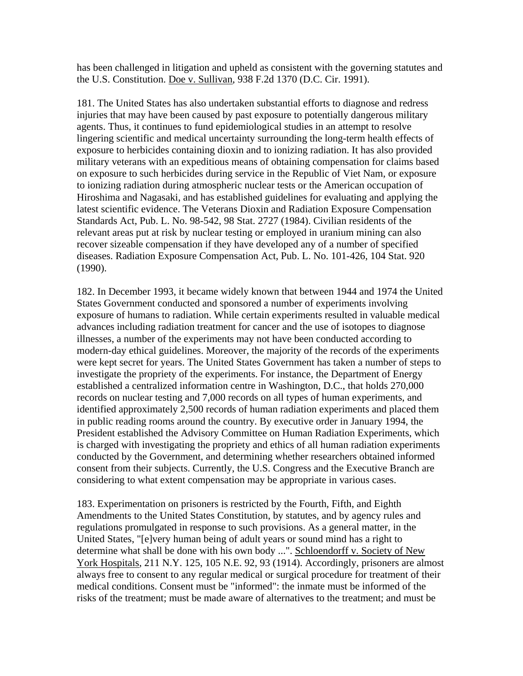has been challenged in litigation and upheld as consistent with the governing statutes and the U.S. Constitution. Doe v. Sullivan, 938 F.2d 1370 (D.C. Cir. 1991).

181. The United States has also undertaken substantial efforts to diagnose and redress injuries that may have been caused by past exposure to potentially dangerous military agents. Thus, it continues to fund epidemiological studies in an attempt to resolve lingering scientific and medical uncertainty surrounding the long-term health effects of exposure to herbicides containing dioxin and to ionizing radiation. It has also provided military veterans with an expeditious means of obtaining compensation for claims based on exposure to such herbicides during service in the Republic of Viet Nam, or exposure to ionizing radiation during atmospheric nuclear tests or the American occupation of Hiroshima and Nagasaki, and has established guidelines for evaluating and applying the latest scientific evidence. The Veterans Dioxin and Radiation Exposure Compensation Standards Act, Pub. L. No. 98-542, 98 Stat. 2727 (1984). Civilian residents of the relevant areas put at risk by nuclear testing or employed in uranium mining can also recover sizeable compensation if they have developed any of a number of specified diseases. Radiation Exposure Compensation Act, Pub. L. No. 101-426, 104 Stat. 920 (1990).

182. In December 1993, it became widely known that between 1944 and 1974 the United States Government conducted and sponsored a number of experiments involving exposure of humans to radiation. While certain experiments resulted in valuable medical advances including radiation treatment for cancer and the use of isotopes to diagnose illnesses, a number of the experiments may not have been conducted according to modern-day ethical guidelines. Moreover, the majority of the records of the experiments were kept secret for years. The United States Government has taken a number of steps to investigate the propriety of the experiments. For instance, the Department of Energy established a centralized information centre in Washington, D.C., that holds 270,000 records on nuclear testing and 7,000 records on all types of human experiments, and identified approximately 2,500 records of human radiation experiments and placed them in public reading rooms around the country. By executive order in January 1994, the President established the Advisory Committee on Human Radiation Experiments, which is charged with investigating the propriety and ethics of all human radiation experiments conducted by the Government, and determining whether researchers obtained informed consent from their subjects. Currently, the U.S. Congress and the Executive Branch are considering to what extent compensation may be appropriate in various cases.

183. Experimentation on prisoners is restricted by the Fourth, Fifth, and Eighth Amendments to the United States Constitution, by statutes, and by agency rules and regulations promulgated in response to such provisions. As a general matter, in the United States, "[e]very human being of adult years or sound mind has a right to determine what shall be done with his own body ...". Schloendorff v. Society of New York Hospitals, 211 N.Y. 125, 105 N.E. 92, 93 (1914). Accordingly, prisoners are almost always free to consent to any regular medical or surgical procedure for treatment of their medical conditions. Consent must be "informed": the inmate must be informed of the risks of the treatment; must be made aware of alternatives to the treatment; and must be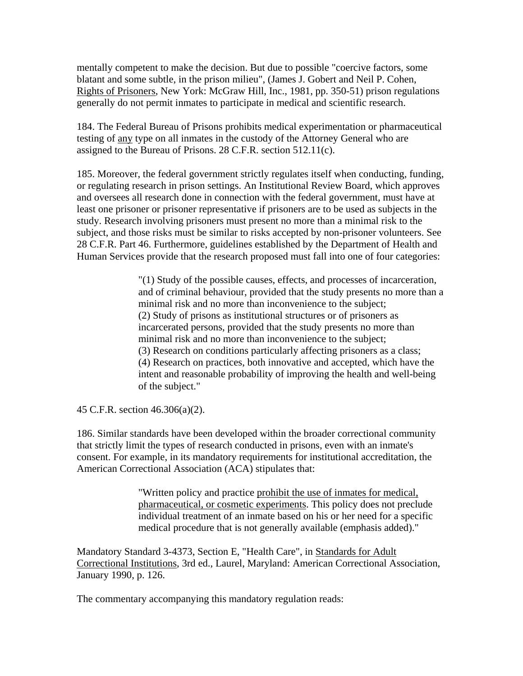mentally competent to make the decision. But due to possible "coercive factors, some blatant and some subtle, in the prison milieu", (James J. Gobert and Neil P. Cohen, Rights of Prisoners, New York: McGraw Hill, Inc., 1981, pp. 350-51) prison regulations generally do not permit inmates to participate in medical and scientific research.

184. The Federal Bureau of Prisons prohibits medical experimentation or pharmaceutical testing of any type on all inmates in the custody of the Attorney General who are assigned to the Bureau of Prisons. 28 C.F.R. section 512.11(c).

185. Moreover, the federal government strictly regulates itself when conducting, funding, or regulating research in prison settings. An Institutional Review Board, which approves and oversees all research done in connection with the federal government, must have at least one prisoner or prisoner representative if prisoners are to be used as subjects in the study. Research involving prisoners must present no more than a minimal risk to the subject, and those risks must be similar to risks accepted by non-prisoner volunteers. See 28 C.F.R. Part 46. Furthermore, guidelines established by the Department of Health and Human Services provide that the research proposed must fall into one of four categories:

> "(1) Study of the possible causes, effects, and processes of incarceration, and of criminal behaviour, provided that the study presents no more than a minimal risk and no more than inconvenience to the subject; (2) Study of prisons as institutional structures or of prisoners as incarcerated persons, provided that the study presents no more than minimal risk and no more than inconvenience to the subject; (3) Research on conditions particularly affecting prisoners as a class; (4) Research on practices, both innovative and accepted, which have the intent and reasonable probability of improving the health and well-being of the subject."

45 C.F.R. section 46.306(a)(2).

186. Similar standards have been developed within the broader correctional community that strictly limit the types of research conducted in prisons, even with an inmate's consent. For example, in its mandatory requirements for institutional accreditation, the American Correctional Association (ACA) stipulates that:

> "Written policy and practice prohibit the use of inmates for medical, pharmaceutical, or cosmetic experiments. This policy does not preclude individual treatment of an inmate based on his or her need for a specific medical procedure that is not generally available (emphasis added)."

Mandatory Standard 3-4373, Section E, "Health Care", in Standards for Adult Correctional Institutions, 3rd ed., Laurel, Maryland: American Correctional Association, January 1990, p. 126.

The commentary accompanying this mandatory regulation reads: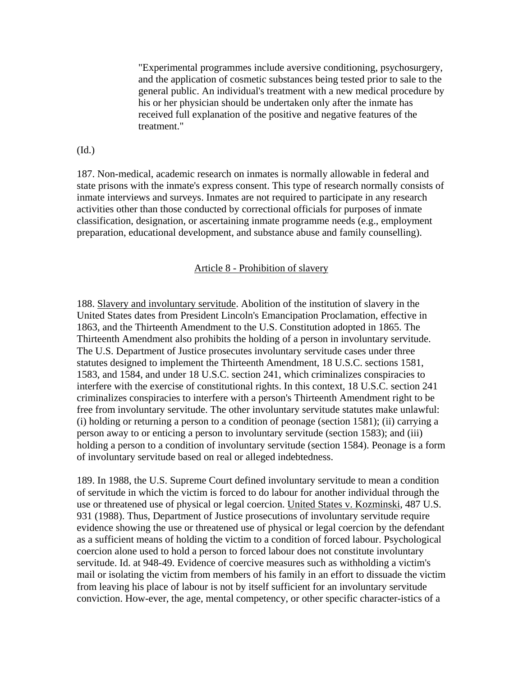"Experimental programmes include aversive conditioning, psychosurgery, and the application of cosmetic substances being tested prior to sale to the general public. An individual's treatment with a new medical procedure by his or her physician should be undertaken only after the inmate has received full explanation of the positive and negative features of the treatment."

(Id.)

187. Non-medical, academic research on inmates is normally allowable in federal and state prisons with the inmate's express consent. This type of research normally consists of inmate interviews and surveys. Inmates are not required to participate in any research activities other than those conducted by correctional officials for purposes of inmate classification, designation, or ascertaining inmate programme needs (e.g., employment preparation, educational development, and substance abuse and family counselling).

#### Article 8 - Prohibition of slavery

188. Slavery and involuntary servitude. Abolition of the institution of slavery in the United States dates from President Lincoln's Emancipation Proclamation, effective in 1863, and the Thirteenth Amendment to the U.S. Constitution adopted in 1865. The Thirteenth Amendment also prohibits the holding of a person in involuntary servitude. The U.S. Department of Justice prosecutes involuntary servitude cases under three statutes designed to implement the Thirteenth Amendment, 18 U.S.C. sections 1581, 1583, and 1584, and under 18 U.S.C. section 241, which criminalizes conspiracies to interfere with the exercise of constitutional rights. In this context, 18 U.S.C. section 241 criminalizes conspiracies to interfere with a person's Thirteenth Amendment right to be free from involuntary servitude. The other involuntary servitude statutes make unlawful: (i) holding or returning a person to a condition of peonage (section 1581); (ii) carrying a person away to or enticing a person to involuntary servitude (section 1583); and (iii) holding a person to a condition of involuntary servitude (section 1584). Peonage is a form of involuntary servitude based on real or alleged indebtedness.

189. In 1988, the U.S. Supreme Court defined involuntary servitude to mean a condition of servitude in which the victim is forced to do labour for another individual through the use or threatened use of physical or legal coercion. United States v. Kozminski, 487 U.S. 931 (1988). Thus, Department of Justice prosecutions of involuntary servitude require evidence showing the use or threatened use of physical or legal coercion by the defendant as a sufficient means of holding the victim to a condition of forced labour. Psychological coercion alone used to hold a person to forced labour does not constitute involuntary servitude. Id. at 948-49. Evidence of coercive measures such as withholding a victim's mail or isolating the victim from members of his family in an effort to dissuade the victim from leaving his place of labour is not by itself sufficient for an involuntary servitude conviction. How-ever, the age, mental competency, or other specific character-istics of a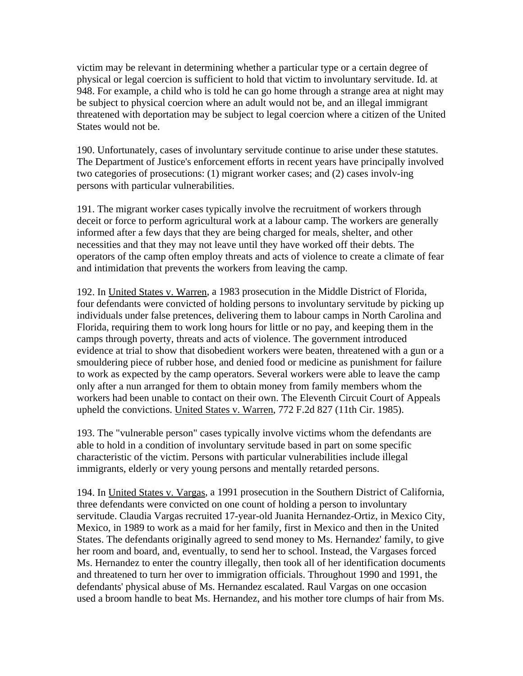victim may be relevant in determining whether a particular type or a certain degree of physical or legal coercion is sufficient to hold that victim to involuntary servitude. Id. at 948. For example, a child who is told he can go home through a strange area at night may be subject to physical coercion where an adult would not be, and an illegal immigrant threatened with deportation may be subject to legal coercion where a citizen of the United States would not be.

190. Unfortunately, cases of involuntary servitude continue to arise under these statutes. The Department of Justice's enforcement efforts in recent years have principally involved two categories of prosecutions: (1) migrant worker cases; and (2) cases involv-ing persons with particular vulnerabilities.

191. The migrant worker cases typically involve the recruitment of workers through deceit or force to perform agricultural work at a labour camp. The workers are generally informed after a few days that they are being charged for meals, shelter, and other necessities and that they may not leave until they have worked off their debts. The operators of the camp often employ threats and acts of violence to create a climate of fear and intimidation that prevents the workers from leaving the camp.

192. In United States v. Warren, a 1983 prosecution in the Middle District of Florida, four defendants were convicted of holding persons to involuntary servitude by picking up individuals under false pretences, delivering them to labour camps in North Carolina and Florida, requiring them to work long hours for little or no pay, and keeping them in the camps through poverty, threats and acts of violence. The government introduced evidence at trial to show that disobedient workers were beaten, threatened with a gun or a smouldering piece of rubber hose, and denied food or medicine as punishment for failure to work as expected by the camp operators. Several workers were able to leave the camp only after a nun arranged for them to obtain money from family members whom the workers had been unable to contact on their own. The Eleventh Circuit Court of Appeals upheld the convictions. United States v. Warren, 772 F.2d 827 (11th Cir. 1985).

193. The "vulnerable person" cases typically involve victims whom the defendants are able to hold in a condition of involuntary servitude based in part on some specific characteristic of the victim. Persons with particular vulnerabilities include illegal immigrants, elderly or very young persons and mentally retarded persons.

194. In United States v. Vargas, a 1991 prosecution in the Southern District of California, three defendants were convicted on one count of holding a person to involuntary servitude. Claudia Vargas recruited 17-year-old Juanita Hernandez-Ortiz, in Mexico City, Mexico, in 1989 to work as a maid for her family, first in Mexico and then in the United States. The defendants originally agreed to send money to Ms. Hernandez' family, to give her room and board, and, eventually, to send her to school. Instead, the Vargases forced Ms. Hernandez to enter the country illegally, then took all of her identification documents and threatened to turn her over to immigration officials. Throughout 1990 and 1991, the defendants' physical abuse of Ms. Hernandez escalated. Raul Vargas on one occasion used a broom handle to beat Ms. Hernandez, and his mother tore clumps of hair from Ms.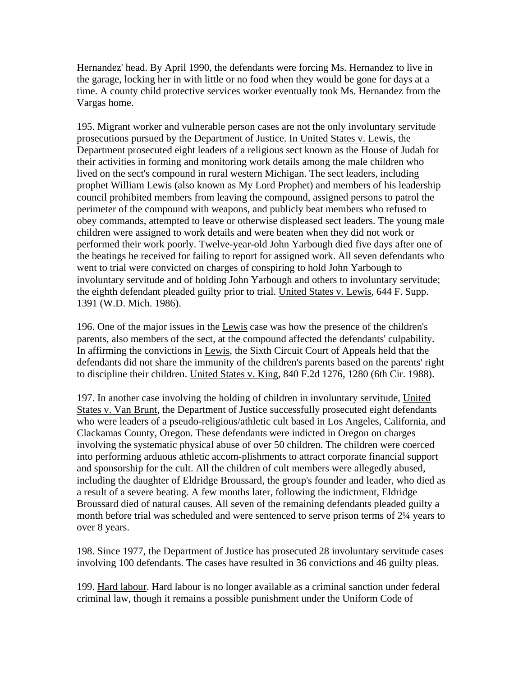Hernandez' head. By April 1990, the defendants were forcing Ms. Hernandez to live in the garage, locking her in with little or no food when they would be gone for days at a time. A county child protective services worker eventually took Ms. Hernandez from the Vargas home.

195. Migrant worker and vulnerable person cases are not the only involuntary servitude prosecutions pursued by the Department of Justice. In United States v. Lewis, the Department prosecuted eight leaders of a religious sect known as the House of Judah for their activities in forming and monitoring work details among the male children who lived on the sect's compound in rural western Michigan. The sect leaders, including prophet William Lewis (also known as My Lord Prophet) and members of his leadership council prohibited members from leaving the compound, assigned persons to patrol the perimeter of the compound with weapons, and publicly beat members who refused to obey commands, attempted to leave or otherwise displeased sect leaders. The young male children were assigned to work details and were beaten when they did not work or performed their work poorly. Twelve-year-old John Yarbough died five days after one of the beatings he received for failing to report for assigned work. All seven defendants who went to trial were convicted on charges of conspiring to hold John Yarbough to involuntary servitude and of holding John Yarbough and others to involuntary servitude; the eighth defendant pleaded guilty prior to trial. United States v. Lewis, 644 F. Supp. 1391 (W.D. Mich. 1986).

196. One of the major issues in the Lewis case was how the presence of the children's parents, also members of the sect, at the compound affected the defendants' culpability. In affirming the convictions in Lewis, the Sixth Circuit Court of Appeals held that the defendants did not share the immunity of the children's parents based on the parents' right to discipline their children. United States v. King, 840 F.2d 1276, 1280 (6th Cir. 1988).

197. In another case involving the holding of children in involuntary servitude, United States v. Van Brunt, the Department of Justice successfully prosecuted eight defendants who were leaders of a pseudo-religious/athletic cult based in Los Angeles, California, and Clackamas County, Oregon. These defendants were indicted in Oregon on charges involving the systematic physical abuse of over 50 children. The children were coerced into performing arduous athletic accom-plishments to attract corporate financial support and sponsorship for the cult. All the children of cult members were allegedly abused, including the daughter of Eldridge Broussard, the group's founder and leader, who died as a result of a severe beating. A few months later, following the indictment, Eldridge Broussard died of natural causes. All seven of the remaining defendants pleaded guilty a month before trial was scheduled and were sentenced to serve prison terms of 2¼ years to over 8 years.

198. Since 1977, the Department of Justice has prosecuted 28 involuntary servitude cases involving 100 defendants. The cases have resulted in 36 convictions and 46 guilty pleas.

199. Hard labour. Hard labour is no longer available as a criminal sanction under federal criminal law, though it remains a possible punishment under the Uniform Code of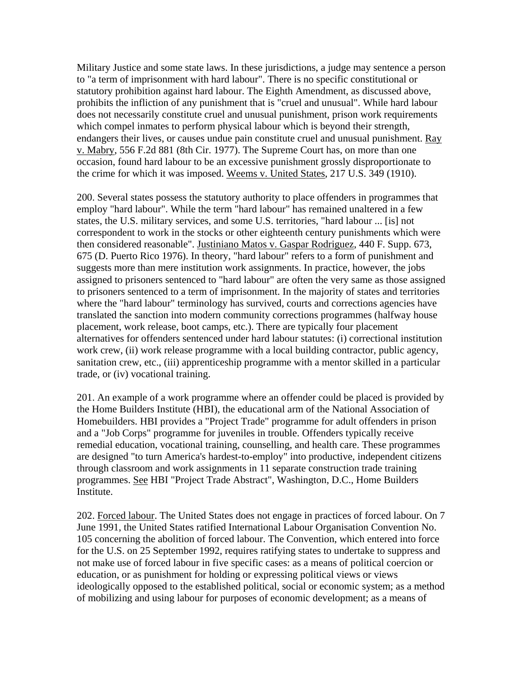Military Justice and some state laws. In these jurisdictions, a judge may sentence a person to "a term of imprisonment with hard labour". There is no specific constitutional or statutory prohibition against hard labour. The Eighth Amendment, as discussed above, prohibits the infliction of any punishment that is "cruel and unusual". While hard labour does not necessarily constitute cruel and unusual punishment, prison work requirements which compel inmates to perform physical labour which is beyond their strength, endangers their lives, or causes undue pain constitute cruel and unusual punishment. Ray v. Mabry, 556 F.2d 881 (8th Cir. 1977). The Supreme Court has, on more than one occasion, found hard labour to be an excessive punishment grossly disproportionate to the crime for which it was imposed. Weems v. United States, 217 U.S. 349 (1910).

200. Several states possess the statutory authority to place offenders in programmes that employ "hard labour". While the term "hard labour" has remained unaltered in a few states, the U.S. military services, and some U.S. territories, "hard labour ... [is] not correspondent to work in the stocks or other eighteenth century punishments which were then considered reasonable". Justiniano Matos v. Gaspar Rodriguez, 440 F. Supp. 673, 675 (D. Puerto Rico 1976). In theory, "hard labour" refers to a form of punishment and suggests more than mere institution work assignments. In practice, however, the jobs assigned to prisoners sentenced to "hard labour" are often the very same as those assigned to prisoners sentenced to a term of imprisonment. In the majority of states and territories where the "hard labour" terminology has survived, courts and corrections agencies have translated the sanction into modern community corrections programmes (halfway house placement, work release, boot camps, etc.). There are typically four placement alternatives for offenders sentenced under hard labour statutes: (i) correctional institution work crew, (ii) work release programme with a local building contractor, public agency, sanitation crew, etc., (iii) apprenticeship programme with a mentor skilled in a particular trade, or (iv) vocational training.

201. An example of a work programme where an offender could be placed is provided by the Home Builders Institute (HBI), the educational arm of the National Association of Homebuilders. HBI provides a "Project Trade" programme for adult offenders in prison and a "Job Corps" programme for juveniles in trouble. Offenders typically receive remedial education, vocational training, counselling, and health care. These programmes are designed "to turn America's hardest-to-employ" into productive, independent citizens through classroom and work assignments in 11 separate construction trade training programmes. See HBI "Project Trade Abstract", Washington, D.C., Home Builders Institute.

202. Forced labour. The United States does not engage in practices of forced labour. On 7 June 1991, the United States ratified International Labour Organisation Convention No. 105 concerning the abolition of forced labour. The Convention, which entered into force for the U.S. on 25 September 1992, requires ratifying states to undertake to suppress and not make use of forced labour in five specific cases: as a means of political coercion or education, or as punishment for holding or expressing political views or views ideologically opposed to the established political, social or economic system; as a method of mobilizing and using labour for purposes of economic development; as a means of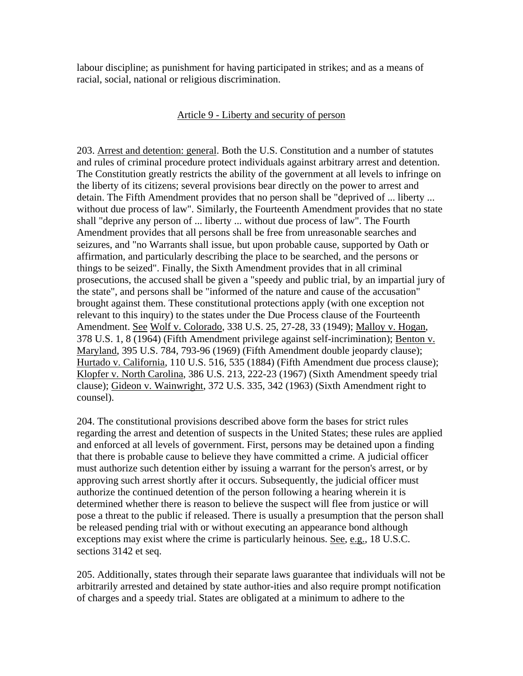labour discipline; as punishment for having participated in strikes; and as a means of racial, social, national or religious discrimination.

## Article 9 - Liberty and security of person

203. Arrest and detention: general. Both the U.S. Constitution and a number of statutes and rules of criminal procedure protect individuals against arbitrary arrest and detention. The Constitution greatly restricts the ability of the government at all levels to infringe on the liberty of its citizens; several provisions bear directly on the power to arrest and detain. The Fifth Amendment provides that no person shall be "deprived of ... liberty ... without due process of law". Similarly, the Fourteenth Amendment provides that no state shall "deprive any person of ... liberty ... without due process of law". The Fourth Amendment provides that all persons shall be free from unreasonable searches and seizures, and "no Warrants shall issue, but upon probable cause, supported by Oath or affirmation, and particularly describing the place to be searched, and the persons or things to be seized". Finally, the Sixth Amendment provides that in all criminal prosecutions, the accused shall be given a "speedy and public trial, by an impartial jury of the state", and persons shall be "informed of the nature and cause of the accusation" brought against them. These constitutional protections apply (with one exception not relevant to this inquiry) to the states under the Due Process clause of the Fourteenth Amendment. See Wolf v. Colorado, 338 U.S. 25, 27-28, 33 (1949); Malloy v. Hogan, 378 U.S. 1, 8 (1964) (Fifth Amendment privilege against self-incrimination); Benton v. Maryland, 395 U.S. 784, 793-96 (1969) (Fifth Amendment double jeopardy clause); Hurtado v. California, 110 U.S. 516, 535 (1884) (Fifth Amendment due process clause); Klopfer v. North Carolina, 386 U.S. 213, 222-23 (1967) (Sixth Amendment speedy trial clause); Gideon v. Wainwright, 372 U.S. 335, 342 (1963) (Sixth Amendment right to counsel).

204. The constitutional provisions described above form the bases for strict rules regarding the arrest and detention of suspects in the United States; these rules are applied and enforced at all levels of government. First, persons may be detained upon a finding that there is probable cause to believe they have committed a crime. A judicial officer must authorize such detention either by issuing a warrant for the person's arrest, or by approving such arrest shortly after it occurs. Subsequently, the judicial officer must authorize the continued detention of the person following a hearing wherein it is determined whether there is reason to believe the suspect will flee from justice or will pose a threat to the public if released. There is usually a presumption that the person shall be released pending trial with or without executing an appearance bond although exceptions may exist where the crime is particularly heinous. See, e.g., 18 U.S.C. sections 3142 et seq.

205. Additionally, states through their separate laws guarantee that individuals will not be arbitrarily arrested and detained by state author-ities and also require prompt notification of charges and a speedy trial. States are obligated at a minimum to adhere to the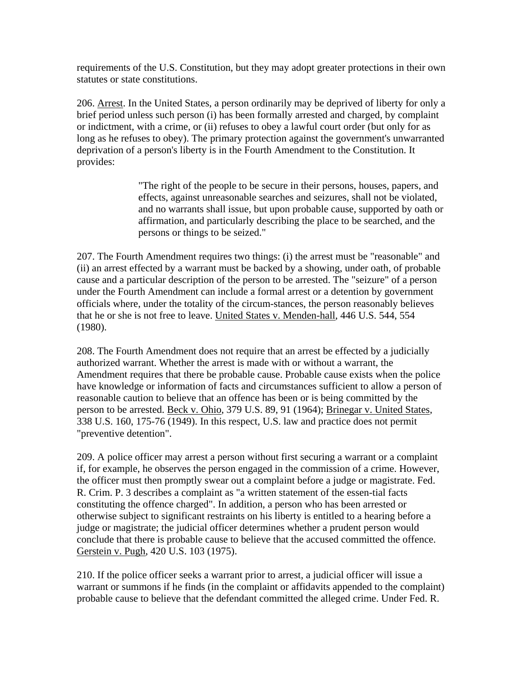requirements of the U.S. Constitution, but they may adopt greater protections in their own statutes or state constitutions.

206. Arrest. In the United States, a person ordinarily may be deprived of liberty for only a brief period unless such person (i) has been formally arrested and charged, by complaint or indictment, with a crime, or (ii) refuses to obey a lawful court order (but only for as long as he refuses to obey). The primary protection against the government's unwarranted deprivation of a person's liberty is in the Fourth Amendment to the Constitution. It provides:

> "The right of the people to be secure in their persons, houses, papers, and effects, against unreasonable searches and seizures, shall not be violated, and no warrants shall issue, but upon probable cause, supported by oath or affirmation, and particularly describing the place to be searched, and the persons or things to be seized."

207. The Fourth Amendment requires two things: (i) the arrest must be "reasonable" and (ii) an arrest effected by a warrant must be backed by a showing, under oath, of probable cause and a particular description of the person to be arrested. The "seizure" of a person under the Fourth Amendment can include a formal arrest or a detention by government officials where, under the totality of the circum-stances, the person reasonably believes that he or she is not free to leave. United States v. Menden-hall, 446 U.S. 544, 554 (1980).

208. The Fourth Amendment does not require that an arrest be effected by a judicially authorized warrant. Whether the arrest is made with or without a warrant, the Amendment requires that there be probable cause. Probable cause exists when the police have knowledge or information of facts and circumstances sufficient to allow a person of reasonable caution to believe that an offence has been or is being committed by the person to be arrested. Beck v. Ohio, 379 U.S. 89, 91 (1964); Brinegar v. United States, 338 U.S. 160, 175-76 (1949). In this respect, U.S. law and practice does not permit "preventive detention".

209. A police officer may arrest a person without first securing a warrant or a complaint if, for example, he observes the person engaged in the commission of a crime. However, the officer must then promptly swear out a complaint before a judge or magistrate. Fed. R. Crim. P. 3 describes a complaint as "a written statement of the essen-tial facts constituting the offence charged". In addition, a person who has been arrested or otherwise subject to significant restraints on his liberty is entitled to a hearing before a judge or magistrate; the judicial officer determines whether a prudent person would conclude that there is probable cause to believe that the accused committed the offence. Gerstein v. Pugh, 420 U.S. 103 (1975).

210. If the police officer seeks a warrant prior to arrest, a judicial officer will issue a warrant or summons if he finds (in the complaint or affidavits appended to the complaint) probable cause to believe that the defendant committed the alleged crime. Under Fed. R.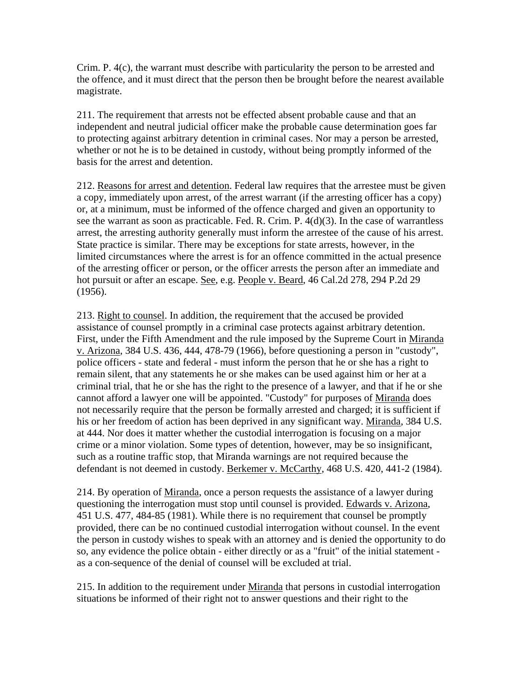Crim. P. 4(c), the warrant must describe with particularity the person to be arrested and the offence, and it must direct that the person then be brought before the nearest available magistrate.

211. The requirement that arrests not be effected absent probable cause and that an independent and neutral judicial officer make the probable cause determination goes far to protecting against arbitrary detention in criminal cases. Nor may a person be arrested, whether or not he is to be detained in custody, without being promptly informed of the basis for the arrest and detention.

212. Reasons for arrest and detention. Federal law requires that the arrestee must be given a copy, immediately upon arrest, of the arrest warrant (if the arresting officer has a copy) or, at a minimum, must be informed of the offence charged and given an opportunity to see the warrant as soon as practicable. Fed. R. Crim. P. 4(d)(3). In the case of warrantless arrest, the arresting authority generally must inform the arrestee of the cause of his arrest. State practice is similar. There may be exceptions for state arrests, however, in the limited circumstances where the arrest is for an offence committed in the actual presence of the arresting officer or person, or the officer arrests the person after an immediate and hot pursuit or after an escape. See, e.g. People v. Beard, 46 Cal.2d 278, 294 P.2d 29 (1956).

213. Right to counsel. In addition, the requirement that the accused be provided assistance of counsel promptly in a criminal case protects against arbitrary detention. First, under the Fifth Amendment and the rule imposed by the Supreme Court in Miranda v. Arizona, 384 U.S. 436, 444, 478-79 (1966), before questioning a person in "custody", police officers - state and federal - must inform the person that he or she has a right to remain silent, that any statements he or she makes can be used against him or her at a criminal trial, that he or she has the right to the presence of a lawyer, and that if he or she cannot afford a lawyer one will be appointed. "Custody" for purposes of Miranda does not necessarily require that the person be formally arrested and charged; it is sufficient if his or her freedom of action has been deprived in any significant way. Miranda, 384 U.S. at 444. Nor does it matter whether the custodial interrogation is focusing on a major crime or a minor violation. Some types of detention, however, may be so insignificant, such as a routine traffic stop, that Miranda warnings are not required because the defendant is not deemed in custody. Berkemer v. McCarthy, 468 U.S. 420, 441-2 (1984).

214. By operation of Miranda, once a person requests the assistance of a lawyer during questioning the interrogation must stop until counsel is provided. Edwards v. Arizona, 451 U.S. 477, 484-85 (1981). While there is no requirement that counsel be promptly provided, there can be no continued custodial interrogation without counsel. In the event the person in custody wishes to speak with an attorney and is denied the opportunity to do so, any evidence the police obtain - either directly or as a "fruit" of the initial statement as a con-sequence of the denial of counsel will be excluded at trial.

215. In addition to the requirement under Miranda that persons in custodial interrogation situations be informed of their right not to answer questions and their right to the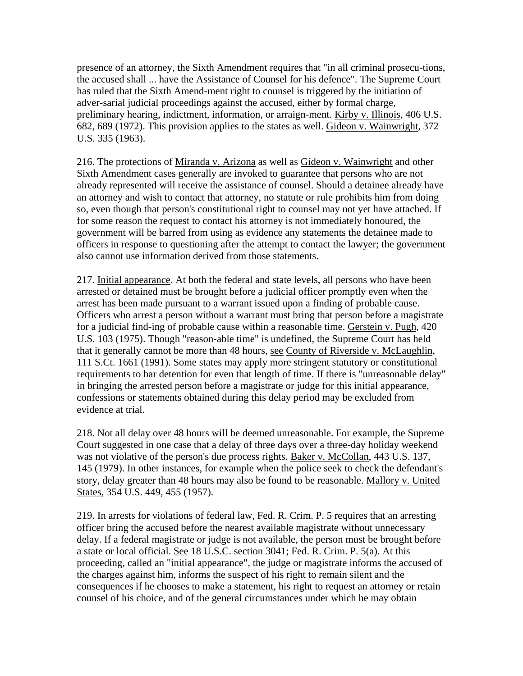presence of an attorney, the Sixth Amendment requires that "in all criminal prosecu-tions, the accused shall ... have the Assistance of Counsel for his defence". The Supreme Court has ruled that the Sixth Amend-ment right to counsel is triggered by the initiation of adver-sarial judicial proceedings against the accused, either by formal charge, preliminary hearing, indictment, information, or arraign-ment. Kirby v. Illinois, 406 U.S. 682, 689 (1972). This provision applies to the states as well. Gideon v. Wainwright, 372 U.S. 335 (1963).

216. The protections of Miranda v. Arizona as well as Gideon v. Wainwright and other Sixth Amendment cases generally are invoked to guarantee that persons who are not already represented will receive the assistance of counsel. Should a detainee already have an attorney and wish to contact that attorney, no statute or rule prohibits him from doing so, even though that person's constitutional right to counsel may not yet have attached. If for some reason the request to contact his attorney is not immediately honoured, the government will be barred from using as evidence any statements the detainee made to officers in response to questioning after the attempt to contact the lawyer; the government also cannot use information derived from those statements.

217. Initial appearance. At both the federal and state levels, all persons who have been arrested or detained must be brought before a judicial officer promptly even when the arrest has been made pursuant to a warrant issued upon a finding of probable cause. Officers who arrest a person without a warrant must bring that person before a magistrate for a judicial find-ing of probable cause within a reasonable time. Gerstein v. Pugh, 420 U.S. 103 (1975). Though "reason-able time" is undefined, the Supreme Court has held that it generally cannot be more than 48 hours, see County of Riverside v. McLaughlin, 111 S.Ct. 1661 (1991). Some states may apply more stringent statutory or constitutional requirements to bar detention for even that length of time. If there is "unreasonable delay" in bringing the arrested person before a magistrate or judge for this initial appearance, confessions or statements obtained during this delay period may be excluded from evidence at trial.

218. Not all delay over 48 hours will be deemed unreasonable. For example, the Supreme Court suggested in one case that a delay of three days over a three-day holiday weekend was not violative of the person's due process rights. Baker v. McCollan, 443 U.S. 137, 145 (1979). In other instances, for example when the police seek to check the defendant's story, delay greater than 48 hours may also be found to be reasonable. Mallory v. United States, 354 U.S. 449, 455 (1957).

219. In arrests for violations of federal law, Fed. R. Crim. P. 5 requires that an arresting officer bring the accused before the nearest available magistrate without unnecessary delay. If a federal magistrate or judge is not available, the person must be brought before a state or local official. See 18 U.S.C. section 3041; Fed. R. Crim. P. 5(a). At this proceeding, called an "initial appearance", the judge or magistrate informs the accused of the charges against him, informs the suspect of his right to remain silent and the consequences if he chooses to make a statement, his right to request an attorney or retain counsel of his choice, and of the general circumstances under which he may obtain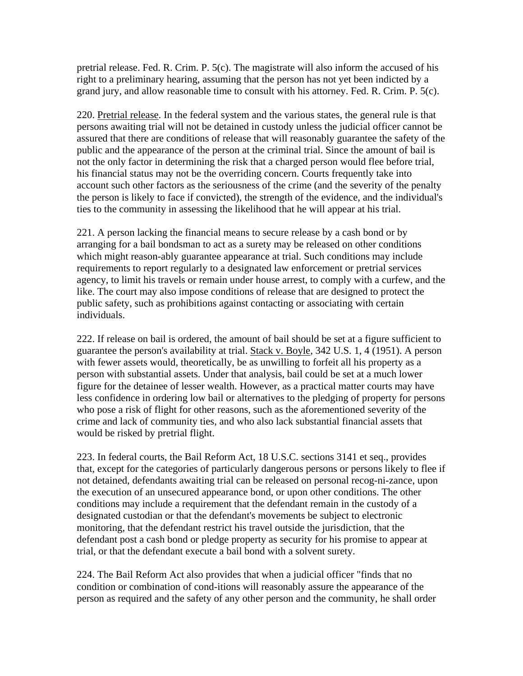pretrial release. Fed. R. Crim. P. 5(c). The magistrate will also inform the accused of his right to a preliminary hearing, assuming that the person has not yet been indicted by a grand jury, and allow reasonable time to consult with his attorney. Fed. R. Crim. P. 5(c).

220. Pretrial release. In the federal system and the various states, the general rule is that persons awaiting trial will not be detained in custody unless the judicial officer cannot be assured that there are conditions of release that will reasonably guarantee the safety of the public and the appearance of the person at the criminal trial. Since the amount of bail is not the only factor in determining the risk that a charged person would flee before trial, his financial status may not be the overriding concern. Courts frequently take into account such other factors as the seriousness of the crime (and the severity of the penalty the person is likely to face if convicted), the strength of the evidence, and the individual's ties to the community in assessing the likelihood that he will appear at his trial.

221. A person lacking the financial means to secure release by a cash bond or by arranging for a bail bondsman to act as a surety may be released on other conditions which might reason-ably guarantee appearance at trial. Such conditions may include requirements to report regularly to a designated law enforcement or pretrial services agency, to limit his travels or remain under house arrest, to comply with a curfew, and the like. The court may also impose conditions of release that are designed to protect the public safety, such as prohibitions against contacting or associating with certain individuals.

222. If release on bail is ordered, the amount of bail should be set at a figure sufficient to guarantee the person's availability at trial. Stack v. Boyle, 342 U.S. 1, 4 (1951). A person with fewer assets would, theoretically, be as unwilling to forfeit all his property as a person with substantial assets. Under that analysis, bail could be set at a much lower figure for the detainee of lesser wealth. However, as a practical matter courts may have less confidence in ordering low bail or alternatives to the pledging of property for persons who pose a risk of flight for other reasons, such as the aforementioned severity of the crime and lack of community ties, and who also lack substantial financial assets that would be risked by pretrial flight.

223. In federal courts, the Bail Reform Act, 18 U.S.C. sections 3141 et seq., provides that, except for the categories of particularly dangerous persons or persons likely to flee if not detained, defendants awaiting trial can be released on personal recog-ni-zance, upon the execution of an unsecured appearance bond, or upon other conditions. The other conditions may include a requirement that the defendant remain in the custody of a designated custodian or that the defendant's movements be subject to electronic monitoring, that the defendant restrict his travel outside the jurisdiction, that the defendant post a cash bond or pledge property as security for his promise to appear at trial, or that the defendant execute a bail bond with a solvent surety.

224. The Bail Reform Act also provides that when a judicial officer "finds that no condition or combination of cond-itions will reasonably assure the appearance of the person as required and the safety of any other person and the community, he shall order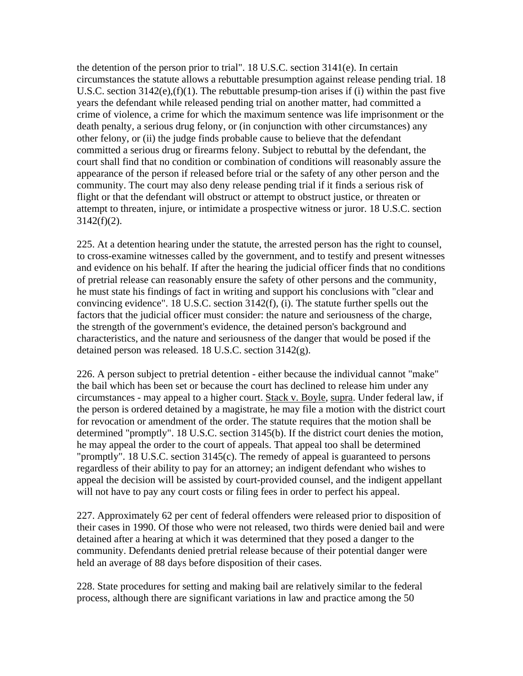the detention of the person prior to trial". 18 U.S.C. section 3141(e). In certain circumstances the statute allows a rebuttable presumption against release pending trial. 18 U.S.C. section 3142(e),(f)(1). The rebuttable presump-tion arises if (i) within the past five years the defendant while released pending trial on another matter, had committed a crime of violence, a crime for which the maximum sentence was life imprisonment or the death penalty, a serious drug felony, or (in conjunction with other circumstances) any other felony, or (ii) the judge finds probable cause to believe that the defendant committed a serious drug or firearms felony. Subject to rebuttal by the defendant, the court shall find that no condition or combination of conditions will reasonably assure the appearance of the person if released before trial or the safety of any other person and the community. The court may also deny release pending trial if it finds a serious risk of flight or that the defendant will obstruct or attempt to obstruct justice, or threaten or attempt to threaten, injure, or intimidate a prospective witness or juror. 18 U.S.C. section  $3142(f)(2)$ .

225. At a detention hearing under the statute, the arrested person has the right to counsel, to cross-examine witnesses called by the government, and to testify and present witnesses and evidence on his behalf. If after the hearing the judicial officer finds that no conditions of pretrial release can reasonably ensure the safety of other persons and the community, he must state his findings of fact in writing and support his conclusions with "clear and convincing evidence". 18 U.S.C. section 3142(f), (i). The statute further spells out the factors that the judicial officer must consider: the nature and seriousness of the charge, the strength of the government's evidence, the detained person's background and characteristics, and the nature and seriousness of the danger that would be posed if the detained person was released. 18 U.S.C. section 3142(g).

226. A person subject to pretrial detention - either because the individual cannot "make" the bail which has been set or because the court has declined to release him under any circumstances - may appeal to a higher court. Stack v. Boyle, supra. Under federal law, if the person is ordered detained by a magistrate, he may file a motion with the district court for revocation or amendment of the order. The statute requires that the motion shall be determined "promptly". 18 U.S.C. section 3145(b). If the district court denies the motion, he may appeal the order to the court of appeals. That appeal too shall be determined "promptly". 18 U.S.C. section 3145(c). The remedy of appeal is guaranteed to persons regardless of their ability to pay for an attorney; an indigent defendant who wishes to appeal the decision will be assisted by court-provided counsel, and the indigent appellant will not have to pay any court costs or filing fees in order to perfect his appeal.

227. Approximately 62 per cent of federal offenders were released prior to disposition of their cases in 1990. Of those who were not released, two thirds were denied bail and were detained after a hearing at which it was determined that they posed a danger to the community. Defendants denied pretrial release because of their potential danger were held an average of 88 days before disposition of their cases.

228. State procedures for setting and making bail are relatively similar to the federal process, although there are significant variations in law and practice among the 50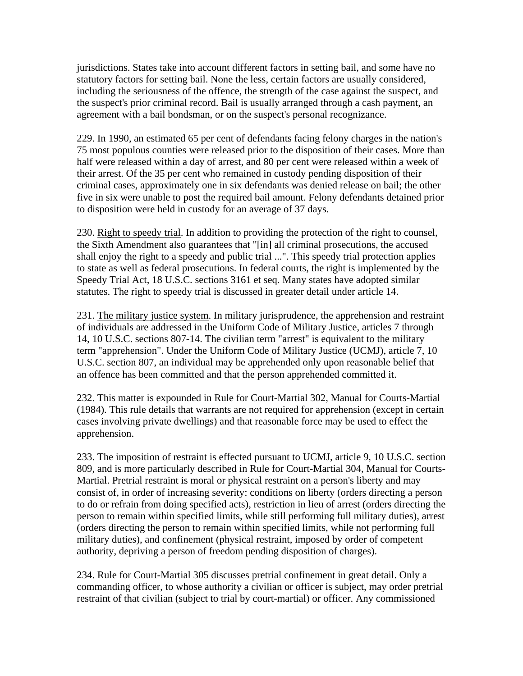jurisdictions. States take into account different factors in setting bail, and some have no statutory factors for setting bail. None the less, certain factors are usually considered, including the seriousness of the offence, the strength of the case against the suspect, and the suspect's prior criminal record. Bail is usually arranged through a cash payment, an agreement with a bail bondsman, or on the suspect's personal recognizance.

229. In 1990, an estimated 65 per cent of defendants facing felony charges in the nation's 75 most populous counties were released prior to the disposition of their cases. More than half were released within a day of arrest, and 80 per cent were released within a week of their arrest. Of the 35 per cent who remained in custody pending disposition of their criminal cases, approximately one in six defendants was denied release on bail; the other five in six were unable to post the required bail amount. Felony defendants detained prior to disposition were held in custody for an average of 37 days.

230. Right to speedy trial. In addition to providing the protection of the right to counsel, the Sixth Amendment also guarantees that "[in] all criminal prosecutions, the accused shall enjoy the right to a speedy and public trial ...". This speedy trial protection applies to state as well as federal prosecutions. In federal courts, the right is implemented by the Speedy Trial Act, 18 U.S.C. sections 3161 et seq. Many states have adopted similar statutes. The right to speedy trial is discussed in greater detail under article 14.

231. The military justice system. In military jurisprudence, the apprehension and restraint of individuals are addressed in the Uniform Code of Military Justice, articles 7 through 14, 10 U.S.C. sections 807-14. The civilian term "arrest" is equivalent to the military term "apprehension". Under the Uniform Code of Military Justice (UCMJ), article 7, 10 U.S.C. section 807, an individual may be apprehended only upon reasonable belief that an offence has been committed and that the person apprehended committed it.

232. This matter is expounded in Rule for Court-Martial 302, Manual for Courts-Martial (1984). This rule details that warrants are not required for apprehension (except in certain cases involving private dwellings) and that reasonable force may be used to effect the apprehension.

233. The imposition of restraint is effected pursuant to UCMJ, article 9, 10 U.S.C. section 809, and is more particularly described in Rule for Court-Martial 304, Manual for Courts-Martial. Pretrial restraint is moral or physical restraint on a person's liberty and may consist of, in order of increasing severity: conditions on liberty (orders directing a person to do or refrain from doing specified acts), restriction in lieu of arrest (orders directing the person to remain within specified limits, while still performing full military duties), arrest (orders directing the person to remain within specified limits, while not performing full military duties), and confinement (physical restraint, imposed by order of competent authority, depriving a person of freedom pending disposition of charges).

234. Rule for Court-Martial 305 discusses pretrial confinement in great detail. Only a commanding officer, to whose authority a civilian or officer is subject, may order pretrial restraint of that civilian (subject to trial by court-martial) or officer. Any commissioned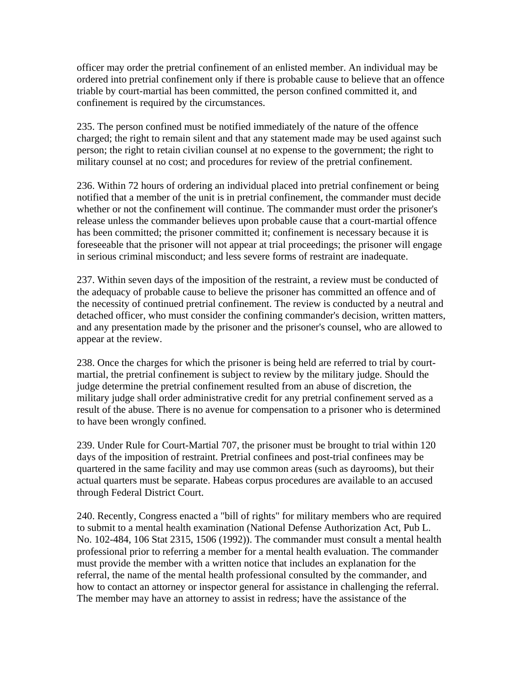officer may order the pretrial confinement of an enlisted member. An individual may be ordered into pretrial confinement only if there is probable cause to believe that an offence triable by court-martial has been committed, the person confined committed it, and confinement is required by the circumstances.

235. The person confined must be notified immediately of the nature of the offence charged; the right to remain silent and that any statement made may be used against such person; the right to retain civilian counsel at no expense to the government; the right to military counsel at no cost; and procedures for review of the pretrial confinement.

236. Within 72 hours of ordering an individual placed into pretrial confinement or being notified that a member of the unit is in pretrial confinement, the commander must decide whether or not the confinement will continue. The commander must order the prisoner's release unless the commander believes upon probable cause that a court-martial offence has been committed; the prisoner committed it; confinement is necessary because it is foreseeable that the prisoner will not appear at trial proceedings; the prisoner will engage in serious criminal misconduct; and less severe forms of restraint are inadequate.

237. Within seven days of the imposition of the restraint, a review must be conducted of the adequacy of probable cause to believe the prisoner has committed an offence and of the necessity of continued pretrial confinement. The review is conducted by a neutral and detached officer, who must consider the confining commander's decision, written matters, and any presentation made by the prisoner and the prisoner's counsel, who are allowed to appear at the review.

238. Once the charges for which the prisoner is being held are referred to trial by courtmartial, the pretrial confinement is subject to review by the military judge. Should the judge determine the pretrial confinement resulted from an abuse of discretion, the military judge shall order administrative credit for any pretrial confinement served as a result of the abuse. There is no avenue for compensation to a prisoner who is determined to have been wrongly confined.

239. Under Rule for Court-Martial 707, the prisoner must be brought to trial within 120 days of the imposition of restraint. Pretrial confinees and post-trial confinees may be quartered in the same facility and may use common areas (such as dayrooms), but their actual quarters must be separate. Habeas corpus procedures are available to an accused through Federal District Court.

240. Recently, Congress enacted a "bill of rights" for military members who are required to submit to a mental health examination (National Defense Authorization Act, Pub L. No. 102-484, 106 Stat 2315, 1506 (1992)). The commander must consult a mental health professional prior to referring a member for a mental health evaluation. The commander must provide the member with a written notice that includes an explanation for the referral, the name of the mental health professional consulted by the commander, and how to contact an attorney or inspector general for assistance in challenging the referral. The member may have an attorney to assist in redress; have the assistance of the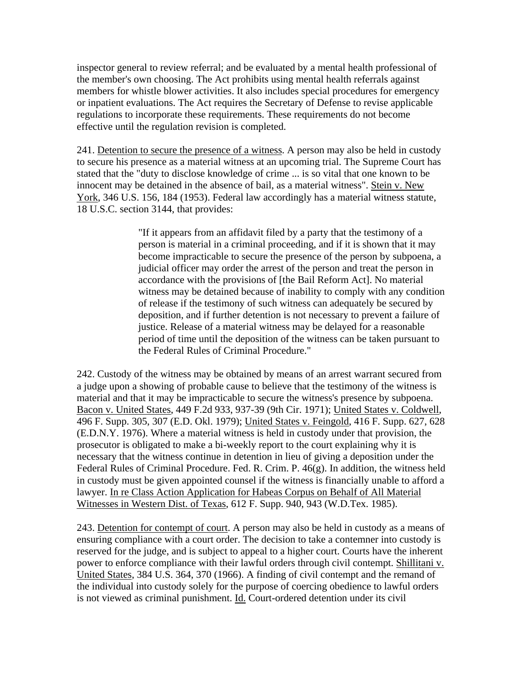inspector general to review referral; and be evaluated by a mental health professional of the member's own choosing. The Act prohibits using mental health referrals against members for whistle blower activities. It also includes special procedures for emergency or inpatient evaluations. The Act requires the Secretary of Defense to revise applicable regulations to incorporate these requirements. These requirements do not become effective until the regulation revision is completed.

241. Detention to secure the presence of a witness. A person may also be held in custody to secure his presence as a material witness at an upcoming trial. The Supreme Court has stated that the "duty to disclose knowledge of crime ... is so vital that one known to be innocent may be detained in the absence of bail, as a material witness". Stein v. New York, 346 U.S. 156, 184 (1953). Federal law accordingly has a material witness statute, 18 U.S.C. section 3144, that provides:

> "If it appears from an affidavit filed by a party that the testimony of a person is material in a criminal proceeding, and if it is shown that it may become impracticable to secure the presence of the person by subpoena, a judicial officer may order the arrest of the person and treat the person in accordance with the provisions of [the Bail Reform Act]. No material witness may be detained because of inability to comply with any condition of release if the testimony of such witness can adequately be secured by deposition, and if further detention is not necessary to prevent a failure of justice. Release of a material witness may be delayed for a reasonable period of time until the deposition of the witness can be taken pursuant to the Federal Rules of Criminal Procedure."

242. Custody of the witness may be obtained by means of an arrest warrant secured from a judge upon a showing of probable cause to believe that the testimony of the witness is material and that it may be impracticable to secure the witness's presence by subpoena. Bacon v. United States, 449 F.2d 933, 937-39 (9th Cir. 1971); United States v. Coldwell, 496 F. Supp. 305, 307 (E.D. Okl. 1979); United States v. Feingold, 416 F. Supp. 627, 628 (E.D.N.Y. 1976). Where a material witness is held in custody under that provision, the prosecutor is obligated to make a bi-weekly report to the court explaining why it is necessary that the witness continue in detention in lieu of giving a deposition under the Federal Rules of Criminal Procedure. Fed. R. Crim. P. 46(g). In addition, the witness held in custody must be given appointed counsel if the witness is financially unable to afford a lawyer. In re Class Action Application for Habeas Corpus on Behalf of All Material Witnesses in Western Dist. of Texas, 612 F. Supp. 940, 943 (W.D.Tex. 1985).

243. Detention for contempt of court. A person may also be held in custody as a means of ensuring compliance with a court order. The decision to take a contemner into custody is reserved for the judge, and is subject to appeal to a higher court. Courts have the inherent power to enforce compliance with their lawful orders through civil contempt. Shillitani v. United States, 384 U.S. 364, 370 (1966). A finding of civil contempt and the remand of the individual into custody solely for the purpose of coercing obedience to lawful orders is not viewed as criminal punishment. Id. Court-ordered detention under its civil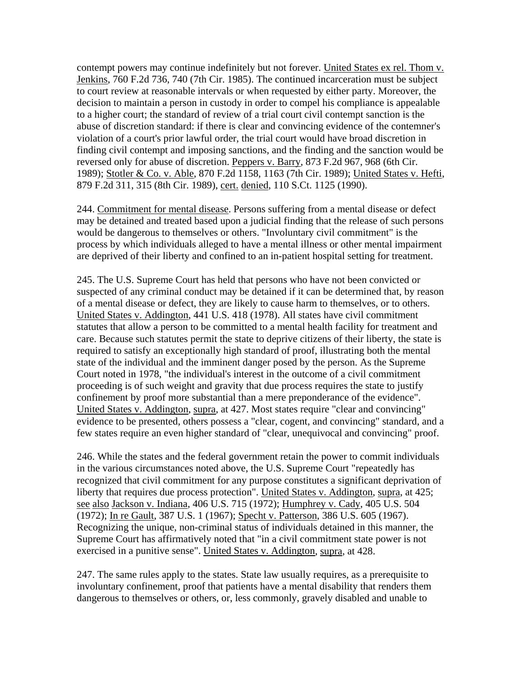contempt powers may continue indefinitely but not forever. United States ex rel. Thom v. Jenkins, 760 F.2d 736, 740 (7th Cir. 1985). The continued incarceration must be subject to court review at reasonable intervals or when requested by either party. Moreover, the decision to maintain a person in custody in order to compel his compliance is appealable to a higher court; the standard of review of a trial court civil contempt sanction is the abuse of discretion standard: if there is clear and convincing evidence of the contemner's violation of a court's prior lawful order, the trial court would have broad discretion in finding civil contempt and imposing sanctions, and the finding and the sanction would be reversed only for abuse of discretion. Peppers v. Barry, 873 F.2d 967, 968 (6th Cir. 1989); Stotler & Co. v. Able, 870 F.2d 1158, 1163 (7th Cir. 1989); United States v. Hefti, 879 F.2d 311, 315 (8th Cir. 1989), cert. denied, 110 S.Ct. 1125 (1990).

244. Commitment for mental disease. Persons suffering from a mental disease or defect may be detained and treated based upon a judicial finding that the release of such persons would be dangerous to themselves or others. "Involuntary civil commitment" is the process by which individuals alleged to have a mental illness or other mental impairment are deprived of their liberty and confined to an in-patient hospital setting for treatment.

245. The U.S. Supreme Court has held that persons who have not been convicted or suspected of any criminal conduct may be detained if it can be determined that, by reason of a mental disease or defect, they are likely to cause harm to themselves, or to others. United States v. Addington, 441 U.S. 418 (1978). All states have civil commitment statutes that allow a person to be committed to a mental health facility for treatment and care. Because such statutes permit the state to deprive citizens of their liberty, the state is required to satisfy an exceptionally high standard of proof, illustrating both the mental state of the individual and the imminent danger posed by the person. As the Supreme Court noted in 1978, "the individual's interest in the outcome of a civil commitment proceeding is of such weight and gravity that due process requires the state to justify confinement by proof more substantial than a mere preponderance of the evidence". United States v. Addington, supra, at 427. Most states require "clear and convincing" evidence to be presented, others possess a "clear, cogent, and convincing" standard, and a few states require an even higher standard of "clear, unequivocal and convincing" proof.

246. While the states and the federal government retain the power to commit individuals in the various circumstances noted above, the U.S. Supreme Court "repeatedly has recognized that civil commitment for any purpose constitutes a significant deprivation of liberty that requires due process protection". United States v. Addington, supra, at 425; see also Jackson v. Indiana, 406 U.S. 715 (1972); Humphrey v. Cady, 405 U.S. 504 (1972); In re Gault, 387 U.S. 1 (1967); Specht v. Patterson, 386 U.S. 605 (1967). Recognizing the unique, non-criminal status of individuals detained in this manner, the Supreme Court has affirmatively noted that "in a civil commitment state power is not exercised in a punitive sense". United States v. Addington, supra, at 428.

247. The same rules apply to the states. State law usually requires, as a prerequisite to involuntary confinement, proof that patients have a mental disability that renders them dangerous to themselves or others, or, less commonly, gravely disabled and unable to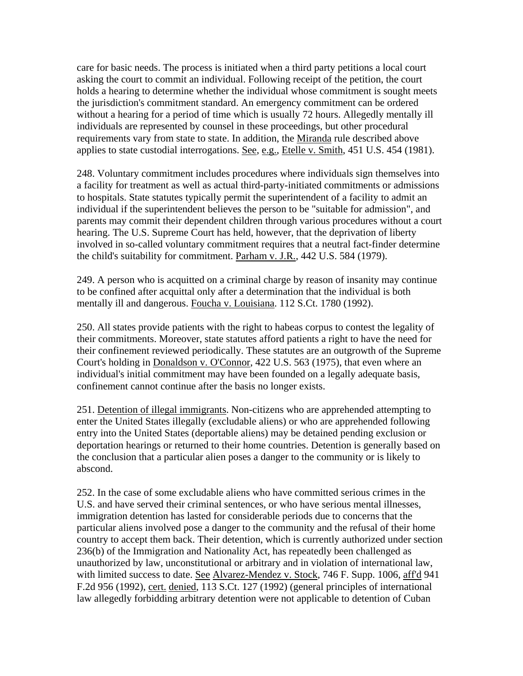care for basic needs. The process is initiated when a third party petitions a local court asking the court to commit an individual. Following receipt of the petition, the court holds a hearing to determine whether the individual whose commitment is sought meets the jurisdiction's commitment standard. An emergency commitment can be ordered without a hearing for a period of time which is usually 72 hours. Allegedly mentally ill individuals are represented by counsel in these proceedings, but other procedural requirements vary from state to state. In addition, the Miranda rule described above applies to state custodial interrogations. See, e.g., Etelle v. Smith, 451 U.S. 454 (1981).

248. Voluntary commitment includes procedures where individuals sign themselves into a facility for treatment as well as actual third-party-initiated commitments or admissions to hospitals. State statutes typically permit the superintendent of a facility to admit an individual if the superintendent believes the person to be "suitable for admission", and parents may commit their dependent children through various procedures without a court hearing. The U.S. Supreme Court has held, however, that the deprivation of liberty involved in so-called voluntary commitment requires that a neutral fact-finder determine the child's suitability for commitment. Parham v. J.R., 442 U.S. 584 (1979).

249. A person who is acquitted on a criminal charge by reason of insanity may continue to be confined after acquittal only after a determination that the individual is both mentally ill and dangerous. Foucha v. Louisiana. 112 S.Ct. 1780 (1992).

250. All states provide patients with the right to habeas corpus to contest the legality of their commitments. Moreover, state statutes afford patients a right to have the need for their confinement reviewed periodically. These statutes are an outgrowth of the Supreme Court's holding in Donaldson v. O'Connor, 422 U.S. 563 (1975), that even where an individual's initial commitment may have been founded on a legally adequate basis, confinement cannot continue after the basis no longer exists.

251. Detention of illegal immigrants. Non-citizens who are apprehended attempting to enter the United States illegally (excludable aliens) or who are apprehended following entry into the United States (deportable aliens) may be detained pending exclusion or deportation hearings or returned to their home countries. Detention is generally based on the conclusion that a particular alien poses a danger to the community or is likely to abscond.

252. In the case of some excludable aliens who have committed serious crimes in the U.S. and have served their criminal sentences, or who have serious mental illnesses, immigration detention has lasted for considerable periods due to concerns that the particular aliens involved pose a danger to the community and the refusal of their home country to accept them back. Their detention, which is currently authorized under section 236(b) of the Immigration and Nationality Act, has repeatedly been challenged as unauthorized by law, unconstitutional or arbitrary and in violation of international law, with limited success to date. See Alvarez-Mendez v. Stock, 746 F. Supp. 1006, aff'd 941 F.2d 956 (1992), cert. denied, 113 S.Ct. 127 (1992) (general principles of international law allegedly forbidding arbitrary detention were not applicable to detention of Cuban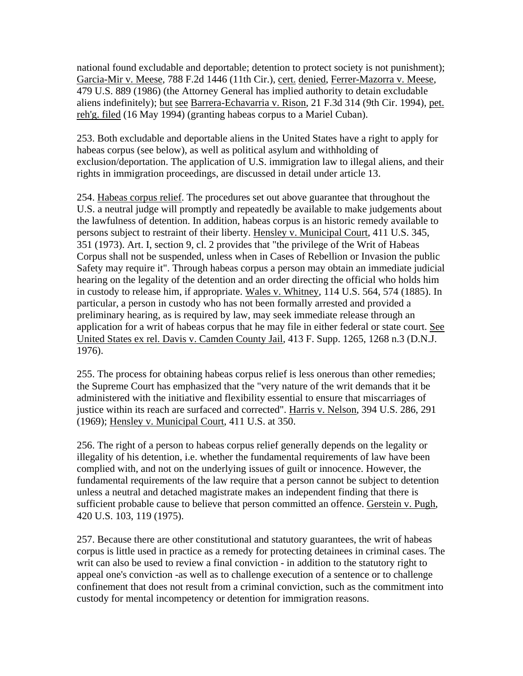national found excludable and deportable; detention to protect society is not punishment); Garcia-Mir v. Meese, 788 F.2d 1446 (11th Cir.), cert. denied, Ferrer-Mazorra v. Meese, 479 U.S. 889 (1986) (the Attorney General has implied authority to detain excludable aliens indefinitely); but see Barrera-Echavarria v. Rison, 21 F.3d 314 (9th Cir. 1994), pet. reh'g. filed (16 May 1994) (granting habeas corpus to a Mariel Cuban).

253. Both excludable and deportable aliens in the United States have a right to apply for habeas corpus (see below), as well as political asylum and withholding of exclusion/deportation. The application of U.S. immigration law to illegal aliens, and their rights in immigration proceedings, are discussed in detail under article 13.

254. Habeas corpus relief. The procedures set out above guarantee that throughout the U.S. a neutral judge will promptly and repeatedly be available to make judgements about the lawfulness of detention. In addition, habeas corpus is an historic remedy available to persons subject to restraint of their liberty. Hensley v. Municipal Court, 411 U.S. 345, 351 (1973). Art. I, section 9, cl. 2 provides that "the privilege of the Writ of Habeas Corpus shall not be suspended, unless when in Cases of Rebellion or Invasion the public Safety may require it". Through habeas corpus a person may obtain an immediate judicial hearing on the legality of the detention and an order directing the official who holds him in custody to release him, if appropriate. Wales v. Whitney, 114 U.S. 564, 574 (1885). In particular, a person in custody who has not been formally arrested and provided a preliminary hearing, as is required by law, may seek immediate release through an application for a writ of habeas corpus that he may file in either federal or state court. See United States ex rel. Davis v. Camden County Jail, 413 F. Supp. 1265, 1268 n.3 (D.N.J. 1976).

255. The process for obtaining habeas corpus relief is less onerous than other remedies; the Supreme Court has emphasized that the "very nature of the writ demands that it be administered with the initiative and flexibility essential to ensure that miscarriages of justice within its reach are surfaced and corrected". Harris v. Nelson, 394 U.S. 286, 291 (1969); Hensley v. Municipal Court, 411 U.S. at 350.

256. The right of a person to habeas corpus relief generally depends on the legality or illegality of his detention, i.e. whether the fundamental requirements of law have been complied with, and not on the underlying issues of guilt or innocence. However, the fundamental requirements of the law require that a person cannot be subject to detention unless a neutral and detached magistrate makes an independent finding that there is sufficient probable cause to believe that person committed an offence. Gerstein v. Pugh, 420 U.S. 103, 119 (1975).

257. Because there are other constitutional and statutory guarantees, the writ of habeas corpus is little used in practice as a remedy for protecting detainees in criminal cases. The writ can also be used to review a final conviction - in addition to the statutory right to appeal one's conviction -as well as to challenge execution of a sentence or to challenge confinement that does not result from a criminal conviction, such as the commitment into custody for mental incompetency or detention for immigration reasons.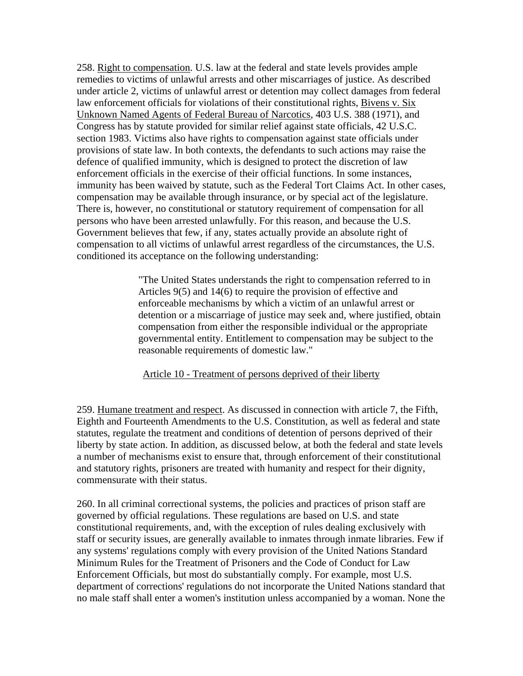258. Right to compensation. U.S. law at the federal and state levels provides ample remedies to victims of unlawful arrests and other miscarriages of justice. As described under article 2, victims of unlawful arrest or detention may collect damages from federal law enforcement officials for violations of their constitutional rights, Bivens v. Six Unknown Named Agents of Federal Bureau of Narcotics, 403 U.S. 388 (1971), and Congress has by statute provided for similar relief against state officials, 42 U.S.C. section 1983. Victims also have rights to compensation against state officials under provisions of state law. In both contexts, the defendants to such actions may raise the defence of qualified immunity, which is designed to protect the discretion of law enforcement officials in the exercise of their official functions. In some instances, immunity has been waived by statute, such as the Federal Tort Claims Act. In other cases, compensation may be available through insurance, or by special act of the legislature. There is, however, no constitutional or statutory requirement of compensation for all persons who have been arrested unlawfully. For this reason, and because the U.S. Government believes that few, if any, states actually provide an absolute right of compensation to all victims of unlawful arrest regardless of the circumstances, the U.S. conditioned its acceptance on the following understanding:

> "The United States understands the right to compensation referred to in Articles 9(5) and 14(6) to require the provision of effective and enforceable mechanisms by which a victim of an unlawful arrest or detention or a miscarriage of justice may seek and, where justified, obtain compensation from either the responsible individual or the appropriate governmental entity. Entitlement to compensation may be subject to the reasonable requirements of domestic law."

Article 10 - Treatment of persons deprived of their liberty

259. Humane treatment and respect. As discussed in connection with article 7, the Fifth, Eighth and Fourteenth Amendments to the U.S. Constitution, as well as federal and state statutes, regulate the treatment and conditions of detention of persons deprived of their liberty by state action. In addition, as discussed below, at both the federal and state levels a number of mechanisms exist to ensure that, through enforcement of their constitutional and statutory rights, prisoners are treated with humanity and respect for their dignity, commensurate with their status.

260. In all criminal correctional systems, the policies and practices of prison staff are governed by official regulations. These regulations are based on U.S. and state constitutional requirements, and, with the exception of rules dealing exclusively with staff or security issues, are generally available to inmates through inmate libraries. Few if any systems' regulations comply with every provision of the United Nations Standard Minimum Rules for the Treatment of Prisoners and the Code of Conduct for Law Enforcement Officials, but most do substantially comply. For example, most U.S. department of corrections' regulations do not incorporate the United Nations standard that no male staff shall enter a women's institution unless accompanied by a woman. None the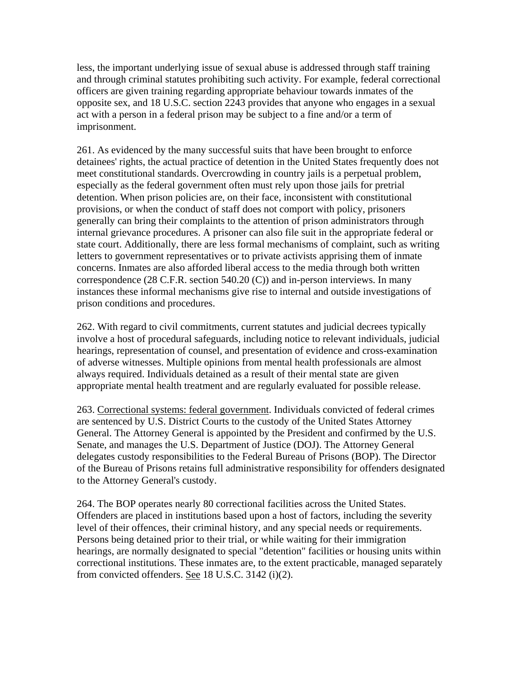less, the important underlying issue of sexual abuse is addressed through staff training and through criminal statutes prohibiting such activity. For example, federal correctional officers are given training regarding appropriate behaviour towards inmates of the opposite sex, and 18 U.S.C. section 2243 provides that anyone who engages in a sexual act with a person in a federal prison may be subject to a fine and/or a term of imprisonment.

261. As evidenced by the many successful suits that have been brought to enforce detainees' rights, the actual practice of detention in the United States frequently does not meet constitutional standards. Overcrowding in country jails is a perpetual problem, especially as the federal government often must rely upon those jails for pretrial detention. When prison policies are, on their face, inconsistent with constitutional provisions, or when the conduct of staff does not comport with policy, prisoners generally can bring their complaints to the attention of prison administrators through internal grievance procedures. A prisoner can also file suit in the appropriate federal or state court. Additionally, there are less formal mechanisms of complaint, such as writing letters to government representatives or to private activists apprising them of inmate concerns. Inmates are also afforded liberal access to the media through both written correspondence (28 C.F.R. section 540.20 (C)) and in-person interviews. In many instances these informal mechanisms give rise to internal and outside investigations of prison conditions and procedures.

262. With regard to civil commitments, current statutes and judicial decrees typically involve a host of procedural safeguards, including notice to relevant individuals, judicial hearings, representation of counsel, and presentation of evidence and cross-examination of adverse witnesses. Multiple opinions from mental health professionals are almost always required. Individuals detained as a result of their mental state are given appropriate mental health treatment and are regularly evaluated for possible release.

263. Correctional systems: federal government. Individuals convicted of federal crimes are sentenced by U.S. District Courts to the custody of the United States Attorney General. The Attorney General is appointed by the President and confirmed by the U.S. Senate, and manages the U.S. Department of Justice (DOJ). The Attorney General delegates custody responsibilities to the Federal Bureau of Prisons (BOP). The Director of the Bureau of Prisons retains full administrative responsibility for offenders designated to the Attorney General's custody.

264. The BOP operates nearly 80 correctional facilities across the United States. Offenders are placed in institutions based upon a host of factors, including the severity level of their offences, their criminal history, and any special needs or requirements. Persons being detained prior to their trial, or while waiting for their immigration hearings, are normally designated to special "detention" facilities or housing units within correctional institutions. These inmates are, to the extent practicable, managed separately from convicted offenders. See 18 U.S.C. 3142 (i)(2).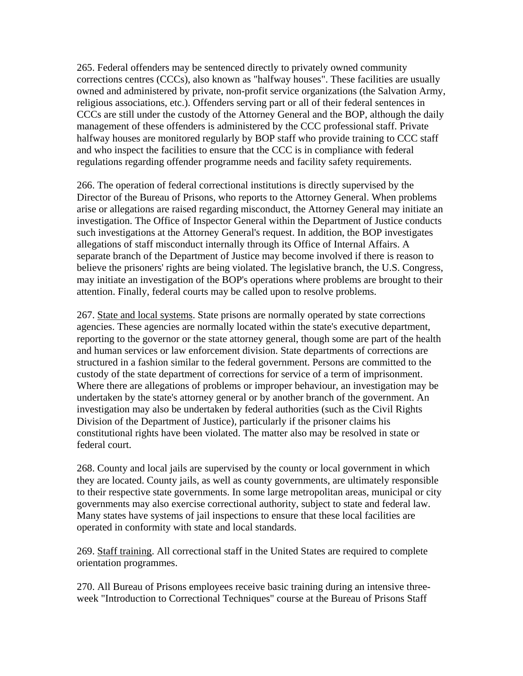265. Federal offenders may be sentenced directly to privately owned community corrections centres (CCCs), also known as "halfway houses". These facilities are usually owned and administered by private, non-profit service organizations (the Salvation Army, religious associations, etc.). Offenders serving part or all of their federal sentences in CCCs are still under the custody of the Attorney General and the BOP, although the daily management of these offenders is administered by the CCC professional staff. Private halfway houses are monitored regularly by BOP staff who provide training to CCC staff and who inspect the facilities to ensure that the CCC is in compliance with federal regulations regarding offender programme needs and facility safety requirements.

266. The operation of federal correctional institutions is directly supervised by the Director of the Bureau of Prisons, who reports to the Attorney General. When problems arise or allegations are raised regarding misconduct, the Attorney General may initiate an investigation. The Office of Inspector General within the Department of Justice conducts such investigations at the Attorney General's request. In addition, the BOP investigates allegations of staff misconduct internally through its Office of Internal Affairs. A separate branch of the Department of Justice may become involved if there is reason to believe the prisoners' rights are being violated. The legislative branch, the U.S. Congress, may initiate an investigation of the BOP's operations where problems are brought to their attention. Finally, federal courts may be called upon to resolve problems.

267. State and local systems. State prisons are normally operated by state corrections agencies. These agencies are normally located within the state's executive department, reporting to the governor or the state attorney general, though some are part of the health and human services or law enforcement division. State departments of corrections are structured in a fashion similar to the federal government. Persons are committed to the custody of the state department of corrections for service of a term of imprisonment. Where there are allegations of problems or improper behaviour, an investigation may be undertaken by the state's attorney general or by another branch of the government. An investigation may also be undertaken by federal authorities (such as the Civil Rights Division of the Department of Justice), particularly if the prisoner claims his constitutional rights have been violated. The matter also may be resolved in state or federal court.

268. County and local jails are supervised by the county or local government in which they are located. County jails, as well as county governments, are ultimately responsible to their respective state governments. In some large metropolitan areas, municipal or city governments may also exercise correctional authority, subject to state and federal law. Many states have systems of jail inspections to ensure that these local facilities are operated in conformity with state and local standards.

269. Staff training. All correctional staff in the United States are required to complete orientation programmes.

270. All Bureau of Prisons employees receive basic training during an intensive threeweek "Introduction to Correctional Techniques" course at the Bureau of Prisons Staff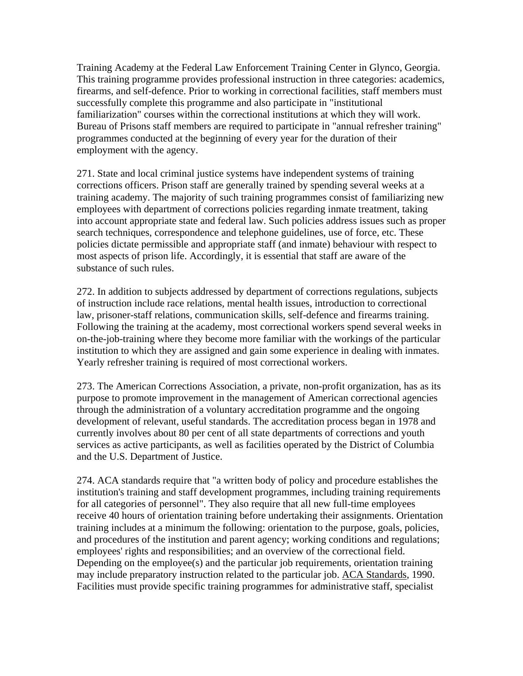Training Academy at the Federal Law Enforcement Training Center in Glynco, Georgia. This training programme provides professional instruction in three categories: academics, firearms, and self-defence. Prior to working in correctional facilities, staff members must successfully complete this programme and also participate in "institutional familiarization" courses within the correctional institutions at which they will work. Bureau of Prisons staff members are required to participate in "annual refresher training" programmes conducted at the beginning of every year for the duration of their employment with the agency.

271. State and local criminal justice systems have independent systems of training corrections officers. Prison staff are generally trained by spending several weeks at a training academy. The majority of such training programmes consist of familiarizing new employees with department of corrections policies regarding inmate treatment, taking into account appropriate state and federal law. Such policies address issues such as proper search techniques, correspondence and telephone guidelines, use of force, etc. These policies dictate permissible and appropriate staff (and inmate) behaviour with respect to most aspects of prison life. Accordingly, it is essential that staff are aware of the substance of such rules.

272. In addition to subjects addressed by department of corrections regulations, subjects of instruction include race relations, mental health issues, introduction to correctional law, prisoner-staff relations, communication skills, self-defence and firearms training. Following the training at the academy, most correctional workers spend several weeks in on-the-job-training where they become more familiar with the workings of the particular institution to which they are assigned and gain some experience in dealing with inmates. Yearly refresher training is required of most correctional workers.

273. The American Corrections Association, a private, non-profit organization, has as its purpose to promote improvement in the management of American correctional agencies through the administration of a voluntary accreditation programme and the ongoing development of relevant, useful standards. The accreditation process began in 1978 and currently involves about 80 per cent of all state departments of corrections and youth services as active participants, as well as facilities operated by the District of Columbia and the U.S. Department of Justice.

274. ACA standards require that "a written body of policy and procedure establishes the institution's training and staff development programmes, including training requirements for all categories of personnel". They also require that all new full-time employees receive 40 hours of orientation training before undertaking their assignments. Orientation training includes at a minimum the following: orientation to the purpose, goals, policies, and procedures of the institution and parent agency; working conditions and regulations; employees' rights and responsibilities; and an overview of the correctional field. Depending on the employee(s) and the particular job requirements, orientation training may include preparatory instruction related to the particular job. ACA Standards, 1990. Facilities must provide specific training programmes for administrative staff, specialist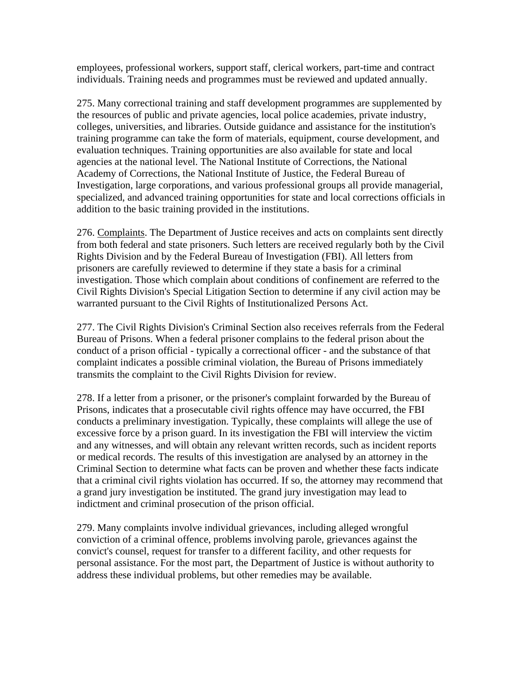employees, professional workers, support staff, clerical workers, part-time and contract individuals. Training needs and programmes must be reviewed and updated annually.

275. Many correctional training and staff development programmes are supplemented by the resources of public and private agencies, local police academies, private industry, colleges, universities, and libraries. Outside guidance and assistance for the institution's training programme can take the form of materials, equipment, course development, and evaluation techniques. Training opportunities are also available for state and local agencies at the national level. The National Institute of Corrections, the National Academy of Corrections, the National Institute of Justice, the Federal Bureau of Investigation, large corporations, and various professional groups all provide managerial, specialized, and advanced training opportunities for state and local corrections officials in addition to the basic training provided in the institutions.

276. Complaints. The Department of Justice receives and acts on complaints sent directly from both federal and state prisoners. Such letters are received regularly both by the Civil Rights Division and by the Federal Bureau of Investigation (FBI). All letters from prisoners are carefully reviewed to determine if they state a basis for a criminal investigation. Those which complain about conditions of confinement are referred to the Civil Rights Division's Special Litigation Section to determine if any civil action may be warranted pursuant to the Civil Rights of Institutionalized Persons Act.

277. The Civil Rights Division's Criminal Section also receives referrals from the Federal Bureau of Prisons. When a federal prisoner complains to the federal prison about the conduct of a prison official - typically a correctional officer - and the substance of that complaint indicates a possible criminal violation, the Bureau of Prisons immediately transmits the complaint to the Civil Rights Division for review.

278. If a letter from a prisoner, or the prisoner's complaint forwarded by the Bureau of Prisons, indicates that a prosecutable civil rights offence may have occurred, the FBI conducts a preliminary investigation. Typically, these complaints will allege the use of excessive force by a prison guard. In its investigation the FBI will interview the victim and any witnesses, and will obtain any relevant written records, such as incident reports or medical records. The results of this investigation are analysed by an attorney in the Criminal Section to determine what facts can be proven and whether these facts indicate that a criminal civil rights violation has occurred. If so, the attorney may recommend that a grand jury investigation be instituted. The grand jury investigation may lead to indictment and criminal prosecution of the prison official.

279. Many complaints involve individual grievances, including alleged wrongful conviction of a criminal offence, problems involving parole, grievances against the convict's counsel, request for transfer to a different facility, and other requests for personal assistance. For the most part, the Department of Justice is without authority to address these individual problems, but other remedies may be available.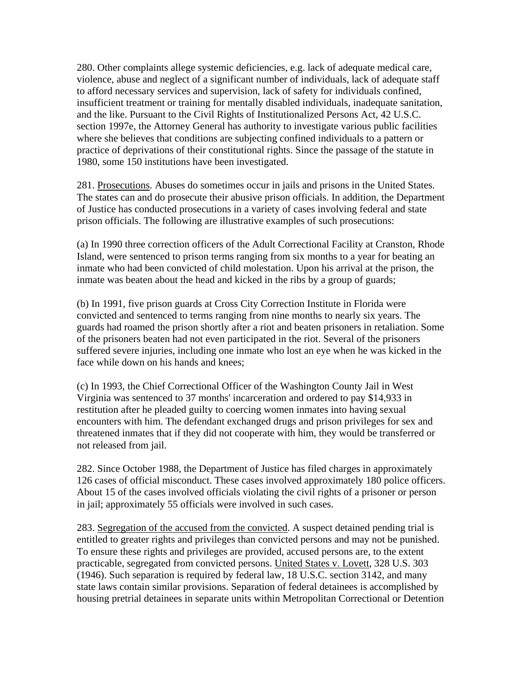280. Other complaints allege systemic deficiencies, e.g. lack of adequate medical care, violence, abuse and neglect of a significant number of individuals, lack of adequate staff to afford necessary services and supervision, lack of safety for individuals confined, insufficient treatment or training for mentally disabled individuals, inadequate sanitation, and the like. Pursuant to the Civil Rights of Institutionalized Persons Act, 42 U.S.C. section 1997e, the Attorney General has authority to investigate various public facilities where she believes that conditions are subjecting confined individuals to a pattern or practice of deprivations of their constitutional rights. Since the passage of the statute in 1980, some 150 institutions have been investigated.

281. Prosecutions. Abuses do sometimes occur in jails and prisons in the United States. The states can and do prosecute their abusive prison officials. In addition, the Department of Justice has conducted prosecutions in a variety of cases involving federal and state prison officials. The following are illustrative examples of such prosecutions:

(a) In 1990 three correction officers of the Adult Correctional Facility at Cranston, Rhode Island, were sentenced to prison terms ranging from six months to a year for beating an inmate who had been convicted of child molestation. Upon his arrival at the prison, the inmate was beaten about the head and kicked in the ribs by a group of guards;

(b) In 1991, five prison guards at Cross City Correction Institute in Florida were convicted and sentenced to terms ranging from nine months to nearly six years. The guards had roamed the prison shortly after a riot and beaten prisoners in retaliation. Some of the prisoners beaten had not even participated in the riot. Several of the prisoners suffered severe injuries, including one inmate who lost an eye when he was kicked in the face while down on his hands and knees;

(c) In 1993, the Chief Correctional Officer of the Washington County Jail in West Virginia was sentenced to 37 months' incarceration and ordered to pay \$14,933 in restitution after he pleaded guilty to coercing women inmates into having sexual encounters with him. The defendant exchanged drugs and prison privileges for sex and threatened inmates that if they did not cooperate with him, they would be transferred or not released from jail.

282. Since October 1988, the Department of Justice has filed charges in approximately 126 cases of official misconduct. These cases involved approximately 180 police officers. About 15 of the cases involved officials violating the civil rights of a prisoner or person in jail; approximately 55 officials were involved in such cases.

283. Segregation of the accused from the convicted. A suspect detained pending trial is entitled to greater rights and privileges than convicted persons and may not be punished. To ensure these rights and privileges are provided, accused persons are, to the extent practicable, segregated from convicted persons. United States v. Lovett, 328 U.S. 303 (1946). Such separation is required by federal law, 18 U.S.C. section 3142, and many state laws contain similar provisions. Separation of federal detainees is accomplished by housing pretrial detainees in separate units within Metropolitan Correctional or Detention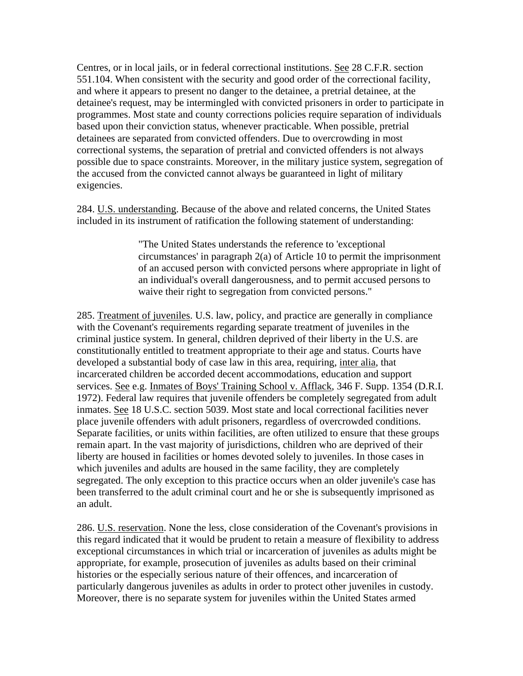Centres, or in local jails, or in federal correctional institutions. See 28 C.F.R. section 551.104. When consistent with the security and good order of the correctional facility, and where it appears to present no danger to the detainee, a pretrial detainee, at the detainee's request, may be intermingled with convicted prisoners in order to participate in programmes. Most state and county corrections policies require separation of individuals based upon their conviction status, whenever practicable. When possible, pretrial detainees are separated from convicted offenders. Due to overcrowding in most correctional systems, the separation of pretrial and convicted offenders is not always possible due to space constraints. Moreover, in the military justice system, segregation of the accused from the convicted cannot always be guaranteed in light of military exigencies.

284. U.S. understanding. Because of the above and related concerns, the United States included in its instrument of ratification the following statement of understanding:

> "The United States understands the reference to 'exceptional circumstances' in paragraph 2(a) of Article 10 to permit the imprisonment of an accused person with convicted persons where appropriate in light of an individual's overall dangerousness, and to permit accused persons to waive their right to segregation from convicted persons."

285. Treatment of juveniles. U.S. law, policy, and practice are generally in compliance with the Covenant's requirements regarding separate treatment of juveniles in the criminal justice system. In general, children deprived of their liberty in the U.S. are constitutionally entitled to treatment appropriate to their age and status. Courts have developed a substantial body of case law in this area, requiring, inter alia, that incarcerated children be accorded decent accommodations, education and support services. See e.g. Inmates of Boys' Training School v. Afflack, 346 F. Supp. 1354 (D.R.I. 1972). Federal law requires that juvenile offenders be completely segregated from adult inmates. See 18 U.S.C. section 5039. Most state and local correctional facilities never place juvenile offenders with adult prisoners, regardless of overcrowded conditions. Separate facilities, or units within facilities, are often utilized to ensure that these groups remain apart. In the vast majority of jurisdictions, children who are deprived of their liberty are housed in facilities or homes devoted solely to juveniles. In those cases in which juveniles and adults are housed in the same facility, they are completely segregated. The only exception to this practice occurs when an older juvenile's case has been transferred to the adult criminal court and he or she is subsequently imprisoned as an adult.

286. U.S. reservation. None the less, close consideration of the Covenant's provisions in this regard indicated that it would be prudent to retain a measure of flexibility to address exceptional circumstances in which trial or incarceration of juveniles as adults might be appropriate, for example, prosecution of juveniles as adults based on their criminal histories or the especially serious nature of their offences, and incarceration of particularly dangerous juveniles as adults in order to protect other juveniles in custody. Moreover, there is no separate system for juveniles within the United States armed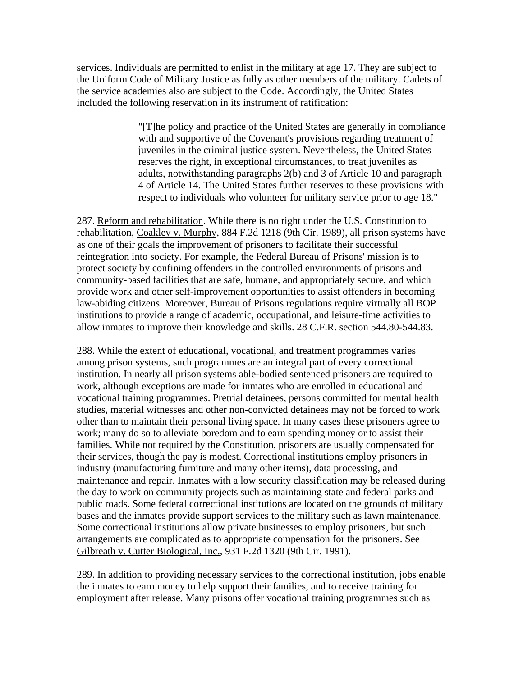services. Individuals are permitted to enlist in the military at age 17. They are subject to the Uniform Code of Military Justice as fully as other members of the military. Cadets of the service academies also are subject to the Code. Accordingly, the United States included the following reservation in its instrument of ratification:

> "[T]he policy and practice of the United States are generally in compliance with and supportive of the Covenant's provisions regarding treatment of juveniles in the criminal justice system. Nevertheless, the United States reserves the right, in exceptional circumstances, to treat juveniles as adults, notwithstanding paragraphs 2(b) and 3 of Article 10 and paragraph 4 of Article 14. The United States further reserves to these provisions with respect to individuals who volunteer for military service prior to age 18."

287. Reform and rehabilitation. While there is no right under the U.S. Constitution to rehabilitation, Coakley v. Murphy, 884 F.2d 1218 (9th Cir. 1989), all prison systems have as one of their goals the improvement of prisoners to facilitate their successful reintegration into society. For example, the Federal Bureau of Prisons' mission is to protect society by confining offenders in the controlled environments of prisons and community-based facilities that are safe, humane, and appropriately secure, and which provide work and other self-improvement opportunities to assist offenders in becoming law-abiding citizens. Moreover, Bureau of Prisons regulations require virtually all BOP institutions to provide a range of academic, occupational, and leisure-time activities to allow inmates to improve their knowledge and skills. 28 C.F.R. section 544.80-544.83.

288. While the extent of educational, vocational, and treatment programmes varies among prison systems, such programmes are an integral part of every correctional institution. In nearly all prison systems able-bodied sentenced prisoners are required to work, although exceptions are made for inmates who are enrolled in educational and vocational training programmes. Pretrial detainees, persons committed for mental health studies, material witnesses and other non-convicted detainees may not be forced to work other than to maintain their personal living space. In many cases these prisoners agree to work; many do so to alleviate boredom and to earn spending money or to assist their families. While not required by the Constitution, prisoners are usually compensated for their services, though the pay is modest. Correctional institutions employ prisoners in industry (manufacturing furniture and many other items), data processing, and maintenance and repair. Inmates with a low security classification may be released during the day to work on community projects such as maintaining state and federal parks and public roads. Some federal correctional institutions are located on the grounds of military bases and the inmates provide support services to the military such as lawn maintenance. Some correctional institutions allow private businesses to employ prisoners, but such arrangements are complicated as to appropriate compensation for the prisoners. See Gilbreath v. Cutter Biological, Inc., 931 F.2d 1320 (9th Cir. 1991).

289. In addition to providing necessary services to the correctional institution, jobs enable the inmates to earn money to help support their families, and to receive training for employment after release. Many prisons offer vocational training programmes such as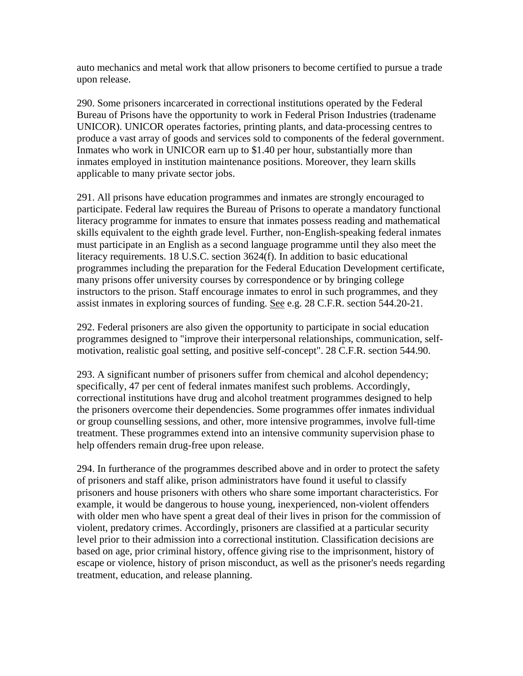auto mechanics and metal work that allow prisoners to become certified to pursue a trade upon release.

290. Some prisoners incarcerated in correctional institutions operated by the Federal Bureau of Prisons have the opportunity to work in Federal Prison Industries (tradename UNICOR). UNICOR operates factories, printing plants, and data-processing centres to produce a vast array of goods and services sold to components of the federal government. Inmates who work in UNICOR earn up to \$1.40 per hour, substantially more than inmates employed in institution maintenance positions. Moreover, they learn skills applicable to many private sector jobs.

291. All prisons have education programmes and inmates are strongly encouraged to participate. Federal law requires the Bureau of Prisons to operate a mandatory functional literacy programme for inmates to ensure that inmates possess reading and mathematical skills equivalent to the eighth grade level. Further, non-English-speaking federal inmates must participate in an English as a second language programme until they also meet the literacy requirements. 18 U.S.C. section 3624(f). In addition to basic educational programmes including the preparation for the Federal Education Development certificate, many prisons offer university courses by correspondence or by bringing college instructors to the prison. Staff encourage inmates to enrol in such programmes, and they assist inmates in exploring sources of funding. See e.g. 28 C.F.R. section 544.20-21.

292. Federal prisoners are also given the opportunity to participate in social education programmes designed to "improve their interpersonal relationships, communication, selfmotivation, realistic goal setting, and positive self-concept". 28 C.F.R. section 544.90.

293. A significant number of prisoners suffer from chemical and alcohol dependency; specifically, 47 per cent of federal inmates manifest such problems. Accordingly, correctional institutions have drug and alcohol treatment programmes designed to help the prisoners overcome their dependencies. Some programmes offer inmates individual or group counselling sessions, and other, more intensive programmes, involve full-time treatment. These programmes extend into an intensive community supervision phase to help offenders remain drug-free upon release.

294. In furtherance of the programmes described above and in order to protect the safety of prisoners and staff alike, prison administrators have found it useful to classify prisoners and house prisoners with others who share some important characteristics. For example, it would be dangerous to house young, inexperienced, non-violent offenders with older men who have spent a great deal of their lives in prison for the commission of violent, predatory crimes. Accordingly, prisoners are classified at a particular security level prior to their admission into a correctional institution. Classification decisions are based on age, prior criminal history, offence giving rise to the imprisonment, history of escape or violence, history of prison misconduct, as well as the prisoner's needs regarding treatment, education, and release planning.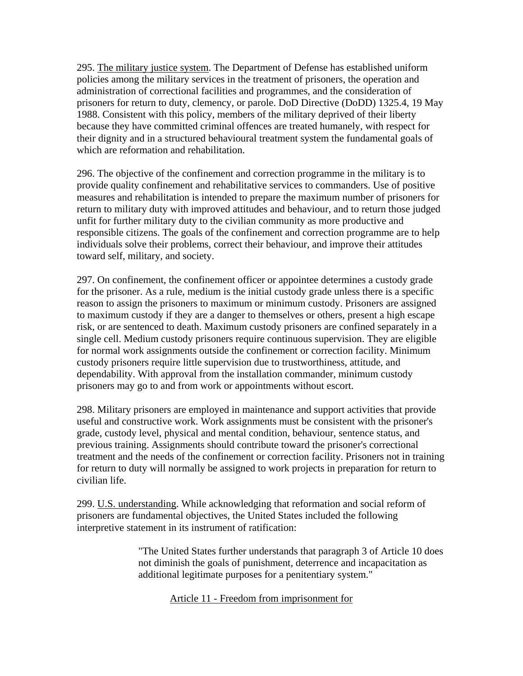295. The military justice system. The Department of Defense has established uniform policies among the military services in the treatment of prisoners, the operation and administration of correctional facilities and programmes, and the consideration of prisoners for return to duty, clemency, or parole. DoD Directive (DoDD) 1325.4, 19 May 1988. Consistent with this policy, members of the military deprived of their liberty because they have committed criminal offences are treated humanely, with respect for their dignity and in a structured behavioural treatment system the fundamental goals of which are reformation and rehabilitation.

296. The objective of the confinement and correction programme in the military is to provide quality confinement and rehabilitative services to commanders. Use of positive measures and rehabilitation is intended to prepare the maximum number of prisoners for return to military duty with improved attitudes and behaviour, and to return those judged unfit for further military duty to the civilian community as more productive and responsible citizens. The goals of the confinement and correction programme are to help individuals solve their problems, correct their behaviour, and improve their attitudes toward self, military, and society.

297. On confinement, the confinement officer or appointee determines a custody grade for the prisoner. As a rule, medium is the initial custody grade unless there is a specific reason to assign the prisoners to maximum or minimum custody. Prisoners are assigned to maximum custody if they are a danger to themselves or others, present a high escape risk, or are sentenced to death. Maximum custody prisoners are confined separately in a single cell. Medium custody prisoners require continuous supervision. They are eligible for normal work assignments outside the confinement or correction facility. Minimum custody prisoners require little supervision due to trustworthiness, attitude, and dependability. With approval from the installation commander, minimum custody prisoners may go to and from work or appointments without escort.

298. Military prisoners are employed in maintenance and support activities that provide useful and constructive work. Work assignments must be consistent with the prisoner's grade, custody level, physical and mental condition, behaviour, sentence status, and previous training. Assignments should contribute toward the prisoner's correctional treatment and the needs of the confinement or correction facility. Prisoners not in training for return to duty will normally be assigned to work projects in preparation for return to civilian life.

299. U.S. understanding. While acknowledging that reformation and social reform of prisoners are fundamental objectives, the United States included the following interpretive statement in its instrument of ratification:

> "The United States further understands that paragraph 3 of Article 10 does not diminish the goals of punishment, deterrence and incapacitation as additional legitimate purposes for a penitentiary system."

> > Article 11 - Freedom from imprisonment for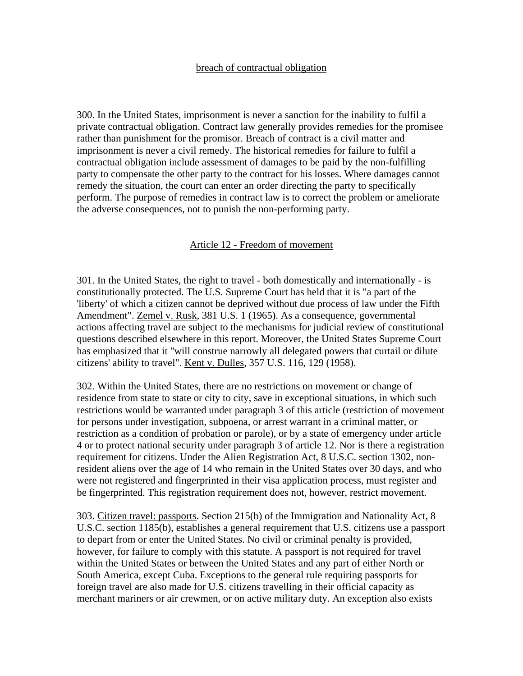#### breach of contractual obligation

300. In the United States, imprisonment is never a sanction for the inability to fulfil a private contractual obligation. Contract law generally provides remedies for the promisee rather than punishment for the promisor. Breach of contract is a civil matter and imprisonment is never a civil remedy. The historical remedies for failure to fulfil a contractual obligation include assessment of damages to be paid by the non-fulfilling party to compensate the other party to the contract for his losses. Where damages cannot remedy the situation, the court can enter an order directing the party to specifically perform. The purpose of remedies in contract law is to correct the problem or ameliorate the adverse consequences, not to punish the non-performing party.

#### Article 12 - Freedom of movement

301. In the United States, the right to travel - both domestically and internationally - is constitutionally protected. The U.S. Supreme Court has held that it is "a part of the 'liberty' of which a citizen cannot be deprived without due process of law under the Fifth Amendment". Zemel v. Rusk, 381 U.S. 1 (1965). As a consequence, governmental actions affecting travel are subject to the mechanisms for judicial review of constitutional questions described elsewhere in this report. Moreover, the United States Supreme Court has emphasized that it "will construe narrowly all delegated powers that curtail or dilute citizens' ability to travel". Kent v. Dulles, 357 U.S. 116, 129 (1958).

302. Within the United States, there are no restrictions on movement or change of residence from state to state or city to city, save in exceptional situations, in which such restrictions would be warranted under paragraph 3 of this article (restriction of movement for persons under investigation, subpoena, or arrest warrant in a criminal matter, or restriction as a condition of probation or parole), or by a state of emergency under article 4 or to protect national security under paragraph 3 of article 12. Nor is there a registration requirement for citizens. Under the Alien Registration Act, 8 U.S.C. section 1302, nonresident aliens over the age of 14 who remain in the United States over 30 days, and who were not registered and fingerprinted in their visa application process, must register and be fingerprinted. This registration requirement does not, however, restrict movement.

303. Citizen travel: passports. Section 215(b) of the Immigration and Nationality Act, 8 U.S.C. section 1185(b), establishes a general requirement that U.S. citizens use a passport to depart from or enter the United States. No civil or criminal penalty is provided, however, for failure to comply with this statute. A passport is not required for travel within the United States or between the United States and any part of either North or South America, except Cuba. Exceptions to the general rule requiring passports for foreign travel are also made for U.S. citizens travelling in their official capacity as merchant mariners or air crewmen, or on active military duty. An exception also exists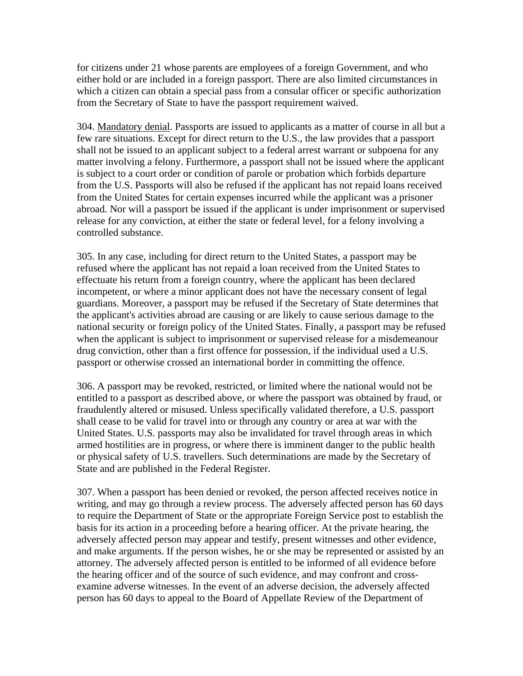for citizens under 21 whose parents are employees of a foreign Government, and who either hold or are included in a foreign passport. There are also limited circumstances in which a citizen can obtain a special pass from a consular officer or specific authorization from the Secretary of State to have the passport requirement waived.

304. Mandatory denial. Passports are issued to applicants as a matter of course in all but a few rare situations. Except for direct return to the U.S., the law provides that a passport shall not be issued to an applicant subject to a federal arrest warrant or subpoena for any matter involving a felony. Furthermore, a passport shall not be issued where the applicant is subject to a court order or condition of parole or probation which forbids departure from the U.S. Passports will also be refused if the applicant has not repaid loans received from the United States for certain expenses incurred while the applicant was a prisoner abroad. Nor will a passport be issued if the applicant is under imprisonment or supervised release for any conviction, at either the state or federal level, for a felony involving a controlled substance.

305. In any case, including for direct return to the United States, a passport may be refused where the applicant has not repaid a loan received from the United States to effectuate his return from a foreign country, where the applicant has been declared incompetent, or where a minor applicant does not have the necessary consent of legal guardians. Moreover, a passport may be refused if the Secretary of State determines that the applicant's activities abroad are causing or are likely to cause serious damage to the national security or foreign policy of the United States. Finally, a passport may be refused when the applicant is subject to imprisonment or supervised release for a misdemeanour drug conviction, other than a first offence for possession, if the individual used a U.S. passport or otherwise crossed an international border in committing the offence.

306. A passport may be revoked, restricted, or limited where the national would not be entitled to a passport as described above, or where the passport was obtained by fraud, or fraudulently altered or misused. Unless specifically validated therefore, a U.S. passport shall cease to be valid for travel into or through any country or area at war with the United States. U.S. passports may also be invalidated for travel through areas in which armed hostilities are in progress, or where there is imminent danger to the public health or physical safety of U.S. travellers. Such determinations are made by the Secretary of State and are published in the Federal Register.

307. When a passport has been denied or revoked, the person affected receives notice in writing, and may go through a review process. The adversely affected person has 60 days to require the Department of State or the appropriate Foreign Service post to establish the basis for its action in a proceeding before a hearing officer. At the private hearing, the adversely affected person may appear and testify, present witnesses and other evidence, and make arguments. If the person wishes, he or she may be represented or assisted by an attorney. The adversely affected person is entitled to be informed of all evidence before the hearing officer and of the source of such evidence, and may confront and crossexamine adverse witnesses. In the event of an adverse decision, the adversely affected person has 60 days to appeal to the Board of Appellate Review of the Department of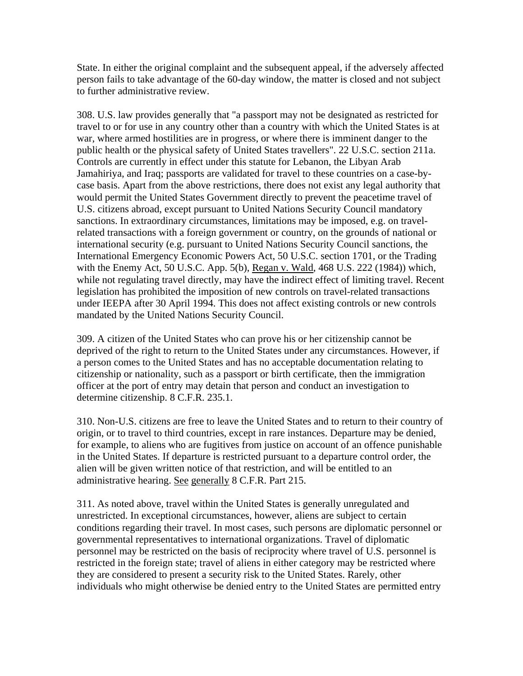State. In either the original complaint and the subsequent appeal, if the adversely affected person fails to take advantage of the 60-day window, the matter is closed and not subject to further administrative review.

308. U.S. law provides generally that "a passport may not be designated as restricted for travel to or for use in any country other than a country with which the United States is at war, where armed hostilities are in progress, or where there is imminent danger to the public health or the physical safety of United States travellers". 22 U.S.C. section 211a. Controls are currently in effect under this statute for Lebanon, the Libyan Arab Jamahiriya, and Iraq; passports are validated for travel to these countries on a case-bycase basis. Apart from the above restrictions, there does not exist any legal authority that would permit the United States Government directly to prevent the peacetime travel of U.S. citizens abroad, except pursuant to United Nations Security Council mandatory sanctions. In extraordinary circumstances, limitations may be imposed, e.g. on travelrelated transactions with a foreign government or country, on the grounds of national or international security (e.g. pursuant to United Nations Security Council sanctions, the International Emergency Economic Powers Act, 50 U.S.C. section 1701, or the Trading with the Enemy Act, 50 U.S.C. App. 5(b), Regan v. Wald, 468 U.S. 222 (1984)) which, while not regulating travel directly, may have the indirect effect of limiting travel. Recent legislation has prohibited the imposition of new controls on travel-related transactions under IEEPA after 30 April 1994. This does not affect existing controls or new controls mandated by the United Nations Security Council.

309. A citizen of the United States who can prove his or her citizenship cannot be deprived of the right to return to the United States under any circumstances. However, if a person comes to the United States and has no acceptable documentation relating to citizenship or nationality, such as a passport or birth certificate, then the immigration officer at the port of entry may detain that person and conduct an investigation to determine citizenship. 8 C.F.R. 235.1.

310. Non-U.S. citizens are free to leave the United States and to return to their country of origin, or to travel to third countries, except in rare instances. Departure may be denied, for example, to aliens who are fugitives from justice on account of an offence punishable in the United States. If departure is restricted pursuant to a departure control order, the alien will be given written notice of that restriction, and will be entitled to an administrative hearing. See generally 8 C.F.R. Part 215.

311. As noted above, travel within the United States is generally unregulated and unrestricted. In exceptional circumstances, however, aliens are subject to certain conditions regarding their travel. In most cases, such persons are diplomatic personnel or governmental representatives to international organizations. Travel of diplomatic personnel may be restricted on the basis of reciprocity where travel of U.S. personnel is restricted in the foreign state; travel of aliens in either category may be restricted where they are considered to present a security risk to the United States. Rarely, other individuals who might otherwise be denied entry to the United States are permitted entry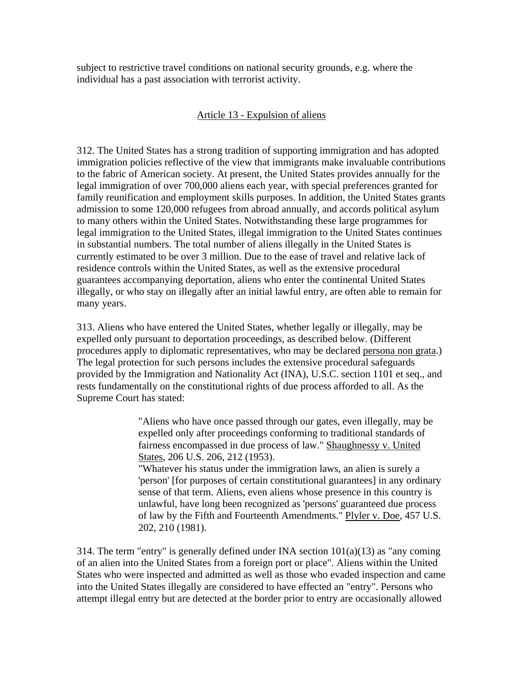subject to restrictive travel conditions on national security grounds, e.g. where the individual has a past association with terrorist activity.

## Article 13 - Expulsion of aliens

312. The United States has a strong tradition of supporting immigration and has adopted immigration policies reflective of the view that immigrants make invaluable contributions to the fabric of American society. At present, the United States provides annually for the legal immigration of over 700,000 aliens each year, with special preferences granted for family reunification and employment skills purposes. In addition, the United States grants admission to some 120,000 refugees from abroad annually, and accords political asylum to many others within the United States. Notwithstanding these large programmes for legal immigration to the United States, illegal immigration to the United States continues in substantial numbers. The total number of aliens illegally in the United States is currently estimated to be over 3 million. Due to the ease of travel and relative lack of residence controls within the United States, as well as the extensive procedural guarantees accompanying deportation, aliens who enter the continental United States illegally, or who stay on illegally after an initial lawful entry, are often able to remain for many years.

313. Aliens who have entered the United States, whether legally or illegally, may be expelled only pursuant to deportation proceedings, as described below. (Different procedures apply to diplomatic representatives, who may be declared persona non grata.) The legal protection for such persons includes the extensive procedural safeguards provided by the Immigration and Nationality Act (INA), U.S.C. section 1101 et seq., and rests fundamentally on the constitutional rights of due process afforded to all. As the Supreme Court has stated:

> "Aliens who have once passed through our gates, even illegally, may be expelled only after proceedings conforming to traditional standards of fairness encompassed in due process of law." Shaughnessy v. United States, 206 U.S. 206, 212 (1953).

"Whatever his status under the immigration laws, an alien is surely a 'person' [for purposes of certain constitutional guarantees] in any ordinary sense of that term. Aliens, even aliens whose presence in this country is unlawful, have long been recognized as 'persons' guaranteed due process of law by the Fifth and Fourteenth Amendments." Plyler v. Doe, 457 U.S. 202, 210 (1981).

314. The term "entry" is generally defined under INA section  $101(a)(13)$  as "any coming of an alien into the United States from a foreign port or place". Aliens within the United States who were inspected and admitted as well as those who evaded inspection and came into the United States illegally are considered to have effected an "entry". Persons who attempt illegal entry but are detected at the border prior to entry are occasionally allowed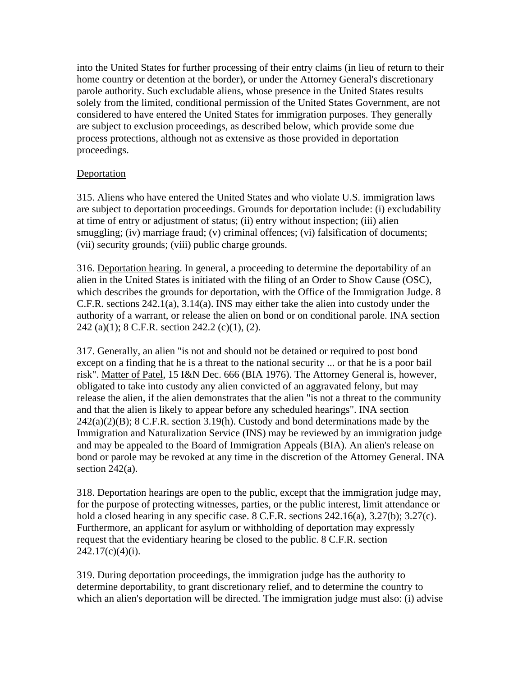into the United States for further processing of their entry claims (in lieu of return to their home country or detention at the border), or under the Attorney General's discretionary parole authority. Such excludable aliens, whose presence in the United States results solely from the limited, conditional permission of the United States Government, are not considered to have entered the United States for immigration purposes. They generally are subject to exclusion proceedings, as described below, which provide some due process protections, although not as extensive as those provided in deportation proceedings.

# **Deportation**

315. Aliens who have entered the United States and who violate U.S. immigration laws are subject to deportation proceedings. Grounds for deportation include: (i) excludability at time of entry or adjustment of status; (ii) entry without inspection; (iii) alien smuggling; (iv) marriage fraud; (v) criminal offences; (vi) falsification of documents; (vii) security grounds; (viii) public charge grounds.

316. Deportation hearing. In general, a proceeding to determine the deportability of an alien in the United States is initiated with the filing of an Order to Show Cause (OSC), which describes the grounds for deportation, with the Office of the Immigration Judge. 8 C.F.R. sections 242.1(a), 3.14(a). INS may either take the alien into custody under the authority of a warrant, or release the alien on bond or on conditional parole. INA section 242 (a)(1); 8 C.F.R. section 242.2 (c)(1), (2).

317. Generally, an alien "is not and should not be detained or required to post bond except on a finding that he is a threat to the national security ... or that he is a poor bail risk". Matter of Patel, 15 I&N Dec. 666 (BIA 1976). The Attorney General is, however, obligated to take into custody any alien convicted of an aggravated felony, but may release the alien, if the alien demonstrates that the alien "is not a threat to the community and that the alien is likely to appear before any scheduled hearings". INA section  $242(a)(2)(B)$ ; 8 C.F.R. section 3.19(h). Custody and bond determinations made by the Immigration and Naturalization Service (INS) may be reviewed by an immigration judge and may be appealed to the Board of Immigration Appeals (BIA). An alien's release on bond or parole may be revoked at any time in the discretion of the Attorney General. INA section 242(a).

318. Deportation hearings are open to the public, except that the immigration judge may, for the purpose of protecting witnesses, parties, or the public interest, limit attendance or hold a closed hearing in any specific case. 8 C.F.R. sections 242.16(a), 3.27(b); 3.27(c). Furthermore, an applicant for asylum or withholding of deportation may expressly request that the evidentiary hearing be closed to the public. 8 C.F.R. section  $242.17(c)(4)(i)$ .

319. During deportation proceedings, the immigration judge has the authority to determine deportability, to grant discretionary relief, and to determine the country to which an alien's deportation will be directed. The immigration judge must also: (i) advise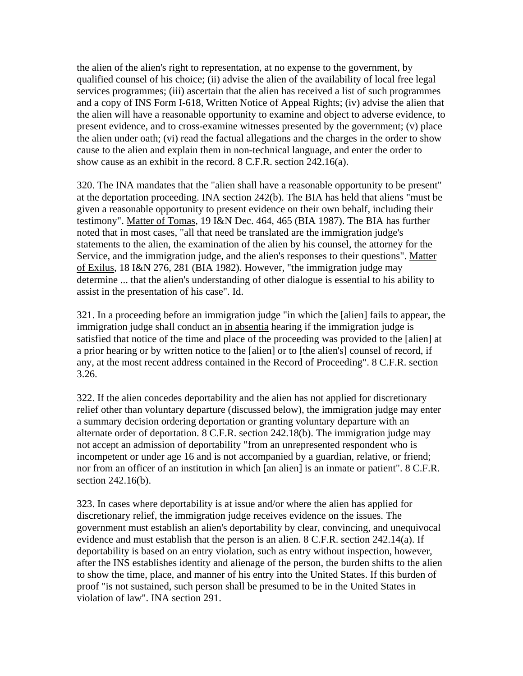the alien of the alien's right to representation, at no expense to the government, by qualified counsel of his choice; (ii) advise the alien of the availability of local free legal services programmes; (iii) ascertain that the alien has received a list of such programmes and a copy of INS Form I-618, Written Notice of Appeal Rights; (iv) advise the alien that the alien will have a reasonable opportunity to examine and object to adverse evidence, to present evidence, and to cross-examine witnesses presented by the government; (v) place the alien under oath; (vi) read the factual allegations and the charges in the order to show cause to the alien and explain them in non-technical language, and enter the order to show cause as an exhibit in the record. 8 C.F.R. section 242.16(a).

320. The INA mandates that the "alien shall have a reasonable opportunity to be present" at the deportation proceeding. INA section 242(b). The BIA has held that aliens "must be given a reasonable opportunity to present evidence on their own behalf, including their testimony". Matter of Tomas, 19 I&N Dec. 464, 465 (BIA 1987). The BIA has further noted that in most cases, "all that need be translated are the immigration judge's statements to the alien, the examination of the alien by his counsel, the attorney for the Service, and the immigration judge, and the alien's responses to their questions". Matter of Exilus, 18 I&N 276, 281 (BIA 1982). However, "the immigration judge may determine ... that the alien's understanding of other dialogue is essential to his ability to assist in the presentation of his case". Id.

321. In a proceeding before an immigration judge "in which the [alien] fails to appear, the immigration judge shall conduct an in absentia hearing if the immigration judge is satisfied that notice of the time and place of the proceeding was provided to the [alien] at a prior hearing or by written notice to the [alien] or to [the alien's] counsel of record, if any, at the most recent address contained in the Record of Proceeding". 8 C.F.R. section 3.26.

322. If the alien concedes deportability and the alien has not applied for discretionary relief other than voluntary departure (discussed below), the immigration judge may enter a summary decision ordering deportation or granting voluntary departure with an alternate order of deportation. 8 C.F.R. section 242.18(b). The immigration judge may not accept an admission of deportability "from an unrepresented respondent who is incompetent or under age 16 and is not accompanied by a guardian, relative, or friend; nor from an officer of an institution in which [an alien] is an inmate or patient". 8 C.F.R. section 242.16(b).

323. In cases where deportability is at issue and/or where the alien has applied for discretionary relief, the immigration judge receives evidence on the issues. The government must establish an alien's deportability by clear, convincing, and unequivocal evidence and must establish that the person is an alien. 8 C.F.R. section 242.14(a). If deportability is based on an entry violation, such as entry without inspection, however, after the INS establishes identity and alienage of the person, the burden shifts to the alien to show the time, place, and manner of his entry into the United States. If this burden of proof "is not sustained, such person shall be presumed to be in the United States in violation of law". INA section 291.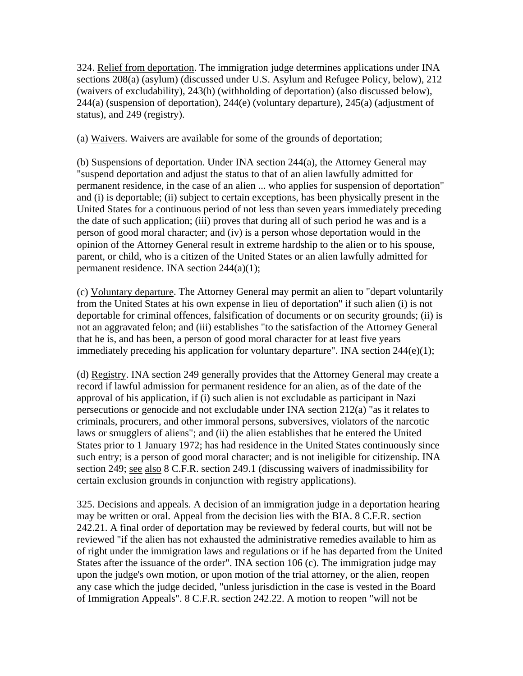324. Relief from deportation. The immigration judge determines applications under INA sections 208(a) (asylum) (discussed under U.S. Asylum and Refugee Policy, below), 212 (waivers of excludability), 243(h) (withholding of deportation) (also discussed below), 244(a) (suspension of deportation), 244(e) (voluntary departure), 245(a) (adjustment of status), and 249 (registry).

(a) Waivers. Waivers are available for some of the grounds of deportation;

(b) Suspensions of deportation. Under INA section 244(a), the Attorney General may "suspend deportation and adjust the status to that of an alien lawfully admitted for permanent residence, in the case of an alien ... who applies for suspension of deportation" and (i) is deportable; (ii) subject to certain exceptions, has been physically present in the United States for a continuous period of not less than seven years immediately preceding the date of such application; (iii) proves that during all of such period he was and is a person of good moral character; and (iv) is a person whose deportation would in the opinion of the Attorney General result in extreme hardship to the alien or to his spouse, parent, or child, who is a citizen of the United States or an alien lawfully admitted for permanent residence. INA section 244(a)(1);

(c) Voluntary departure. The Attorney General may permit an alien to "depart voluntarily from the United States at his own expense in lieu of deportation" if such alien (i) is not deportable for criminal offences, falsification of documents or on security grounds; (ii) is not an aggravated felon; and (iii) establishes "to the satisfaction of the Attorney General that he is, and has been, a person of good moral character for at least five years immediately preceding his application for voluntary departure". INA section 244(e)(1);

(d) Registry. INA section 249 generally provides that the Attorney General may create a record if lawful admission for permanent residence for an alien, as of the date of the approval of his application, if (i) such alien is not excludable as participant in Nazi persecutions or genocide and not excludable under INA section 212(a) "as it relates to criminals, procurers, and other immoral persons, subversives, violators of the narcotic laws or smugglers of aliens"; and (ii) the alien establishes that he entered the United States prior to 1 January 1972; has had residence in the United States continuously since such entry; is a person of good moral character; and is not ineligible for citizenship. INA section 249; see also 8 C.F.R. section 249.1 (discussing waivers of inadmissibility for certain exclusion grounds in conjunction with registry applications).

325. Decisions and appeals. A decision of an immigration judge in a deportation hearing may be written or oral. Appeal from the decision lies with the BIA. 8 C.F.R. section 242.21. A final order of deportation may be reviewed by federal courts, but will not be reviewed "if the alien has not exhausted the administrative remedies available to him as of right under the immigration laws and regulations or if he has departed from the United States after the issuance of the order". INA section 106 (c). The immigration judge may upon the judge's own motion, or upon motion of the trial attorney, or the alien, reopen any case which the judge decided, "unless jurisdiction in the case is vested in the Board of Immigration Appeals". 8 C.F.R. section 242.22. A motion to reopen "will not be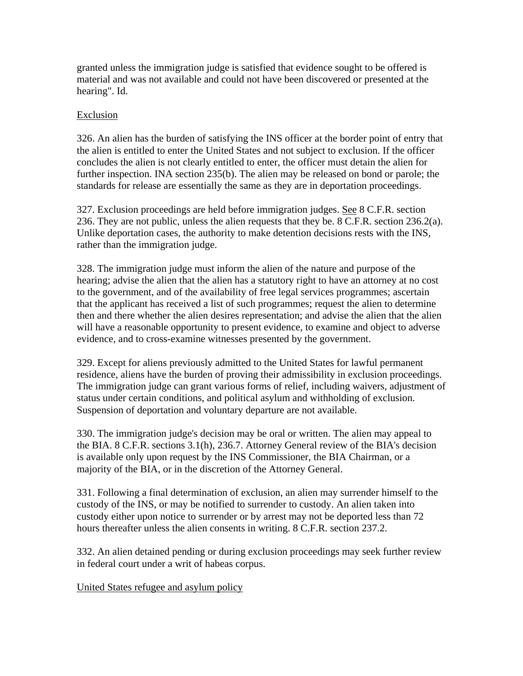granted unless the immigration judge is satisfied that evidence sought to be offered is material and was not available and could not have been discovered or presented at the hearing". Id.

### Exclusion

326. An alien has the burden of satisfying the INS officer at the border point of entry that the alien is entitled to enter the United States and not subject to exclusion. If the officer concludes the alien is not clearly entitled to enter, the officer must detain the alien for further inspection. INA section 235(b). The alien may be released on bond or parole; the standards for release are essentially the same as they are in deportation proceedings.

327. Exclusion proceedings are held before immigration judges. See 8 C.F.R. section 236. They are not public, unless the alien requests that they be. 8 C.F.R. section 236.2(a). Unlike deportation cases, the authority to make detention decisions rests with the INS, rather than the immigration judge.

328. The immigration judge must inform the alien of the nature and purpose of the hearing; advise the alien that the alien has a statutory right to have an attorney at no cost to the government, and of the availability of free legal services programmes; ascertain that the applicant has received a list of such programmes; request the alien to determine then and there whether the alien desires representation; and advise the alien that the alien will have a reasonable opportunity to present evidence, to examine and object to adverse evidence, and to cross-examine witnesses presented by the government.

329. Except for aliens previously admitted to the United States for lawful permanent residence, aliens have the burden of proving their admissibility in exclusion proceedings. The immigration judge can grant various forms of relief, including waivers, adjustment of status under certain conditions, and political asylum and withholding of exclusion. Suspension of deportation and voluntary departure are not available.

330. The immigration judge's decision may be oral or written. The alien may appeal to the BIA. 8 C.F.R. sections 3.1(h), 236.7. Attorney General review of the BIA's decision is available only upon request by the INS Commissioner, the BIA Chairman, or a majority of the BIA, or in the discretion of the Attorney General.

331. Following a final determination of exclusion, an alien may surrender himself to the custody of the INS, or may be notified to surrender to custody. An alien taken into custody either upon notice to surrender or by arrest may not be deported less than 72 hours thereafter unless the alien consents in writing. 8 C.F.R. section 237.2.

332. An alien detained pending or during exclusion proceedings may seek further review in federal court under a writ of habeas corpus.

United States refugee and asylum policy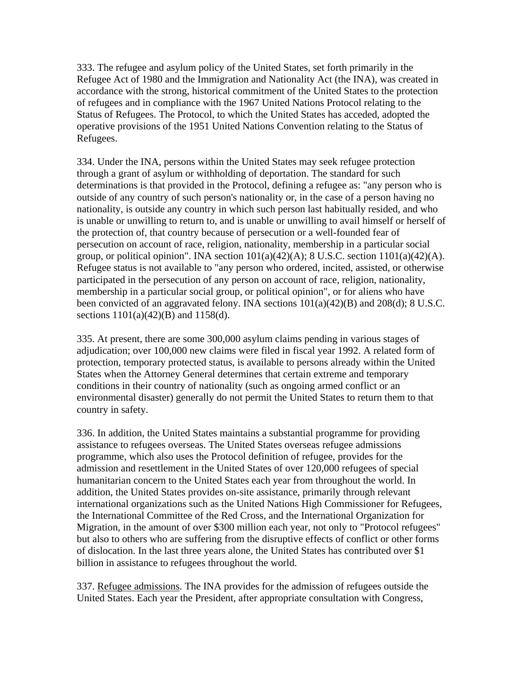333. The refugee and asylum policy of the United States, set forth primarily in the Refugee Act of 1980 and the Immigration and Nationality Act (the INA), was created in accordance with the strong, historical commitment of the United States to the protection of refugees and in compliance with the 1967 United Nations Protocol relating to the Status of Refugees. The Protocol, to which the United States has acceded, adopted the operative provisions of the 1951 United Nations Convention relating to the Status of Refugees.

334. Under the INA, persons within the United States may seek refugee protection through a grant of asylum or withholding of deportation. The standard for such determinations is that provided in the Protocol, defining a refugee as: "any person who is outside of any country of such person's nationality or, in the case of a person having no nationality, is outside any country in which such person last habitually resided, and who is unable or unwilling to return to, and is unable or unwilling to avail himself or herself of the protection of, that country because of persecution or a well-founded fear of persecution on account of race, religion, nationality, membership in a particular social group, or political opinion". INA section  $101(a)(42)(A)$ ; 8 U.S.C. section  $1101(a)(42)(A)$ . Refugee status is not available to "any person who ordered, incited, assisted, or otherwise participated in the persecution of any person on account of race, religion, nationality, membership in a particular social group, or political opinion", or for aliens who have been convicted of an aggravated felony. INA sections 101(a)(42)(B) and 208(d); 8 U.S.C. sections 1101(a)(42)(B) and 1158(d).

335. At present, there are some 300,000 asylum claims pending in various stages of adjudication; over 100,000 new claims were filed in fiscal year 1992. A related form of protection, temporary protected status, is available to persons already within the United States when the Attorney General determines that certain extreme and temporary conditions in their country of nationality (such as ongoing armed conflict or an environmental disaster) generally do not permit the United States to return them to that country in safety.

336. In addition, the United States maintains a substantial programme for providing assistance to refugees overseas. The United States overseas refugee admissions programme, which also uses the Protocol definition of refugee, provides for the admission and resettlement in the United States of over 120,000 refugees of special humanitarian concern to the United States each year from throughout the world. In addition, the United States provides on-site assistance, primarily through relevant international organizations such as the United Nations High Commissioner for Refugees, the International Committee of the Red Cross, and the International Organization for Migration, in the amount of over \$300 million each year, not only to "Protocol refugees" but also to others who are suffering from the disruptive effects of conflict or other forms of dislocation. In the last three years alone, the United States has contributed over \$1 billion in assistance to refugees throughout the world.

337. Refugee admissions. The INA provides for the admission of refugees outside the United States. Each year the President, after appropriate consultation with Congress,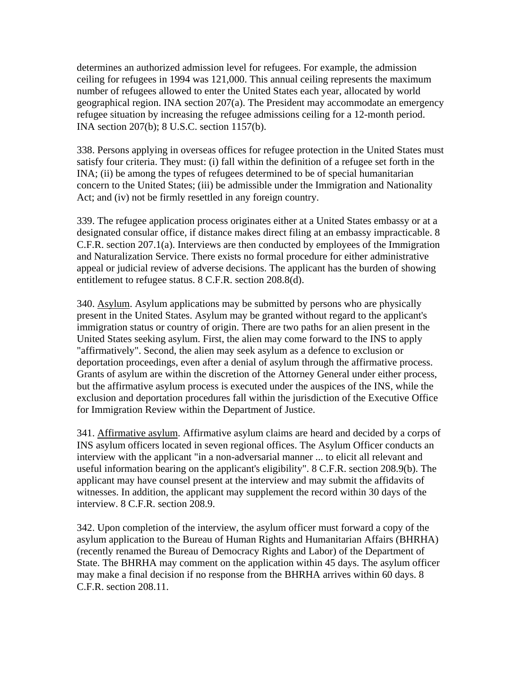determines an authorized admission level for refugees. For example, the admission ceiling for refugees in 1994 was 121,000. This annual ceiling represents the maximum number of refugees allowed to enter the United States each year, allocated by world geographical region. INA section 207(a). The President may accommodate an emergency refugee situation by increasing the refugee admissions ceiling for a 12-month period. INA section 207(b); 8 U.S.C. section 1157(b).

338. Persons applying in overseas offices for refugee protection in the United States must satisfy four criteria. They must: (i) fall within the definition of a refugee set forth in the INA; (ii) be among the types of refugees determined to be of special humanitarian concern to the United States; (iii) be admissible under the Immigration and Nationality Act; and (iv) not be firmly resettled in any foreign country.

339. The refugee application process originates either at a United States embassy or at a designated consular office, if distance makes direct filing at an embassy impracticable. 8 C.F.R. section 207.1(a). Interviews are then conducted by employees of the Immigration and Naturalization Service. There exists no formal procedure for either administrative appeal or judicial review of adverse decisions. The applicant has the burden of showing entitlement to refugee status. 8 C.F.R. section 208.8(d).

340. Asylum. Asylum applications may be submitted by persons who are physically present in the United States. Asylum may be granted without regard to the applicant's immigration status or country of origin. There are two paths for an alien present in the United States seeking asylum. First, the alien may come forward to the INS to apply "affirmatively". Second, the alien may seek asylum as a defence to exclusion or deportation proceedings, even after a denial of asylum through the affirmative process. Grants of asylum are within the discretion of the Attorney General under either process, but the affirmative asylum process is executed under the auspices of the INS, while the exclusion and deportation procedures fall within the jurisdiction of the Executive Office for Immigration Review within the Department of Justice.

341. Affirmative asylum. Affirmative asylum claims are heard and decided by a corps of INS asylum officers located in seven regional offices. The Asylum Officer conducts an interview with the applicant "in a non-adversarial manner ... to elicit all relevant and useful information bearing on the applicant's eligibility". 8 C.F.R. section 208.9(b). The applicant may have counsel present at the interview and may submit the affidavits of witnesses. In addition, the applicant may supplement the record within 30 days of the interview. 8 C.F.R. section 208.9.

342. Upon completion of the interview, the asylum officer must forward a copy of the asylum application to the Bureau of Human Rights and Humanitarian Affairs (BHRHA) (recently renamed the Bureau of Democracy Rights and Labor) of the Department of State. The BHRHA may comment on the application within 45 days. The asylum officer may make a final decision if no response from the BHRHA arrives within 60 days. 8 C.F.R. section 208.11.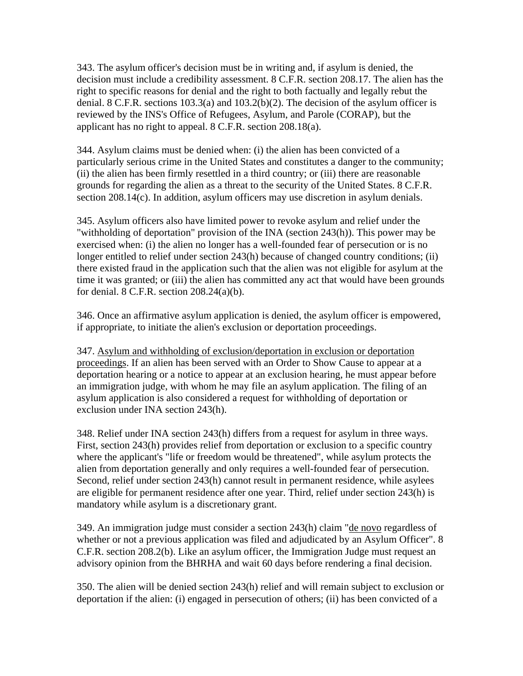343. The asylum officer's decision must be in writing and, if asylum is denied, the decision must include a credibility assessment. 8 C.F.R. section 208.17. The alien has the right to specific reasons for denial and the right to both factually and legally rebut the denial. 8 C.F.R. sections 103.3(a) and 103.2(b)(2). The decision of the asylum officer is reviewed by the INS's Office of Refugees, Asylum, and Parole (CORAP), but the applicant has no right to appeal. 8 C.F.R. section 208.18(a).

344. Asylum claims must be denied when: (i) the alien has been convicted of a particularly serious crime in the United States and constitutes a danger to the community; (ii) the alien has been firmly resettled in a third country; or (iii) there are reasonable grounds for regarding the alien as a threat to the security of the United States. 8 C.F.R. section 208.14(c). In addition, asylum officers may use discretion in asylum denials.

345. Asylum officers also have limited power to revoke asylum and relief under the "withholding of deportation" provision of the INA (section 243(h)). This power may be exercised when: (i) the alien no longer has a well-founded fear of persecution or is no longer entitled to relief under section 243(h) because of changed country conditions; (ii) there existed fraud in the application such that the alien was not eligible for asylum at the time it was granted; or (iii) the alien has committed any act that would have been grounds for denial.  $8$  C.F.R. section  $208.24(a)(b)$ .

346. Once an affirmative asylum application is denied, the asylum officer is empowered, if appropriate, to initiate the alien's exclusion or deportation proceedings.

347. Asylum and withholding of exclusion/deportation in exclusion or deportation proceedings. If an alien has been served with an Order to Show Cause to appear at a deportation hearing or a notice to appear at an exclusion hearing, he must appear before an immigration judge, with whom he may file an asylum application. The filing of an asylum application is also considered a request for withholding of deportation or exclusion under INA section 243(h).

348. Relief under INA section 243(h) differs from a request for asylum in three ways. First, section 243(h) provides relief from deportation or exclusion to a specific country where the applicant's "life or freedom would be threatened", while asylum protects the alien from deportation generally and only requires a well-founded fear of persecution. Second, relief under section 243(h) cannot result in permanent residence, while asylees are eligible for permanent residence after one year. Third, relief under section 243(h) is mandatory while asylum is a discretionary grant.

349. An immigration judge must consider a section 243(h) claim "de novo regardless of whether or not a previous application was filed and adjudicated by an Asylum Officer". 8 C.F.R. section 208.2(b). Like an asylum officer, the Immigration Judge must request an advisory opinion from the BHRHA and wait 60 days before rendering a final decision.

350. The alien will be denied section 243(h) relief and will remain subject to exclusion or deportation if the alien: (i) engaged in persecution of others; (ii) has been convicted of a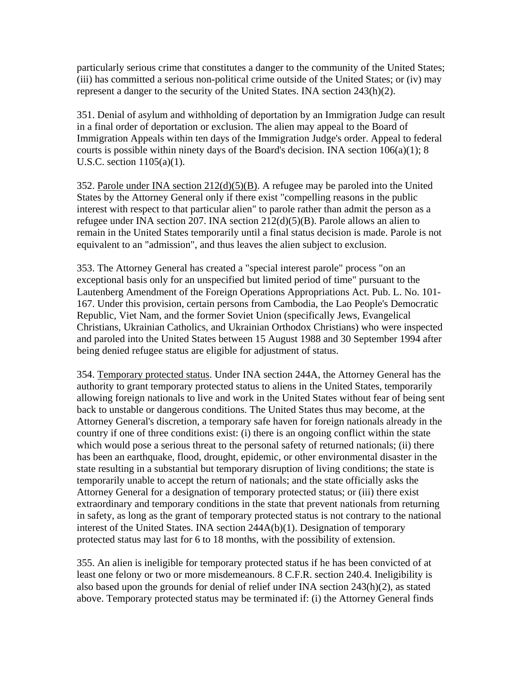particularly serious crime that constitutes a danger to the community of the United States; (iii) has committed a serious non-political crime outside of the United States; or (iv) may represent a danger to the security of the United States. INA section 243(h)(2).

351. Denial of asylum and withholding of deportation by an Immigration Judge can result in a final order of deportation or exclusion. The alien may appeal to the Board of Immigration Appeals within ten days of the Immigration Judge's order. Appeal to federal courts is possible within ninety days of the Board's decision. INA section  $106(a)(1)$ ; 8 U.S.C. section 1105(a)(1).

352. Parole under INA section 212(d)(5)(B). A refugee may be paroled into the United States by the Attorney General only if there exist "compelling reasons in the public interest with respect to that particular alien" to parole rather than admit the person as a refugee under INA section 207. INA section 212(d)(5)(B). Parole allows an alien to remain in the United States temporarily until a final status decision is made. Parole is not equivalent to an "admission", and thus leaves the alien subject to exclusion.

353. The Attorney General has created a "special interest parole" process "on an exceptional basis only for an unspecified but limited period of time" pursuant to the Lautenberg Amendment of the Foreign Operations Appropriations Act. Pub. L. No. 101- 167. Under this provision, certain persons from Cambodia, the Lao People's Democratic Republic, Viet Nam, and the former Soviet Union (specifically Jews, Evangelical Christians, Ukrainian Catholics, and Ukrainian Orthodox Christians) who were inspected and paroled into the United States between 15 August 1988 and 30 September 1994 after being denied refugee status are eligible for adjustment of status.

354. Temporary protected status. Under INA section 244A, the Attorney General has the authority to grant temporary protected status to aliens in the United States, temporarily allowing foreign nationals to live and work in the United States without fear of being sent back to unstable or dangerous conditions. The United States thus may become, at the Attorney General's discretion, a temporary safe haven for foreign nationals already in the country if one of three conditions exist: (i) there is an ongoing conflict within the state which would pose a serious threat to the personal safety of returned nationals; (ii) there has been an earthquake, flood, drought, epidemic, or other environmental disaster in the state resulting in a substantial but temporary disruption of living conditions; the state is temporarily unable to accept the return of nationals; and the state officially asks the Attorney General for a designation of temporary protected status; or (iii) there exist extraordinary and temporary conditions in the state that prevent nationals from returning in safety, as long as the grant of temporary protected status is not contrary to the national interest of the United States. INA section 244A(b)(1). Designation of temporary protected status may last for 6 to 18 months, with the possibility of extension.

355. An alien is ineligible for temporary protected status if he has been convicted of at least one felony or two or more misdemeanours. 8 C.F.R. section 240.4. Ineligibility is also based upon the grounds for denial of relief under INA section 243(h)(2), as stated above. Temporary protected status may be terminated if: (i) the Attorney General finds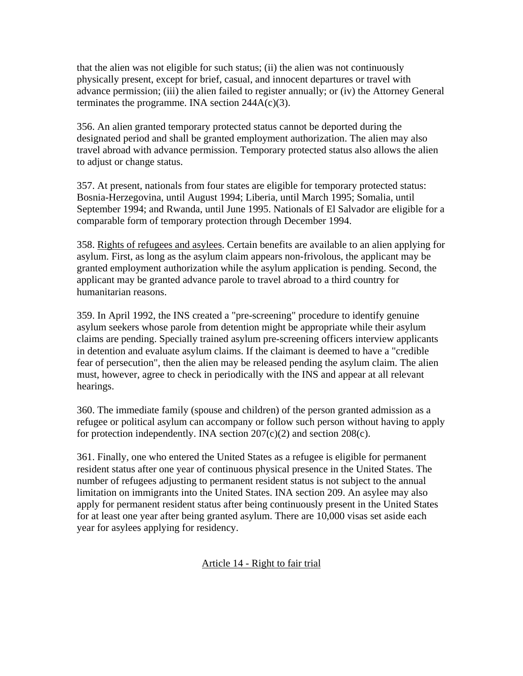that the alien was not eligible for such status; (ii) the alien was not continuously physically present, except for brief, casual, and innocent departures or travel with advance permission; (iii) the alien failed to register annually; or (iv) the Attorney General terminates the programme. INA section  $244A(c)(3)$ .

356. An alien granted temporary protected status cannot be deported during the designated period and shall be granted employment authorization. The alien may also travel abroad with advance permission. Temporary protected status also allows the alien to adjust or change status.

357. At present, nationals from four states are eligible for temporary protected status: Bosnia-Herzegovina, until August 1994; Liberia, until March 1995; Somalia, until September 1994; and Rwanda, until June 1995. Nationals of El Salvador are eligible for a comparable form of temporary protection through December 1994.

358. Rights of refugees and asylees. Certain benefits are available to an alien applying for asylum. First, as long as the asylum claim appears non-frivolous, the applicant may be granted employment authorization while the asylum application is pending. Second, the applicant may be granted advance parole to travel abroad to a third country for humanitarian reasons.

359. In April 1992, the INS created a "pre-screening" procedure to identify genuine asylum seekers whose parole from detention might be appropriate while their asylum claims are pending. Specially trained asylum pre-screening officers interview applicants in detention and evaluate asylum claims. If the claimant is deemed to have a "credible fear of persecution", then the alien may be released pending the asylum claim. The alien must, however, agree to check in periodically with the INS and appear at all relevant hearings.

360. The immediate family (spouse and children) of the person granted admission as a refugee or political asylum can accompany or follow such person without having to apply for protection independently. INA section  $207(c)(2)$  and section  $208(c)$ .

361. Finally, one who entered the United States as a refugee is eligible for permanent resident status after one year of continuous physical presence in the United States. The number of refugees adjusting to permanent resident status is not subject to the annual limitation on immigrants into the United States. INA section 209. An asylee may also apply for permanent resident status after being continuously present in the United States for at least one year after being granted asylum. There are 10,000 visas set aside each year for asylees applying for residency.

# Article 14 - Right to fair trial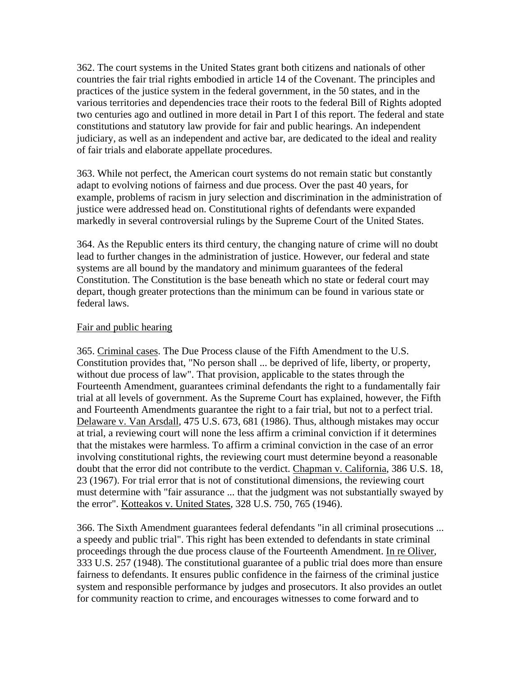362. The court systems in the United States grant both citizens and nationals of other countries the fair trial rights embodied in article 14 of the Covenant. The principles and practices of the justice system in the federal government, in the 50 states, and in the various territories and dependencies trace their roots to the federal Bill of Rights adopted two centuries ago and outlined in more detail in Part I of this report. The federal and state constitutions and statutory law provide for fair and public hearings. An independent judiciary, as well as an independent and active bar, are dedicated to the ideal and reality of fair trials and elaborate appellate procedures.

363. While not perfect, the American court systems do not remain static but constantly adapt to evolving notions of fairness and due process. Over the past 40 years, for example, problems of racism in jury selection and discrimination in the administration of justice were addressed head on. Constitutional rights of defendants were expanded markedly in several controversial rulings by the Supreme Court of the United States.

364. As the Republic enters its third century, the changing nature of crime will no doubt lead to further changes in the administration of justice. However, our federal and state systems are all bound by the mandatory and minimum guarantees of the federal Constitution. The Constitution is the base beneath which no state or federal court may depart, though greater protections than the minimum can be found in various state or federal laws.

#### Fair and public hearing

365. Criminal cases. The Due Process clause of the Fifth Amendment to the U.S. Constitution provides that, "No person shall ... be deprived of life, liberty, or property, without due process of law". That provision, applicable to the states through the Fourteenth Amendment, guarantees criminal defendants the right to a fundamentally fair trial at all levels of government. As the Supreme Court has explained, however, the Fifth and Fourteenth Amendments guarantee the right to a fair trial, but not to a perfect trial. Delaware v. Van Arsdall, 475 U.S. 673, 681 (1986). Thus, although mistakes may occur at trial, a reviewing court will none the less affirm a criminal conviction if it determines that the mistakes were harmless. To affirm a criminal conviction in the case of an error involving constitutional rights, the reviewing court must determine beyond a reasonable doubt that the error did not contribute to the verdict. Chapman v. California, 386 U.S. 18, 23 (1967). For trial error that is not of constitutional dimensions, the reviewing court must determine with "fair assurance ... that the judgment was not substantially swayed by the error". Kotteakos v. United States, 328 U.S. 750, 765 (1946).

366. The Sixth Amendment guarantees federal defendants "in all criminal prosecutions ... a speedy and public trial". This right has been extended to defendants in state criminal proceedings through the due process clause of the Fourteenth Amendment. In re Oliver, 333 U.S. 257 (1948). The constitutional guarantee of a public trial does more than ensure fairness to defendants. It ensures public confidence in the fairness of the criminal justice system and responsible performance by judges and prosecutors. It also provides an outlet for community reaction to crime, and encourages witnesses to come forward and to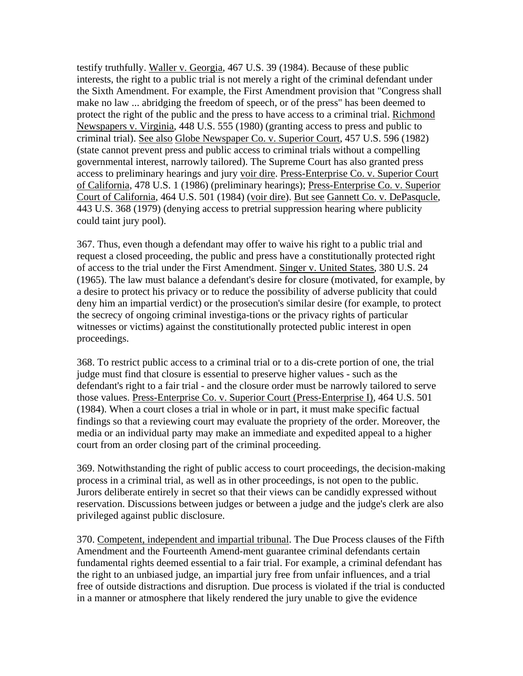testify truthfully. Waller v. Georgia, 467 U.S. 39 (1984). Because of these public interests, the right to a public trial is not merely a right of the criminal defendant under the Sixth Amendment. For example, the First Amendment provision that "Congress shall make no law ... abridging the freedom of speech, or of the press" has been deemed to protect the right of the public and the press to have access to a criminal trial. Richmond Newspapers v. Virginia, 448 U.S. 555 (1980) (granting access to press and public to criminal trial). See also Globe Newspaper Co. v. Superior Court, 457 U.S. 596 (1982) (state cannot prevent press and public access to criminal trials without a compelling governmental interest, narrowly tailored). The Supreme Court has also granted press access to preliminary hearings and jury voir dire. Press-Enterprise Co. v. Superior Court of California, 478 U.S. 1 (1986) (preliminary hearings); Press-Enterprise Co. v. Superior Court of California, 464 U.S. 501 (1984) (voir dire). But see Gannett Co. v. DePasqucle, 443 U.S. 368 (1979) (denying access to pretrial suppression hearing where publicity could taint jury pool).

367. Thus, even though a defendant may offer to waive his right to a public trial and request a closed proceeding, the public and press have a constitutionally protected right of access to the trial under the First Amendment. Singer v. United States, 380 U.S. 24 (1965). The law must balance a defendant's desire for closure (motivated, for example, by a desire to protect his privacy or to reduce the possibility of adverse publicity that could deny him an impartial verdict) or the prosecution's similar desire (for example, to protect the secrecy of ongoing criminal investiga-tions or the privacy rights of particular witnesses or victims) against the constitutionally protected public interest in open proceedings.

368. To restrict public access to a criminal trial or to a dis-crete portion of one, the trial judge must find that closure is essential to preserve higher values - such as the defendant's right to a fair trial - and the closure order must be narrowly tailored to serve those values. Press-Enterprise Co. v. Superior Court (Press-Enterprise I), 464 U.S. 501 (1984). When a court closes a trial in whole or in part, it must make specific factual findings so that a reviewing court may evaluate the propriety of the order. Moreover, the media or an individual party may make an immediate and expedited appeal to a higher court from an order closing part of the criminal proceeding.

369. Notwithstanding the right of public access to court proceedings, the decision-making process in a criminal trial, as well as in other proceedings, is not open to the public. Jurors deliberate entirely in secret so that their views can be candidly expressed without reservation. Discussions between judges or between a judge and the judge's clerk are also privileged against public disclosure.

370. Competent, independent and impartial tribunal. The Due Process clauses of the Fifth Amendment and the Fourteenth Amend-ment guarantee criminal defendants certain fundamental rights deemed essential to a fair trial. For example, a criminal defendant has the right to an unbiased judge, an impartial jury free from unfair influences, and a trial free of outside distractions and disruption. Due process is violated if the trial is conducted in a manner or atmosphere that likely rendered the jury unable to give the evidence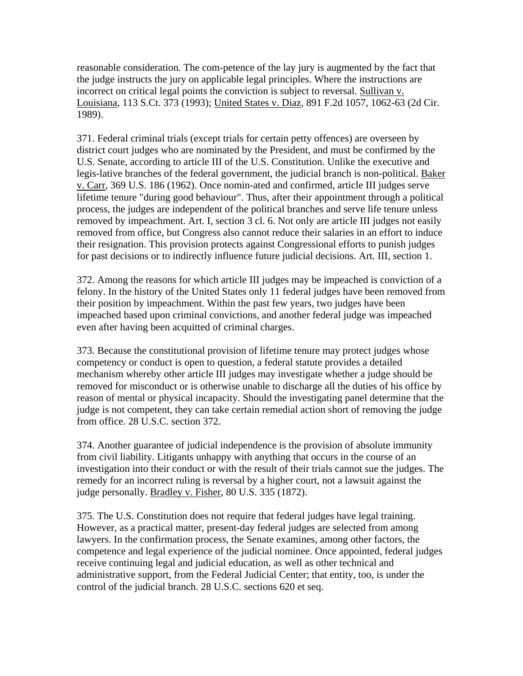reasonable consideration. The com-petence of the lay jury is augmented by the fact that the judge instructs the jury on applicable legal principles. Where the instructions are incorrect on critical legal points the conviction is subject to reversal. Sullivan v. Louisiana, 113 S.Ct. 373 (1993); United States v. Diaz, 891 F.2d 1057, 1062-63 (2d Cir. 1989).

371. Federal criminal trials (except trials for certain petty offences) are overseen by district court judges who are nominated by the President, and must be confirmed by the U.S. Senate, according to article III of the U.S. Constitution. Unlike the executive and legis-lative branches of the federal government, the judicial branch is non-political. Baker v. Carr, 369 U.S. 186 (1962). Once nomin-ated and confirmed, article III judges serve lifetime tenure "during good behaviour". Thus, after their appointment through a political process, the judges are independent of the political branches and serve life tenure unless removed by impeachment. Art. I, section 3 cl. 6. Not only are article III judges not easily removed from office, but Congress also cannot reduce their salaries in an effort to induce their resignation. This provision protects against Congressional efforts to punish judges for past decisions or to indirectly influence future judicial decisions. Art. III, section 1.

372. Among the reasons for which article III judges may be impeached is conviction of a felony. In the history of the United States only 11 federal judges have been removed from their position by impeachment. Within the past few years, two judges have been impeached based upon criminal convictions, and another federal judge was impeached even after having been acquitted of criminal charges.

373. Because the constitutional provision of lifetime tenure may protect judges whose competency or conduct is open to question, a federal statute provides a detailed mechanism whereby other article III judges may investigate whether a judge should be removed for misconduct or is otherwise unable to discharge all the duties of his office by reason of mental or physical incapacity. Should the investigating panel determine that the judge is not competent, they can take certain remedial action short of removing the judge from office. 28 U.S.C. section 372.

374. Another guarantee of judicial independence is the provision of absolute immunity from civil liability. Litigants unhappy with anything that occurs in the course of an investigation into their conduct or with the result of their trials cannot sue the judges. The remedy for an incorrect ruling is reversal by a higher court, not a lawsuit against the judge personally. Bradley v. Fisher, 80 U.S. 335 (1872).

375. The U.S. Constitution does not require that federal judges have legal training. However, as a practical matter, present-day federal judges are selected from among lawyers. In the confirmation process, the Senate examines, among other factors, the competence and legal experience of the judicial nominee. Once appointed, federal judges receive continuing legal and judicial education, as well as other technical and administrative support, from the Federal Judicial Center; that entity, too, is under the control of the judicial branch. 28 U.S.C. sections 620 et seq.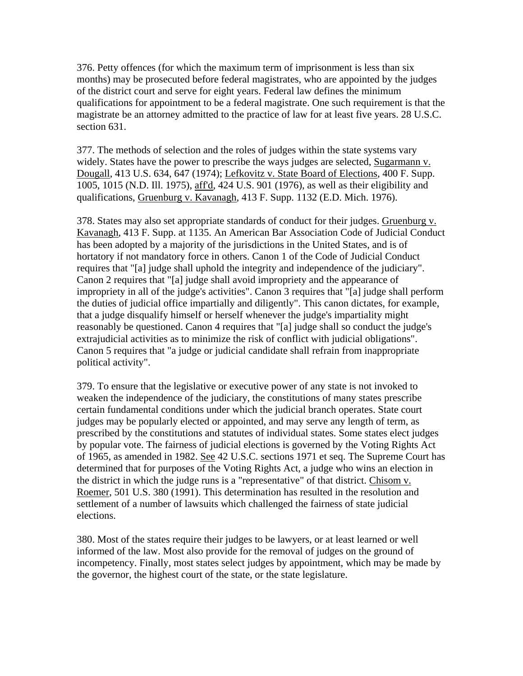376. Petty offences (for which the maximum term of imprisonment is less than six months) may be prosecuted before federal magistrates, who are appointed by the judges of the district court and serve for eight years. Federal law defines the minimum qualifications for appointment to be a federal magistrate. One such requirement is that the magistrate be an attorney admitted to the practice of law for at least five years. 28 U.S.C. section 631.

377. The methods of selection and the roles of judges within the state systems vary widely. States have the power to prescribe the ways judges are selected, Sugarmann v. Dougall, 413 U.S. 634, 647 (1974); Lefkovitz v. State Board of Elections, 400 F. Supp. 1005, 1015 (N.D. Ill. 1975), aff'd, 424 U.S. 901 (1976), as well as their eligibility and qualifications, Gruenburg v. Kavanagh, 413 F. Supp. 1132 (E.D. Mich. 1976).

378. States may also set appropriate standards of conduct for their judges. Gruenburg v. Kavanagh, 413 F. Supp. at 1135. An American Bar Association Code of Judicial Conduct has been adopted by a majority of the jurisdictions in the United States, and is of hortatory if not mandatory force in others. Canon 1 of the Code of Judicial Conduct requires that "[a] judge shall uphold the integrity and independence of the judiciary". Canon 2 requires that "[a] judge shall avoid impropriety and the appearance of impropriety in all of the judge's activities". Canon 3 requires that "[a] judge shall perform the duties of judicial office impartially and diligently". This canon dictates, for example, that a judge disqualify himself or herself whenever the judge's impartiality might reasonably be questioned. Canon 4 requires that "[a] judge shall so conduct the judge's extrajudicial activities as to minimize the risk of conflict with judicial obligations". Canon 5 requires that "a judge or judicial candidate shall refrain from inappropriate political activity".

379. To ensure that the legislative or executive power of any state is not invoked to weaken the independence of the judiciary, the constitutions of many states prescribe certain fundamental conditions under which the judicial branch operates. State court judges may be popularly elected or appointed, and may serve any length of term, as prescribed by the constitutions and statutes of individual states. Some states elect judges by popular vote. The fairness of judicial elections is governed by the Voting Rights Act of 1965, as amended in 1982. See 42 U.S.C. sections 1971 et seq. The Supreme Court has determined that for purposes of the Voting Rights Act, a judge who wins an election in the district in which the judge runs is a "representative" of that district. Chisom v. Roemer, 501 U.S. 380 (1991). This determination has resulted in the resolution and settlement of a number of lawsuits which challenged the fairness of state judicial elections.

380. Most of the states require their judges to be lawyers, or at least learned or well informed of the law. Most also provide for the removal of judges on the ground of incompetency. Finally, most states select judges by appointment, which may be made by the governor, the highest court of the state, or the state legislature.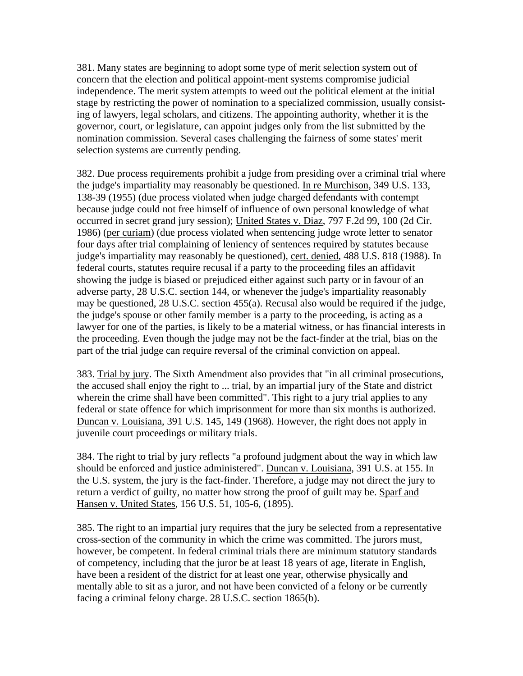381. Many states are beginning to adopt some type of merit selection system out of concern that the election and political appoint-ment systems compromise judicial independence. The merit system attempts to weed out the political element at the initial stage by restricting the power of nomination to a specialized commission, usually consisting of lawyers, legal scholars, and citizens. The appointing authority, whether it is the governor, court, or legislature, can appoint judges only from the list submitted by the nomination commission. Several cases challenging the fairness of some states' merit selection systems are currently pending.

382. Due process requirements prohibit a judge from presiding over a criminal trial where the judge's impartiality may reasonably be questioned. In re Murchison, 349 U.S. 133, 138-39 (1955) (due process violated when judge charged defendants with contempt because judge could not free himself of influence of own personal knowledge of what occurred in secret grand jury session); United States v. Diaz, 797 F.2d 99, 100 (2d Cir. 1986) (per curiam) (due process violated when sentencing judge wrote letter to senator four days after trial complaining of leniency of sentences required by statutes because judge's impartiality may reasonably be questioned), cert. denied, 488 U.S. 818 (1988). In federal courts, statutes require recusal if a party to the proceeding files an affidavit showing the judge is biased or prejudiced either against such party or in favour of an adverse party, 28 U.S.C. section 144, or whenever the judge's impartiality reasonably may be questioned, 28 U.S.C. section 455(a). Recusal also would be required if the judge, the judge's spouse or other family member is a party to the proceeding, is acting as a lawyer for one of the parties, is likely to be a material witness, or has financial interests in the proceeding. Even though the judge may not be the fact-finder at the trial, bias on the part of the trial judge can require reversal of the criminal conviction on appeal.

383. Trial by jury. The Sixth Amendment also provides that "in all criminal prosecutions, the accused shall enjoy the right to ... trial, by an impartial jury of the State and district wherein the crime shall have been committed". This right to a jury trial applies to any federal or state offence for which imprisonment for more than six months is authorized. Duncan v. Louisiana, 391 U.S. 145, 149 (1968). However, the right does not apply in juvenile court proceedings or military trials.

384. The right to trial by jury reflects "a profound judgment about the way in which law should be enforced and justice administered". Duncan v. Louisiana, 391 U.S. at 155. In the U.S. system, the jury is the fact-finder. Therefore, a judge may not direct the jury to return a verdict of guilty, no matter how strong the proof of guilt may be. Sparf and Hansen v. United States, 156 U.S. 51, 105-6, (1895).

385. The right to an impartial jury requires that the jury be selected from a representative cross-section of the community in which the crime was committed. The jurors must, however, be competent. In federal criminal trials there are minimum statutory standards of competency, including that the juror be at least 18 years of age, literate in English, have been a resident of the district for at least one year, otherwise physically and mentally able to sit as a juror, and not have been convicted of a felony or be currently facing a criminal felony charge. 28 U.S.C. section 1865(b).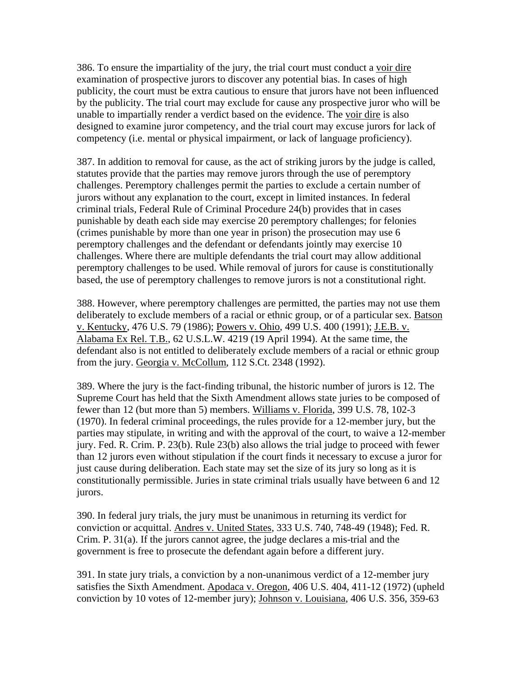386. To ensure the impartiality of the jury, the trial court must conduct a voir dire examination of prospective jurors to discover any potential bias. In cases of high publicity, the court must be extra cautious to ensure that jurors have not been influenced by the publicity. The trial court may exclude for cause any prospective juror who will be unable to impartially render a verdict based on the evidence. The voir dire is also designed to examine juror competency, and the trial court may excuse jurors for lack of competency (i.e. mental or physical impairment, or lack of language proficiency).

387. In addition to removal for cause, as the act of striking jurors by the judge is called, statutes provide that the parties may remove jurors through the use of peremptory challenges. Peremptory challenges permit the parties to exclude a certain number of jurors without any explanation to the court, except in limited instances. In federal criminal trials, Federal Rule of Criminal Procedure 24(b) provides that in cases punishable by death each side may exercise 20 peremptory challenges; for felonies (crimes punishable by more than one year in prison) the prosecution may use 6 peremptory challenges and the defendant or defendants jointly may exercise 10 challenges. Where there are multiple defendants the trial court may allow additional peremptory challenges to be used. While removal of jurors for cause is constitutionally based, the use of peremptory challenges to remove jurors is not a constitutional right.

388. However, where peremptory challenges are permitted, the parties may not use them deliberately to exclude members of a racial or ethnic group, or of a particular sex. Batson v. Kentucky, 476 U.S. 79 (1986); Powers v. Ohio, 499 U.S. 400 (1991); J.E.B. v. Alabama Ex Rel. T.B., 62 U.S.L.W. 4219 (19 April 1994). At the same time, the defendant also is not entitled to deliberately exclude members of a racial or ethnic group from the jury. Georgia v. McCollum, 112 S.Ct. 2348 (1992).

389. Where the jury is the fact-finding tribunal, the historic number of jurors is 12. The Supreme Court has held that the Sixth Amendment allows state juries to be composed of fewer than 12 (but more than 5) members. Williams v. Florida, 399 U.S. 78, 102-3 (1970). In federal criminal proceedings, the rules provide for a 12-member jury, but the parties may stipulate, in writing and with the approval of the court, to waive a 12-member jury. Fed. R. Crim. P. 23(b). Rule 23(b) also allows the trial judge to proceed with fewer than 12 jurors even without stipulation if the court finds it necessary to excuse a juror for just cause during deliberation. Each state may set the size of its jury so long as it is constitutionally permissible. Juries in state criminal trials usually have between 6 and 12 jurors.

390. In federal jury trials, the jury must be unanimous in returning its verdict for conviction or acquittal. Andres v. United States, 333 U.S. 740, 748-49 (1948); Fed. R. Crim. P. 31(a). If the jurors cannot agree, the judge declares a mis-trial and the government is free to prosecute the defendant again before a different jury.

391. In state jury trials, a conviction by a non-unanimous verdict of a 12-member jury satisfies the Sixth Amendment. Apodaca v. Oregon, 406 U.S. 404, 411-12 (1972) (upheld conviction by 10 votes of 12-member jury); Johnson v. Louisiana, 406 U.S. 356, 359-63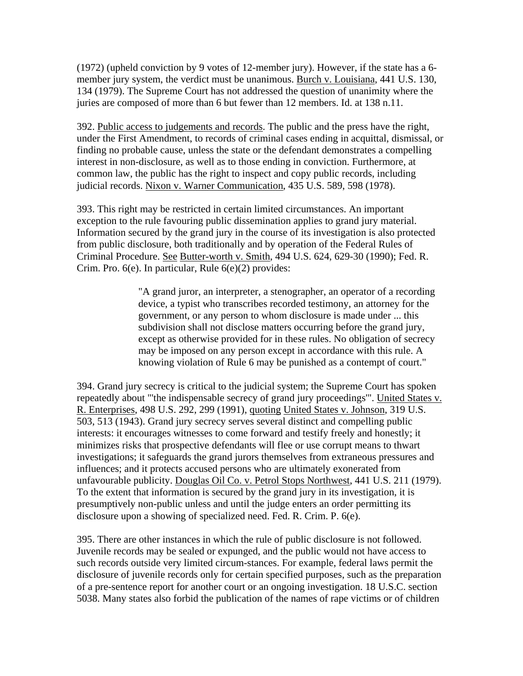(1972) (upheld conviction by 9 votes of 12-member jury). However, if the state has a 6 member jury system, the verdict must be unanimous. Burch v. Louisiana, 441 U.S. 130, 134 (1979). The Supreme Court has not addressed the question of unanimity where the juries are composed of more than 6 but fewer than 12 members. Id. at 138 n.11.

392. Public access to judgements and records. The public and the press have the right, under the First Amendment, to records of criminal cases ending in acquittal, dismissal, or finding no probable cause, unless the state or the defendant demonstrates a compelling interest in non-disclosure, as well as to those ending in conviction. Furthermore, at common law, the public has the right to inspect and copy public records, including judicial records. Nixon v. Warner Communication, 435 U.S. 589, 598 (1978).

393. This right may be restricted in certain limited circumstances. An important exception to the rule favouring public dissemination applies to grand jury material. Information secured by the grand jury in the course of its investigation is also protected from public disclosure, both traditionally and by operation of the Federal Rules of Criminal Procedure. See Butter-worth v. Smith, 494 U.S. 624, 629-30 (1990); Fed. R. Crim. Pro. 6(e). In particular, Rule 6(e)(2) provides:

> "A grand juror, an interpreter, a stenographer, an operator of a recording device, a typist who transcribes recorded testimony, an attorney for the government, or any person to whom disclosure is made under ... this subdivision shall not disclose matters occurring before the grand jury, except as otherwise provided for in these rules. No obligation of secrecy may be imposed on any person except in accordance with this rule. A knowing violation of Rule 6 may be punished as a contempt of court."

394. Grand jury secrecy is critical to the judicial system; the Supreme Court has spoken repeatedly about "'the indispensable secrecy of grand jury proceedings"'. United States v. R. Enterprises, 498 U.S. 292, 299 (1991), quoting United States v. Johnson, 319 U.S. 503, 513 (1943). Grand jury secrecy serves several distinct and compelling public interests: it encourages witnesses to come forward and testify freely and honestly; it minimizes risks that prospective defendants will flee or use corrupt means to thwart investigations; it safeguards the grand jurors themselves from extraneous pressures and influences; and it protects accused persons who are ultimately exonerated from unfavourable publicity. Douglas Oil Co. v. Petrol Stops Northwest, 441 U.S. 211 (1979). To the extent that information is secured by the grand jury in its investigation, it is presumptively non-public unless and until the judge enters an order permitting its disclosure upon a showing of specialized need. Fed. R. Crim. P. 6(e).

395. There are other instances in which the rule of public disclosure is not followed. Juvenile records may be sealed or expunged, and the public would not have access to such records outside very limited circum-stances. For example, federal laws permit the disclosure of juvenile records only for certain specified purposes, such as the preparation of a pre-sentence report for another court or an ongoing investigation. 18 U.S.C. section 5038. Many states also forbid the publication of the names of rape victims or of children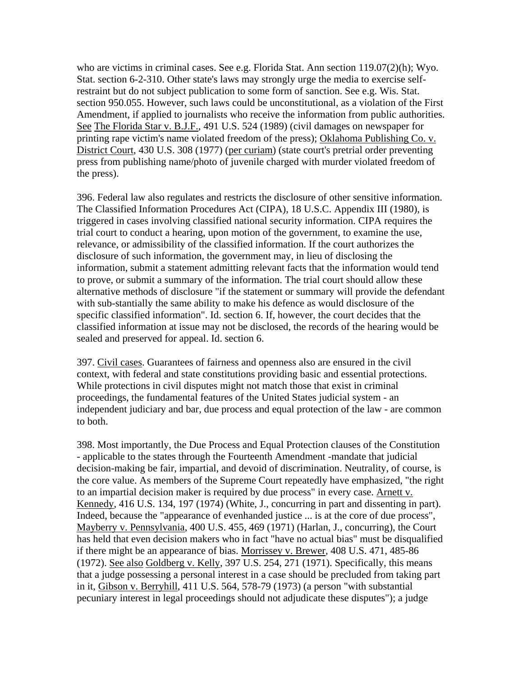who are victims in criminal cases. See e.g. Florida Stat. Ann section 119.07(2)(h); Wyo. Stat. section 6-2-310. Other state's laws may strongly urge the media to exercise selfrestraint but do not subject publication to some form of sanction. See e.g. Wis. Stat. section 950.055. However, such laws could be unconstitutional, as a violation of the First Amendment, if applied to journalists who receive the information from public authorities. See The Florida Star v. B.J.F., 491 U.S. 524 (1989) (civil damages on newspaper for printing rape victim's name violated freedom of the press); Oklahoma Publishing Co. v. District Court, 430 U.S. 308 (1977) (per curiam) (state court's pretrial order preventing press from publishing name/photo of juvenile charged with murder violated freedom of the press).

396. Federal law also regulates and restricts the disclosure of other sensitive information. The Classified Information Procedures Act (CIPA), 18 U.S.C. Appendix III (1980), is triggered in cases involving classified national security information. CIPA requires the trial court to conduct a hearing, upon motion of the government, to examine the use, relevance, or admissibility of the classified information. If the court authorizes the disclosure of such information, the government may, in lieu of disclosing the information, submit a statement admitting relevant facts that the information would tend to prove, or submit a summary of the information. The trial court should allow these alternative methods of disclosure "if the statement or summary will provide the defendant with sub-stantially the same ability to make his defence as would disclosure of the specific classified information". Id. section 6. If, however, the court decides that the classified information at issue may not be disclosed, the records of the hearing would be sealed and preserved for appeal. Id. section 6.

397. Civil cases. Guarantees of fairness and openness also are ensured in the civil context, with federal and state constitutions providing basic and essential protections. While protections in civil disputes might not match those that exist in criminal proceedings, the fundamental features of the United States judicial system - an independent judiciary and bar, due process and equal protection of the law - are common to both.

398. Most importantly, the Due Process and Equal Protection clauses of the Constitution - applicable to the states through the Fourteenth Amendment -mandate that judicial decision-making be fair, impartial, and devoid of discrimination. Neutrality, of course, is the core value. As members of the Supreme Court repeatedly have emphasized, "the right to an impartial decision maker is required by due process" in every case. Arnett v. Kennedy, 416 U.S. 134, 197 (1974) (White, J., concurring in part and dissenting in part). Indeed, because the "appearance of evenhanded justice ... is at the core of due process", Mayberry v. Pennsylvania, 400 U.S. 455, 469 (1971) (Harlan, J., concurring), the Court has held that even decision makers who in fact "have no actual bias" must be disqualified if there might be an appearance of bias. Morrissey v. Brewer, 408 U.S. 471, 485-86 (1972). See also Goldberg v. Kelly, 397 U.S. 254, 271 (1971). Specifically, this means that a judge possessing a personal interest in a case should be precluded from taking part in it, Gibson v. Berryhill, 411 U.S. 564, 578-79 (1973) (a person "with substantial pecuniary interest in legal proceedings should not adjudicate these disputes"); a judge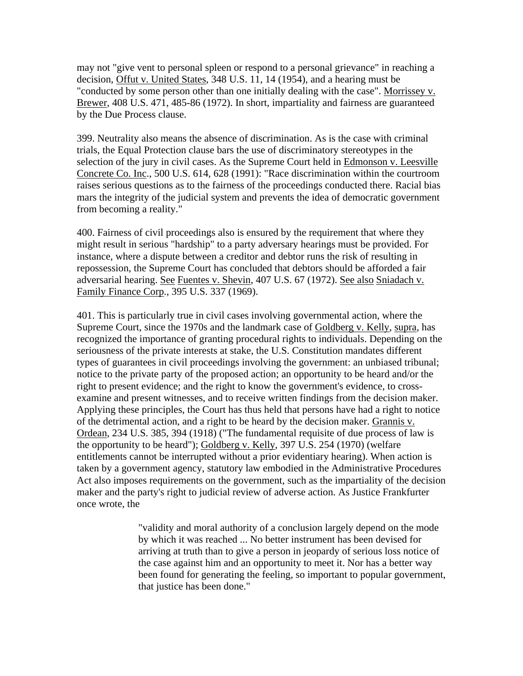may not "give vent to personal spleen or respond to a personal grievance" in reaching a decision, Offut v. United States, 348 U.S. 11, 14 (1954), and a hearing must be "conducted by some person other than one initially dealing with the case". Morrissey v. Brewer, 408 U.S. 471, 485-86 (1972). In short, impartiality and fairness are guaranteed by the Due Process clause.

399. Neutrality also means the absence of discrimination. As is the case with criminal trials, the Equal Protection clause bars the use of discriminatory stereotypes in the selection of the jury in civil cases. As the Supreme Court held in Edmonson v. Leesville Concrete Co. Inc., 500 U.S. 614, 628 (1991): "Race discrimination within the courtroom raises serious questions as to the fairness of the proceedings conducted there. Racial bias mars the integrity of the judicial system and prevents the idea of democratic government from becoming a reality."

400. Fairness of civil proceedings also is ensured by the requirement that where they might result in serious "hardship" to a party adversary hearings must be provided. For instance, where a dispute between a creditor and debtor runs the risk of resulting in repossession, the Supreme Court has concluded that debtors should be afforded a fair adversarial hearing. See Fuentes v. Shevin, 407 U.S. 67 (1972). See also Sniadach v. Family Finance Corp., 395 U.S. 337 (1969).

401. This is particularly true in civil cases involving governmental action, where the Supreme Court, since the 1970s and the landmark case of Goldberg v. Kelly, supra, has recognized the importance of granting procedural rights to individuals. Depending on the seriousness of the private interests at stake, the U.S. Constitution mandates different types of guarantees in civil proceedings involving the government: an unbiased tribunal; notice to the private party of the proposed action; an opportunity to be heard and/or the right to present evidence; and the right to know the government's evidence, to crossexamine and present witnesses, and to receive written findings from the decision maker. Applying these principles, the Court has thus held that persons have had a right to notice of the detrimental action, and a right to be heard by the decision maker. Grannis v. Ordean, 234 U.S. 385, 394 (1918) ("The fundamental requisite of due process of law is the opportunity to be heard"); Goldberg v. Kelly, 397 U.S. 254 (1970) (welfare entitlements cannot be interrupted without a prior evidentiary hearing). When action is taken by a government agency, statutory law embodied in the Administrative Procedures Act also imposes requirements on the government, such as the impartiality of the decision maker and the party's right to judicial review of adverse action. As Justice Frankfurter once wrote, the

> "validity and moral authority of a conclusion largely depend on the mode by which it was reached ... No better instrument has been devised for arriving at truth than to give a person in jeopardy of serious loss notice of the case against him and an opportunity to meet it. Nor has a better way been found for generating the feeling, so important to popular government, that justice has been done."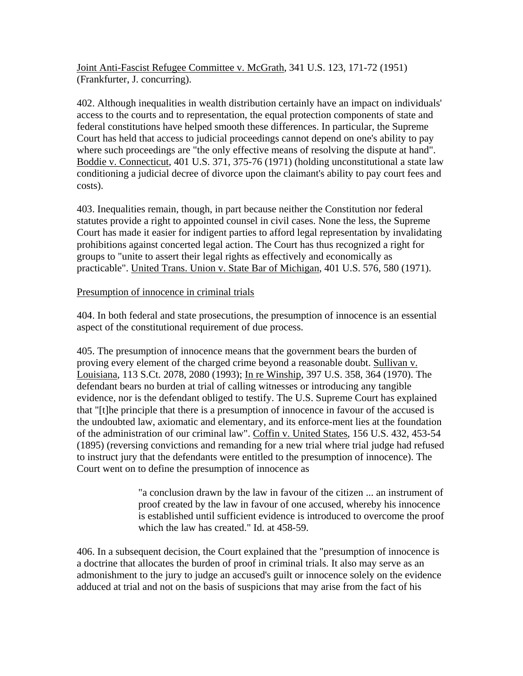Joint Anti-Fascist Refugee Committee v. McGrath, 341 U.S. 123, 171-72 (1951) (Frankfurter, J. concurring).

402. Although inequalities in wealth distribution certainly have an impact on individuals' access to the courts and to representation, the equal protection components of state and federal constitutions have helped smooth these differences. In particular, the Supreme Court has held that access to judicial proceedings cannot depend on one's ability to pay where such proceedings are "the only effective means of resolving the dispute at hand". Boddie v. Connecticut, 401 U.S. 371, 375-76 (1971) (holding unconstitutional a state law conditioning a judicial decree of divorce upon the claimant's ability to pay court fees and costs).

403. Inequalities remain, though, in part because neither the Constitution nor federal statutes provide a right to appointed counsel in civil cases. None the less, the Supreme Court has made it easier for indigent parties to afford legal representation by invalidating prohibitions against concerted legal action. The Court has thus recognized a right for groups to "unite to assert their legal rights as effectively and economically as practicable". United Trans. Union v. State Bar of Michigan, 401 U.S. 576, 580 (1971).

### Presumption of innocence in criminal trials

404. In both federal and state prosecutions, the presumption of innocence is an essential aspect of the constitutional requirement of due process.

405. The presumption of innocence means that the government bears the burden of proving every element of the charged crime beyond a reasonable doubt. Sullivan v. Louisiana, 113 S.Ct. 2078, 2080 (1993); In re Winship, 397 U.S. 358, 364 (1970). The defendant bears no burden at trial of calling witnesses or introducing any tangible evidence, nor is the defendant obliged to testify. The U.S. Supreme Court has explained that "[t]he principle that there is a presumption of innocence in favour of the accused is the undoubted law, axiomatic and elementary, and its enforce-ment lies at the foundation of the administration of our criminal law". Coffin v. United States, 156 U.S. 432, 453-54 (1895) (reversing convictions and remanding for a new trial where trial judge had refused to instruct jury that the defendants were entitled to the presumption of innocence). The Court went on to define the presumption of innocence as

> "a conclusion drawn by the law in favour of the citizen ... an instrument of proof created by the law in favour of one accused, whereby his innocence is established until sufficient evidence is introduced to overcome the proof which the law has created." Id. at 458-59.

406. In a subsequent decision, the Court explained that the "presumption of innocence is a doctrine that allocates the burden of proof in criminal trials. It also may serve as an admonishment to the jury to judge an accused's guilt or innocence solely on the evidence adduced at trial and not on the basis of suspicions that may arise from the fact of his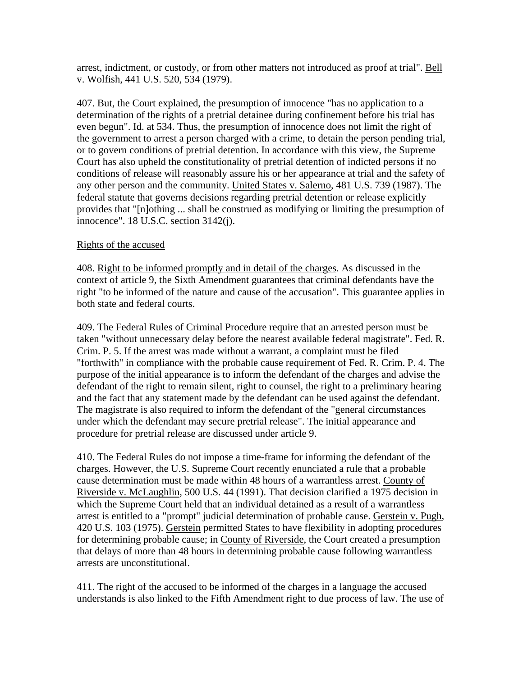arrest, indictment, or custody, or from other matters not introduced as proof at trial". Bell v. Wolfish, 441 U.S. 520, 534 (1979).

407. But, the Court explained, the presumption of innocence "has no application to a determination of the rights of a pretrial detainee during confinement before his trial has even begun". Id. at 534. Thus, the presumption of innocence does not limit the right of the government to arrest a person charged with a crime, to detain the person pending trial, or to govern conditions of pretrial detention. In accordance with this view, the Supreme Court has also upheld the constitutionality of pretrial detention of indicted persons if no conditions of release will reasonably assure his or her appearance at trial and the safety of any other person and the community. United States v. Salerno, 481 U.S. 739 (1987). The federal statute that governs decisions regarding pretrial detention or release explicitly provides that "[n]othing ... shall be construed as modifying or limiting the presumption of innocence". 18 U.S.C. section 3142(j).

### Rights of the accused

408. Right to be informed promptly and in detail of the charges. As discussed in the context of article 9, the Sixth Amendment guarantees that criminal defendants have the right "to be informed of the nature and cause of the accusation". This guarantee applies in both state and federal courts.

409. The Federal Rules of Criminal Procedure require that an arrested person must be taken "without unnecessary delay before the nearest available federal magistrate". Fed. R. Crim. P. 5. If the arrest was made without a warrant, a complaint must be filed "forthwith" in compliance with the probable cause requirement of Fed. R. Crim. P. 4. The purpose of the initial appearance is to inform the defendant of the charges and advise the defendant of the right to remain silent, right to counsel, the right to a preliminary hearing and the fact that any statement made by the defendant can be used against the defendant. The magistrate is also required to inform the defendant of the "general circumstances under which the defendant may secure pretrial release". The initial appearance and procedure for pretrial release are discussed under article 9.

410. The Federal Rules do not impose a time-frame for informing the defendant of the charges. However, the U.S. Supreme Court recently enunciated a rule that a probable cause determination must be made within 48 hours of a warrantless arrest. County of Riverside v. McLaughlin, 500 U.S. 44 (1991). That decision clarified a 1975 decision in which the Supreme Court held that an individual detained as a result of a warrantless arrest is entitled to a "prompt" judicial determination of probable cause. Gerstein v. Pugh, 420 U.S. 103 (1975). Gerstein permitted States to have flexibility in adopting procedures for determining probable cause; in County of Riverside, the Court created a presumption that delays of more than 48 hours in determining probable cause following warrantless arrests are unconstitutional.

411. The right of the accused to be informed of the charges in a language the accused understands is also linked to the Fifth Amendment right to due process of law. The use of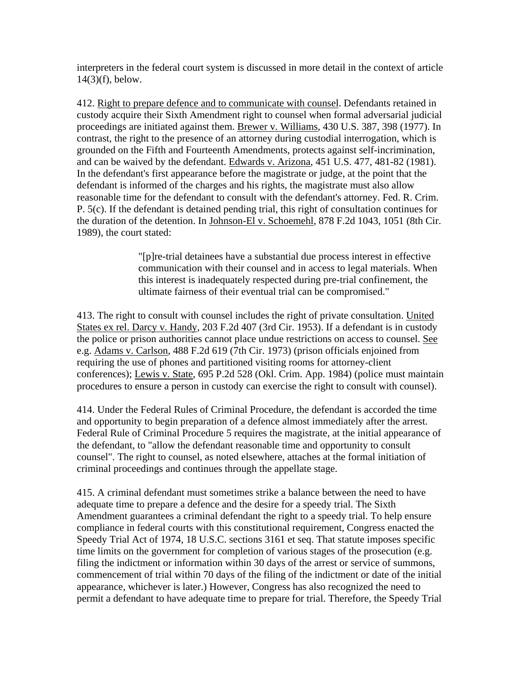interpreters in the federal court system is discussed in more detail in the context of article 14(3)(f), below.

412. Right to prepare defence and to communicate with counsel. Defendants retained in custody acquire their Sixth Amendment right to counsel when formal adversarial judicial proceedings are initiated against them. Brewer v. Williams, 430 U.S. 387, 398 (1977). In contrast, the right to the presence of an attorney during custodial interrogation, which is grounded on the Fifth and Fourteenth Amendments, protects against self-incrimination, and can be waived by the defendant. Edwards v. Arizona, 451 U.S. 477, 481-82 (1981). In the defendant's first appearance before the magistrate or judge, at the point that the defendant is informed of the charges and his rights, the magistrate must also allow reasonable time for the defendant to consult with the defendant's attorney. Fed. R. Crim. P. 5(c). If the defendant is detained pending trial, this right of consultation continues for the duration of the detention. In Johnson-El v. Schoemehl, 878 F.2d 1043, 1051 (8th Cir. 1989), the court stated:

> "[p]re-trial detainees have a substantial due process interest in effective communication with their counsel and in access to legal materials. When this interest is inadequately respected during pre-trial confinement, the ultimate fairness of their eventual trial can be compromised."

413. The right to consult with counsel includes the right of private consultation. United States ex rel. Darcy v. Handy, 203 F.2d 407 (3rd Cir. 1953). If a defendant is in custody the police or prison authorities cannot place undue restrictions on access to counsel. See e.g. Adams v. Carlson, 488 F.2d 619 (7th Cir. 1973) (prison officials enjoined from requiring the use of phones and partitioned visiting rooms for attorney-client conferences); Lewis v. State, 695 P.2d 528 (Okl. Crim. App. 1984) (police must maintain procedures to ensure a person in custody can exercise the right to consult with counsel).

414. Under the Federal Rules of Criminal Procedure, the defendant is accorded the time and opportunity to begin preparation of a defence almost immediately after the arrest. Federal Rule of Criminal Procedure 5 requires the magistrate, at the initial appearance of the defendant, to "allow the defendant reasonable time and opportunity to consult counsel". The right to counsel, as noted elsewhere, attaches at the formal initiation of criminal proceedings and continues through the appellate stage.

415. A criminal defendant must sometimes strike a balance between the need to have adequate time to prepare a defence and the desire for a speedy trial. The Sixth Amendment guarantees a criminal defendant the right to a speedy trial. To help ensure compliance in federal courts with this constitutional requirement, Congress enacted the Speedy Trial Act of 1974, 18 U.S.C. sections 3161 et seq. That statute imposes specific time limits on the government for completion of various stages of the prosecution (e.g. filing the indictment or information within 30 days of the arrest or service of summons, commencement of trial within 70 days of the filing of the indictment or date of the initial appearance, whichever is later.) However, Congress has also recognized the need to permit a defendant to have adequate time to prepare for trial. Therefore, the Speedy Trial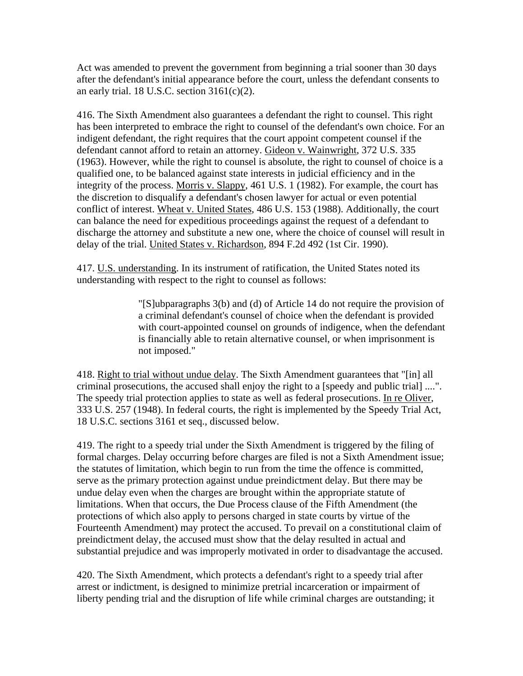Act was amended to prevent the government from beginning a trial sooner than 30 days after the defendant's initial appearance before the court, unless the defendant consents to an early trial. 18 U.S.C. section  $3161(c)(2)$ .

416. The Sixth Amendment also guarantees a defendant the right to counsel. This right has been interpreted to embrace the right to counsel of the defendant's own choice. For an indigent defendant, the right requires that the court appoint competent counsel if the defendant cannot afford to retain an attorney. Gideon v. Wainwright, 372 U.S. 335 (1963). However, while the right to counsel is absolute, the right to counsel of choice is a qualified one, to be balanced against state interests in judicial efficiency and in the integrity of the process. Morris v. Slappy, 461 U.S. 1 (1982). For example, the court has the discretion to disqualify a defendant's chosen lawyer for actual or even potential conflict of interest. Wheat v. United States, 486 U.S. 153 (1988). Additionally, the court can balance the need for expeditious proceedings against the request of a defendant to discharge the attorney and substitute a new one, where the choice of counsel will result in delay of the trial. United States v. Richardson, 894 F.2d 492 (1st Cir. 1990).

417. U.S. understanding. In its instrument of ratification, the United States noted its understanding with respect to the right to counsel as follows:

> "[S]ubparagraphs 3(b) and (d) of Article 14 do not require the provision of a criminal defendant's counsel of choice when the defendant is provided with court-appointed counsel on grounds of indigence, when the defendant is financially able to retain alternative counsel, or when imprisonment is not imposed."

418. Right to trial without undue delay. The Sixth Amendment guarantees that "[in] all criminal prosecutions, the accused shall enjoy the right to a [speedy and public trial] ....". The speedy trial protection applies to state as well as federal prosecutions. In re Oliver, 333 U.S. 257 (1948). In federal courts, the right is implemented by the Speedy Trial Act, 18 U.S.C. sections 3161 et seq., discussed below.

419. The right to a speedy trial under the Sixth Amendment is triggered by the filing of formal charges. Delay occurring before charges are filed is not a Sixth Amendment issue; the statutes of limitation, which begin to run from the time the offence is committed, serve as the primary protection against undue preindictment delay. But there may be undue delay even when the charges are brought within the appropriate statute of limitations. When that occurs, the Due Process clause of the Fifth Amendment (the protections of which also apply to persons charged in state courts by virtue of the Fourteenth Amendment) may protect the accused. To prevail on a constitutional claim of preindictment delay, the accused must show that the delay resulted in actual and substantial prejudice and was improperly motivated in order to disadvantage the accused.

420. The Sixth Amendment, which protects a defendant's right to a speedy trial after arrest or indictment, is designed to minimize pretrial incarceration or impairment of liberty pending trial and the disruption of life while criminal charges are outstanding; it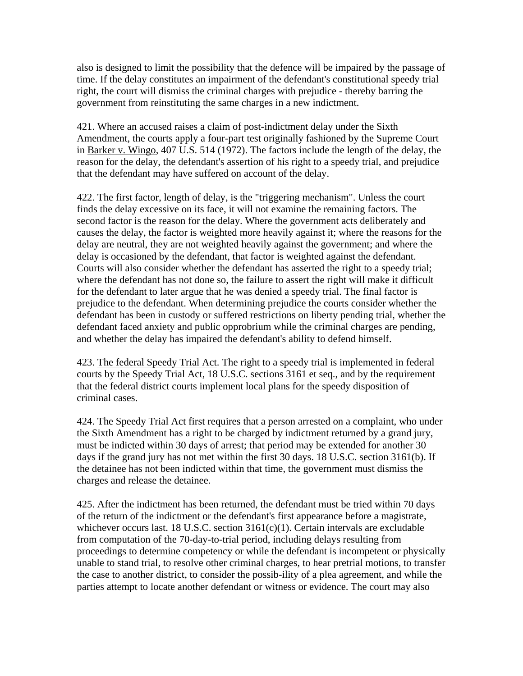also is designed to limit the possibility that the defence will be impaired by the passage of time. If the delay constitutes an impairment of the defendant's constitutional speedy trial right, the court will dismiss the criminal charges with prejudice - thereby barring the government from reinstituting the same charges in a new indictment.

421. Where an accused raises a claim of post-indictment delay under the Sixth Amendment, the courts apply a four-part test originally fashioned by the Supreme Court in Barker v. Wingo, 407 U.S. 514 (1972). The factors include the length of the delay, the reason for the delay, the defendant's assertion of his right to a speedy trial, and prejudice that the defendant may have suffered on account of the delay.

422. The first factor, length of delay, is the "triggering mechanism". Unless the court finds the delay excessive on its face, it will not examine the remaining factors. The second factor is the reason for the delay. Where the government acts deliberately and causes the delay, the factor is weighted more heavily against it; where the reasons for the delay are neutral, they are not weighted heavily against the government; and where the delay is occasioned by the defendant, that factor is weighted against the defendant. Courts will also consider whether the defendant has asserted the right to a speedy trial; where the defendant has not done so, the failure to assert the right will make it difficult for the defendant to later argue that he was denied a speedy trial. The final factor is prejudice to the defendant. When determining prejudice the courts consider whether the defendant has been in custody or suffered restrictions on liberty pending trial, whether the defendant faced anxiety and public opprobrium while the criminal charges are pending, and whether the delay has impaired the defendant's ability to defend himself.

423. The federal Speedy Trial Act. The right to a speedy trial is implemented in federal courts by the Speedy Trial Act, 18 U.S.C. sections 3161 et seq., and by the requirement that the federal district courts implement local plans for the speedy disposition of criminal cases.

424. The Speedy Trial Act first requires that a person arrested on a complaint, who under the Sixth Amendment has a right to be charged by indictment returned by a grand jury, must be indicted within 30 days of arrest; that period may be extended for another 30 days if the grand jury has not met within the first 30 days. 18 U.S.C. section 3161(b). If the detainee has not been indicted within that time, the government must dismiss the charges and release the detainee.

425. After the indictment has been returned, the defendant must be tried within 70 days of the return of the indictment or the defendant's first appearance before a magistrate, whichever occurs last. 18 U.S.C. section 3161(c)(1). Certain intervals are excludable from computation of the 70-day-to-trial period, including delays resulting from proceedings to determine competency or while the defendant is incompetent or physically unable to stand trial, to resolve other criminal charges, to hear pretrial motions, to transfer the case to another district, to consider the possib-ility of a plea agreement, and while the parties attempt to locate another defendant or witness or evidence. The court may also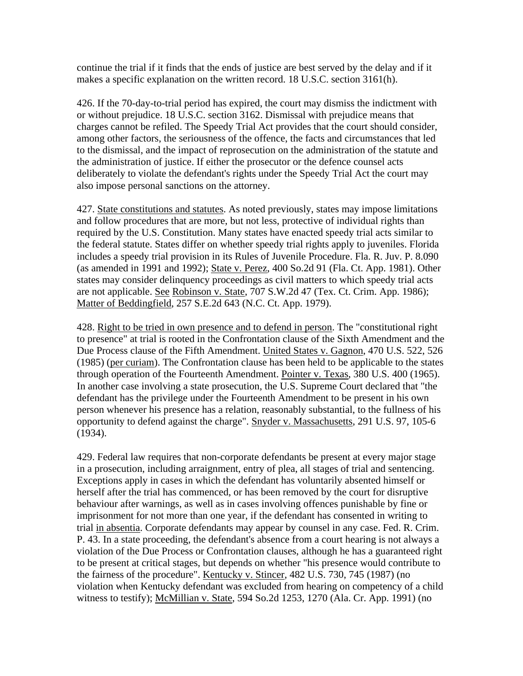continue the trial if it finds that the ends of justice are best served by the delay and if it makes a specific explanation on the written record. 18 U.S.C. section 3161(h).

426. If the 70-day-to-trial period has expired, the court may dismiss the indictment with or without prejudice. 18 U.S.C. section 3162. Dismissal with prejudice means that charges cannot be refiled. The Speedy Trial Act provides that the court should consider, among other factors, the seriousness of the offence, the facts and circumstances that led to the dismissal, and the impact of reprosecution on the administration of the statute and the administration of justice. If either the prosecutor or the defence counsel acts deliberately to violate the defendant's rights under the Speedy Trial Act the court may also impose personal sanctions on the attorney.

427. State constitutions and statutes. As noted previously, states may impose limitations and follow procedures that are more, but not less, protective of individual rights than required by the U.S. Constitution. Many states have enacted speedy trial acts similar to the federal statute. States differ on whether speedy trial rights apply to juveniles. Florida includes a speedy trial provision in its Rules of Juvenile Procedure. Fla. R. Juv. P. 8.090 (as amended in 1991 and 1992); State v. Perez, 400 So.2d 91 (Fla. Ct. App. 1981). Other states may consider delinquency proceedings as civil matters to which speedy trial acts are not applicable. See Robinson v. State, 707 S.W.2d 47 (Tex. Ct. Crim. App. 1986); Matter of Beddingfield, 257 S.E.2d 643 (N.C. Ct. App. 1979).

428. Right to be tried in own presence and to defend in person. The "constitutional right to presence" at trial is rooted in the Confrontation clause of the Sixth Amendment and the Due Process clause of the Fifth Amendment. United States v. Gagnon, 470 U.S. 522, 526 (1985) (per curiam). The Confrontation clause has been held to be applicable to the states through operation of the Fourteenth Amendment. Pointer v. Texas, 380 U.S. 400 (1965). In another case involving a state prosecution, the U.S. Supreme Court declared that "the defendant has the privilege under the Fourteenth Amendment to be present in his own person whenever his presence has a relation, reasonably substantial, to the fullness of his opportunity to defend against the charge". Snyder v. Massachusetts, 291 U.S. 97, 105-6 (1934).

429. Federal law requires that non-corporate defendants be present at every major stage in a prosecution, including arraignment, entry of plea, all stages of trial and sentencing. Exceptions apply in cases in which the defendant has voluntarily absented himself or herself after the trial has commenced, or has been removed by the court for disruptive behaviour after warnings, as well as in cases involving offences punishable by fine or imprisonment for not more than one year, if the defendant has consented in writing to trial in absentia. Corporate defendants may appear by counsel in any case. Fed. R. Crim. P. 43. In a state proceeding, the defendant's absence from a court hearing is not always a violation of the Due Process or Confrontation clauses, although he has a guaranteed right to be present at critical stages, but depends on whether "his presence would contribute to the fairness of the procedure". Kentucky v. Stincer, 482 U.S. 730, 745 (1987) (no violation when Kentucky defendant was excluded from hearing on competency of a child witness to testify); McMillian v. State, 594 So.2d 1253, 1270 (Ala. Cr. App. 1991) (no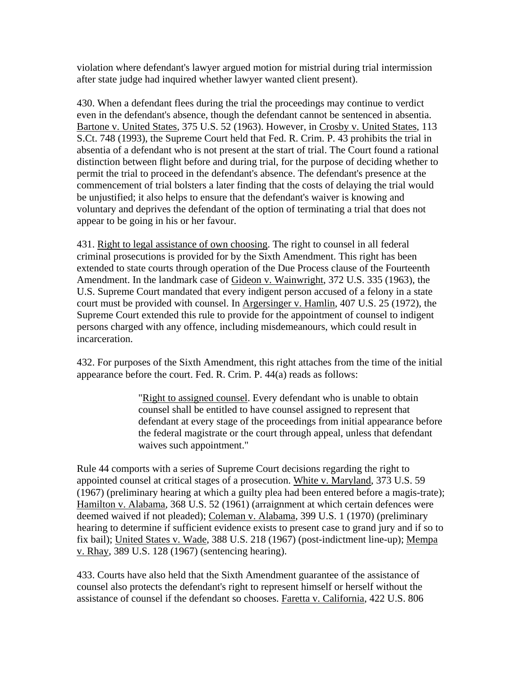violation where defendant's lawyer argued motion for mistrial during trial intermission after state judge had inquired whether lawyer wanted client present).

430. When a defendant flees during the trial the proceedings may continue to verdict even in the defendant's absence, though the defendant cannot be sentenced in absentia. Bartone v. United States, 375 U.S. 52 (1963). However, in Crosby v. United States, 113 S.Ct. 748 (1993), the Supreme Court held that Fed. R. Crim. P. 43 prohibits the trial in absentia of a defendant who is not present at the start of trial. The Court found a rational distinction between flight before and during trial, for the purpose of deciding whether to permit the trial to proceed in the defendant's absence. The defendant's presence at the commencement of trial bolsters a later finding that the costs of delaying the trial would be unjustified; it also helps to ensure that the defendant's waiver is knowing and voluntary and deprives the defendant of the option of terminating a trial that does not appear to be going in his or her favour.

431. Right to legal assistance of own choosing. The right to counsel in all federal criminal prosecutions is provided for by the Sixth Amendment. This right has been extended to state courts through operation of the Due Process clause of the Fourteenth Amendment. In the landmark case of Gideon v. Wainwright, 372 U.S. 335 (1963), the U.S. Supreme Court mandated that every indigent person accused of a felony in a state court must be provided with counsel. In Argersinger v. Hamlin, 407 U.S. 25 (1972), the Supreme Court extended this rule to provide for the appointment of counsel to indigent persons charged with any offence, including misdemeanours, which could result in incarceration.

432. For purposes of the Sixth Amendment, this right attaches from the time of the initial appearance before the court. Fed. R. Crim. P. 44(a) reads as follows:

> "Right to assigned counsel. Every defendant who is unable to obtain counsel shall be entitled to have counsel assigned to represent that defendant at every stage of the proceedings from initial appearance before the federal magistrate or the court through appeal, unless that defendant waives such appointment."

Rule 44 comports with a series of Supreme Court decisions regarding the right to appointed counsel at critical stages of a prosecution. White v. Maryland, 373 U.S. 59 (1967) (preliminary hearing at which a guilty plea had been entered before a magis-trate); Hamilton v. Alabama, 368 U.S. 52 (1961) (arraignment at which certain defences were deemed waived if not pleaded); Coleman v. Alabama, 399 U.S. 1 (1970) (preliminary hearing to determine if sufficient evidence exists to present case to grand jury and if so to fix bail); United States v. Wade, 388 U.S. 218 (1967) (post-indictment line-up); Mempa v. Rhay, 389 U.S. 128 (1967) (sentencing hearing).

433. Courts have also held that the Sixth Amendment guarantee of the assistance of counsel also protects the defendant's right to represent himself or herself without the assistance of counsel if the defendant so chooses. Faretta v. California, 422 U.S. 806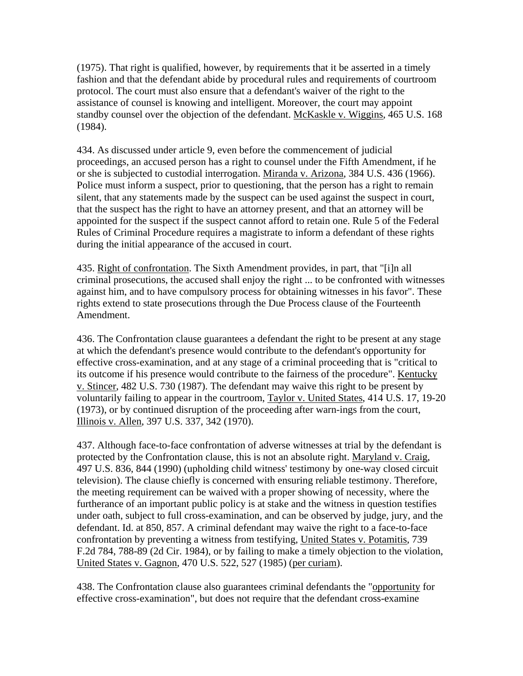(1975). That right is qualified, however, by requirements that it be asserted in a timely fashion and that the defendant abide by procedural rules and requirements of courtroom protocol. The court must also ensure that a defendant's waiver of the right to the assistance of counsel is knowing and intelligent. Moreover, the court may appoint standby counsel over the objection of the defendant. McKaskle v. Wiggins, 465 U.S. 168 (1984).

434. As discussed under article 9, even before the commencement of judicial proceedings, an accused person has a right to counsel under the Fifth Amendment, if he or she is subjected to custodial interrogation. Miranda v. Arizona, 384 U.S. 436 (1966). Police must inform a suspect, prior to questioning, that the person has a right to remain silent, that any statements made by the suspect can be used against the suspect in court, that the suspect has the right to have an attorney present, and that an attorney will be appointed for the suspect if the suspect cannot afford to retain one. Rule 5 of the Federal Rules of Criminal Procedure requires a magistrate to inform a defendant of these rights during the initial appearance of the accused in court.

435. Right of confrontation. The Sixth Amendment provides, in part, that "[i]n all criminal prosecutions, the accused shall enjoy the right ... to be confronted with witnesses against him, and to have compulsory process for obtaining witnesses in his favor". These rights extend to state prosecutions through the Due Process clause of the Fourteenth Amendment.

436. The Confrontation clause guarantees a defendant the right to be present at any stage at which the defendant's presence would contribute to the defendant's opportunity for effective cross-examination, and at any stage of a criminal proceeding that is "critical to its outcome if his presence would contribute to the fairness of the procedure". Kentucky v. Stincer, 482 U.S. 730 (1987). The defendant may waive this right to be present by voluntarily failing to appear in the courtroom, Taylor v. United States, 414 U.S. 17, 19-20 (1973), or by continued disruption of the proceeding after warn-ings from the court, Illinois v. Allen, 397 U.S. 337, 342 (1970).

437. Although face-to-face confrontation of adverse witnesses at trial by the defendant is protected by the Confrontation clause, this is not an absolute right. Maryland v. Craig, 497 U.S. 836, 844 (1990) (upholding child witness' testimony by one-way closed circuit television). The clause chiefly is concerned with ensuring reliable testimony. Therefore, the meeting requirement can be waived with a proper showing of necessity, where the furtherance of an important public policy is at stake and the witness in question testifies under oath, subject to full cross-examination, and can be observed by judge, jury, and the defendant. Id. at 850, 857. A criminal defendant may waive the right to a face-to-face confrontation by preventing a witness from testifying, United States v. Potamitis, 739 F.2d 784, 788-89 (2d Cir. 1984), or by failing to make a timely objection to the violation, United States v. Gagnon, 470 U.S. 522, 527 (1985) (per curiam).

438. The Confrontation clause also guarantees criminal defendants the "opportunity for effective cross-examination", but does not require that the defendant cross-examine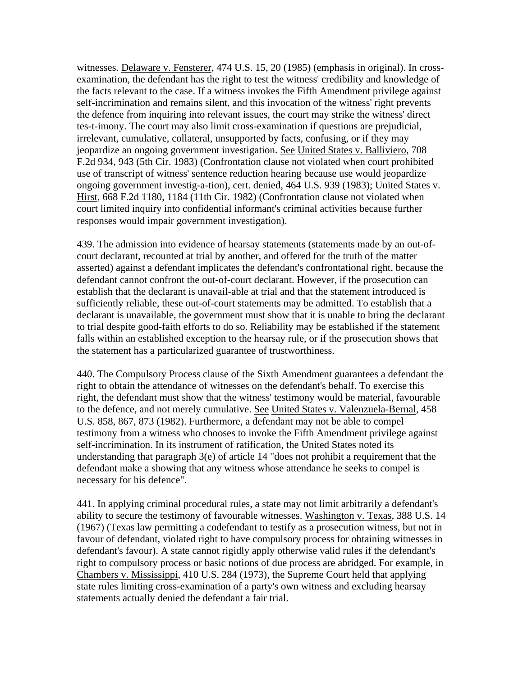witnesses. Delaware v. Fensterer, 474 U.S. 15, 20 (1985) (emphasis in original). In crossexamination, the defendant has the right to test the witness' credibility and knowledge of the facts relevant to the case. If a witness invokes the Fifth Amendment privilege against self-incrimination and remains silent, and this invocation of the witness' right prevents the defence from inquiring into relevant issues, the court may strike the witness' direct tes-t-imony. The court may also limit cross-examination if questions are prejudicial, irrelevant, cumulative, collateral, unsupported by facts, confusing, or if they may jeopardize an ongoing government investigation. See United States v. Balliviero, 708 F.2d 934, 943 (5th Cir. 1983) (Confrontation clause not violated when court prohibited use of transcript of witness' sentence reduction hearing because use would jeopardize ongoing government investig-a-tion), cert. denied, 464 U.S. 939 (1983); United States v. Hirst, 668 F.2d 1180, 1184 (11th Cir. 1982) (Confrontation clause not violated when court limited inquiry into confidential informant's criminal activities because further responses would impair government investigation).

439. The admission into evidence of hearsay statements (statements made by an out-ofcourt declarant, recounted at trial by another, and offered for the truth of the matter asserted) against a defendant implicates the defendant's confrontational right, because the defendant cannot confront the out-of-court declarant. However, if the prosecution can establish that the declarant is unavail-able at trial and that the statement introduced is sufficiently reliable, these out-of-court statements may be admitted. To establish that a declarant is unavailable, the government must show that it is unable to bring the declarant to trial despite good-faith efforts to do so. Reliability may be established if the statement falls within an established exception to the hearsay rule, or if the prosecution shows that the statement has a particularized guarantee of trustworthiness.

440. The Compulsory Process clause of the Sixth Amendment guarantees a defendant the right to obtain the attendance of witnesses on the defendant's behalf. To exercise this right, the defendant must show that the witness' testimony would be material, favourable to the defence, and not merely cumulative. See United States v. Valenzuela-Bernal, 458 U.S. 858, 867, 873 (1982). Furthermore, a defendant may not be able to compel testimony from a witness who chooses to invoke the Fifth Amendment privilege against self-incrimination. In its instrument of ratification, the United States noted its understanding that paragraph 3(e) of article 14 "does not prohibit a requirement that the defendant make a showing that any witness whose attendance he seeks to compel is necessary for his defence".

441. In applying criminal procedural rules, a state may not limit arbitrarily a defendant's ability to secure the testimony of favourable witnesses. Washington v. Texas, 388 U.S. 14 (1967) (Texas law permitting a codefendant to testify as a prosecution witness, but not in favour of defendant, violated right to have compulsory process for obtaining witnesses in defendant's favour). A state cannot rigidly apply otherwise valid rules if the defendant's right to compulsory process or basic notions of due process are abridged. For example, in Chambers v. Mississippi, 410 U.S. 284 (1973), the Supreme Court held that applying state rules limiting cross-examination of a party's own witness and excluding hearsay statements actually denied the defendant a fair trial.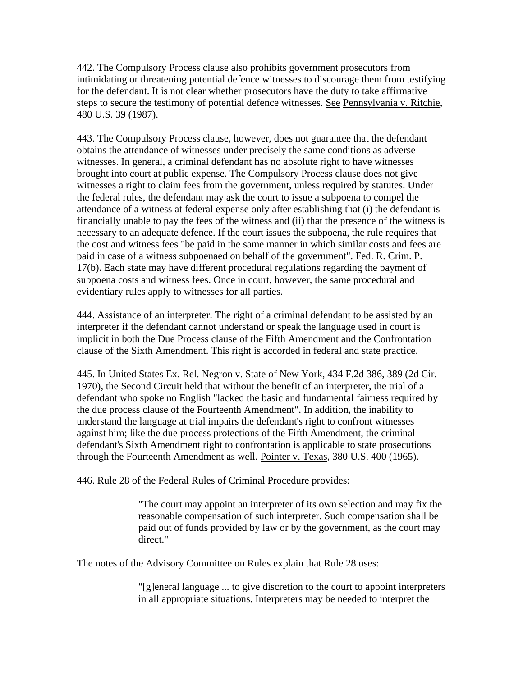442. The Compulsory Process clause also prohibits government prosecutors from intimidating or threatening potential defence witnesses to discourage them from testifying for the defendant. It is not clear whether prosecutors have the duty to take affirmative steps to secure the testimony of potential defence witnesses. See Pennsylvania v. Ritchie, 480 U.S. 39 (1987).

443. The Compulsory Process clause, however, does not guarantee that the defendant obtains the attendance of witnesses under precisely the same conditions as adverse witnesses. In general, a criminal defendant has no absolute right to have witnesses brought into court at public expense. The Compulsory Process clause does not give witnesses a right to claim fees from the government, unless required by statutes. Under the federal rules, the defendant may ask the court to issue a subpoena to compel the attendance of a witness at federal expense only after establishing that (i) the defendant is financially unable to pay the fees of the witness and (ii) that the presence of the witness is necessary to an adequate defence. If the court issues the subpoena, the rule requires that the cost and witness fees "be paid in the same manner in which similar costs and fees are paid in case of a witness subpoenaed on behalf of the government". Fed. R. Crim. P. 17(b). Each state may have different procedural regulations regarding the payment of subpoena costs and witness fees. Once in court, however, the same procedural and evidentiary rules apply to witnesses for all parties.

444. Assistance of an interpreter. The right of a criminal defendant to be assisted by an interpreter if the defendant cannot understand or speak the language used in court is implicit in both the Due Process clause of the Fifth Amendment and the Confrontation clause of the Sixth Amendment. This right is accorded in federal and state practice.

445. In United States Ex. Rel. Negron v. State of New York, 434 F.2d 386, 389 (2d Cir. 1970), the Second Circuit held that without the benefit of an interpreter, the trial of a defendant who spoke no English "lacked the basic and fundamental fairness required by the due process clause of the Fourteenth Amendment". In addition, the inability to understand the language at trial impairs the defendant's right to confront witnesses against him; like the due process protections of the Fifth Amendment, the criminal defendant's Sixth Amendment right to confrontation is applicable to state prosecutions through the Fourteenth Amendment as well. Pointer v. Texas, 380 U.S. 400 (1965).

446. Rule 28 of the Federal Rules of Criminal Procedure provides:

"The court may appoint an interpreter of its own selection and may fix the reasonable compensation of such interpreter. Such compensation shall be paid out of funds provided by law or by the government, as the court may direct."

The notes of the Advisory Committee on Rules explain that Rule 28 uses:

"[g]eneral language ... to give discretion to the court to appoint interpreters in all appropriate situations. Interpreters may be needed to interpret the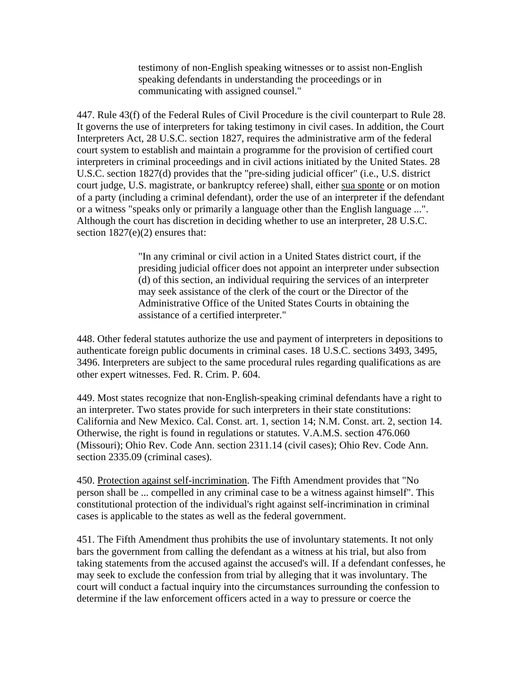testimony of non-English speaking witnesses or to assist non-English speaking defendants in understanding the proceedings or in communicating with assigned counsel."

447. Rule 43(f) of the Federal Rules of Civil Procedure is the civil counterpart to Rule 28. It governs the use of interpreters for taking testimony in civil cases. In addition, the Court Interpreters Act, 28 U.S.C. section 1827, requires the administrative arm of the federal court system to establish and maintain a programme for the provision of certified court interpreters in criminal proceedings and in civil actions initiated by the United States. 28 U.S.C. section 1827(d) provides that the "pre-siding judicial officer" (i.e., U.S. district court judge, U.S. magistrate, or bankruptcy referee) shall, either sua sponte or on motion of a party (including a criminal defendant), order the use of an interpreter if the defendant or a witness "speaks only or primarily a language other than the English language ...". Although the court has discretion in deciding whether to use an interpreter, 28 U.S.C. section 1827(e)(2) ensures that:

> "In any criminal or civil action in a United States district court, if the presiding judicial officer does not appoint an interpreter under subsection (d) of this section, an individual requiring the services of an interpreter may seek assistance of the clerk of the court or the Director of the Administrative Office of the United States Courts in obtaining the assistance of a certified interpreter."

448. Other federal statutes authorize the use and payment of interpreters in depositions to authenticate foreign public documents in criminal cases. 18 U.S.C. sections 3493, 3495, 3496. Interpreters are subject to the same procedural rules regarding qualifications as are other expert witnesses. Fed. R. Crim. P. 604.

449. Most states recognize that non-English-speaking criminal defendants have a right to an interpreter. Two states provide for such interpreters in their state constitutions: California and New Mexico. Cal. Const. art. 1, section 14; N.M. Const. art. 2, section 14. Otherwise, the right is found in regulations or statutes. V.A.M.S. section 476.060 (Missouri); Ohio Rev. Code Ann. section 2311.14 (civil cases); Ohio Rev. Code Ann. section 2335.09 (criminal cases).

450. Protection against self-incrimination. The Fifth Amendment provides that "No person shall be ... compelled in any criminal case to be a witness against himself". This constitutional protection of the individual's right against self-incrimination in criminal cases is applicable to the states as well as the federal government.

451. The Fifth Amendment thus prohibits the use of involuntary statements. It not only bars the government from calling the defendant as a witness at his trial, but also from taking statements from the accused against the accused's will. If a defendant confesses, he may seek to exclude the confession from trial by alleging that it was involuntary. The court will conduct a factual inquiry into the circumstances surrounding the confession to determine if the law enforcement officers acted in a way to pressure or coerce the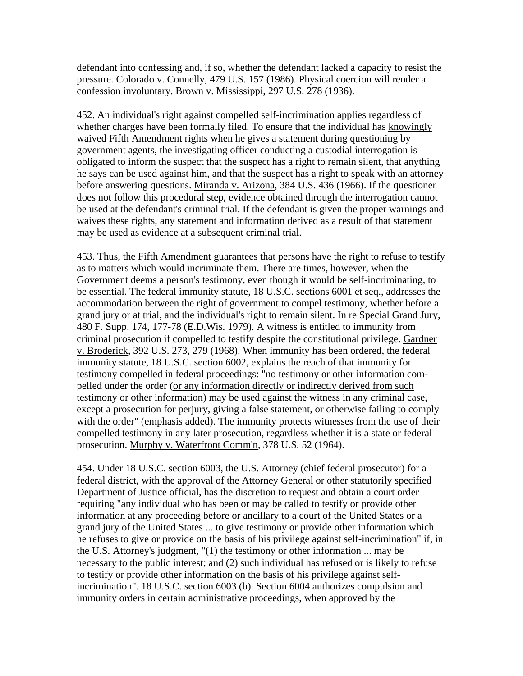defendant into confessing and, if so, whether the defendant lacked a capacity to resist the pressure. Colorado v. Connelly, 479 U.S. 157 (1986). Physical coercion will render a confession involuntary. Brown v. Mississippi, 297 U.S. 278 (1936).

452. An individual's right against compelled self-incrimination applies regardless of whether charges have been formally filed. To ensure that the individual has knowingly waived Fifth Amendment rights when he gives a statement during questioning by government agents, the investigating officer conducting a custodial interrogation is obligated to inform the suspect that the suspect has a right to remain silent, that anything he says can be used against him, and that the suspect has a right to speak with an attorney before answering questions. Miranda v. Arizona, 384 U.S. 436 (1966). If the questioner does not follow this procedural step, evidence obtained through the interrogation cannot be used at the defendant's criminal trial. If the defendant is given the proper warnings and waives these rights, any statement and information derived as a result of that statement may be used as evidence at a subsequent criminal trial.

453. Thus, the Fifth Amendment guarantees that persons have the right to refuse to testify as to matters which would incriminate them. There are times, however, when the Government deems a person's testimony, even though it would be self-incriminating, to be essential. The federal immunity statute, 18 U.S.C. sections 6001 et seq., addresses the accommodation between the right of government to compel testimony, whether before a grand jury or at trial, and the individual's right to remain silent. In re Special Grand Jury, 480 F. Supp. 174, 177-78 (E.D.Wis. 1979). A witness is entitled to immunity from criminal prosecution if compelled to testify despite the constitutional privilege. Gardner v. Broderick, 392 U.S. 273, 279 (1968). When immunity has been ordered, the federal immunity statute, 18 U.S.C. section 6002, explains the reach of that immunity for testimony compelled in federal proceedings: "no testimony or other information compelled under the order (or any information directly or indirectly derived from such testimony or other information) may be used against the witness in any criminal case, except a prosecution for perjury, giving a false statement, or otherwise failing to comply with the order" (emphasis added). The immunity protects witnesses from the use of their compelled testimony in any later prosecution, regardless whether it is a state or federal prosecution. Murphy v. Waterfront Comm'n, 378 U.S. 52 (1964).

454. Under 18 U.S.C. section 6003, the U.S. Attorney (chief federal prosecutor) for a federal district, with the approval of the Attorney General or other statutorily specified Department of Justice official, has the discretion to request and obtain a court order requiring "any individual who has been or may be called to testify or provide other information at any proceeding before or ancillary to a court of the United States or a grand jury of the United States ... to give testimony or provide other information which he refuses to give or provide on the basis of his privilege against self-incrimination" if, in the U.S. Attorney's judgment, "(1) the testimony or other information ... may be necessary to the public interest; and (2) such individual has refused or is likely to refuse to testify or provide other information on the basis of his privilege against selfincrimination". 18 U.S.C. section 6003 (b). Section 6004 authorizes compulsion and immunity orders in certain administrative proceedings, when approved by the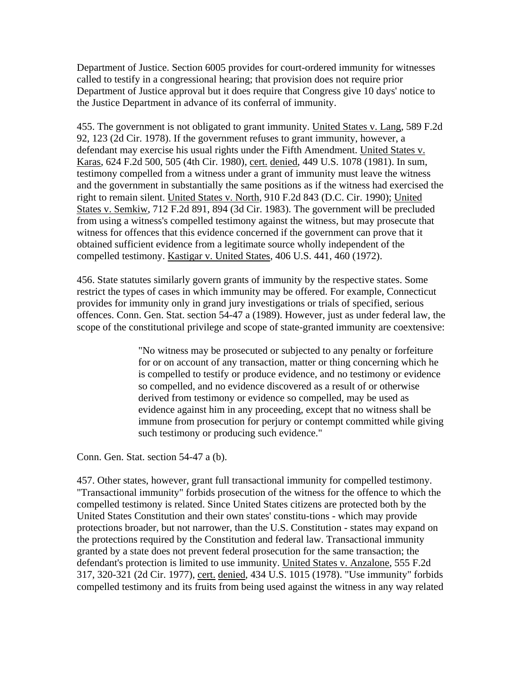Department of Justice. Section 6005 provides for court-ordered immunity for witnesses called to testify in a congressional hearing; that provision does not require prior Department of Justice approval but it does require that Congress give 10 days' notice to the Justice Department in advance of its conferral of immunity.

455. The government is not obligated to grant immunity. United States v. Lang, 589 F.2d 92, 123 (2d Cir. 1978). If the government refuses to grant immunity, however, a defendant may exercise his usual rights under the Fifth Amendment. United States v. Karas, 624 F.2d 500, 505 (4th Cir. 1980), cert. denied, 449 U.S. 1078 (1981). In sum, testimony compelled from a witness under a grant of immunity must leave the witness and the government in substantially the same positions as if the witness had exercised the right to remain silent. United States v. North, 910 F.2d 843 (D.C. Cir. 1990); United States v. Semkiw, 712 F.2d 891, 894 (3d Cir. 1983). The government will be precluded from using a witness's compelled testimony against the witness, but may prosecute that witness for offences that this evidence concerned if the government can prove that it obtained sufficient evidence from a legitimate source wholly independent of the compelled testimony. Kastigar v. United States, 406 U.S. 441, 460 (1972).

456. State statutes similarly govern grants of immunity by the respective states. Some restrict the types of cases in which immunity may be offered. For example, Connecticut provides for immunity only in grand jury investigations or trials of specified, serious offences. Conn. Gen. Stat. section 54-47 a (1989). However, just as under federal law, the scope of the constitutional privilege and scope of state-granted immunity are coextensive:

> "No witness may be prosecuted or subjected to any penalty or forfeiture for or on account of any transaction, matter or thing concerning which he is compelled to testify or produce evidence, and no testimony or evidence so compelled, and no evidence discovered as a result of or otherwise derived from testimony or evidence so compelled, may be used as evidence against him in any proceeding, except that no witness shall be immune from prosecution for perjury or contempt committed while giving such testimony or producing such evidence."

Conn. Gen. Stat. section 54-47 a (b).

457. Other states, however, grant full transactional immunity for compelled testimony. "Transactional immunity" forbids prosecution of the witness for the offence to which the compelled testimony is related. Since United States citizens are protected both by the United States Constitution and their own states' constitu-tions - which may provide protections broader, but not narrower, than the U.S. Constitution - states may expand on the protections required by the Constitution and federal law. Transactional immunity granted by a state does not prevent federal prosecution for the same transaction; the defendant's protection is limited to use immunity. United States v. Anzalone, 555 F.2d 317, 320-321 (2d Cir. 1977), cert. denied, 434 U.S. 1015 (1978). "Use immunity" forbids compelled testimony and its fruits from being used against the witness in any way related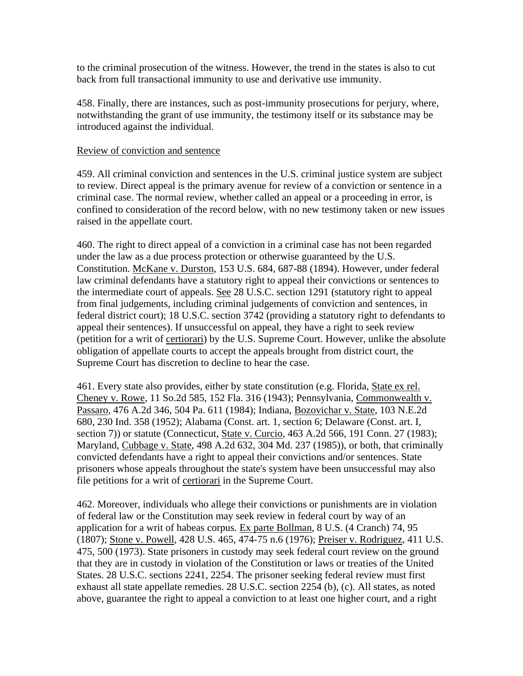to the criminal prosecution of the witness. However, the trend in the states is also to cut back from full transactional immunity to use and derivative use immunity.

458. Finally, there are instances, such as post-immunity prosecutions for perjury, where, notwithstanding the grant of use immunity, the testimony itself or its substance may be introduced against the individual.

#### Review of conviction and sentence

459. All criminal conviction and sentences in the U.S. criminal justice system are subject to review. Direct appeal is the primary avenue for review of a conviction or sentence in a criminal case. The normal review, whether called an appeal or a proceeding in error, is confined to consideration of the record below, with no new testimony taken or new issues raised in the appellate court.

460. The right to direct appeal of a conviction in a criminal case has not been regarded under the law as a due process protection or otherwise guaranteed by the U.S. Constitution. McKane v. Durston, 153 U.S. 684, 687-88 (1894). However, under federal law criminal defendants have a statutory right to appeal their convictions or sentences to the intermediate court of appeals. See 28 U.S.C. section 1291 (statutory right to appeal from final judgements, including criminal judgements of conviction and sentences, in federal district court); 18 U.S.C. section 3742 (providing a statutory right to defendants to appeal their sentences). If unsuccessful on appeal, they have a right to seek review (petition for a writ of certiorari) by the U.S. Supreme Court. However, unlike the absolute obligation of appellate courts to accept the appeals brought from district court, the Supreme Court has discretion to decline to hear the case.

461. Every state also provides, either by state constitution (e.g. Florida, State ex rel. Cheney v. Rowe, 11 So.2d 585, 152 Fla. 316 (1943); Pennsylvania, Commonwealth v. Passaro, 476 A.2d 346, 504 Pa. 611 (1984); Indiana, Bozovichar v. State, 103 N.E.2d 680, 230 Ind. 358 (1952); Alabama (Const. art. 1, section 6; Delaware (Const. art. I, section 7)) or statute (Connecticut, State v. Curcio, 463 A.2d 566, 191 Conn. 27 (1983); Maryland, Cubbage v. State, 498 A.2d 632, 304 Md. 237 (1985)), or both, that criminally convicted defendants have a right to appeal their convictions and/or sentences. State prisoners whose appeals throughout the state's system have been unsuccessful may also file petitions for a writ of certiorari in the Supreme Court.

462. Moreover, individuals who allege their convictions or punishments are in violation of federal law or the Constitution may seek review in federal court by way of an application for a writ of habeas corpus. Ex parte Bollman, 8 U.S. (4 Cranch) 74, 95 (1807); Stone v. Powell, 428 U.S. 465, 474-75 n.6 (1976); Preiser v. Rodriguez, 411 U.S. 475, 500 (1973). State prisoners in custody may seek federal court review on the ground that they are in custody in violation of the Constitution or laws or treaties of the United States. 28 U.S.C. sections 2241, 2254. The prisoner seeking federal review must first exhaust all state appellate remedies. 28 U.S.C. section 2254 (b), (c). All states, as noted above, guarantee the right to appeal a conviction to at least one higher court, and a right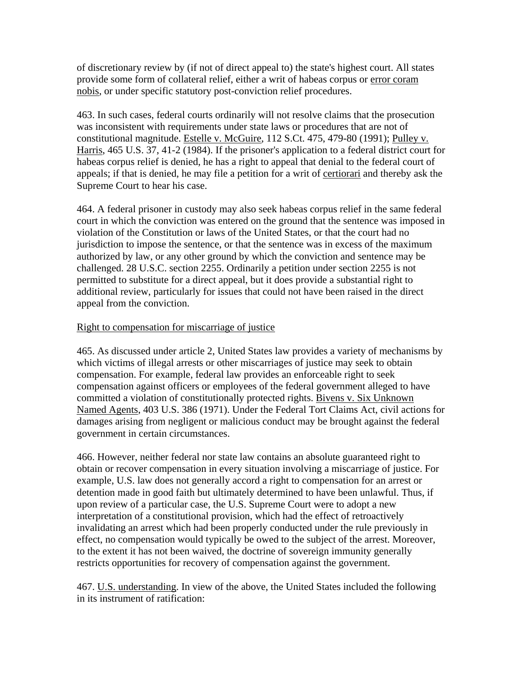of discretionary review by (if not of direct appeal to) the state's highest court. All states provide some form of collateral relief, either a writ of habeas corpus or error coram nobis, or under specific statutory post-conviction relief procedures.

463. In such cases, federal courts ordinarily will not resolve claims that the prosecution was inconsistent with requirements under state laws or procedures that are not of constitutional magnitude. Estelle v. McGuire, 112 S.Ct. 475, 479-80 (1991); Pulley v. Harris, 465 U.S. 37, 41-2 (1984). If the prisoner's application to a federal district court for habeas corpus relief is denied, he has a right to appeal that denial to the federal court of appeals; if that is denied, he may file a petition for a writ of certiorari and thereby ask the Supreme Court to hear his case.

464. A federal prisoner in custody may also seek habeas corpus relief in the same federal court in which the conviction was entered on the ground that the sentence was imposed in violation of the Constitution or laws of the United States, or that the court had no jurisdiction to impose the sentence, or that the sentence was in excess of the maximum authorized by law, or any other ground by which the conviction and sentence may be challenged. 28 U.S.C. section 2255. Ordinarily a petition under section 2255 is not permitted to substitute for a direct appeal, but it does provide a substantial right to additional review, particularly for issues that could not have been raised in the direct appeal from the conviction.

# Right to compensation for miscarriage of justice

465. As discussed under article 2, United States law provides a variety of mechanisms by which victims of illegal arrests or other miscarriages of justice may seek to obtain compensation. For example, federal law provides an enforceable right to seek compensation against officers or employees of the federal government alleged to have committed a violation of constitutionally protected rights. Bivens v. Six Unknown Named Agents, 403 U.S. 386 (1971). Under the Federal Tort Claims Act, civil actions for damages arising from negligent or malicious conduct may be brought against the federal government in certain circumstances.

466. However, neither federal nor state law contains an absolute guaranteed right to obtain or recover compensation in every situation involving a miscarriage of justice. For example, U.S. law does not generally accord a right to compensation for an arrest or detention made in good faith but ultimately determined to have been unlawful. Thus, if upon review of a particular case, the U.S. Supreme Court were to adopt a new interpretation of a constitutional provision, which had the effect of retroactively invalidating an arrest which had been properly conducted under the rule previously in effect, no compensation would typically be owed to the subject of the arrest. Moreover, to the extent it has not been waived, the doctrine of sovereign immunity generally restricts opportunities for recovery of compensation against the government.

467. U.S. understanding. In view of the above, the United States included the following in its instrument of ratification: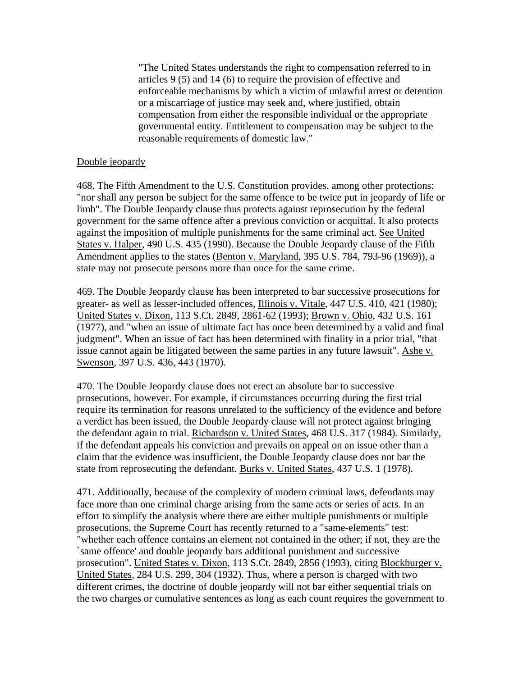"The United States understands the right to compensation referred to in articles 9 (5) and 14 (6) to require the provision of effective and enforceable mechanisms by which a victim of unlawful arrest or detention or a miscarriage of justice may seek and, where justified, obtain compensation from either the responsible individual or the appropriate governmental entity. Entitlement to compensation may be subject to the reasonable requirements of domestic law."

#### Double jeopardy

468. The Fifth Amendment to the U.S. Constitution provides, among other protections: "nor shall any person be subject for the same offence to be twice put in jeopardy of life or limb". The Double Jeopardy clause thus protects against reprosecution by the federal government for the same offence after a previous conviction or acquittal. It also protects against the imposition of multiple punishments for the same criminal act. See United States v. Halper, 490 U.S. 435 (1990). Because the Double Jeopardy clause of the Fifth Amendment applies to the states (Benton v. Maryland, 395 U.S. 784, 793-96 (1969)), a state may not prosecute persons more than once for the same crime.

469. The Double Jeopardy clause has been interpreted to bar successive prosecutions for greater- as well as lesser-included offences, Illinois v. Vitale, 447 U.S. 410, 421 (1980); United States v. Dixon, 113 S.Ct. 2849, 2861-62 (1993); Brown v. Ohio, 432 U.S. 161 (1977), and "when an issue of ultimate fact has once been determined by a valid and final judgment". When an issue of fact has been determined with finality in a prior trial, "that issue cannot again be litigated between the same parties in any future lawsuit". Ashe v. Swenson, 397 U.S. 436, 443 (1970).

470. The Double Jeopardy clause does not erect an absolute bar to successive prosecutions, however. For example, if circumstances occurring during the first trial require its termination for reasons unrelated to the sufficiency of the evidence and before a verdict has been issued, the Double Jeopardy clause will not protect against bringing the defendant again to trial. Richardson v. United States, 468 U.S. 317 (1984). Similarly, if the defendant appeals his conviction and prevails on appeal on an issue other than a claim that the evidence was insufficient, the Double Jeopardy clause does not bar the state from reprosecuting the defendant. Burks v. United States, 437 U.S. 1 (1978).

471. Additionally, because of the complexity of modern criminal laws, defendants may face more than one criminal charge arising from the same acts or series of acts. In an effort to simplify the analysis where there are either multiple punishments or multiple prosecutions, the Supreme Court has recently returned to a "same-elements" test: "whether each offence contains an element not contained in the other; if not, they are the `same offence' and double jeopardy bars additional punishment and successive prosecution". United States v. Dixon, 113 S.Ct. 2849, 2856 (1993), citing Blockburger v. United States, 284 U.S. 299, 304 (1932). Thus, where a person is charged with two different crimes, the doctrine of double jeopardy will not bar either sequential trials on the two charges or cumulative sentences as long as each count requires the government to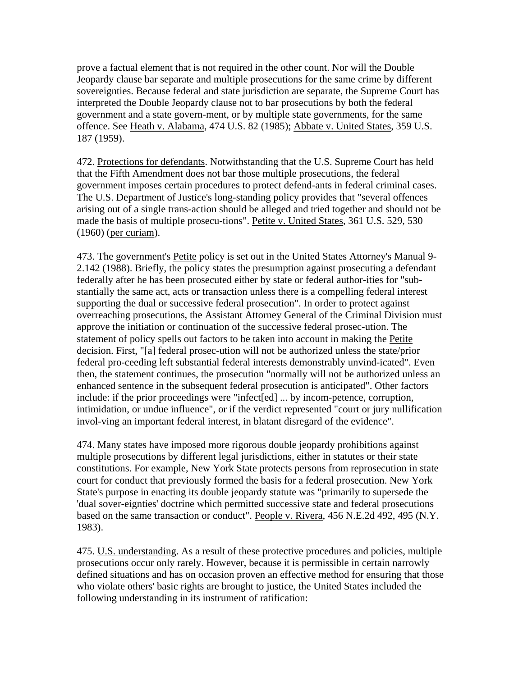prove a factual element that is not required in the other count. Nor will the Double Jeopardy clause bar separate and multiple prosecutions for the same crime by different sovereignties. Because federal and state jurisdiction are separate, the Supreme Court has interpreted the Double Jeopardy clause not to bar prosecutions by both the federal government and a state govern-ment, or by multiple state governments, for the same offence. See Heath v. Alabama, 474 U.S. 82 (1985); Abbate v. United States, 359 U.S. 187 (1959).

472. Protections for defendants. Notwithstanding that the U.S. Supreme Court has held that the Fifth Amendment does not bar those multiple prosecutions, the federal government imposes certain procedures to protect defend-ants in federal criminal cases. The U.S. Department of Justice's long-standing policy provides that "several offences arising out of a single trans-action should be alleged and tried together and should not be made the basis of multiple prosecu-tions". Petite v. United States, 361 U.S. 529, 530 (1960) (per curiam).

473. The government's Petite policy is set out in the United States Attorney's Manual 9- 2.142 (1988). Briefly, the policy states the presumption against prosecuting a defendant federally after he has been prosecuted either by state or federal author-ities for "substantially the same act, acts or transaction unless there is a compelling federal interest supporting the dual or successive federal prosecution". In order to protect against overreaching prosecutions, the Assistant Attorney General of the Criminal Division must approve the initiation or continuation of the successive federal prosec-ution. The statement of policy spells out factors to be taken into account in making the Petite decision. First, "[a] federal prosec-ution will not be authorized unless the state/prior federal pro-ceeding left substantial federal interests demonstrably unvind-icated". Even then, the statement continues, the prosecution "normally will not be authorized unless an enhanced sentence in the subsequent federal prosecution is anticipated". Other factors include: if the prior proceedings were "infect[ed] ... by incom-petence, corruption, intimidation, or undue influence", or if the verdict represented "court or jury nullification invol-ving an important federal interest, in blatant disregard of the evidence".

474. Many states have imposed more rigorous double jeopardy prohibitions against multiple prosecutions by different legal jurisdictions, either in statutes or their state constitutions. For example, New York State protects persons from reprosecution in state court for conduct that previously formed the basis for a federal prosecution. New York State's purpose in enacting its double jeopardy statute was "primarily to supersede the 'dual sover-eignties' doctrine which permitted successive state and federal prosecutions based on the same transaction or conduct". People v. Rivera, 456 N.E.2d 492, 495 (N.Y. 1983).

475. U.S. understanding. As a result of these protective procedures and policies, multiple prosecutions occur only rarely. However, because it is permissible in certain narrowly defined situations and has on occasion proven an effective method for ensuring that those who violate others' basic rights are brought to justice, the United States included the following understanding in its instrument of ratification: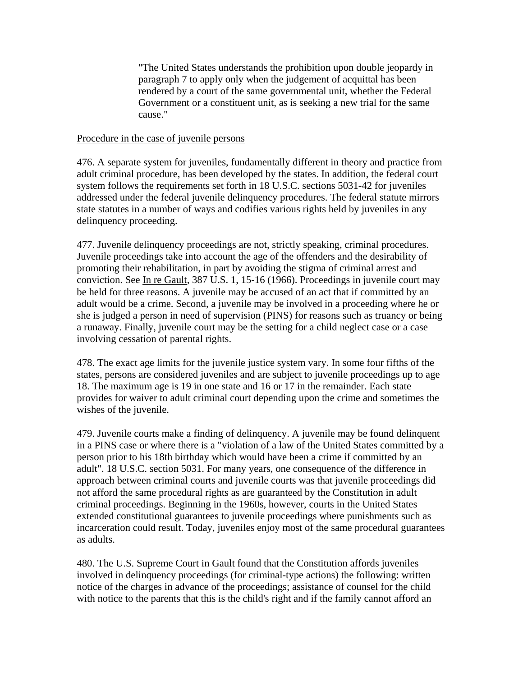"The United States understands the prohibition upon double jeopardy in paragraph 7 to apply only when the judgement of acquittal has been rendered by a court of the same governmental unit, whether the Federal Government or a constituent unit, as is seeking a new trial for the same cause."

#### Procedure in the case of juvenile persons

476. A separate system for juveniles, fundamentally different in theory and practice from adult criminal procedure, has been developed by the states. In addition, the federal court system follows the requirements set forth in 18 U.S.C. sections 5031-42 for juveniles addressed under the federal juvenile delinquency procedures. The federal statute mirrors state statutes in a number of ways and codifies various rights held by juveniles in any delinquency proceeding.

477. Juvenile delinquency proceedings are not, strictly speaking, criminal procedures. Juvenile proceedings take into account the age of the offenders and the desirability of promoting their rehabilitation, in part by avoiding the stigma of criminal arrest and conviction. See In re Gault, 387 U.S. 1, 15-16 (1966). Proceedings in juvenile court may be held for three reasons. A juvenile may be accused of an act that if committed by an adult would be a crime. Second, a juvenile may be involved in a proceeding where he or she is judged a person in need of supervision (PINS) for reasons such as truancy or being a runaway. Finally, juvenile court may be the setting for a child neglect case or a case involving cessation of parental rights.

478. The exact age limits for the juvenile justice system vary. In some four fifths of the states, persons are considered juveniles and are subject to juvenile proceedings up to age 18. The maximum age is 19 in one state and 16 or 17 in the remainder. Each state provides for waiver to adult criminal court depending upon the crime and sometimes the wishes of the juvenile.

479. Juvenile courts make a finding of delinquency. A juvenile may be found delinquent in a PINS case or where there is a "violation of a law of the United States committed by a person prior to his 18th birthday which would have been a crime if committed by an adult". 18 U.S.C. section 5031. For many years, one consequence of the difference in approach between criminal courts and juvenile courts was that juvenile proceedings did not afford the same procedural rights as are guaranteed by the Constitution in adult criminal proceedings. Beginning in the 1960s, however, courts in the United States extended constitutional guarantees to juvenile proceedings where punishments such as incarceration could result. Today, juveniles enjoy most of the same procedural guarantees as adults.

480. The U.S. Supreme Court in Gault found that the Constitution affords juveniles involved in delinquency proceedings (for criminal-type actions) the following: written notice of the charges in advance of the proceedings; assistance of counsel for the child with notice to the parents that this is the child's right and if the family cannot afford an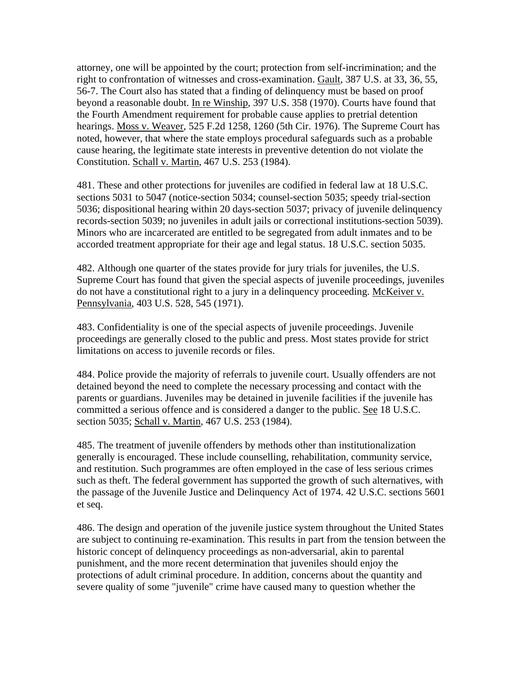attorney, one will be appointed by the court; protection from self-incrimination; and the right to confrontation of witnesses and cross-examination. Gault, 387 U.S. at 33, 36, 55, 56-7. The Court also has stated that a finding of delinquency must be based on proof beyond a reasonable doubt. In re Winship, 397 U.S. 358 (1970). Courts have found that the Fourth Amendment requirement for probable cause applies to pretrial detention hearings. Moss v. Weaver, 525 F.2d 1258, 1260 (5th Cir. 1976). The Supreme Court has noted, however, that where the state employs procedural safeguards such as a probable cause hearing, the legitimate state interests in preventive detention do not violate the Constitution. Schall v. Martin, 467 U.S. 253 (1984).

481. These and other protections for juveniles are codified in federal law at 18 U.S.C. sections 5031 to 5047 (notice-section 5034; counsel-section 5035; speedy trial-section 5036; dispositional hearing within 20 days-section 5037; privacy of juvenile delinquency records-section 5039; no juveniles in adult jails or correctional institutions-section 5039). Minors who are incarcerated are entitled to be segregated from adult inmates and to be accorded treatment appropriate for their age and legal status. 18 U.S.C. section 5035.

482. Although one quarter of the states provide for jury trials for juveniles, the U.S. Supreme Court has found that given the special aspects of juvenile proceedings, juveniles do not have a constitutional right to a jury in a delinquency proceeding. McKeiver v. Pennsylvania, 403 U.S. 528, 545 (1971).

483. Confidentiality is one of the special aspects of juvenile proceedings. Juvenile proceedings are generally closed to the public and press. Most states provide for strict limitations on access to juvenile records or files.

484. Police provide the majority of referrals to juvenile court. Usually offenders are not detained beyond the need to complete the necessary processing and contact with the parents or guardians. Juveniles may be detained in juvenile facilities if the juvenile has committed a serious offence and is considered a danger to the public. See 18 U.S.C. section 5035; Schall v. Martin, 467 U.S. 253 (1984).

485. The treatment of juvenile offenders by methods other than institutionalization generally is encouraged. These include counselling, rehabilitation, community service, and restitution. Such programmes are often employed in the case of less serious crimes such as theft. The federal government has supported the growth of such alternatives, with the passage of the Juvenile Justice and Delinquency Act of 1974. 42 U.S.C. sections 5601 et seq.

486. The design and operation of the juvenile justice system throughout the United States are subject to continuing re-examination. This results in part from the tension between the historic concept of delinquency proceedings as non-adversarial, akin to parental punishment, and the more recent determination that juveniles should enjoy the protections of adult criminal procedure. In addition, concerns about the quantity and severe quality of some "juvenile" crime have caused many to question whether the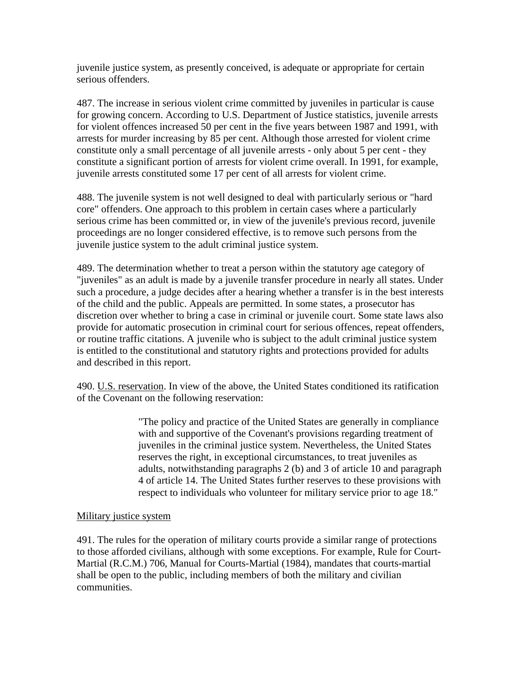juvenile justice system, as presently conceived, is adequate or appropriate for certain serious offenders.

487. The increase in serious violent crime committed by juveniles in particular is cause for growing concern. According to U.S. Department of Justice statistics, juvenile arrests for violent offences increased 50 per cent in the five years between 1987 and 1991, with arrests for murder increasing by 85 per cent. Although those arrested for violent crime constitute only a small percentage of all juvenile arrests - only about 5 per cent - they constitute a significant portion of arrests for violent crime overall. In 1991, for example, juvenile arrests constituted some 17 per cent of all arrests for violent crime.

488. The juvenile system is not well designed to deal with particularly serious or "hard core" offenders. One approach to this problem in certain cases where a particularly serious crime has been committed or, in view of the juvenile's previous record, juvenile proceedings are no longer considered effective, is to remove such persons from the juvenile justice system to the adult criminal justice system.

489. The determination whether to treat a person within the statutory age category of "juveniles" as an adult is made by a juvenile transfer procedure in nearly all states. Under such a procedure, a judge decides after a hearing whether a transfer is in the best interests of the child and the public. Appeals are permitted. In some states, a prosecutor has discretion over whether to bring a case in criminal or juvenile court. Some state laws also provide for automatic prosecution in criminal court for serious offences, repeat offenders, or routine traffic citations. A juvenile who is subject to the adult criminal justice system is entitled to the constitutional and statutory rights and protections provided for adults and described in this report.

490. U.S. reservation. In view of the above, the United States conditioned its ratification of the Covenant on the following reservation:

> "The policy and practice of the United States are generally in compliance with and supportive of the Covenant's provisions regarding treatment of juveniles in the criminal justice system. Nevertheless, the United States reserves the right, in exceptional circumstances, to treat juveniles as adults, notwithstanding paragraphs 2 (b) and 3 of article 10 and paragraph 4 of article 14. The United States further reserves to these provisions with respect to individuals who volunteer for military service prior to age 18."

### Military justice system

491. The rules for the operation of military courts provide a similar range of protections to those afforded civilians, although with some exceptions. For example, Rule for Court-Martial (R.C.M.) 706, Manual for Courts-Martial (1984), mandates that courts-martial shall be open to the public, including members of both the military and civilian communities.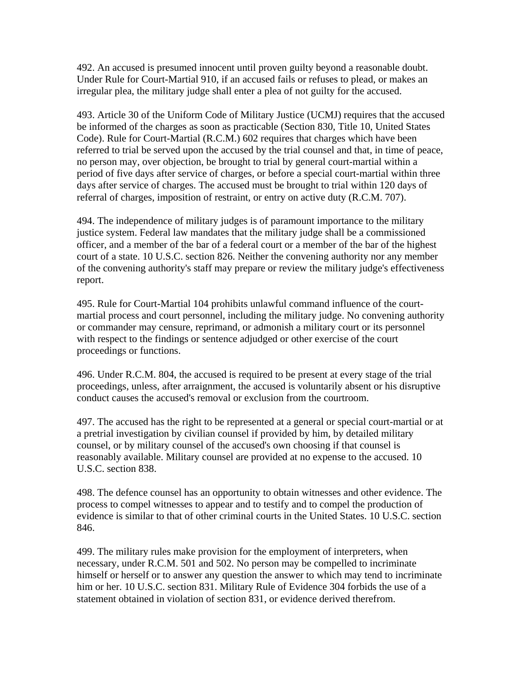492. An accused is presumed innocent until proven guilty beyond a reasonable doubt. Under Rule for Court-Martial 910, if an accused fails or refuses to plead, or makes an irregular plea, the military judge shall enter a plea of not guilty for the accused.

493. Article 30 of the Uniform Code of Military Justice (UCMJ) requires that the accused be informed of the charges as soon as practicable (Section 830, Title 10, United States Code). Rule for Court-Martial (R.C.M.) 602 requires that charges which have been referred to trial be served upon the accused by the trial counsel and that, in time of peace, no person may, over objection, be brought to trial by general court-martial within a period of five days after service of charges, or before a special court-martial within three days after service of charges. The accused must be brought to trial within 120 days of referral of charges, imposition of restraint, or entry on active duty (R.C.M. 707).

494. The independence of military judges is of paramount importance to the military justice system. Federal law mandates that the military judge shall be a commissioned officer, and a member of the bar of a federal court or a member of the bar of the highest court of a state. 10 U.S.C. section 826. Neither the convening authority nor any member of the convening authority's staff may prepare or review the military judge's effectiveness report.

495. Rule for Court-Martial 104 prohibits unlawful command influence of the courtmartial process and court personnel, including the military judge. No convening authority or commander may censure, reprimand, or admonish a military court or its personnel with respect to the findings or sentence adjudged or other exercise of the court proceedings or functions.

496. Under R.C.M. 804, the accused is required to be present at every stage of the trial proceedings, unless, after arraignment, the accused is voluntarily absent or his disruptive conduct causes the accused's removal or exclusion from the courtroom.

497. The accused has the right to be represented at a general or special court-martial or at a pretrial investigation by civilian counsel if provided by him, by detailed military counsel, or by military counsel of the accused's own choosing if that counsel is reasonably available. Military counsel are provided at no expense to the accused. 10 U.S.C. section 838.

498. The defence counsel has an opportunity to obtain witnesses and other evidence. The process to compel witnesses to appear and to testify and to compel the production of evidence is similar to that of other criminal courts in the United States. 10 U.S.C. section 846.

499. The military rules make provision for the employment of interpreters, when necessary, under R.C.M. 501 and 502. No person may be compelled to incriminate himself or herself or to answer any question the answer to which may tend to incriminate him or her. 10 U.S.C. section 831. Military Rule of Evidence 304 forbids the use of a statement obtained in violation of section 831, or evidence derived therefrom.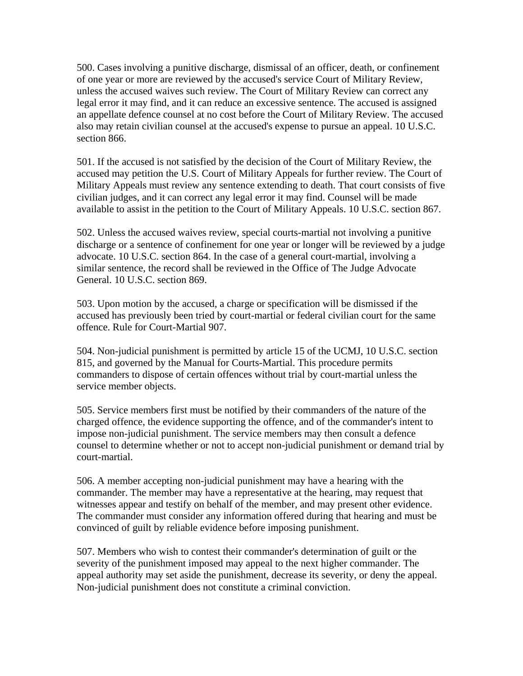500. Cases involving a punitive discharge, dismissal of an officer, death, or confinement of one year or more are reviewed by the accused's service Court of Military Review, unless the accused waives such review. The Court of Military Review can correct any legal error it may find, and it can reduce an excessive sentence. The accused is assigned an appellate defence counsel at no cost before the Court of Military Review. The accused also may retain civilian counsel at the accused's expense to pursue an appeal. 10 U.S.C. section 866.

501. If the accused is not satisfied by the decision of the Court of Military Review, the accused may petition the U.S. Court of Military Appeals for further review. The Court of Military Appeals must review any sentence extending to death. That court consists of five civilian judges, and it can correct any legal error it may find. Counsel will be made available to assist in the petition to the Court of Military Appeals. 10 U.S.C. section 867.

502. Unless the accused waives review, special courts-martial not involving a punitive discharge or a sentence of confinement for one year or longer will be reviewed by a judge advocate. 10 U.S.C. section 864. In the case of a general court-martial, involving a similar sentence, the record shall be reviewed in the Office of The Judge Advocate General. 10 U.S.C. section 869.

503. Upon motion by the accused, a charge or specification will be dismissed if the accused has previously been tried by court-martial or federal civilian court for the same offence. Rule for Court-Martial 907.

504. Non-judicial punishment is permitted by article 15 of the UCMJ, 10 U.S.C. section 815, and governed by the Manual for Courts-Martial. This procedure permits commanders to dispose of certain offences without trial by court-martial unless the service member objects.

505. Service members first must be notified by their commanders of the nature of the charged offence, the evidence supporting the offence, and of the commander's intent to impose non-judicial punishment. The service members may then consult a defence counsel to determine whether or not to accept non-judicial punishment or demand trial by court-martial.

506. A member accepting non-judicial punishment may have a hearing with the commander. The member may have a representative at the hearing, may request that witnesses appear and testify on behalf of the member, and may present other evidence. The commander must consider any information offered during that hearing and must be convinced of guilt by reliable evidence before imposing punishment.

507. Members who wish to contest their commander's determination of guilt or the severity of the punishment imposed may appeal to the next higher commander. The appeal authority may set aside the punishment, decrease its severity, or deny the appeal. Non-judicial punishment does not constitute a criminal conviction.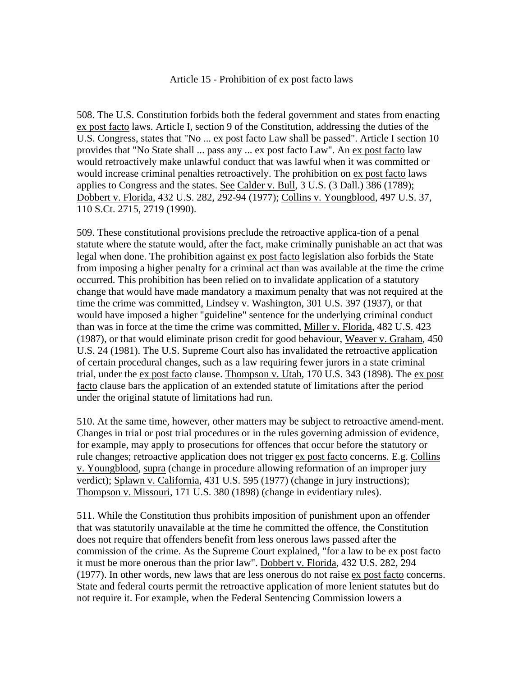### Article 15 - Prohibition of ex post facto laws

508. The U.S. Constitution forbids both the federal government and states from enacting ex post facto laws. Article I, section 9 of the Constitution, addressing the duties of the U.S. Congress, states that "No ... ex post facto Law shall be passed". Article I section 10 provides that "No State shall ... pass any ... ex post facto Law". An ex post facto law would retroactively make unlawful conduct that was lawful when it was committed or would increase criminal penalties retroactively. The prohibition on ex post facto laws applies to Congress and the states. See Calder v. Bull, 3 U.S. (3 Dall.) 386 (1789); Dobbert v. Florida, 432 U.S. 282, 292-94 (1977); Collins v. Youngblood, 497 U.S. 37, 110 S.Ct. 2715, 2719 (1990).

509. These constitutional provisions preclude the retroactive applica-tion of a penal statute where the statute would, after the fact, make criminally punishable an act that was legal when done. The prohibition against ex post facto legislation also forbids the State from imposing a higher penalty for a criminal act than was available at the time the crime occurred. This prohibition has been relied on to invalidate application of a statutory change that would have made mandatory a maximum penalty that was not required at the time the crime was committed, Lindsey v. Washington, 301 U.S. 397 (1937), or that would have imposed a higher "guideline" sentence for the underlying criminal conduct than was in force at the time the crime was committed, Miller v. Florida, 482 U.S. 423 (1987), or that would eliminate prison credit for good behaviour, Weaver v. Graham, 450 U.S. 24 (1981). The U.S. Supreme Court also has invalidated the retroactive application of certain procedural changes, such as a law requiring fewer jurors in a state criminal trial, under the ex post facto clause. Thompson v. Utah, 170 U.S. 343 (1898). The ex post facto clause bars the application of an extended statute of limitations after the period under the original statute of limitations had run.

510. At the same time, however, other matters may be subject to retroactive amend-ment. Changes in trial or post trial procedures or in the rules governing admission of evidence, for example, may apply to prosecutions for offences that occur before the statutory or rule changes; retroactive application does not trigger ex post facto concerns. E.g. Collins v. Youngblood, supra (change in procedure allowing reformation of an improper jury verdict); Splawn v. California, 431 U.S. 595 (1977) (change in jury instructions); Thompson v. Missouri, 171 U.S. 380 (1898) (change in evidentiary rules).

511. While the Constitution thus prohibits imposition of punishment upon an offender that was statutorily unavailable at the time he committed the offence, the Constitution does not require that offenders benefit from less onerous laws passed after the commission of the crime. As the Supreme Court explained, "for a law to be ex post facto it must be more onerous than the prior law". Dobbert v. Florida, 432 U.S. 282, 294 (1977). In other words, new laws that are less onerous do not raise ex post facto concerns. State and federal courts permit the retroactive application of more lenient statutes but do not require it. For example, when the Federal Sentencing Commission lowers a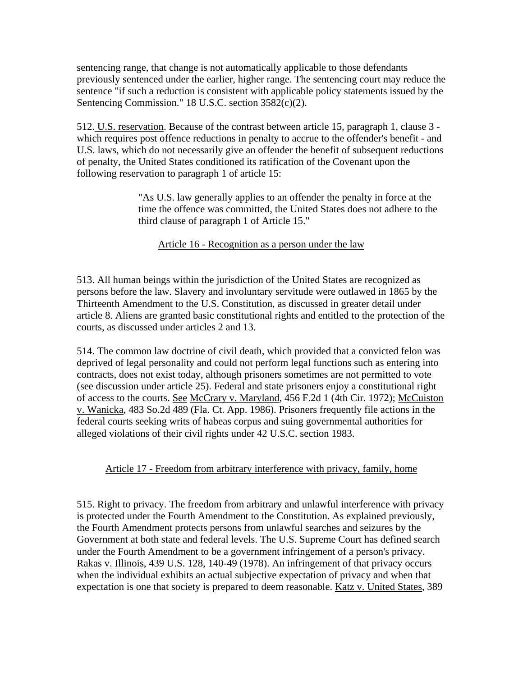sentencing range, that change is not automatically applicable to those defendants previously sentenced under the earlier, higher range. The sentencing court may reduce the sentence "if such a reduction is consistent with applicable policy statements issued by the Sentencing Commission." 18 U.S.C. section 3582(c)(2).

512. U.S. reservation. Because of the contrast between article 15, paragraph 1, clause 3 which requires post offence reductions in penalty to accrue to the offender's benefit - and U.S. laws, which do not necessarily give an offender the benefit of subsequent reductions of penalty, the United States conditioned its ratification of the Covenant upon the following reservation to paragraph 1 of article 15:

> "As U.S. law generally applies to an offender the penalty in force at the time the offence was committed, the United States does not adhere to the third clause of paragraph 1 of Article 15."

# Article 16 - Recognition as a person under the law

513. All human beings within the jurisdiction of the United States are recognized as persons before the law. Slavery and involuntary servitude were outlawed in 1865 by the Thirteenth Amendment to the U.S. Constitution, as discussed in greater detail under article 8. Aliens are granted basic constitutional rights and entitled to the protection of the courts, as discussed under articles 2 and 13.

514. The common law doctrine of civil death, which provided that a convicted felon was deprived of legal personality and could not perform legal functions such as entering into contracts, does not exist today, although prisoners sometimes are not permitted to vote (see discussion under article 25). Federal and state prisoners enjoy a constitutional right of access to the courts. See McCrary v. Maryland, 456 F.2d 1 (4th Cir. 1972); McCuiston v. Wanicka, 483 So.2d 489 (Fla. Ct. App. 1986). Prisoners frequently file actions in the federal courts seeking writs of habeas corpus and suing governmental authorities for alleged violations of their civil rights under 42 U.S.C. section 1983.

# Article 17 - Freedom from arbitrary interference with privacy, family, home

515. Right to privacy. The freedom from arbitrary and unlawful interference with privacy is protected under the Fourth Amendment to the Constitution. As explained previously, the Fourth Amendment protects persons from unlawful searches and seizures by the Government at both state and federal levels. The U.S. Supreme Court has defined search under the Fourth Amendment to be a government infringement of a person's privacy. Rakas v. Illinois, 439 U.S. 128, 140-49 (1978). An infringement of that privacy occurs when the individual exhibits an actual subjective expectation of privacy and when that expectation is one that society is prepared to deem reasonable. Katz v. United States, 389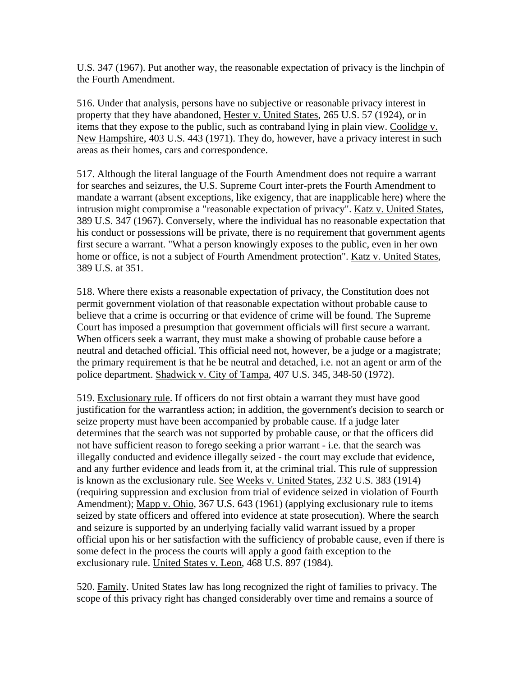U.S. 347 (1967). Put another way, the reasonable expectation of privacy is the linchpin of the Fourth Amendment.

516. Under that analysis, persons have no subjective or reasonable privacy interest in property that they have abandoned, Hester v. United States, 265 U.S. 57 (1924), or in items that they expose to the public, such as contraband lying in plain view. Coolidge v. New Hampshire, 403 U.S. 443 (1971). They do, however, have a privacy interest in such areas as their homes, cars and correspondence.

517. Although the literal language of the Fourth Amendment does not require a warrant for searches and seizures, the U.S. Supreme Court inter-prets the Fourth Amendment to mandate a warrant (absent exceptions, like exigency, that are inapplicable here) where the intrusion might compromise a "reasonable expectation of privacy". Katz v. United States, 389 U.S. 347 (1967). Conversely, where the individual has no reasonable expectation that his conduct or possessions will be private, there is no requirement that government agents first secure a warrant. "What a person knowingly exposes to the public, even in her own home or office, is not a subject of Fourth Amendment protection". Katz v. United States, 389 U.S. at 351.

518. Where there exists a reasonable expectation of privacy, the Constitution does not permit government violation of that reasonable expectation without probable cause to believe that a crime is occurring or that evidence of crime will be found. The Supreme Court has imposed a presumption that government officials will first secure a warrant. When officers seek a warrant, they must make a showing of probable cause before a neutral and detached official. This official need not, however, be a judge or a magistrate; the primary requirement is that he be neutral and detached, i.e. not an agent or arm of the police department. Shadwick v. City of Tampa, 407 U.S. 345, 348-50 (1972).

519. Exclusionary rule. If officers do not first obtain a warrant they must have good justification for the warrantless action; in addition, the government's decision to search or seize property must have been accompanied by probable cause. If a judge later determines that the search was not supported by probable cause, or that the officers did not have sufficient reason to forego seeking a prior warrant - i.e. that the search was illegally conducted and evidence illegally seized - the court may exclude that evidence, and any further evidence and leads from it, at the criminal trial. This rule of suppression is known as the exclusionary rule. See Weeks v. United States, 232 U.S. 383 (1914) (requiring suppression and exclusion from trial of evidence seized in violation of Fourth Amendment); Mapp v. Ohio, 367 U.S. 643 (1961) (applying exclusionary rule to items seized by state officers and offered into evidence at state prosecution). Where the search and seizure is supported by an underlying facially valid warrant issued by a proper official upon his or her satisfaction with the sufficiency of probable cause, even if there is some defect in the process the courts will apply a good faith exception to the exclusionary rule. United States v. Leon, 468 U.S. 897 (1984).

520. Family. United States law has long recognized the right of families to privacy. The scope of this privacy right has changed considerably over time and remains a source of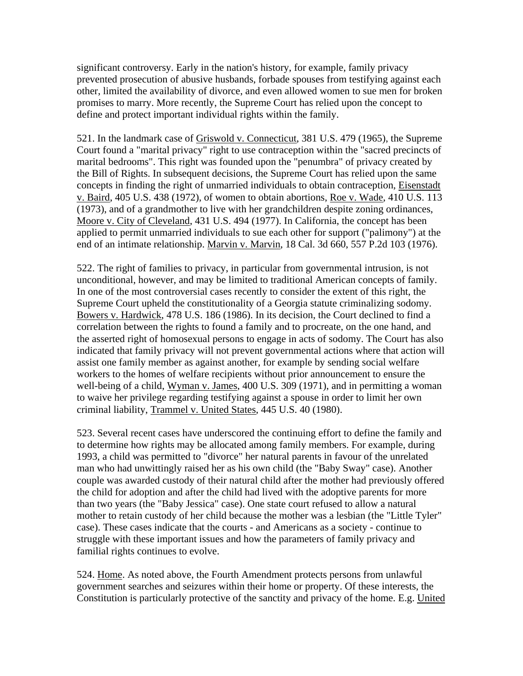significant controversy. Early in the nation's history, for example, family privacy prevented prosecution of abusive husbands, forbade spouses from testifying against each other, limited the availability of divorce, and even allowed women to sue men for broken promises to marry. More recently, the Supreme Court has relied upon the concept to define and protect important individual rights within the family.

521. In the landmark case of Griswold v. Connecticut, 381 U.S. 479 (1965), the Supreme Court found a "marital privacy" right to use contraception within the "sacred precincts of marital bedrooms". This right was founded upon the "penumbra" of privacy created by the Bill of Rights. In subsequent decisions, the Supreme Court has relied upon the same concepts in finding the right of unmarried individuals to obtain contraception, Eisenstadt v. Baird, 405 U.S. 438 (1972), of women to obtain abortions, Roe v. Wade, 410 U.S. 113 (1973), and of a grandmother to live with her grandchildren despite zoning ordinances, Moore v. City of Cleveland, 431 U.S. 494 (1977). In California, the concept has been applied to permit unmarried individuals to sue each other for support ("palimony") at the end of an intimate relationship. Marvin v. Marvin, 18 Cal. 3d 660, 557 P.2d 103 (1976).

522. The right of families to privacy, in particular from governmental intrusion, is not unconditional, however, and may be limited to traditional American concepts of family. In one of the most controversial cases recently to consider the extent of this right, the Supreme Court upheld the constitutionality of a Georgia statute criminalizing sodomy. Bowers v. Hardwick, 478 U.S. 186 (1986). In its decision, the Court declined to find a correlation between the rights to found a family and to procreate, on the one hand, and the asserted right of homosexual persons to engage in acts of sodomy. The Court has also indicated that family privacy will not prevent governmental actions where that action will assist one family member as against another, for example by sending social welfare workers to the homes of welfare recipients without prior announcement to ensure the well-being of a child, Wyman v. James, 400 U.S. 309 (1971), and in permitting a woman to waive her privilege regarding testifying against a spouse in order to limit her own criminal liability, Trammel v. United States, 445 U.S. 40 (1980).

523. Several recent cases have underscored the continuing effort to define the family and to determine how rights may be allocated among family members. For example, during 1993, a child was permitted to "divorce" her natural parents in favour of the unrelated man who had unwittingly raised her as his own child (the "Baby Sway" case). Another couple was awarded custody of their natural child after the mother had previously offered the child for adoption and after the child had lived with the adoptive parents for more than two years (the "Baby Jessica" case). One state court refused to allow a natural mother to retain custody of her child because the mother was a lesbian (the "Little Tyler" case). These cases indicate that the courts - and Americans as a society - continue to struggle with these important issues and how the parameters of family privacy and familial rights continues to evolve.

524. Home. As noted above, the Fourth Amendment protects persons from unlawful government searches and seizures within their home or property. Of these interests, the Constitution is particularly protective of the sanctity and privacy of the home. E.g. United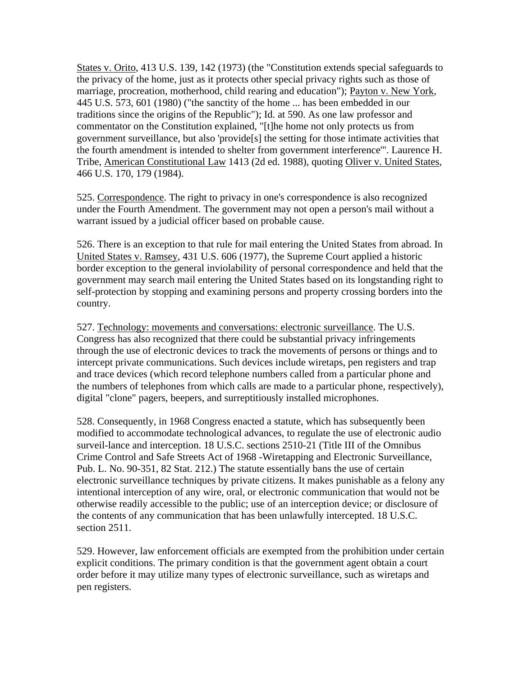States v. Orito, 413 U.S. 139, 142 (1973) (the "Constitution extends special safeguards to the privacy of the home, just as it protects other special privacy rights such as those of marriage, procreation, motherhood, child rearing and education"); Payton v. New York, 445 U.S. 573, 601 (1980) ("the sanctity of the home ... has been embedded in our traditions since the origins of the Republic"); Id. at 590. As one law professor and commentator on the Constitution explained, "[t]he home not only protects us from government surveillance, but also 'provide[s] the setting for those intimate activities that the fourth amendment is intended to shelter from government interference'". Laurence H. Tribe, American Constitutional Law 1413 (2d ed. 1988), quoting Oliver v. United States, 466 U.S. 170, 179 (1984).

525. Correspondence. The right to privacy in one's correspondence is also recognized under the Fourth Amendment. The government may not open a person's mail without a warrant issued by a judicial officer based on probable cause.

526. There is an exception to that rule for mail entering the United States from abroad. In United States v. Ramsey, 431 U.S. 606 (1977), the Supreme Court applied a historic border exception to the general inviolability of personal correspondence and held that the government may search mail entering the United States based on its longstanding right to self-protection by stopping and examining persons and property crossing borders into the country.

527. Technology: movements and conversations: electronic surveillance. The U.S. Congress has also recognized that there could be substantial privacy infringements through the use of electronic devices to track the movements of persons or things and to intercept private communications. Such devices include wiretaps, pen registers and trap and trace devices (which record telephone numbers called from a particular phone and the numbers of telephones from which calls are made to a particular phone, respectively), digital "clone" pagers, beepers, and surreptitiously installed microphones.

528. Consequently, in 1968 Congress enacted a statute, which has subsequently been modified to accommodate technological advances, to regulate the use of electronic audio surveil-lance and interception. 18 U.S.C. sections 2510-21 (Title III of the Omnibus Crime Control and Safe Streets Act of 1968 -Wiretapping and Electronic Surveillance, Pub. L. No. 90-351, 82 Stat. 212.) The statute essentially bans the use of certain electronic surveillance techniques by private citizens. It makes punishable as a felony any intentional interception of any wire, oral, or electronic communication that would not be otherwise readily accessible to the public; use of an interception device; or disclosure of the contents of any communication that has been unlawfully intercepted. 18 U.S.C. section 2511.

529. However, law enforcement officials are exempted from the prohibition under certain explicit conditions. The primary condition is that the government agent obtain a court order before it may utilize many types of electronic surveillance, such as wiretaps and pen registers.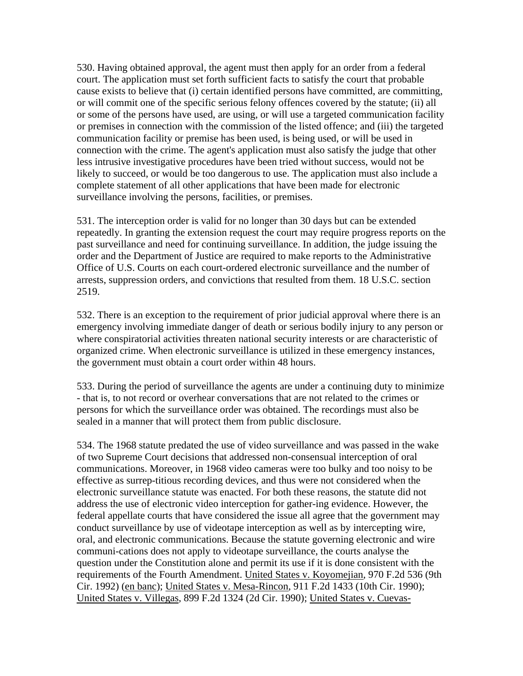530. Having obtained approval, the agent must then apply for an order from a federal court. The application must set forth sufficient facts to satisfy the court that probable cause exists to believe that (i) certain identified persons have committed, are committing, or will commit one of the specific serious felony offences covered by the statute; (ii) all or some of the persons have used, are using, or will use a targeted communication facility or premises in connection with the commission of the listed offence; and (iii) the targeted communication facility or premise has been used, is being used, or will be used in connection with the crime. The agent's application must also satisfy the judge that other less intrusive investigative procedures have been tried without success, would not be likely to succeed, or would be too dangerous to use. The application must also include a complete statement of all other applications that have been made for electronic surveillance involving the persons, facilities, or premises.

531. The interception order is valid for no longer than 30 days but can be extended repeatedly. In granting the extension request the court may require progress reports on the past surveillance and need for continuing surveillance. In addition, the judge issuing the order and the Department of Justice are required to make reports to the Administrative Office of U.S. Courts on each court-ordered electronic surveillance and the number of arrests, suppression orders, and convictions that resulted from them. 18 U.S.C. section 2519.

532. There is an exception to the requirement of prior judicial approval where there is an emergency involving immediate danger of death or serious bodily injury to any person or where conspiratorial activities threaten national security interests or are characteristic of organized crime. When electronic surveillance is utilized in these emergency instances, the government must obtain a court order within 48 hours.

533. During the period of surveillance the agents are under a continuing duty to minimize - that is, to not record or overhear conversations that are not related to the crimes or persons for which the surveillance order was obtained. The recordings must also be sealed in a manner that will protect them from public disclosure.

534. The 1968 statute predated the use of video surveillance and was passed in the wake of two Supreme Court decisions that addressed non-consensual interception of oral communications. Moreover, in 1968 video cameras were too bulky and too noisy to be effective as surrep-titious recording devices, and thus were not considered when the electronic surveillance statute was enacted. For both these reasons, the statute did not address the use of electronic video interception for gather-ing evidence. However, the federal appellate courts that have considered the issue all agree that the government may conduct surveillance by use of videotape interception as well as by intercepting wire, oral, and electronic communications. Because the statute governing electronic and wire communi-cations does not apply to videotape surveillance, the courts analyse the question under the Constitution alone and permit its use if it is done consistent with the requirements of the Fourth Amendment. United States v. Koyomejian, 970 F.2d 536 (9th Cir. 1992) (en banc); United States v. Mesa-Rincon, 911 F.2d 1433 (10th Cir. 1990); United States v. Villegas, 899 F.2d 1324 (2d Cir. 1990); United States v. Cuevas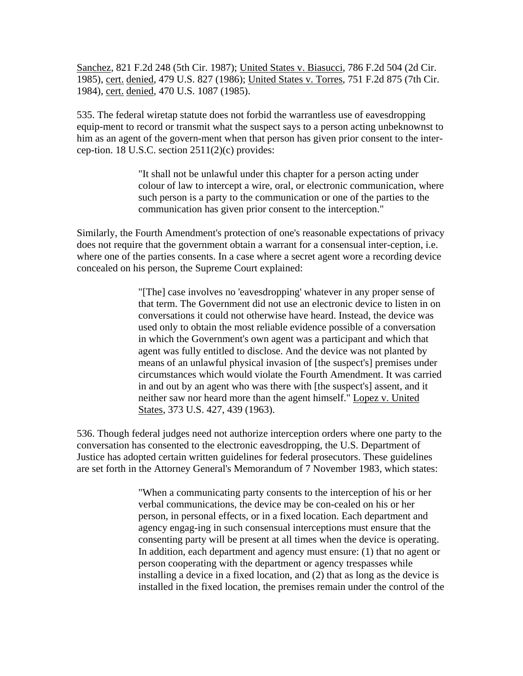Sanchez, 821 F.2d 248 (5th Cir. 1987); United States v. Biasucci, 786 F.2d 504 (2d Cir. 1985), cert. denied, 479 U.S. 827 (1986); United States v. Torres, 751 F.2d 875 (7th Cir. 1984), cert. denied, 470 U.S. 1087 (1985).

535. The federal wiretap statute does not forbid the warrantless use of eavesdropping equip-ment to record or transmit what the suspect says to a person acting unbeknownst to him as an agent of the govern-ment when that person has given prior consent to the intercep-tion. 18 U.S.C. section  $2511(2)(c)$  provides:

> "It shall not be unlawful under this chapter for a person acting under colour of law to intercept a wire, oral, or electronic communication, where such person is a party to the communication or one of the parties to the communication has given prior consent to the interception."

Similarly, the Fourth Amendment's protection of one's reasonable expectations of privacy does not require that the government obtain a warrant for a consensual inter-ception, i.e. where one of the parties consents. In a case where a secret agent wore a recording device concealed on his person, the Supreme Court explained:

> "[The] case involves no 'eavesdropping' whatever in any proper sense of that term. The Government did not use an electronic device to listen in on conversations it could not otherwise have heard. Instead, the device was used only to obtain the most reliable evidence possible of a conversation in which the Government's own agent was a participant and which that agent was fully entitled to disclose. And the device was not planted by means of an unlawful physical invasion of [the suspect's] premises under circumstances which would violate the Fourth Amendment. It was carried in and out by an agent who was there with [the suspect's] assent, and it neither saw nor heard more than the agent himself." Lopez v. United States, 373 U.S. 427, 439 (1963).

536. Though federal judges need not authorize interception orders where one party to the conversation has consented to the electronic eavesdropping, the U.S. Department of Justice has adopted certain written guidelines for federal prosecutors. These guidelines are set forth in the Attorney General's Memorandum of 7 November 1983, which states:

> "When a communicating party consents to the interception of his or her verbal communications, the device may be con-cealed on his or her person, in personal effects, or in a fixed location. Each department and agency engag-ing in such consensual interceptions must ensure that the consenting party will be present at all times when the device is operating. In addition, each department and agency must ensure: (1) that no agent or person cooperating with the department or agency trespasses while installing a device in a fixed location, and (2) that as long as the device is installed in the fixed location, the premises remain under the control of the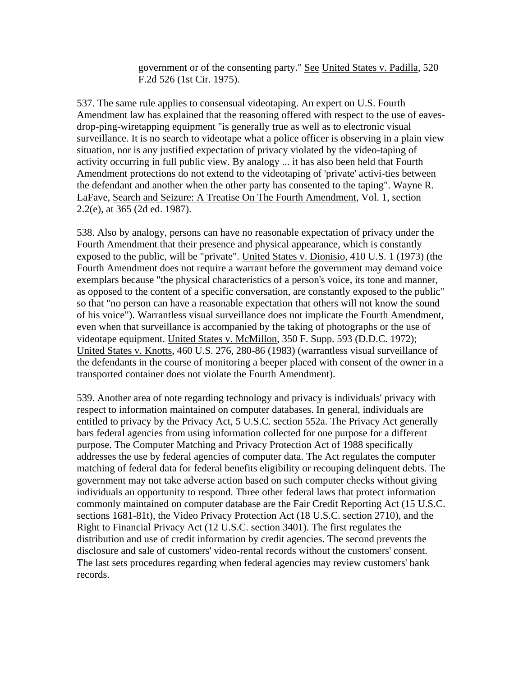government or of the consenting party." See United States v. Padilla, 520 F.2d 526 (1st Cir. 1975).

537. The same rule applies to consensual videotaping. An expert on U.S. Fourth Amendment law has explained that the reasoning offered with respect to the use of eavesdrop-ping-wiretapping equipment "is generally true as well as to electronic visual surveillance. It is no search to videotape what a police officer is observing in a plain view situation, nor is any justified expectation of privacy violated by the video-taping of activity occurring in full public view. By analogy ... it has also been held that Fourth Amendment protections do not extend to the videotaping of 'private' activi-ties between the defendant and another when the other party has consented to the taping". Wayne R. LaFave, Search and Seizure: A Treatise On The Fourth Amendment, Vol. 1, section 2.2(e), at 365 (2d ed. 1987).

538. Also by analogy, persons can have no reasonable expectation of privacy under the Fourth Amendment that their presence and physical appearance, which is constantly exposed to the public, will be "private". United States v. Dionisio, 410 U.S. 1 (1973) (the Fourth Amendment does not require a warrant before the government may demand voice exemplars because "the physical characteristics of a person's voice, its tone and manner, as opposed to the content of a specific conversation, are constantly exposed to the public" so that "no person can have a reasonable expectation that others will not know the sound of his voice"). Warrantless visual surveillance does not implicate the Fourth Amendment, even when that surveillance is accompanied by the taking of photographs or the use of videotape equipment. United States v. McMillon, 350 F. Supp. 593 (D.D.C. 1972); United States v. Knotts, 460 U.S. 276, 280-86 (1983) (warrantless visual surveillance of the defendants in the course of monitoring a beeper placed with consent of the owner in a transported container does not violate the Fourth Amendment).

539. Another area of note regarding technology and privacy is individuals' privacy with respect to information maintained on computer databases. In general, individuals are entitled to privacy by the Privacy Act, 5 U.S.C. section 552a. The Privacy Act generally bars federal agencies from using information collected for one purpose for a different purpose. The Computer Matching and Privacy Protection Act of 1988 specifically addresses the use by federal agencies of computer data. The Act regulates the computer matching of federal data for federal benefits eligibility or recouping delinquent debts. The government may not take adverse action based on such computer checks without giving individuals an opportunity to respond. Three other federal laws that protect information commonly maintained on computer database are the Fair Credit Reporting Act (15 U.S.C. sections 1681-81t), the Video Privacy Protection Act (18 U.S.C. section 2710), and the Right to Financial Privacy Act (12 U.S.C. section 3401). The first regulates the distribution and use of credit information by credit agencies. The second prevents the disclosure and sale of customers' video-rental records without the customers' consent. The last sets procedures regarding when federal agencies may review customers' bank records.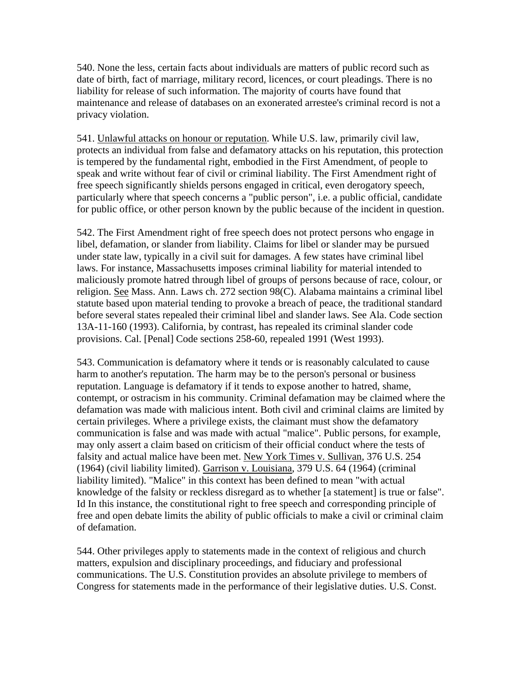540. None the less, certain facts about individuals are matters of public record such as date of birth, fact of marriage, military record, licences, or court pleadings. There is no liability for release of such information. The majority of courts have found that maintenance and release of databases on an exonerated arrestee's criminal record is not a privacy violation.

541. Unlawful attacks on honour or reputation. While U.S. law, primarily civil law, protects an individual from false and defamatory attacks on his reputation, this protection is tempered by the fundamental right, embodied in the First Amendment, of people to speak and write without fear of civil or criminal liability. The First Amendment right of free speech significantly shields persons engaged in critical, even derogatory speech, particularly where that speech concerns a "public person", i.e. a public official, candidate for public office, or other person known by the public because of the incident in question.

542. The First Amendment right of free speech does not protect persons who engage in libel, defamation, or slander from liability. Claims for libel or slander may be pursued under state law, typically in a civil suit for damages. A few states have criminal libel laws. For instance, Massachusetts imposes criminal liability for material intended to maliciously promote hatred through libel of groups of persons because of race, colour, or religion. See Mass. Ann. Laws ch. 272 section 98(C). Alabama maintains a criminal libel statute based upon material tending to provoke a breach of peace, the traditional standard before several states repealed their criminal libel and slander laws. See Ala. Code section 13A-11-160 (1993). California, by contrast, has repealed its criminal slander code provisions. Cal. [Penal] Code sections 258-60, repealed 1991 (West 1993).

543. Communication is defamatory where it tends or is reasonably calculated to cause harm to another's reputation. The harm may be to the person's personal or business reputation. Language is defamatory if it tends to expose another to hatred, shame, contempt, or ostracism in his community. Criminal defamation may be claimed where the defamation was made with malicious intent. Both civil and criminal claims are limited by certain privileges. Where a privilege exists, the claimant must show the defamatory communication is false and was made with actual "malice". Public persons, for example, may only assert a claim based on criticism of their official conduct where the tests of falsity and actual malice have been met. New York Times v. Sullivan, 376 U.S. 254 (1964) (civil liability limited). Garrison v. Louisiana, 379 U.S. 64 (1964) (criminal liability limited). "Malice" in this context has been defined to mean "with actual knowledge of the falsity or reckless disregard as to whether [a statement] is true or false". Id In this instance, the constitutional right to free speech and corresponding principle of free and open debate limits the ability of public officials to make a civil or criminal claim of defamation.

544. Other privileges apply to statements made in the context of religious and church matters, expulsion and disciplinary proceedings, and fiduciary and professional communications. The U.S. Constitution provides an absolute privilege to members of Congress for statements made in the performance of their legislative duties. U.S. Const.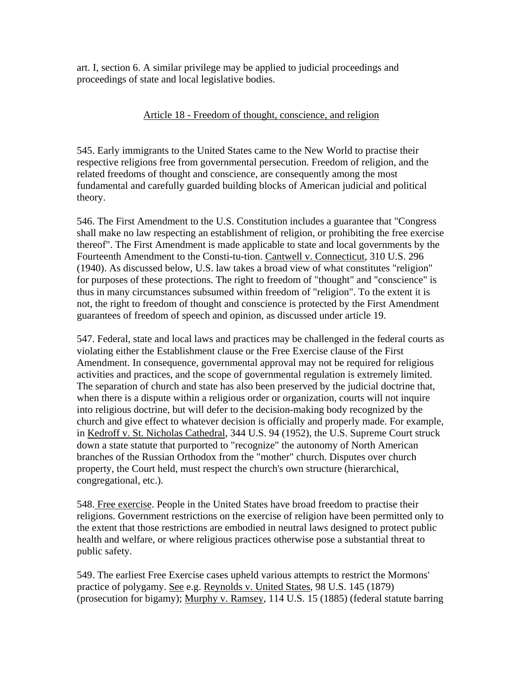art. I, section 6. A similar privilege may be applied to judicial proceedings and proceedings of state and local legislative bodies.

### Article 18 - Freedom of thought, conscience, and religion

545. Early immigrants to the United States came to the New World to practise their respective religions free from governmental persecution. Freedom of religion, and the related freedoms of thought and conscience, are consequently among the most fundamental and carefully guarded building blocks of American judicial and political theory.

546. The First Amendment to the U.S. Constitution includes a guarantee that "Congress shall make no law respecting an establishment of religion, or prohibiting the free exercise thereof". The First Amendment is made applicable to state and local governments by the Fourteenth Amendment to the Consti-tu-tion. Cantwell v. Connecticut, 310 U.S. 296 (1940). As discussed below, U.S. law takes a broad view of what constitutes "religion" for purposes of these protections. The right to freedom of "thought" and "conscience" is thus in many circumstances subsumed within freedom of "religion". To the extent it is not, the right to freedom of thought and conscience is protected by the First Amendment guarantees of freedom of speech and opinion, as discussed under article 19.

547. Federal, state and local laws and practices may be challenged in the federal courts as violating either the Establishment clause or the Free Exercise clause of the First Amendment. In consequence, governmental approval may not be required for religious activities and practices, and the scope of governmental regulation is extremely limited. The separation of church and state has also been preserved by the judicial doctrine that, when there is a dispute within a religious order or organization, courts will not inquire into religious doctrine, but will defer to the decision-making body recognized by the church and give effect to whatever decision is officially and properly made. For example, in Kedroff v. St. Nicholas Cathedral, 344 U.S. 94 (1952), the U.S. Supreme Court struck down a state statute that purported to "recognize" the autonomy of North American branches of the Russian Orthodox from the "mother" church. Disputes over church property, the Court held, must respect the church's own structure (hierarchical, congregational, etc.).

548. Free exercise. People in the United States have broad freedom to practise their religions. Government restrictions on the exercise of religion have been permitted only to the extent that those restrictions are embodied in neutral laws designed to protect public health and welfare, or where religious practices otherwise pose a substantial threat to public safety.

549. The earliest Free Exercise cases upheld various attempts to restrict the Mormons' practice of polygamy. See e.g. Reynolds v. United States, 98 U.S. 145 (1879) (prosecution for bigamy); Murphy v. Ramsey, 114 U.S. 15 (1885) (federal statute barring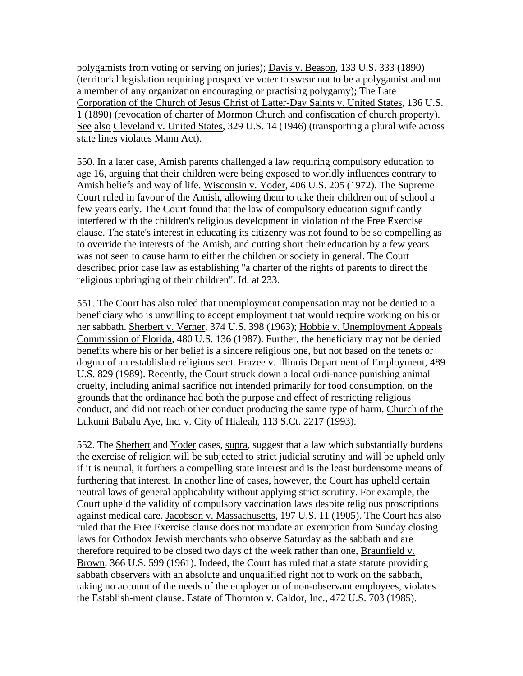polygamists from voting or serving on juries); Davis v. Beason, 133 U.S. 333 (1890) (territorial legislation requiring prospective voter to swear not to be a polygamist and not a member of any organization encouraging or practising polygamy); The Late Corporation of the Church of Jesus Christ of Latter-Day Saints v. United States, 136 U.S. 1 (1890) (revocation of charter of Mormon Church and confiscation of church property). See also Cleveland v. United States, 329 U.S. 14 (1946) (transporting a plural wife across state lines violates Mann Act).

550. In a later case, Amish parents challenged a law requiring compulsory education to age 16, arguing that their children were being exposed to worldly influences contrary to Amish beliefs and way of life. Wisconsin v. Yoder, 406 U.S. 205 (1972). The Supreme Court ruled in favour of the Amish, allowing them to take their children out of school a few years early. The Court found that the law of compulsory education significantly interfered with the children's religious development in violation of the Free Exercise clause. The state's interest in educating its citizenry was not found to be so compelling as to override the interests of the Amish, and cutting short their education by a few years was not seen to cause harm to either the children or society in general. The Court described prior case law as establishing "a charter of the rights of parents to direct the religious upbringing of their children". Id. at 233.

551. The Court has also ruled that unemployment compensation may not be denied to a beneficiary who is unwilling to accept employment that would require working on his or her sabbath. Sherbert v. Verner, 374 U.S. 398 (1963); Hobbie v. Unemployment Appeals Commission of Florida, 480 U.S. 136 (1987). Further, the beneficiary may not be denied benefits where his or her belief is a sincere religious one, but not based on the tenets or dogma of an established religious sect. Frazee v. Illinois Department of Employment, 489 U.S. 829 (1989). Recently, the Court struck down a local ordi-nance punishing animal cruelty, including animal sacrifice not intended primarily for food consumption, on the grounds that the ordinance had both the purpose and effect of restricting religious conduct, and did not reach other conduct producing the same type of harm. Church of the Lukumi Babalu Aye, Inc. v. City of Hialeah, 113 S.Ct. 2217 (1993).

552. The Sherbert and Yoder cases, supra, suggest that a law which substantially burdens the exercise of religion will be subjected to strict judicial scrutiny and will be upheld only if it is neutral, it furthers a compelling state interest and is the least burdensome means of furthering that interest. In another line of cases, however, the Court has upheld certain neutral laws of general applicability without applying strict scrutiny. For example, the Court upheld the validity of compulsory vaccination laws despite religious proscriptions against medical care. Jacobson v. Massachusetts, 197 U.S. 11 (1905). The Court has also ruled that the Free Exercise clause does not mandate an exemption from Sunday closing laws for Orthodox Jewish merchants who observe Saturday as the sabbath and are therefore required to be closed two days of the week rather than one, Braunfield v. Brown, 366 U.S. 599 (1961). Indeed, the Court has ruled that a state statute providing sabbath observers with an absolute and unqualified right not to work on the sabbath, taking no account of the needs of the employer or of non-observant employees, violates the Establish-ment clause. Estate of Thornton v. Caldor, Inc., 472 U.S. 703 (1985).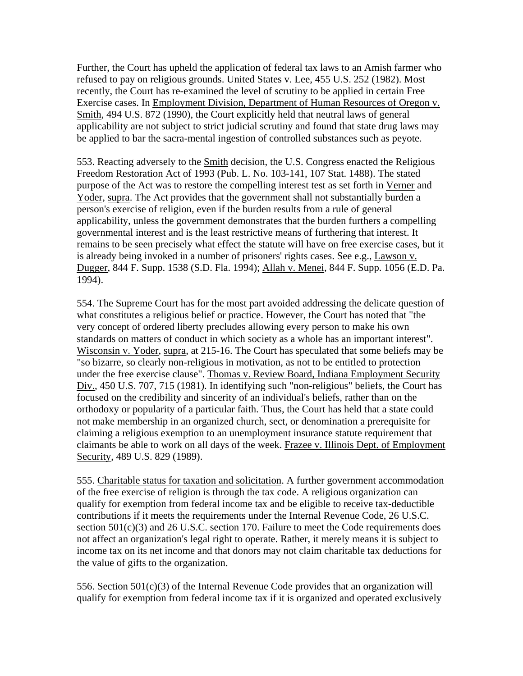Further, the Court has upheld the application of federal tax laws to an Amish farmer who refused to pay on religious grounds. United States v. Lee, 455 U.S. 252 (1982). Most recently, the Court has re-examined the level of scrutiny to be applied in certain Free Exercise cases. In Employment Division, Department of Human Resources of Oregon v. Smith, 494 U.S. 872 (1990), the Court explicitly held that neutral laws of general applicability are not subject to strict judicial scrutiny and found that state drug laws may be applied to bar the sacra-mental ingestion of controlled substances such as peyote.

553. Reacting adversely to the Smith decision, the U.S. Congress enacted the Religious Freedom Restoration Act of 1993 (Pub. L. No. 103-141, 107 Stat. 1488). The stated purpose of the Act was to restore the compelling interest test as set forth in Verner and Yoder, supra. The Act provides that the government shall not substantially burden a person's exercise of religion, even if the burden results from a rule of general applicability, unless the government demonstrates that the burden furthers a compelling governmental interest and is the least restrictive means of furthering that interest. It remains to be seen precisely what effect the statute will have on free exercise cases, but it is already being invoked in a number of prisoners' rights cases. See e.g., Lawson v. Dugger, 844 F. Supp. 1538 (S.D. Fla. 1994); Allah v. Menei, 844 F. Supp. 1056 (E.D. Pa. 1994).

554. The Supreme Court has for the most part avoided addressing the delicate question of what constitutes a religious belief or practice. However, the Court has noted that "the very concept of ordered liberty precludes allowing every person to make his own standards on matters of conduct in which society as a whole has an important interest". Wisconsin v. Yoder, supra, at 215-16. The Court has speculated that some beliefs may be "so bizarre, so clearly non-religious in motivation, as not to be entitled to protection under the free exercise clause". Thomas v. Review Board, Indiana Employment Security Div., 450 U.S. 707, 715 (1981). In identifying such "non-religious" beliefs, the Court has focused on the credibility and sincerity of an individual's beliefs, rather than on the orthodoxy or popularity of a particular faith. Thus, the Court has held that a state could not make membership in an organized church, sect, or denomination a prerequisite for claiming a religious exemption to an unemployment insurance statute requirement that claimants be able to work on all days of the week. Frazee v. Illinois Dept. of Employment Security, 489 U.S. 829 (1989).

555. Charitable status for taxation and solicitation. A further government accommodation of the free exercise of religion is through the tax code. A religious organization can qualify for exemption from federal income tax and be eligible to receive tax-deductible contributions if it meets the requirements under the Internal Revenue Code, 26 U.S.C. section  $501(c)(3)$  and  $26$  U.S.C. section 170. Failure to meet the Code requirements does not affect an organization's legal right to operate. Rather, it merely means it is subject to income tax on its net income and that donors may not claim charitable tax deductions for the value of gifts to the organization.

556. Section 501(c)(3) of the Internal Revenue Code provides that an organization will qualify for exemption from federal income tax if it is organized and operated exclusively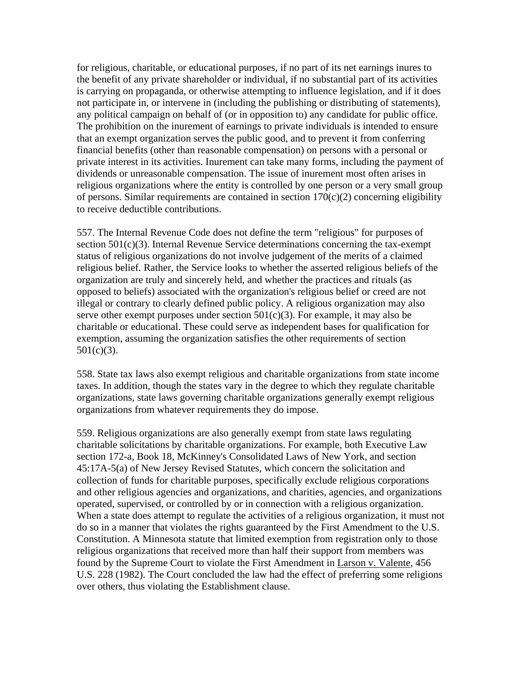for religious, charitable, or educational purposes, if no part of its net earnings inures to the benefit of any private shareholder or individual, if no substantial part of its activities is carrying on propaganda, or otherwise attempting to influence legislation, and if it does not participate in, or intervene in (including the publishing or distributing of statements), any political campaign on behalf of (or in opposition to) any candidate for public office. The prohibition on the inurement of earnings to private individuals is intended to ensure that an exempt organization serves the public good, and to prevent it from conferring financial benefits (other than reasonable compensation) on persons with a personal or private interest in its activities. Inurement can take many forms, including the payment of dividends or unreasonable compensation. The issue of inurement most often arises in religious organizations where the entity is controlled by one person or a very small group of persons. Similar requirements are contained in section  $170(c)(2)$  concerning eligibility to receive deductible contributions.

557. The Internal Revenue Code does not define the term "religious" for purposes of section 501(c)(3). Internal Revenue Service determinations concerning the tax-exempt status of religious organizations do not involve judgement of the merits of a claimed religious belief. Rather, the Service looks to whether the asserted religious beliefs of the organization are truly and sincerely held, and whether the practices and rituals (as opposed to beliefs) associated with the organization's religious belief or creed are not illegal or contrary to clearly defined public policy. A religious organization may also serve other exempt purposes under section  $501(c)(3)$ . For example, it may also be charitable or educational. These could serve as independent bases for qualification for exemption, assuming the organization satisfies the other requirements of section  $501(c)(3)$ .

558. State tax laws also exempt religious and charitable organizations from state income taxes. In addition, though the states vary in the degree to which they regulate charitable organizations, state laws governing charitable organizations generally exempt religious organizations from whatever requirements they do impose.

559. Religious organizations are also generally exempt from state laws regulating charitable solicitations by charitable organizations. For example, both Executive Law section 172-a, Book 18, McKinney's Consolidated Laws of New York, and section 45:17A-5(a) of New Jersey Revised Statutes, which concern the solicitation and collection of funds for charitable purposes, specifically exclude religious corporations and other religious agencies and organizations, and charities, agencies, and organizations operated, supervised, or controlled by or in connection with a religious organization. When a state does attempt to regulate the activities of a religious organization, it must not do so in a manner that violates the rights guaranteed by the First Amendment to the U.S. Constitution. A Minnesota statute that limited exemption from registration only to those religious organizations that received more than half their support from members was found by the Supreme Court to violate the First Amendment in Larson v. Valente, 456 U.S. 228 (1982). The Court concluded the law had the effect of preferring some religions over others, thus violating the Establishment clause.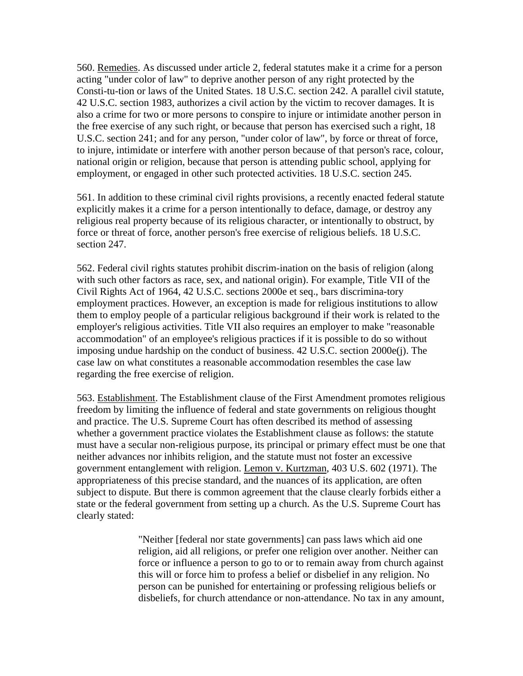560. Remedies. As discussed under article 2, federal statutes make it a crime for a person acting "under color of law" to deprive another person of any right protected by the Consti-tu-tion or laws of the United States. 18 U.S.C. section 242. A parallel civil statute, 42 U.S.C. section 1983, authorizes a civil action by the victim to recover damages. It is also a crime for two or more persons to conspire to injure or intimidate another person in the free exercise of any such right, or because that person has exercised such a right, 18 U.S.C. section 241; and for any person, "under color of law", by force or threat of force, to injure, intimidate or interfere with another person because of that person's race, colour, national origin or religion, because that person is attending public school, applying for employment, or engaged in other such protected activities. 18 U.S.C. section 245.

561. In addition to these criminal civil rights provisions, a recently enacted federal statute explicitly makes it a crime for a person intentionally to deface, damage, or destroy any religious real property because of its religious character, or intentionally to obstruct, by force or threat of force, another person's free exercise of religious beliefs. 18 U.S.C. section 247.

562. Federal civil rights statutes prohibit discrim-ination on the basis of religion (along with such other factors as race, sex, and national origin). For example, Title VII of the Civil Rights Act of 1964, 42 U.S.C. sections 2000e et seq., bars discrimina-tory employment practices. However, an exception is made for religious institutions to allow them to employ people of a particular religious background if their work is related to the employer's religious activities. Title VII also requires an employer to make "reasonable accommodation" of an employee's religious practices if it is possible to do so without imposing undue hardship on the conduct of business. 42 U.S.C. section 2000e(j). The case law on what constitutes a reasonable accommodation resembles the case law regarding the free exercise of religion.

563. Establishment. The Establishment clause of the First Amendment promotes religious freedom by limiting the influence of federal and state governments on religious thought and practice. The U.S. Supreme Court has often described its method of assessing whether a government practice violates the Establishment clause as follows: the statute must have a secular non-religious purpose, its principal or primary effect must be one that neither advances nor inhibits religion, and the statute must not foster an excessive government entanglement with religion. Lemon v. Kurtzman, 403 U.S. 602 (1971). The appropriateness of this precise standard, and the nuances of its application, are often subject to dispute. But there is common agreement that the clause clearly forbids either a state or the federal government from setting up a church. As the U.S. Supreme Court has clearly stated:

> "Neither [federal nor state governments] can pass laws which aid one religion, aid all religions, or prefer one religion over another. Neither can force or influence a person to go to or to remain away from church against this will or force him to profess a belief or disbelief in any religion. No person can be punished for entertaining or professing religious beliefs or disbeliefs, for church attendance or non-attendance. No tax in any amount,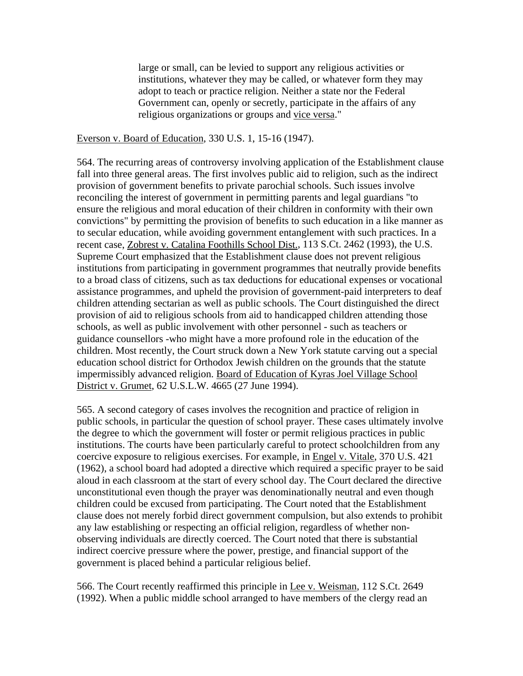large or small, can be levied to support any religious activities or institutions, whatever they may be called, or whatever form they may adopt to teach or practice religion. Neither a state nor the Federal Government can, openly or secretly, participate in the affairs of any religious organizations or groups and vice versa."

#### Everson v. Board of Education, 330 U.S. 1, 15-16 (1947).

564. The recurring areas of controversy involving application of the Establishment clause fall into three general areas. The first involves public aid to religion, such as the indirect provision of government benefits to private parochial schools. Such issues involve reconciling the interest of government in permitting parents and legal guardians "to ensure the religious and moral education of their children in conformity with their own convictions" by permitting the provision of benefits to such education in a like manner as to secular education, while avoiding government entanglement with such practices. In a recent case, Zobrest v. Catalina Foothills School Dist., 113 S.Ct. 2462 (1993), the U.S. Supreme Court emphasized that the Establishment clause does not prevent religious institutions from participating in government programmes that neutrally provide benefits to a broad class of citizens, such as tax deductions for educational expenses or vocational assistance programmes, and upheld the provision of government-paid interpreters to deaf children attending sectarian as well as public schools. The Court distinguished the direct provision of aid to religious schools from aid to handicapped children attending those schools, as well as public involvement with other personnel - such as teachers or guidance counsellors -who might have a more profound role in the education of the children. Most recently, the Court struck down a New York statute carving out a special education school district for Orthodox Jewish children on the grounds that the statute impermissibly advanced religion. Board of Education of Kyras Joel Village School District v. Grumet, 62 U.S.L.W. 4665 (27 June 1994).

565. A second category of cases involves the recognition and practice of religion in public schools, in particular the question of school prayer. These cases ultimately involve the degree to which the government will foster or permit religious practices in public institutions. The courts have been particularly careful to protect schoolchildren from any coercive exposure to religious exercises. For example, in Engel v. Vitale, 370 U.S. 421 (1962), a school board had adopted a directive which required a specific prayer to be said aloud in each classroom at the start of every school day. The Court declared the directive unconstitutional even though the prayer was denominationally neutral and even though children could be excused from participating. The Court noted that the Establishment clause does not merely forbid direct government compulsion, but also extends to prohibit any law establishing or respecting an official religion, regardless of whether nonobserving individuals are directly coerced. The Court noted that there is substantial indirect coercive pressure where the power, prestige, and financial support of the government is placed behind a particular religious belief.

566. The Court recently reaffirmed this principle in Lee v. Weisman, 112 S.Ct. 2649 (1992). When a public middle school arranged to have members of the clergy read an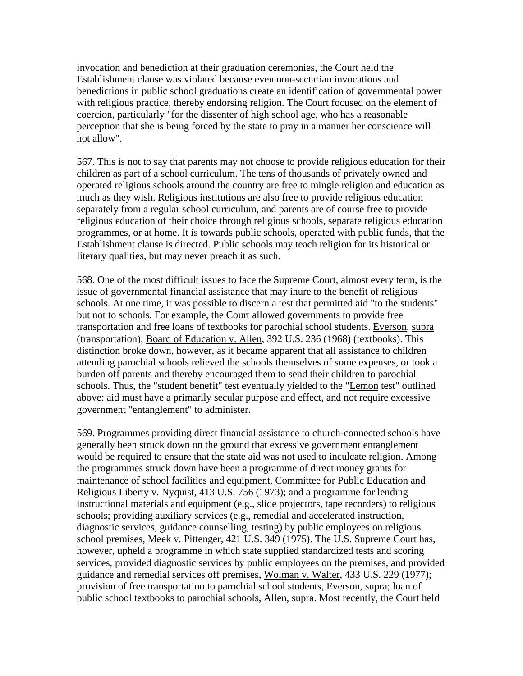invocation and benediction at their graduation ceremonies, the Court held the Establishment clause was violated because even non-sectarian invocations and benedictions in public school graduations create an identification of governmental power with religious practice, thereby endorsing religion. The Court focused on the element of coercion, particularly "for the dissenter of high school age, who has a reasonable perception that she is being forced by the state to pray in a manner her conscience will not allow".

567. This is not to say that parents may not choose to provide religious education for their children as part of a school curriculum. The tens of thousands of privately owned and operated religious schools around the country are free to mingle religion and education as much as they wish. Religious institutions are also free to provide religious education separately from a regular school curriculum, and parents are of course free to provide religious education of their choice through religious schools, separate religious education programmes, or at home. It is towards public schools, operated with public funds, that the Establishment clause is directed. Public schools may teach religion for its historical or literary qualities, but may never preach it as such.

568. One of the most difficult issues to face the Supreme Court, almost every term, is the issue of governmental financial assistance that may inure to the benefit of religious schools. At one time, it was possible to discern a test that permitted aid "to the students" but not to schools. For example, the Court allowed governments to provide free transportation and free loans of textbooks for parochial school students. Everson, supra (transportation); Board of Education v. Allen, 392 U.S. 236 (1968) (textbooks). This distinction broke down, however, as it became apparent that all assistance to children attending parochial schools relieved the schools themselves of some expenses, or took a burden off parents and thereby encouraged them to send their children to parochial schools. Thus, the "student benefit" test eventually yielded to the "Lemon test" outlined above: aid must have a primarily secular purpose and effect, and not require excessive government "entanglement" to administer.

569. Programmes providing direct financial assistance to church-connected schools have generally been struck down on the ground that excessive government entanglement would be required to ensure that the state aid was not used to inculcate religion. Among the programmes struck down have been a programme of direct money grants for maintenance of school facilities and equipment, Committee for Public Education and Religious Liberty v. Nyquist, 413 U.S. 756 (1973); and a programme for lending instructional materials and equipment (e.g., slide projectors, tape recorders) to religious schools; providing auxiliary services (e.g., remedial and accelerated instruction, diagnostic services, guidance counselling, testing) by public employees on religious school premises, Meek v. Pittenger, 421 U.S. 349 (1975). The U.S. Supreme Court has, however, upheld a programme in which state supplied standardized tests and scoring services, provided diagnostic services by public employees on the premises, and provided guidance and remedial services off premises, Wolman v. Walter, 433 U.S. 229 (1977); provision of free transportation to parochial school students, Everson, supra; loan of public school textbooks to parochial schools, Allen, supra. Most recently, the Court held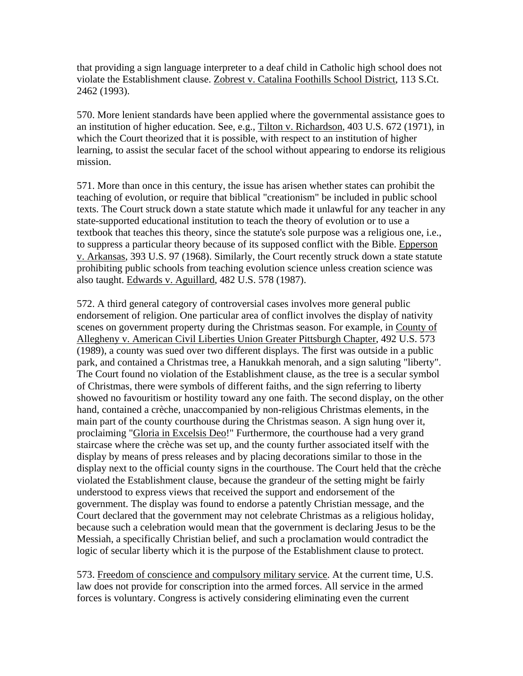that providing a sign language interpreter to a deaf child in Catholic high school does not violate the Establishment clause. Zobrest v. Catalina Foothills School District, 113 S.Ct. 2462 (1993).

570. More lenient standards have been applied where the governmental assistance goes to an institution of higher education. See, e.g., Tilton v. Richardson, 403 U.S. 672 (1971), in which the Court theorized that it is possible, with respect to an institution of higher learning, to assist the secular facet of the school without appearing to endorse its religious mission.

571. More than once in this century, the issue has arisen whether states can prohibit the teaching of evolution, or require that biblical "creationism" be included in public school texts. The Court struck down a state statute which made it unlawful for any teacher in any state-supported educational institution to teach the theory of evolution or to use a textbook that teaches this theory, since the statute's sole purpose was a religious one, i.e., to suppress a particular theory because of its supposed conflict with the Bible. Epperson v. Arkansas, 393 U.S. 97 (1968). Similarly, the Court recently struck down a state statute prohibiting public schools from teaching evolution science unless creation science was also taught. Edwards v. Aguillard, 482 U.S. 578 (1987).

572. A third general category of controversial cases involves more general public endorsement of religion. One particular area of conflict involves the display of nativity scenes on government property during the Christmas season. For example, in County of Allegheny v. American Civil Liberties Union Greater Pittsburgh Chapter, 492 U.S. 573 (1989), a county was sued over two different displays. The first was outside in a public park, and contained a Christmas tree, a Hanukkah menorah, and a sign saluting "liberty". The Court found no violation of the Establishment clause, as the tree is a secular symbol of Christmas, there were symbols of different faiths, and the sign referring to liberty showed no favouritism or hostility toward any one faith. The second display, on the other hand, contained a crèche, unaccompanied by non-religious Christmas elements, in the main part of the county courthouse during the Christmas season. A sign hung over it, proclaiming "Gloria in Excelsis Deo!" Furthermore, the courthouse had a very grand staircase where the crèche was set up, and the county further associated itself with the display by means of press releases and by placing decorations similar to those in the display next to the official county signs in the courthouse. The Court held that the crèche violated the Establishment clause, because the grandeur of the setting might be fairly understood to express views that received the support and endorsement of the government. The display was found to endorse a patently Christian message, and the Court declared that the government may not celebrate Christmas as a religious holiday, because such a celebration would mean that the government is declaring Jesus to be the Messiah, a specifically Christian belief, and such a proclamation would contradict the logic of secular liberty which it is the purpose of the Establishment clause to protect.

573. Freedom of conscience and compulsory military service. At the current time, U.S. law does not provide for conscription into the armed forces. All service in the armed forces is voluntary. Congress is actively considering eliminating even the current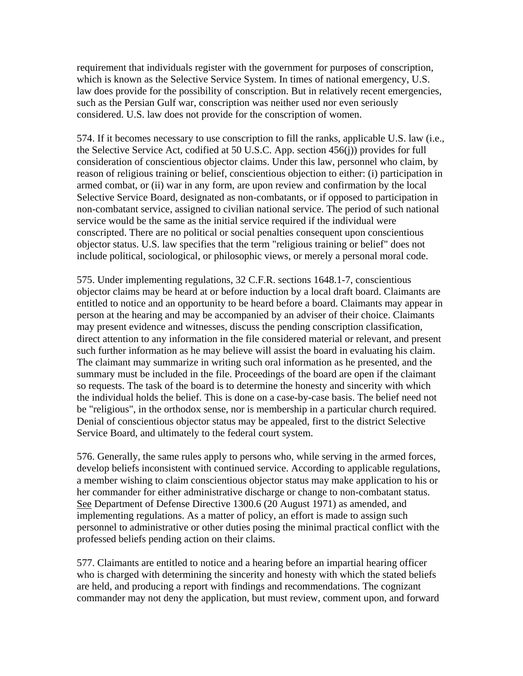requirement that individuals register with the government for purposes of conscription, which is known as the Selective Service System. In times of national emergency, U.S. law does provide for the possibility of conscription. But in relatively recent emergencies, such as the Persian Gulf war, conscription was neither used nor even seriously considered. U.S. law does not provide for the conscription of women.

574. If it becomes necessary to use conscription to fill the ranks, applicable U.S. law (i.e., the Selective Service Act, codified at 50 U.S.C. App. section 456(j)) provides for full consideration of conscientious objector claims. Under this law, personnel who claim, by reason of religious training or belief, conscientious objection to either: (i) participation in armed combat, or (ii) war in any form, are upon review and confirmation by the local Selective Service Board, designated as non-combatants, or if opposed to participation in non-combatant service, assigned to civilian national service. The period of such national service would be the same as the initial service required if the individual were conscripted. There are no political or social penalties consequent upon conscientious objector status. U.S. law specifies that the term "religious training or belief" does not include political, sociological, or philosophic views, or merely a personal moral code.

575. Under implementing regulations, 32 C.F.R. sections 1648.1-7, conscientious objector claims may be heard at or before induction by a local draft board. Claimants are entitled to notice and an opportunity to be heard before a board. Claimants may appear in person at the hearing and may be accompanied by an adviser of their choice. Claimants may present evidence and witnesses, discuss the pending conscription classification, direct attention to any information in the file considered material or relevant, and present such further information as he may believe will assist the board in evaluating his claim. The claimant may summarize in writing such oral information as he presented, and the summary must be included in the file. Proceedings of the board are open if the claimant so requests. The task of the board is to determine the honesty and sincerity with which the individual holds the belief. This is done on a case-by-case basis. The belief need not be "religious", in the orthodox sense, nor is membership in a particular church required. Denial of conscientious objector status may be appealed, first to the district Selective Service Board, and ultimately to the federal court system.

576. Generally, the same rules apply to persons who, while serving in the armed forces, develop beliefs inconsistent with continued service. According to applicable regulations, a member wishing to claim conscientious objector status may make application to his or her commander for either administrative discharge or change to non-combatant status. See Department of Defense Directive 1300.6 (20 August 1971) as amended, and implementing regulations. As a matter of policy, an effort is made to assign such personnel to administrative or other duties posing the minimal practical conflict with the professed beliefs pending action on their claims.

577. Claimants are entitled to notice and a hearing before an impartial hearing officer who is charged with determining the sincerity and honesty with which the stated beliefs are held, and producing a report with findings and recommendations. The cognizant commander may not deny the application, but must review, comment upon, and forward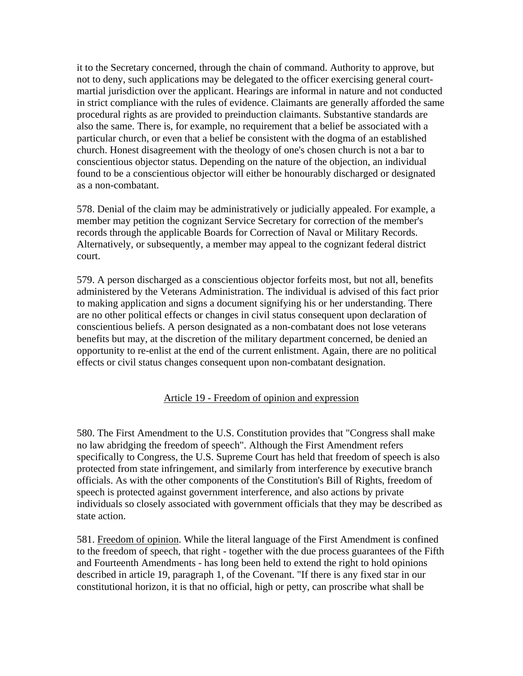it to the Secretary concerned, through the chain of command. Authority to approve, but not to deny, such applications may be delegated to the officer exercising general courtmartial jurisdiction over the applicant. Hearings are informal in nature and not conducted in strict compliance with the rules of evidence. Claimants are generally afforded the same procedural rights as are provided to preinduction claimants. Substantive standards are also the same. There is, for example, no requirement that a belief be associated with a particular church, or even that a belief be consistent with the dogma of an established church. Honest disagreement with the theology of one's chosen church is not a bar to conscientious objector status. Depending on the nature of the objection, an individual found to be a conscientious objector will either be honourably discharged or designated as a non-combatant.

578. Denial of the claim may be administratively or judicially appealed. For example, a member may petition the cognizant Service Secretary for correction of the member's records through the applicable Boards for Correction of Naval or Military Records. Alternatively, or subsequently, a member may appeal to the cognizant federal district court.

579. A person discharged as a conscientious objector forfeits most, but not all, benefits administered by the Veterans Administration. The individual is advised of this fact prior to making application and signs a document signifying his or her understanding. There are no other political effects or changes in civil status consequent upon declaration of conscientious beliefs. A person designated as a non-combatant does not lose veterans benefits but may, at the discretion of the military department concerned, be denied an opportunity to re-enlist at the end of the current enlistment. Again, there are no political effects or civil status changes consequent upon non-combatant designation.

### Article 19 - Freedom of opinion and expression

580. The First Amendment to the U.S. Constitution provides that "Congress shall make no law abridging the freedom of speech". Although the First Amendment refers specifically to Congress, the U.S. Supreme Court has held that freedom of speech is also protected from state infringement, and similarly from interference by executive branch officials. As with the other components of the Constitution's Bill of Rights, freedom of speech is protected against government interference, and also actions by private individuals so closely associated with government officials that they may be described as state action.

581. Freedom of opinion. While the literal language of the First Amendment is confined to the freedom of speech, that right - together with the due process guarantees of the Fifth and Fourteenth Amendments - has long been held to extend the right to hold opinions described in article 19, paragraph 1, of the Covenant. "If there is any fixed star in our constitutional horizon, it is that no official, high or petty, can proscribe what shall be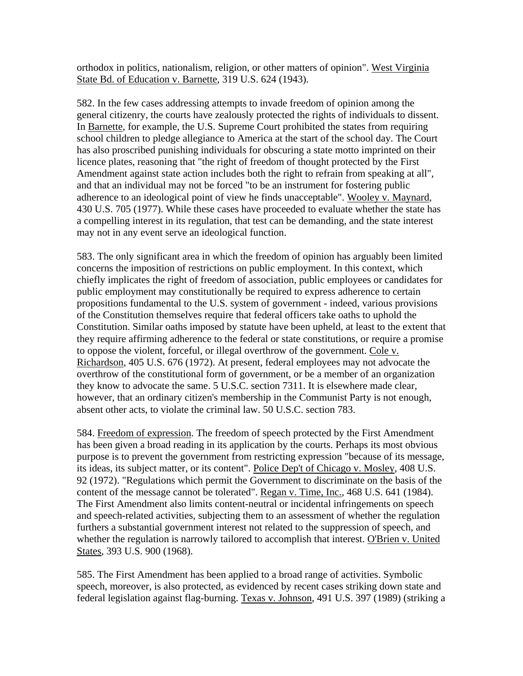orthodox in politics, nationalism, religion, or other matters of opinion". West Virginia State Bd. of Education v. Barnette, 319 U.S. 624 (1943).

582. In the few cases addressing attempts to invade freedom of opinion among the general citizenry, the courts have zealously protected the rights of individuals to dissent. In Barnette, for example, the U.S. Supreme Court prohibited the states from requiring school children to pledge allegiance to America at the start of the school day. The Court has also proscribed punishing individuals for obscuring a state motto imprinted on their licence plates, reasoning that "the right of freedom of thought protected by the First Amendment against state action includes both the right to refrain from speaking at all", and that an individual may not be forced "to be an instrument for fostering public adherence to an ideological point of view he finds unacceptable". Wooley v. Maynard, 430 U.S. 705 (1977). While these cases have proceeded to evaluate whether the state has a compelling interest in its regulation, that test can be demanding, and the state interest may not in any event serve an ideological function.

583. The only significant area in which the freedom of opinion has arguably been limited concerns the imposition of restrictions on public employment. In this context, which chiefly implicates the right of freedom of association, public employees or candidates for public employment may constitutionally be required to express adherence to certain propositions fundamental to the U.S. system of government - indeed, various provisions of the Constitution themselves require that federal officers take oaths to uphold the Constitution. Similar oaths imposed by statute have been upheld, at least to the extent that they require affirming adherence to the federal or state constitutions, or require a promise to oppose the violent, forceful, or illegal overthrow of the government. Cole v. Richardson, 405 U.S. 676 (1972). At present, federal employees may not advocate the overthrow of the constitutional form of government, or be a member of an organization they know to advocate the same. 5 U.S.C. section 7311. It is elsewhere made clear, however, that an ordinary citizen's membership in the Communist Party is not enough, absent other acts, to violate the criminal law. 50 U.S.C. section 783.

584. Freedom of expression. The freedom of speech protected by the First Amendment has been given a broad reading in its application by the courts. Perhaps its most obvious purpose is to prevent the government from restricting expression "because of its message, its ideas, its subject matter, or its content". Police Dep't of Chicago v. Mosley, 408 U.S. 92 (1972). "Regulations which permit the Government to discriminate on the basis of the content of the message cannot be tolerated". Regan v. Time, Inc., 468 U.S. 641 (1984). The First Amendment also limits content-neutral or incidental infringements on speech and speech-related activities, subjecting them to an assessment of whether the regulation furthers a substantial government interest not related to the suppression of speech, and whether the regulation is narrowly tailored to accomplish that interest. O'Brien v. United States, 393 U.S. 900 (1968).

585. The First Amendment has been applied to a broad range of activities. Symbolic speech, moreover, is also protected, as evidenced by recent cases striking down state and federal legislation against flag-burning. Texas v. Johnson, 491 U.S. 397 (1989) (striking a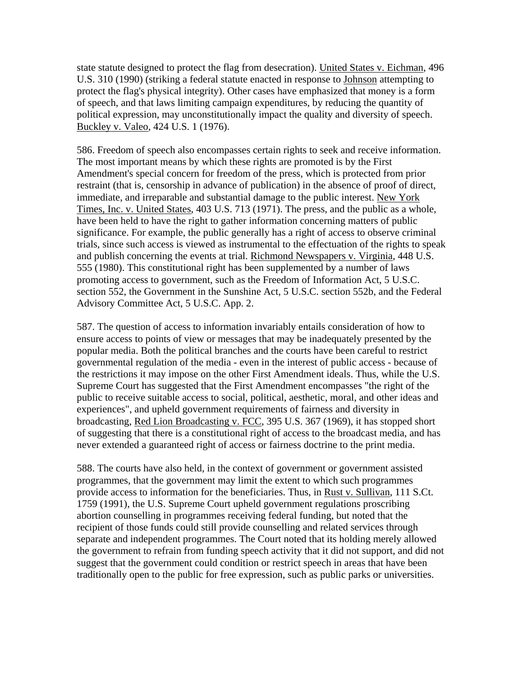state statute designed to protect the flag from desecration). United States v. Eichman, 496 U.S. 310 (1990) (striking a federal statute enacted in response to Johnson attempting to protect the flag's physical integrity). Other cases have emphasized that money is a form of speech, and that laws limiting campaign expenditures, by reducing the quantity of political expression, may unconstitutionally impact the quality and diversity of speech. Buckley v. Valeo, 424 U.S. 1 (1976).

586. Freedom of speech also encompasses certain rights to seek and receive information. The most important means by which these rights are promoted is by the First Amendment's special concern for freedom of the press, which is protected from prior restraint (that is, censorship in advance of publication) in the absence of proof of direct, immediate, and irreparable and substantial damage to the public interest. New York Times, Inc. v. United States, 403 U.S. 713 (1971). The press, and the public as a whole, have been held to have the right to gather information concerning matters of public significance. For example, the public generally has a right of access to observe criminal trials, since such access is viewed as instrumental to the effectuation of the rights to speak and publish concerning the events at trial. Richmond Newspapers v. Virginia, 448 U.S. 555 (1980). This constitutional right has been supplemented by a number of laws promoting access to government, such as the Freedom of Information Act, 5 U.S.C. section 552, the Government in the Sunshine Act, 5 U.S.C. section 552b, and the Federal Advisory Committee Act, 5 U.S.C. App. 2.

587. The question of access to information invariably entails consideration of how to ensure access to points of view or messages that may be inadequately presented by the popular media. Both the political branches and the courts have been careful to restrict governmental regulation of the media - even in the interest of public access - because of the restrictions it may impose on the other First Amendment ideals. Thus, while the U.S. Supreme Court has suggested that the First Amendment encompasses "the right of the public to receive suitable access to social, political, aesthetic, moral, and other ideas and experiences", and upheld government requirements of fairness and diversity in broadcasting, Red Lion Broadcasting v. FCC, 395 U.S. 367 (1969), it has stopped short of suggesting that there is a constitutional right of access to the broadcast media, and has never extended a guaranteed right of access or fairness doctrine to the print media.

588. The courts have also held, in the context of government or government assisted programmes, that the government may limit the extent to which such programmes provide access to information for the beneficiaries. Thus, in Rust v. Sullivan, 111 S.Ct. 1759 (1991), the U.S. Supreme Court upheld government regulations proscribing abortion counselling in programmes receiving federal funding, but noted that the recipient of those funds could still provide counselling and related services through separate and independent programmes. The Court noted that its holding merely allowed the government to refrain from funding speech activity that it did not support, and did not suggest that the government could condition or restrict speech in areas that have been traditionally open to the public for free expression, such as public parks or universities.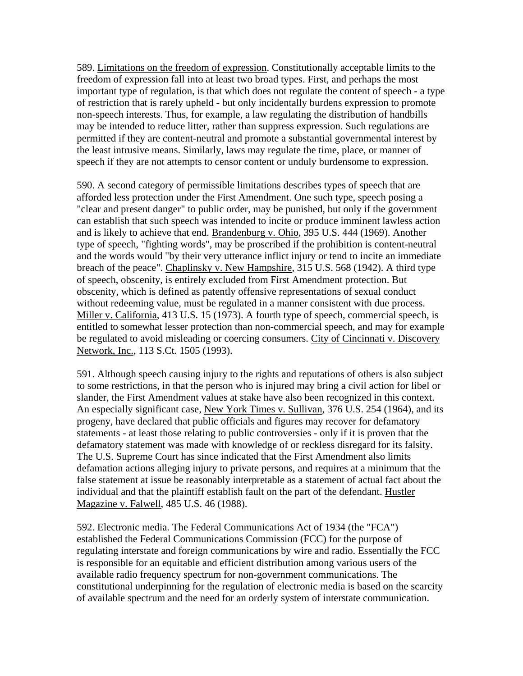589. Limitations on the freedom of expression. Constitutionally acceptable limits to the freedom of expression fall into at least two broad types. First, and perhaps the most important type of regulation, is that which does not regulate the content of speech - a type of restriction that is rarely upheld - but only incidentally burdens expression to promote non-speech interests. Thus, for example, a law regulating the distribution of handbills may be intended to reduce litter, rather than suppress expression. Such regulations are permitted if they are content-neutral and promote a substantial governmental interest by the least intrusive means. Similarly, laws may regulate the time, place, or manner of speech if they are not attempts to censor content or unduly burdensome to expression.

590. A second category of permissible limitations describes types of speech that are afforded less protection under the First Amendment. One such type, speech posing a "clear and present danger" to public order, may be punished, but only if the government can establish that such speech was intended to incite or produce imminent lawless action and is likely to achieve that end. Brandenburg v. Ohio, 395 U.S. 444 (1969). Another type of speech, "fighting words", may be proscribed if the prohibition is content-neutral and the words would "by their very utterance inflict injury or tend to incite an immediate breach of the peace". Chaplinsky v. New Hampshire, 315 U.S. 568 (1942). A third type of speech, obscenity, is entirely excluded from First Amendment protection. But obscenity, which is defined as patently offensive representations of sexual conduct without redeeming value, must be regulated in a manner consistent with due process. Miller v. California, 413 U.S. 15 (1973). A fourth type of speech, commercial speech, is entitled to somewhat lesser protection than non-commercial speech, and may for example be regulated to avoid misleading or coercing consumers. City of Cincinnati v. Discovery Network, Inc., 113 S.Ct. 1505 (1993).

591. Although speech causing injury to the rights and reputations of others is also subject to some restrictions, in that the person who is injured may bring a civil action for libel or slander, the First Amendment values at stake have also been recognized in this context. An especially significant case, New York Times v. Sullivan, 376 U.S. 254 (1964), and its progeny, have declared that public officials and figures may recover for defamatory statements - at least those relating to public controversies - only if it is proven that the defamatory statement was made with knowledge of or reckless disregard for its falsity. The U.S. Supreme Court has since indicated that the First Amendment also limits defamation actions alleging injury to private persons, and requires at a minimum that the false statement at issue be reasonably interpretable as a statement of actual fact about the individual and that the plaintiff establish fault on the part of the defendant. Hustler Magazine v. Falwell, 485 U.S. 46 (1988).

592. Electronic media. The Federal Communications Act of 1934 (the "FCA") established the Federal Communications Commission (FCC) for the purpose of regulating interstate and foreign communications by wire and radio. Essentially the FCC is responsible for an equitable and efficient distribution among various users of the available radio frequency spectrum for non-government communications. The constitutional underpinning for the regulation of electronic media is based on the scarcity of available spectrum and the need for an orderly system of interstate communication.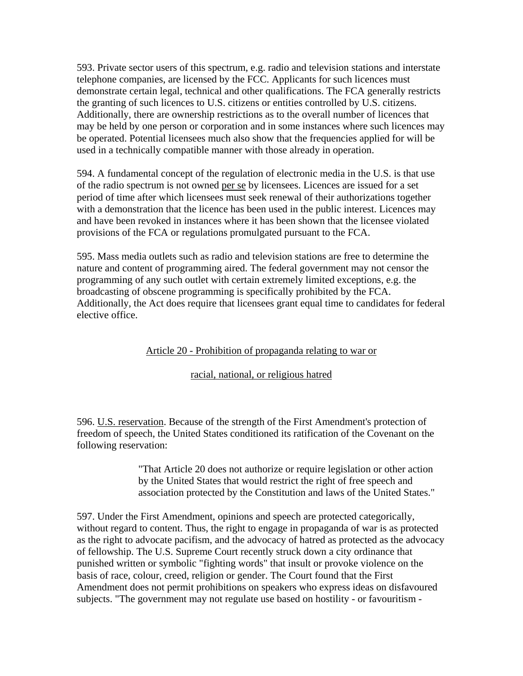593. Private sector users of this spectrum, e.g. radio and television stations and interstate telephone companies, are licensed by the FCC. Applicants for such licences must demonstrate certain legal, technical and other qualifications. The FCA generally restricts the granting of such licences to U.S. citizens or entities controlled by U.S. citizens. Additionally, there are ownership restrictions as to the overall number of licences that may be held by one person or corporation and in some instances where such licences may be operated. Potential licensees much also show that the frequencies applied for will be used in a technically compatible manner with those already in operation.

594. A fundamental concept of the regulation of electronic media in the U.S. is that use of the radio spectrum is not owned per se by licensees. Licences are issued for a set period of time after which licensees must seek renewal of their authorizations together with a demonstration that the licence has been used in the public interest. Licences may and have been revoked in instances where it has been shown that the licensee violated provisions of the FCA or regulations promulgated pursuant to the FCA.

595. Mass media outlets such as radio and television stations are free to determine the nature and content of programming aired. The federal government may not censor the programming of any such outlet with certain extremely limited exceptions, e.g. the broadcasting of obscene programming is specifically prohibited by the FCA. Additionally, the Act does require that licensees grant equal time to candidates for federal elective office.

# Article 20 - Prohibition of propaganda relating to war or

### racial, national, or religious hatred

596. U.S. reservation. Because of the strength of the First Amendment's protection of freedom of speech, the United States conditioned its ratification of the Covenant on the following reservation:

> "That Article 20 does not authorize or require legislation or other action by the United States that would restrict the right of free speech and association protected by the Constitution and laws of the United States."

597. Under the First Amendment, opinions and speech are protected categorically, without regard to content. Thus, the right to engage in propaganda of war is as protected as the right to advocate pacifism, and the advocacy of hatred as protected as the advocacy of fellowship. The U.S. Supreme Court recently struck down a city ordinance that punished written or symbolic "fighting words" that insult or provoke violence on the basis of race, colour, creed, religion or gender. The Court found that the First Amendment does not permit prohibitions on speakers who express ideas on disfavoured subjects. "The government may not regulate use based on hostility - or favouritism -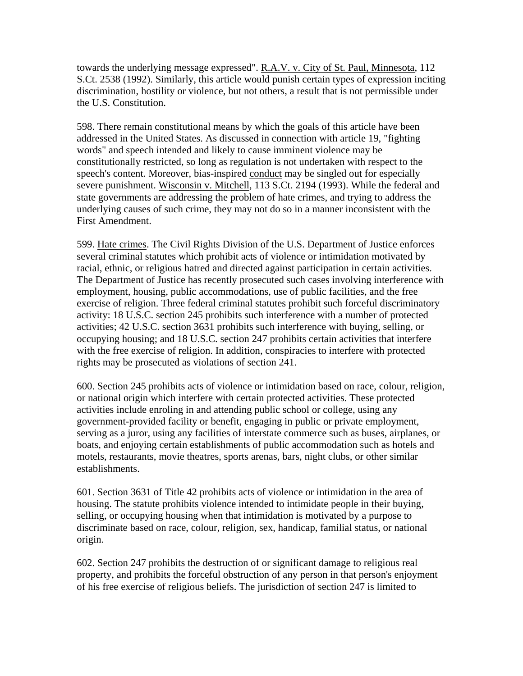towards the underlying message expressed". R.A.V. v. City of St. Paul, Minnesota, 112 S.Ct. 2538 (1992). Similarly, this article would punish certain types of expression inciting discrimination, hostility or violence, but not others, a result that is not permissible under the U.S. Constitution.

598. There remain constitutional means by which the goals of this article have been addressed in the United States. As discussed in connection with article 19, "fighting words" and speech intended and likely to cause imminent violence may be constitutionally restricted, so long as regulation is not undertaken with respect to the speech's content. Moreover, bias-inspired conduct may be singled out for especially severe punishment. Wisconsin v. Mitchell, 113 S.Ct. 2194 (1993). While the federal and state governments are addressing the problem of hate crimes, and trying to address the underlying causes of such crime, they may not do so in a manner inconsistent with the First Amendment.

599. Hate crimes. The Civil Rights Division of the U.S. Department of Justice enforces several criminal statutes which prohibit acts of violence or intimidation motivated by racial, ethnic, or religious hatred and directed against participation in certain activities. The Department of Justice has recently prosecuted such cases involving interference with employment, housing, public accommodations, use of public facilities, and the free exercise of religion. Three federal criminal statutes prohibit such forceful discriminatory activity: 18 U.S.C. section 245 prohibits such interference with a number of protected activities; 42 U.S.C. section 3631 prohibits such interference with buying, selling, or occupying housing; and 18 U.S.C. section 247 prohibits certain activities that interfere with the free exercise of religion. In addition, conspiracies to interfere with protected rights may be prosecuted as violations of section 241.

600. Section 245 prohibits acts of violence or intimidation based on race, colour, religion, or national origin which interfere with certain protected activities. These protected activities include enroling in and attending public school or college, using any government-provided facility or benefit, engaging in public or private employment, serving as a juror, using any facilities of interstate commerce such as buses, airplanes, or boats, and enjoying certain establishments of public accommodation such as hotels and motels, restaurants, movie theatres, sports arenas, bars, night clubs, or other similar establishments.

601. Section 3631 of Title 42 prohibits acts of violence or intimidation in the area of housing. The statute prohibits violence intended to intimidate people in their buying, selling, or occupying housing when that intimidation is motivated by a purpose to discriminate based on race, colour, religion, sex, handicap, familial status, or national origin.

602. Section 247 prohibits the destruction of or significant damage to religious real property, and prohibits the forceful obstruction of any person in that person's enjoyment of his free exercise of religious beliefs. The jurisdiction of section 247 is limited to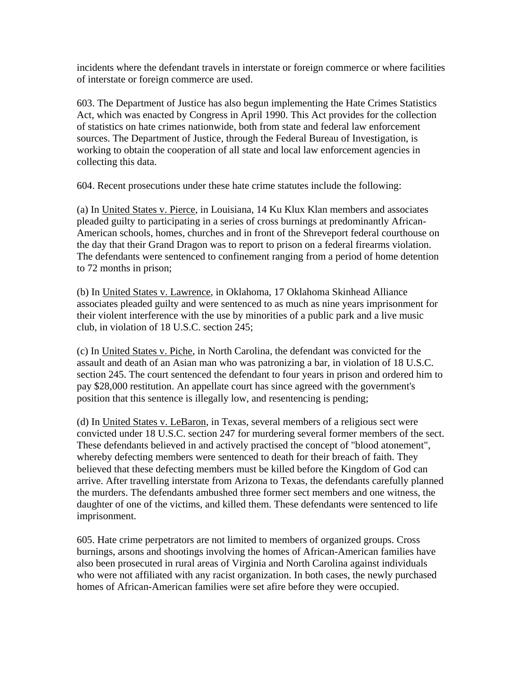incidents where the defendant travels in interstate or foreign commerce or where facilities of interstate or foreign commerce are used.

603. The Department of Justice has also begun implementing the Hate Crimes Statistics Act, which was enacted by Congress in April 1990. This Act provides for the collection of statistics on hate crimes nationwide, both from state and federal law enforcement sources. The Department of Justice, through the Federal Bureau of Investigation, is working to obtain the cooperation of all state and local law enforcement agencies in collecting this data.

604. Recent prosecutions under these hate crime statutes include the following:

(a) In United States v. Pierce, in Louisiana, 14 Ku Klux Klan members and associates pleaded guilty to participating in a series of cross burnings at predominantly African-American schools, homes, churches and in front of the Shreveport federal courthouse on the day that their Grand Dragon was to report to prison on a federal firearms violation. The defendants were sentenced to confinement ranging from a period of home detention to 72 months in prison;

(b) In United States v. Lawrence, in Oklahoma, 17 Oklahoma Skinhead Alliance associates pleaded guilty and were sentenced to as much as nine years imprisonment for their violent interference with the use by minorities of a public park and a live music club, in violation of 18 U.S.C. section 245;

(c) In United States v. Piche, in North Carolina, the defendant was convicted for the assault and death of an Asian man who was patronizing a bar, in violation of 18 U.S.C. section 245. The court sentenced the defendant to four years in prison and ordered him to pay \$28,000 restitution. An appellate court has since agreed with the government's position that this sentence is illegally low, and resentencing is pending;

(d) In United States v. LeBaron, in Texas, several members of a religious sect were convicted under 18 U.S.C. section 247 for murdering several former members of the sect. These defendants believed in and actively practised the concept of "blood atonement", whereby defecting members were sentenced to death for their breach of faith. They believed that these defecting members must be killed before the Kingdom of God can arrive. After travelling interstate from Arizona to Texas, the defendants carefully planned the murders. The defendants ambushed three former sect members and one witness, the daughter of one of the victims, and killed them. These defendants were sentenced to life imprisonment.

605. Hate crime perpetrators are not limited to members of organized groups. Cross burnings, arsons and shootings involving the homes of African-American families have also been prosecuted in rural areas of Virginia and North Carolina against individuals who were not affiliated with any racist organization. In both cases, the newly purchased homes of African-American families were set afire before they were occupied.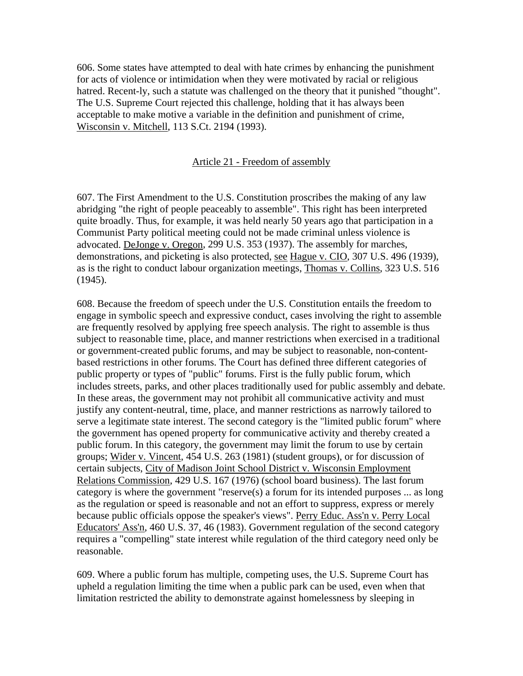606. Some states have attempted to deal with hate crimes by enhancing the punishment for acts of violence or intimidation when they were motivated by racial or religious hatred. Recent-ly, such a statute was challenged on the theory that it punished "thought". The U.S. Supreme Court rejected this challenge, holding that it has always been acceptable to make motive a variable in the definition and punishment of crime, Wisconsin v. Mitchell, 113 S.Ct. 2194 (1993).

#### Article 21 - Freedom of assembly

607. The First Amendment to the U.S. Constitution proscribes the making of any law abridging "the right of people peaceably to assemble". This right has been interpreted quite broadly. Thus, for example, it was held nearly 50 years ago that participation in a Communist Party political meeting could not be made criminal unless violence is advocated. DeJonge v. Oregon, 299 U.S. 353 (1937). The assembly for marches, demonstrations, and picketing is also protected, see Hague v. CIO, 307 U.S. 496 (1939), as is the right to conduct labour organization meetings, Thomas v. Collins, 323 U.S. 516 (1945).

608. Because the freedom of speech under the U.S. Constitution entails the freedom to engage in symbolic speech and expressive conduct, cases involving the right to assemble are frequently resolved by applying free speech analysis. The right to assemble is thus subject to reasonable time, place, and manner restrictions when exercised in a traditional or government-created public forums, and may be subject to reasonable, non-contentbased restrictions in other forums. The Court has defined three different categories of public property or types of "public" forums. First is the fully public forum, which includes streets, parks, and other places traditionally used for public assembly and debate. In these areas, the government may not prohibit all communicative activity and must justify any content-neutral, time, place, and manner restrictions as narrowly tailored to serve a legitimate state interest. The second category is the "limited public forum" where the government has opened property for communicative activity and thereby created a public forum. In this category, the government may limit the forum to use by certain groups; Wider v. Vincent, 454 U.S. 263 (1981) (student groups), or for discussion of certain subjects, City of Madison Joint School District v. Wisconsin Employment Relations Commission, 429 U.S. 167 (1976) (school board business). The last forum category is where the government "reserve(s) a forum for its intended purposes ... as long as the regulation or speed is reasonable and not an effort to suppress, express or merely because public officials oppose the speaker's views". Perry Educ. Ass'n v. Perry Local Educators' Ass'n, 460 U.S. 37, 46 (1983). Government regulation of the second category requires a "compelling" state interest while regulation of the third category need only be reasonable.

609. Where a public forum has multiple, competing uses, the U.S. Supreme Court has upheld a regulation limiting the time when a public park can be used, even when that limitation restricted the ability to demonstrate against homelessness by sleeping in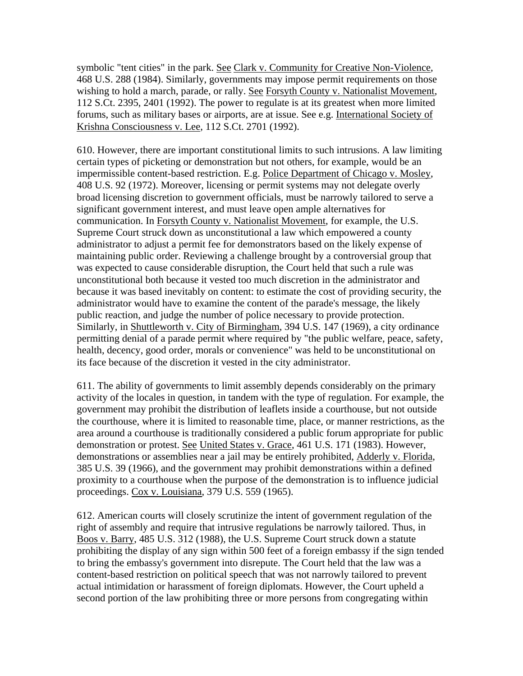symbolic "tent cities" in the park. See Clark v. Community for Creative Non-Violence, 468 U.S. 288 (1984). Similarly, governments may impose permit requirements on those wishing to hold a march, parade, or rally. See Forsyth County v. Nationalist Movement, 112 S.Ct. 2395, 2401 (1992). The power to regulate is at its greatest when more limited forums, such as military bases or airports, are at issue. See e.g. International Society of Krishna Consciousness v. Lee, 112 S.Ct. 2701 (1992).

610. However, there are important constitutional limits to such intrusions. A law limiting certain types of picketing or demonstration but not others, for example, would be an impermissible content-based restriction. E.g. Police Department of Chicago v. Mosley, 408 U.S. 92 (1972). Moreover, licensing or permit systems may not delegate overly broad licensing discretion to government officials, must be narrowly tailored to serve a significant government interest, and must leave open ample alternatives for communication. In Forsyth County v. Nationalist Movement, for example, the U.S. Supreme Court struck down as unconstitutional a law which empowered a county administrator to adjust a permit fee for demonstrators based on the likely expense of maintaining public order. Reviewing a challenge brought by a controversial group that was expected to cause considerable disruption, the Court held that such a rule was unconstitutional both because it vested too much discretion in the administrator and because it was based inevitably on content: to estimate the cost of providing security, the administrator would have to examine the content of the parade's message, the likely public reaction, and judge the number of police necessary to provide protection. Similarly, in Shuttleworth v. City of Birmingham, 394 U.S. 147 (1969), a city ordinance permitting denial of a parade permit where required by "the public welfare, peace, safety, health, decency, good order, morals or convenience" was held to be unconstitutional on its face because of the discretion it vested in the city administrator.

611. The ability of governments to limit assembly depends considerably on the primary activity of the locales in question, in tandem with the type of regulation. For example, the government may prohibit the distribution of leaflets inside a courthouse, but not outside the courthouse, where it is limited to reasonable time, place, or manner restrictions, as the area around a courthouse is traditionally considered a public forum appropriate for public demonstration or protest. See United States v. Grace, 461 U.S. 171 (1983). However, demonstrations or assemblies near a jail may be entirely prohibited, Adderly v. Florida, 385 U.S. 39 (1966), and the government may prohibit demonstrations within a defined proximity to a courthouse when the purpose of the demonstration is to influence judicial proceedings. Cox v. Louisiana, 379 U.S. 559 (1965).

612. American courts will closely scrutinize the intent of government regulation of the right of assembly and require that intrusive regulations be narrowly tailored. Thus, in Boos v. Barry, 485 U.S. 312 (1988), the U.S. Supreme Court struck down a statute prohibiting the display of any sign within 500 feet of a foreign embassy if the sign tended to bring the embassy's government into disrepute. The Court held that the law was a content-based restriction on political speech that was not narrowly tailored to prevent actual intimidation or harassment of foreign diplomats. However, the Court upheld a second portion of the law prohibiting three or more persons from congregating within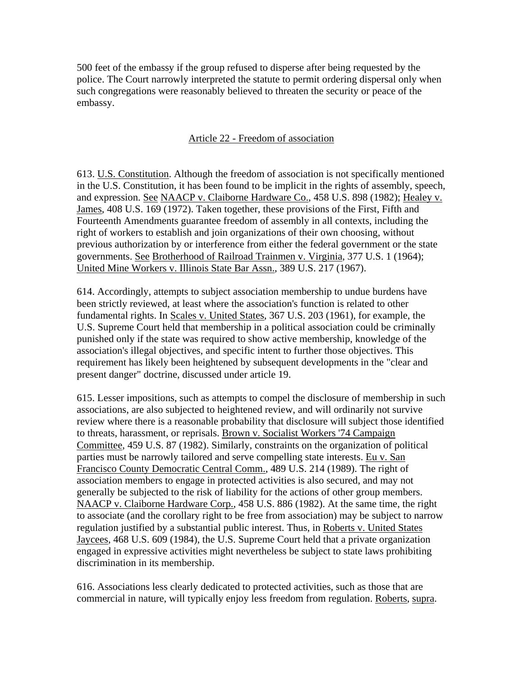500 feet of the embassy if the group refused to disperse after being requested by the police. The Court narrowly interpreted the statute to permit ordering dispersal only when such congregations were reasonably believed to threaten the security or peace of the embassy.

# Article 22 - Freedom of association

613. U.S. Constitution. Although the freedom of association is not specifically mentioned in the U.S. Constitution, it has been found to be implicit in the rights of assembly, speech, and expression. See NAACP v. Claiborne Hardware Co., 458 U.S. 898 (1982); Healey v. James, 408 U.S. 169 (1972). Taken together, these provisions of the First, Fifth and Fourteenth Amendments guarantee freedom of assembly in all contexts, including the right of workers to establish and join organizations of their own choosing, without previous authorization by or interference from either the federal government or the state governments. See Brotherhood of Railroad Trainmen v. Virginia, 377 U.S. 1 (1964); United Mine Workers v. Illinois State Bar Assn., 389 U.S. 217 (1967).

614. Accordingly, attempts to subject association membership to undue burdens have been strictly reviewed, at least where the association's function is related to other fundamental rights. In Scales v. United States, 367 U.S. 203 (1961), for example, the U.S. Supreme Court held that membership in a political association could be criminally punished only if the state was required to show active membership, knowledge of the association's illegal objectives, and specific intent to further those objectives. This requirement has likely been heightened by subsequent developments in the "clear and present danger" doctrine, discussed under article 19.

615. Lesser impositions, such as attempts to compel the disclosure of membership in such associations, are also subjected to heightened review, and will ordinarily not survive review where there is a reasonable probability that disclosure will subject those identified to threats, harassment, or reprisals. Brown v. Socialist Workers '74 Campaign Committee, 459 U.S. 87 (1982). Similarly, constraints on the organization of political parties must be narrowly tailored and serve compelling state interests. Eu v. San Francisco County Democratic Central Comm., 489 U.S. 214 (1989). The right of association members to engage in protected activities is also secured, and may not generally be subjected to the risk of liability for the actions of other group members. NAACP v. Claiborne Hardware Corp., 458 U.S. 886 (1982). At the same time, the right to associate (and the corollary right to be free from association) may be subject to narrow regulation justified by a substantial public interest. Thus, in Roberts v. United States Jaycees, 468 U.S. 609 (1984), the U.S. Supreme Court held that a private organization engaged in expressive activities might nevertheless be subject to state laws prohibiting discrimination in its membership.

616. Associations less clearly dedicated to protected activities, such as those that are commercial in nature, will typically enjoy less freedom from regulation. Roberts, supra.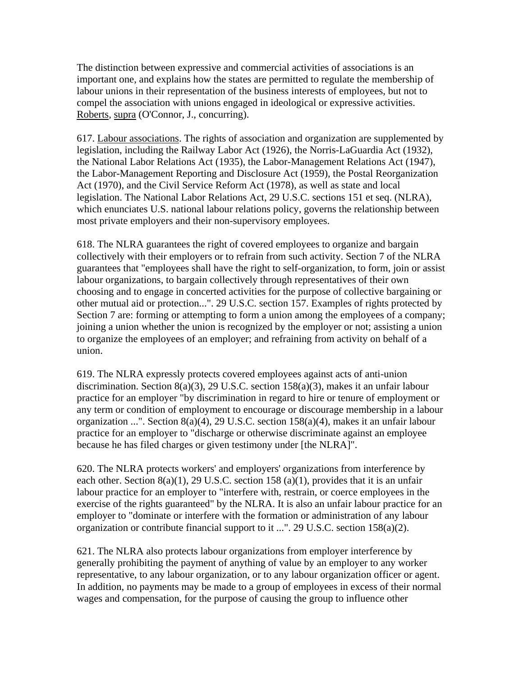The distinction between expressive and commercial activities of associations is an important one, and explains how the states are permitted to regulate the membership of labour unions in their representation of the business interests of employees, but not to compel the association with unions engaged in ideological or expressive activities. Roberts, supra (O'Connor, J., concurring).

617. Labour associations. The rights of association and organization are supplemented by legislation, including the Railway Labor Act (1926), the Norris-LaGuardia Act (1932), the National Labor Relations Act (1935), the Labor-Management Relations Act (1947), the Labor-Management Reporting and Disclosure Act (1959), the Postal Reorganization Act (1970), and the Civil Service Reform Act (1978), as well as state and local legislation. The National Labor Relations Act, 29 U.S.C. sections 151 et seq. (NLRA), which enunciates U.S. national labour relations policy, governs the relationship between most private employers and their non-supervisory employees.

618. The NLRA guarantees the right of covered employees to organize and bargain collectively with their employers or to refrain from such activity. Section 7 of the NLRA guarantees that "employees shall have the right to self-organization, to form, join or assist labour organizations, to bargain collectively through representatives of their own choosing and to engage in concerted activities for the purpose of collective bargaining or other mutual aid or protection...". 29 U.S.C. section 157. Examples of rights protected by Section 7 are: forming or attempting to form a union among the employees of a company; joining a union whether the union is recognized by the employer or not; assisting a union to organize the employees of an employer; and refraining from activity on behalf of a union.

619. The NLRA expressly protects covered employees against acts of anti-union discrimination. Section 8(a)(3), 29 U.S.C. section 158(a)(3), makes it an unfair labour practice for an employer "by discrimination in regard to hire or tenure of employment or any term or condition of employment to encourage or discourage membership in a labour organization ...". Section 8(a)(4), 29 U.S.C. section 158(a)(4), makes it an unfair labour practice for an employer to "discharge or otherwise discriminate against an employee because he has filed charges or given testimony under [the NLRA]".

620. The NLRA protects workers' and employers' organizations from interference by each other. Section  $8(a)(1)$ , 29 U.S.C. section 158 (a)(1), provides that it is an unfair labour practice for an employer to "interfere with, restrain, or coerce employees in the exercise of the rights guaranteed" by the NLRA. It is also an unfair labour practice for an employer to "dominate or interfere with the formation or administration of any labour organization or contribute financial support to it ...". 29 U.S.C. section 158(a)(2).

621. The NLRA also protects labour organizations from employer interference by generally prohibiting the payment of anything of value by an employer to any worker representative, to any labour organization, or to any labour organization officer or agent. In addition, no payments may be made to a group of employees in excess of their normal wages and compensation, for the purpose of causing the group to influence other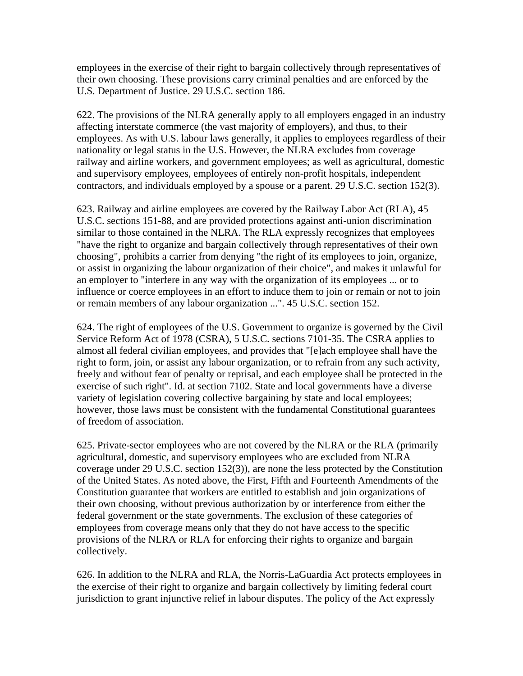employees in the exercise of their right to bargain collectively through representatives of their own choosing. These provisions carry criminal penalties and are enforced by the U.S. Department of Justice. 29 U.S.C. section 186.

622. The provisions of the NLRA generally apply to all employers engaged in an industry affecting interstate commerce (the vast majority of employers), and thus, to their employees. As with U.S. labour laws generally, it applies to employees regardless of their nationality or legal status in the U.S. However, the NLRA excludes from coverage railway and airline workers, and government employees; as well as agricultural, domestic and supervisory employees, employees of entirely non-profit hospitals, independent contractors, and individuals employed by a spouse or a parent. 29 U.S.C. section 152(3).

623. Railway and airline employees are covered by the Railway Labor Act (RLA), 45 U.S.C. sections 151-88, and are provided protections against anti-union discrimination similar to those contained in the NLRA. The RLA expressly recognizes that employees "have the right to organize and bargain collectively through representatives of their own choosing", prohibits a carrier from denying "the right of its employees to join, organize, or assist in organizing the labour organization of their choice", and makes it unlawful for an employer to "interfere in any way with the organization of its employees ... or to influence or coerce employees in an effort to induce them to join or remain or not to join or remain members of any labour organization ...". 45 U.S.C. section 152.

624. The right of employees of the U.S. Government to organize is governed by the Civil Service Reform Act of 1978 (CSRA), 5 U.S.C. sections 7101-35. The CSRA applies to almost all federal civilian employees, and provides that "[e]ach employee shall have the right to form, join, or assist any labour organization, or to refrain from any such activity, freely and without fear of penalty or reprisal, and each employee shall be protected in the exercise of such right". Id. at section 7102. State and local governments have a diverse variety of legislation covering collective bargaining by state and local employees; however, those laws must be consistent with the fundamental Constitutional guarantees of freedom of association.

625. Private-sector employees who are not covered by the NLRA or the RLA (primarily agricultural, domestic, and supervisory employees who are excluded from NLRA coverage under 29 U.S.C. section 152(3)), are none the less protected by the Constitution of the United States. As noted above, the First, Fifth and Fourteenth Amendments of the Constitution guarantee that workers are entitled to establish and join organizations of their own choosing, without previous authorization by or interference from either the federal government or the state governments. The exclusion of these categories of employees from coverage means only that they do not have access to the specific provisions of the NLRA or RLA for enforcing their rights to organize and bargain collectively.

626. In addition to the NLRA and RLA, the Norris-LaGuardia Act protects employees in the exercise of their right to organize and bargain collectively by limiting federal court jurisdiction to grant injunctive relief in labour disputes. The policy of the Act expressly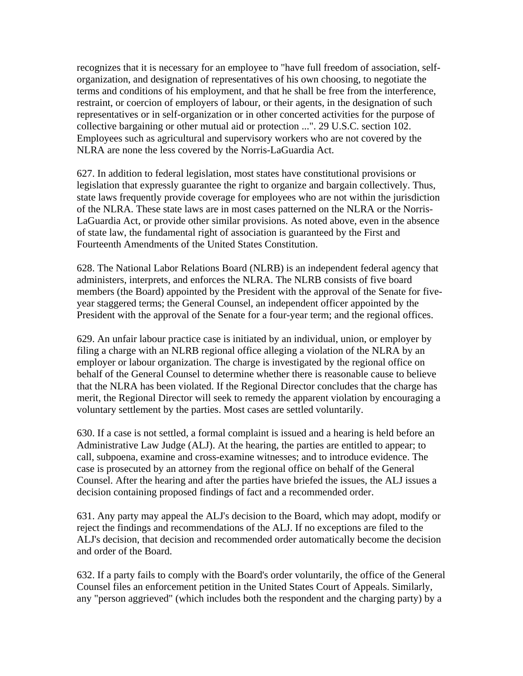recognizes that it is necessary for an employee to "have full freedom of association, selforganization, and designation of representatives of his own choosing, to negotiate the terms and conditions of his employment, and that he shall be free from the interference, restraint, or coercion of employers of labour, or their agents, in the designation of such representatives or in self-organization or in other concerted activities for the purpose of collective bargaining or other mutual aid or protection ...". 29 U.S.C. section 102. Employees such as agricultural and supervisory workers who are not covered by the NLRA are none the less covered by the Norris-LaGuardia Act.

627. In addition to federal legislation, most states have constitutional provisions or legislation that expressly guarantee the right to organize and bargain collectively. Thus, state laws frequently provide coverage for employees who are not within the jurisdiction of the NLRA. These state laws are in most cases patterned on the NLRA or the Norris-LaGuardia Act, or provide other similar provisions. As noted above, even in the absence of state law, the fundamental right of association is guaranteed by the First and Fourteenth Amendments of the United States Constitution.

628. The National Labor Relations Board (NLRB) is an independent federal agency that administers, interprets, and enforces the NLRA. The NLRB consists of five board members (the Board) appointed by the President with the approval of the Senate for fiveyear staggered terms; the General Counsel, an independent officer appointed by the President with the approval of the Senate for a four-year term; and the regional offices.

629. An unfair labour practice case is initiated by an individual, union, or employer by filing a charge with an NLRB regional office alleging a violation of the NLRA by an employer or labour organization. The charge is investigated by the regional office on behalf of the General Counsel to determine whether there is reasonable cause to believe that the NLRA has been violated. If the Regional Director concludes that the charge has merit, the Regional Director will seek to remedy the apparent violation by encouraging a voluntary settlement by the parties. Most cases are settled voluntarily.

630. If a case is not settled, a formal complaint is issued and a hearing is held before an Administrative Law Judge (ALJ). At the hearing, the parties are entitled to appear; to call, subpoena, examine and cross-examine witnesses; and to introduce evidence. The case is prosecuted by an attorney from the regional office on behalf of the General Counsel. After the hearing and after the parties have briefed the issues, the ALJ issues a decision containing proposed findings of fact and a recommended order.

631. Any party may appeal the ALJ's decision to the Board, which may adopt, modify or reject the findings and recommendations of the ALJ. If no exceptions are filed to the ALJ's decision, that decision and recommended order automatically become the decision and order of the Board.

632. If a party fails to comply with the Board's order voluntarily, the office of the General Counsel files an enforcement petition in the United States Court of Appeals. Similarly, any "person aggrieved" (which includes both the respondent and the charging party) by a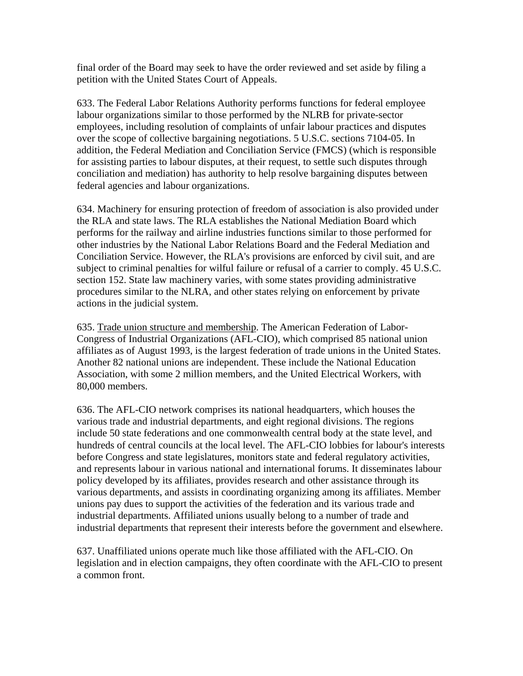final order of the Board may seek to have the order reviewed and set aside by filing a petition with the United States Court of Appeals.

633. The Federal Labor Relations Authority performs functions for federal employee labour organizations similar to those performed by the NLRB for private-sector employees, including resolution of complaints of unfair labour practices and disputes over the scope of collective bargaining negotiations. 5 U.S.C. sections 7104-05. In addition, the Federal Mediation and Conciliation Service (FMCS) (which is responsible for assisting parties to labour disputes, at their request, to settle such disputes through conciliation and mediation) has authority to help resolve bargaining disputes between federal agencies and labour organizations.

634. Machinery for ensuring protection of freedom of association is also provided under the RLA and state laws. The RLA establishes the National Mediation Board which performs for the railway and airline industries functions similar to those performed for other industries by the National Labor Relations Board and the Federal Mediation and Conciliation Service. However, the RLA's provisions are enforced by civil suit, and are subject to criminal penalties for wilful failure or refusal of a carrier to comply. 45 U.S.C. section 152. State law machinery varies, with some states providing administrative procedures similar to the NLRA, and other states relying on enforcement by private actions in the judicial system.

635. Trade union structure and membership. The American Federation of Labor-Congress of Industrial Organizations (AFL-CIO), which comprised 85 national union affiliates as of August 1993, is the largest federation of trade unions in the United States. Another 82 national unions are independent. These include the National Education Association, with some 2 million members, and the United Electrical Workers, with 80,000 members.

636. The AFL-CIO network comprises its national headquarters, which houses the various trade and industrial departments, and eight regional divisions. The regions include 50 state federations and one commonwealth central body at the state level, and hundreds of central councils at the local level. The AFL-CIO lobbies for labour's interests before Congress and state legislatures, monitors state and federal regulatory activities, and represents labour in various national and international forums. It disseminates labour policy developed by its affiliates, provides research and other assistance through its various departments, and assists in coordinating organizing among its affiliates. Member unions pay dues to support the activities of the federation and its various trade and industrial departments. Affiliated unions usually belong to a number of trade and industrial departments that represent their interests before the government and elsewhere.

637. Unaffiliated unions operate much like those affiliated with the AFL-CIO. On legislation and in election campaigns, they often coordinate with the AFL-CIO to present a common front.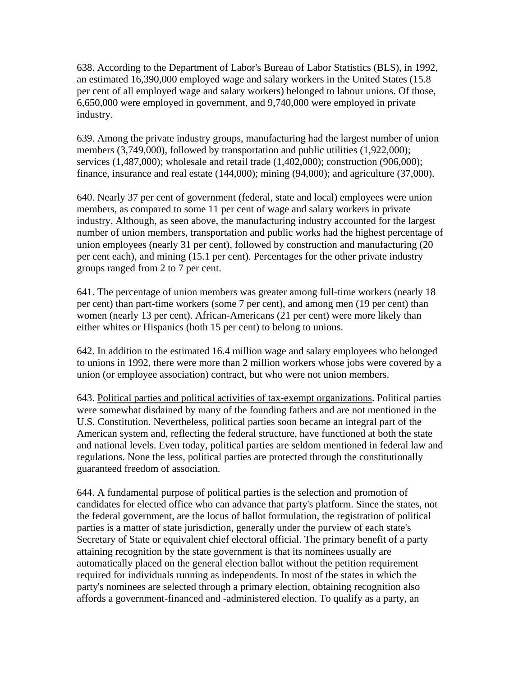638. According to the Department of Labor's Bureau of Labor Statistics (BLS), in 1992, an estimated 16,390,000 employed wage and salary workers in the United States (15.8 per cent of all employed wage and salary workers) belonged to labour unions. Of those, 6,650,000 were employed in government, and 9,740,000 were employed in private industry.

639. Among the private industry groups, manufacturing had the largest number of union members (3,749,000), followed by transportation and public utilities (1,922,000); services (1,487,000); wholesale and retail trade (1,402,000); construction (906,000); finance, insurance and real estate (144,000); mining (94,000); and agriculture (37,000).

640. Nearly 37 per cent of government (federal, state and local) employees were union members, as compared to some 11 per cent of wage and salary workers in private industry. Although, as seen above, the manufacturing industry accounted for the largest number of union members, transportation and public works had the highest percentage of union employees (nearly 31 per cent), followed by construction and manufacturing (20 per cent each), and mining (15.1 per cent). Percentages for the other private industry groups ranged from 2 to 7 per cent.

641. The percentage of union members was greater among full-time workers (nearly 18 per cent) than part-time workers (some 7 per cent), and among men (19 per cent) than women (nearly 13 per cent). African-Americans (21 per cent) were more likely than either whites or Hispanics (both 15 per cent) to belong to unions.

642. In addition to the estimated 16.4 million wage and salary employees who belonged to unions in 1992, there were more than 2 million workers whose jobs were covered by a union (or employee association) contract, but who were not union members.

643. Political parties and political activities of tax-exempt organizations. Political parties were somewhat disdained by many of the founding fathers and are not mentioned in the U.S. Constitution. Nevertheless, political parties soon became an integral part of the American system and, reflecting the federal structure, have functioned at both the state and national levels. Even today, political parties are seldom mentioned in federal law and regulations. None the less, political parties are protected through the constitutionally guaranteed freedom of association.

644. A fundamental purpose of political parties is the selection and promotion of candidates for elected office who can advance that party's platform. Since the states, not the federal government, are the locus of ballot formulation, the registration of political parties is a matter of state jurisdiction, generally under the purview of each state's Secretary of State or equivalent chief electoral official. The primary benefit of a party attaining recognition by the state government is that its nominees usually are automatically placed on the general election ballot without the petition requirement required for individuals running as independents. In most of the states in which the party's nominees are selected through a primary election, obtaining recognition also affords a government-financed and -administered election. To qualify as a party, an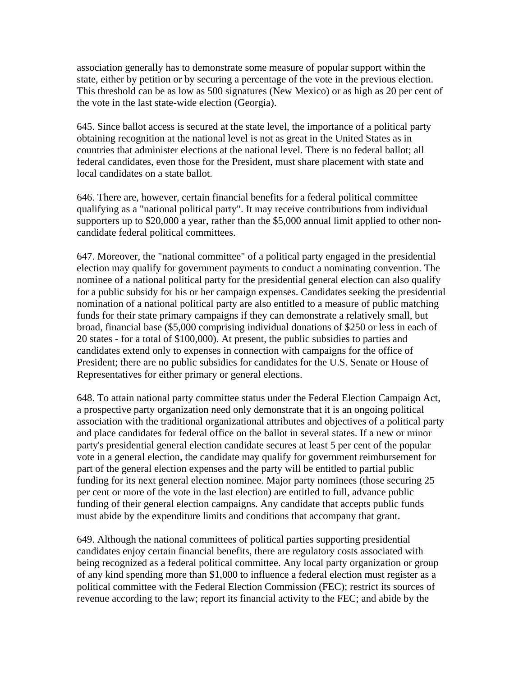association generally has to demonstrate some measure of popular support within the state, either by petition or by securing a percentage of the vote in the previous election. This threshold can be as low as 500 signatures (New Mexico) or as high as 20 per cent of the vote in the last state-wide election (Georgia).

645. Since ballot access is secured at the state level, the importance of a political party obtaining recognition at the national level is not as great in the United States as in countries that administer elections at the national level. There is no federal ballot; all federal candidates, even those for the President, must share placement with state and local candidates on a state ballot.

646. There are, however, certain financial benefits for a federal political committee qualifying as a "national political party". It may receive contributions from individual supporters up to \$20,000 a year, rather than the \$5,000 annual limit applied to other noncandidate federal political committees.

647. Moreover, the "national committee" of a political party engaged in the presidential election may qualify for government payments to conduct a nominating convention. The nominee of a national political party for the presidential general election can also qualify for a public subsidy for his or her campaign expenses. Candidates seeking the presidential nomination of a national political party are also entitled to a measure of public matching funds for their state primary campaigns if they can demonstrate a relatively small, but broad, financial base (\$5,000 comprising individual donations of \$250 or less in each of 20 states - for a total of \$100,000). At present, the public subsidies to parties and candidates extend only to expenses in connection with campaigns for the office of President; there are no public subsidies for candidates for the U.S. Senate or House of Representatives for either primary or general elections.

648. To attain national party committee status under the Federal Election Campaign Act, a prospective party organization need only demonstrate that it is an ongoing political association with the traditional organizational attributes and objectives of a political party and place candidates for federal office on the ballot in several states. If a new or minor party's presidential general election candidate secures at least 5 per cent of the popular vote in a general election, the candidate may qualify for government reimbursement for part of the general election expenses and the party will be entitled to partial public funding for its next general election nominee. Major party nominees (those securing 25 per cent or more of the vote in the last election) are entitled to full, advance public funding of their general election campaigns. Any candidate that accepts public funds must abide by the expenditure limits and conditions that accompany that grant.

649. Although the national committees of political parties supporting presidential candidates enjoy certain financial benefits, there are regulatory costs associated with being recognized as a federal political committee. Any local party organization or group of any kind spending more than \$1,000 to influence a federal election must register as a political committee with the Federal Election Commission (FEC); restrict its sources of revenue according to the law; report its financial activity to the FEC; and abide by the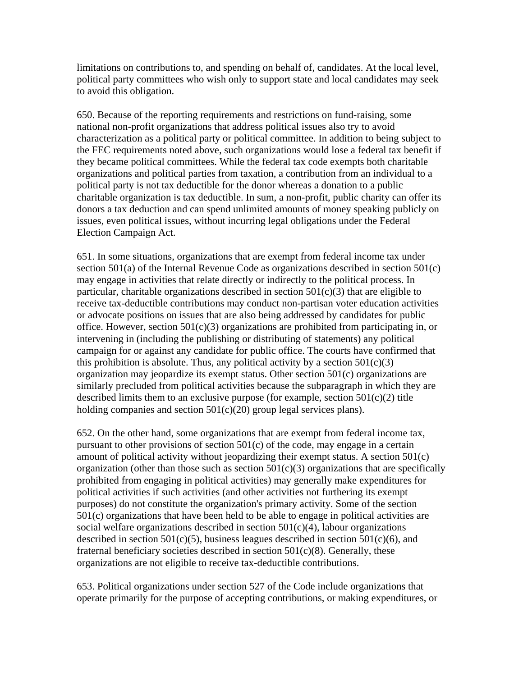limitations on contributions to, and spending on behalf of, candidates. At the local level, political party committees who wish only to support state and local candidates may seek to avoid this obligation.

650. Because of the reporting requirements and restrictions on fund-raising, some national non-profit organizations that address political issues also try to avoid characterization as a political party or political committee. In addition to being subject to the FEC requirements noted above, such organizations would lose a federal tax benefit if they became political committees. While the federal tax code exempts both charitable organizations and political parties from taxation, a contribution from an individual to a political party is not tax deductible for the donor whereas a donation to a public charitable organization is tax deductible. In sum, a non-profit, public charity can offer its donors a tax deduction and can spend unlimited amounts of money speaking publicly on issues, even political issues, without incurring legal obligations under the Federal Election Campaign Act.

651. In some situations, organizations that are exempt from federal income tax under section 501(a) of the Internal Revenue Code as organizations described in section 501(c) may engage in activities that relate directly or indirectly to the political process. In particular, charitable organizations described in section  $501(c)(3)$  that are eligible to receive tax-deductible contributions may conduct non-partisan voter education activities or advocate positions on issues that are also being addressed by candidates for public office. However, section 501(c)(3) organizations are prohibited from participating in, or intervening in (including the publishing or distributing of statements) any political campaign for or against any candidate for public office. The courts have confirmed that this prohibition is absolute. Thus, any political activity by a section  $501(c)(3)$ organization may jeopardize its exempt status. Other section 501(c) organizations are similarly precluded from political activities because the subparagraph in which they are described limits them to an exclusive purpose (for example, section  $501(c)(2)$  title holding companies and section  $501(c)(20)$  group legal services plans).

652. On the other hand, some organizations that are exempt from federal income tax, pursuant to other provisions of section 501(c) of the code, may engage in a certain amount of political activity without jeopardizing their exempt status. A section 501(c) organization (other than those such as section  $501(c)(3)$  organizations that are specifically prohibited from engaging in political activities) may generally make expenditures for political activities if such activities (and other activities not furthering its exempt purposes) do not constitute the organization's primary activity. Some of the section 501(c) organizations that have been held to be able to engage in political activities are social welfare organizations described in section  $501(c)(4)$ , labour organizations described in section  $501(c)(5)$ , business leagues described in section  $501(c)(6)$ , and fraternal beneficiary societies described in section  $501(c)(8)$ . Generally, these organizations are not eligible to receive tax-deductible contributions.

653. Political organizations under section 527 of the Code include organizations that operate primarily for the purpose of accepting contributions, or making expenditures, or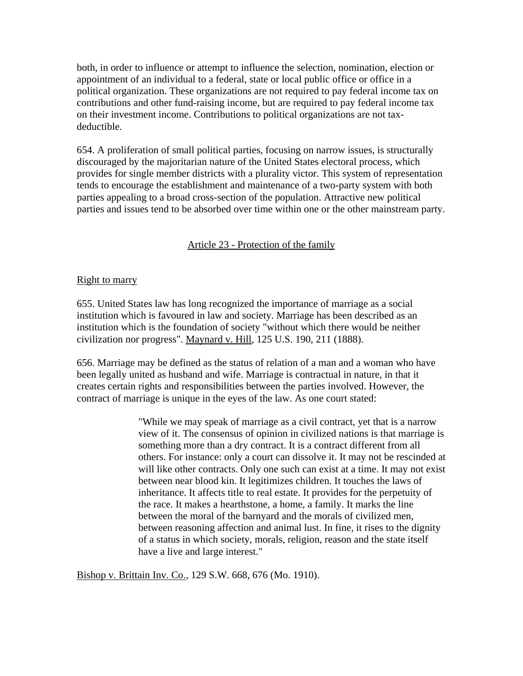both, in order to influence or attempt to influence the selection, nomination, election or appointment of an individual to a federal, state or local public office or office in a political organization. These organizations are not required to pay federal income tax on contributions and other fund-raising income, but are required to pay federal income tax on their investment income. Contributions to political organizations are not taxdeductible.

654. A proliferation of small political parties, focusing on narrow issues, is structurally discouraged by the majoritarian nature of the United States electoral process, which provides for single member districts with a plurality victor. This system of representation tends to encourage the establishment and maintenance of a two-party system with both parties appealing to a broad cross-section of the population. Attractive new political parties and issues tend to be absorbed over time within one or the other mainstream party.

# Article 23 - Protection of the family

#### **Right to marry**

655. United States law has long recognized the importance of marriage as a social institution which is favoured in law and society. Marriage has been described as an institution which is the foundation of society "without which there would be neither civilization nor progress". Maynard v. Hill, 125 U.S. 190, 211 (1888).

656. Marriage may be defined as the status of relation of a man and a woman who have been legally united as husband and wife. Marriage is contractual in nature, in that it creates certain rights and responsibilities between the parties involved. However, the contract of marriage is unique in the eyes of the law. As one court stated:

> "While we may speak of marriage as a civil contract, yet that is a narrow view of it. The consensus of opinion in civilized nations is that marriage is something more than a dry contract. It is a contract different from all others. For instance: only a court can dissolve it. It may not be rescinded at will like other contracts. Only one such can exist at a time. It may not exist between near blood kin. It legitimizes children. It touches the laws of inheritance. It affects title to real estate. It provides for the perpetuity of the race. It makes a hearthstone, a home, a family. It marks the line between the moral of the barnyard and the morals of civilized men, between reasoning affection and animal lust. In fine, it rises to the dignity of a status in which society, morals, religion, reason and the state itself have a live and large interest."

Bishop v. Brittain Inv. Co., 129 S.W. 668, 676 (Mo. 1910).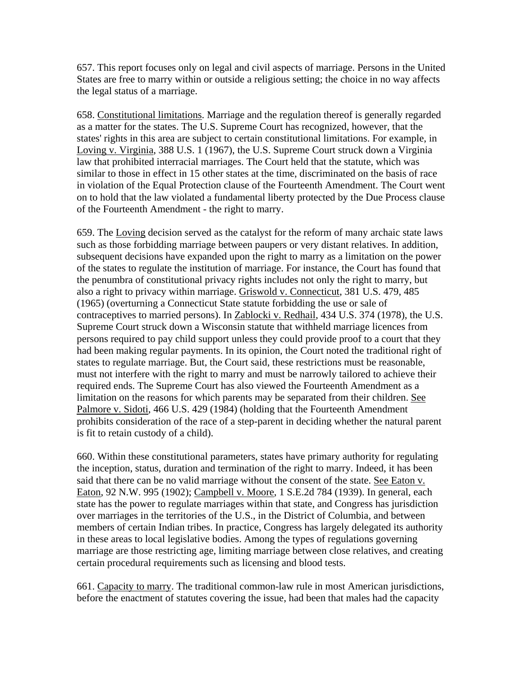657. This report focuses only on legal and civil aspects of marriage. Persons in the United States are free to marry within or outside a religious setting; the choice in no way affects the legal status of a marriage.

658. Constitutional limitations. Marriage and the regulation thereof is generally regarded as a matter for the states. The U.S. Supreme Court has recognized, however, that the states' rights in this area are subject to certain constitutional limitations. For example, in Loving v. Virginia, 388 U.S. 1 (1967), the U.S. Supreme Court struck down a Virginia law that prohibited interracial marriages. The Court held that the statute, which was similar to those in effect in 15 other states at the time, discriminated on the basis of race in violation of the Equal Protection clause of the Fourteenth Amendment. The Court went on to hold that the law violated a fundamental liberty protected by the Due Process clause of the Fourteenth Amendment - the right to marry.

659. The Loving decision served as the catalyst for the reform of many archaic state laws such as those forbidding marriage between paupers or very distant relatives. In addition, subsequent decisions have expanded upon the right to marry as a limitation on the power of the states to regulate the institution of marriage. For instance, the Court has found that the penumbra of constitutional privacy rights includes not only the right to marry, but also a right to privacy within marriage. Griswold v. Connecticut, 381 U.S. 479, 485 (1965) (overturning a Connecticut State statute forbidding the use or sale of contraceptives to married persons). In Zablocki v. Redhail, 434 U.S. 374 (1978), the U.S. Supreme Court struck down a Wisconsin statute that withheld marriage licences from persons required to pay child support unless they could provide proof to a court that they had been making regular payments. In its opinion, the Court noted the traditional right of states to regulate marriage. But, the Court said, these restrictions must be reasonable, must not interfere with the right to marry and must be narrowly tailored to achieve their required ends. The Supreme Court has also viewed the Fourteenth Amendment as a limitation on the reasons for which parents may be separated from their children. See Palmore v. Sidoti, 466 U.S. 429 (1984) (holding that the Fourteenth Amendment prohibits consideration of the race of a step-parent in deciding whether the natural parent is fit to retain custody of a child).

660. Within these constitutional parameters, states have primary authority for regulating the inception, status, duration and termination of the right to marry. Indeed, it has been said that there can be no valid marriage without the consent of the state. See Eaton v. Eaton, 92 N.W. 995 (1902); Campbell v. Moore, 1 S.E.2d 784 (1939). In general, each state has the power to regulate marriages within that state, and Congress has jurisdiction over marriages in the territories of the U.S., in the District of Columbia, and between members of certain Indian tribes. In practice, Congress has largely delegated its authority in these areas to local legislative bodies. Among the types of regulations governing marriage are those restricting age, limiting marriage between close relatives, and creating certain procedural requirements such as licensing and blood tests.

661. Capacity to marry. The traditional common-law rule in most American jurisdictions, before the enactment of statutes covering the issue, had been that males had the capacity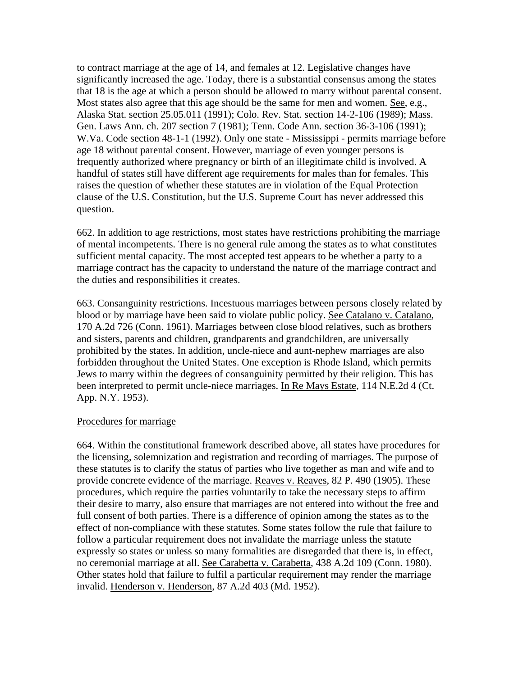to contract marriage at the age of 14, and females at 12. Legislative changes have significantly increased the age. Today, there is a substantial consensus among the states that 18 is the age at which a person should be allowed to marry without parental consent. Most states also agree that this age should be the same for men and women. See, e.g., Alaska Stat. section 25.05.011 (1991); Colo. Rev. Stat. section 14-2-106 (1989); Mass. Gen. Laws Ann. ch. 207 section 7 (1981); Tenn. Code Ann. section 36-3-106 (1991); W.Va. Code section 48-1-1 (1992). Only one state - Mississippi - permits marriage before age 18 without parental consent. However, marriage of even younger persons is frequently authorized where pregnancy or birth of an illegitimate child is involved. A handful of states still have different age requirements for males than for females. This raises the question of whether these statutes are in violation of the Equal Protection clause of the U.S. Constitution, but the U.S. Supreme Court has never addressed this question.

662. In addition to age restrictions, most states have restrictions prohibiting the marriage of mental incompetents. There is no general rule among the states as to what constitutes sufficient mental capacity. The most accepted test appears to be whether a party to a marriage contract has the capacity to understand the nature of the marriage contract and the duties and responsibilities it creates.

663. Consanguinity restrictions. Incestuous marriages between persons closely related by blood or by marriage have been said to violate public policy. See Catalano v. Catalano, 170 A.2d 726 (Conn. 1961). Marriages between close blood relatives, such as brothers and sisters, parents and children, grandparents and grandchildren, are universally prohibited by the states. In addition, uncle-niece and aunt-nephew marriages are also forbidden throughout the United States. One exception is Rhode Island, which permits Jews to marry within the degrees of consanguinity permitted by their religion. This has been interpreted to permit uncle-niece marriages. In Re Mays Estate, 114 N.E.2d 4 (Ct. App. N.Y. 1953).

#### Procedures for marriage

664. Within the constitutional framework described above, all states have procedures for the licensing, solemnization and registration and recording of marriages. The purpose of these statutes is to clarify the status of parties who live together as man and wife and to provide concrete evidence of the marriage. Reaves v. Reaves, 82 P. 490 (1905). These procedures, which require the parties voluntarily to take the necessary steps to affirm their desire to marry, also ensure that marriages are not entered into without the free and full consent of both parties. There is a difference of opinion among the states as to the effect of non-compliance with these statutes. Some states follow the rule that failure to follow a particular requirement does not invalidate the marriage unless the statute expressly so states or unless so many formalities are disregarded that there is, in effect, no ceremonial marriage at all. See Carabetta v. Carabetta, 438 A.2d 109 (Conn. 1980). Other states hold that failure to fulfil a particular requirement may render the marriage invalid. Henderson v. Henderson, 87 A.2d 403 (Md. 1952).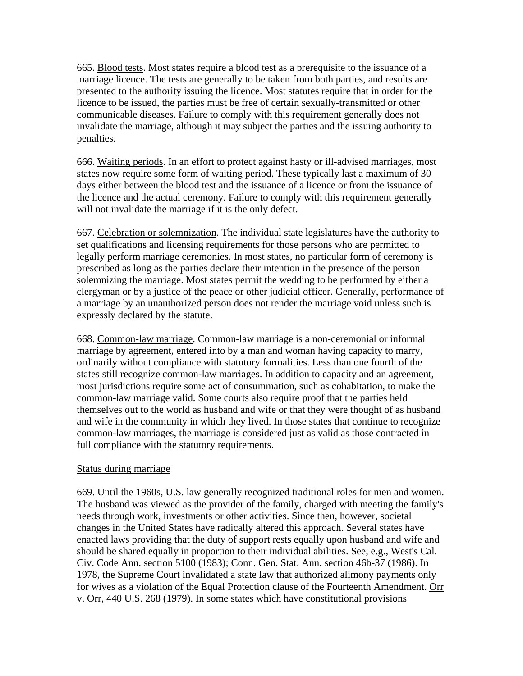665. Blood tests. Most states require a blood test as a prerequisite to the issuance of a marriage licence. The tests are generally to be taken from both parties, and results are presented to the authority issuing the licence. Most statutes require that in order for the licence to be issued, the parties must be free of certain sexually-transmitted or other communicable diseases. Failure to comply with this requirement generally does not invalidate the marriage, although it may subject the parties and the issuing authority to penalties.

666. Waiting periods. In an effort to protect against hasty or ill-advised marriages, most states now require some form of waiting period. These typically last a maximum of 30 days either between the blood test and the issuance of a licence or from the issuance of the licence and the actual ceremony. Failure to comply with this requirement generally will not invalidate the marriage if it is the only defect.

667. Celebration or solemnization. The individual state legislatures have the authority to set qualifications and licensing requirements for those persons who are permitted to legally perform marriage ceremonies. In most states, no particular form of ceremony is prescribed as long as the parties declare their intention in the presence of the person solemnizing the marriage. Most states permit the wedding to be performed by either a clergyman or by a justice of the peace or other judicial officer. Generally, performance of a marriage by an unauthorized person does not render the marriage void unless such is expressly declared by the statute.

668. Common-law marriage. Common-law marriage is a non-ceremonial or informal marriage by agreement, entered into by a man and woman having capacity to marry, ordinarily without compliance with statutory formalities. Less than one fourth of the states still recognize common-law marriages. In addition to capacity and an agreement, most jurisdictions require some act of consummation, such as cohabitation, to make the common-law marriage valid. Some courts also require proof that the parties held themselves out to the world as husband and wife or that they were thought of as husband and wife in the community in which they lived. In those states that continue to recognize common-law marriages, the marriage is considered just as valid as those contracted in full compliance with the statutory requirements.

#### Status during marriage

669. Until the 1960s, U.S. law generally recognized traditional roles for men and women. The husband was viewed as the provider of the family, charged with meeting the family's needs through work, investments or other activities. Since then, however, societal changes in the United States have radically altered this approach. Several states have enacted laws providing that the duty of support rests equally upon husband and wife and should be shared equally in proportion to their individual abilities. See, e.g., West's Cal. Civ. Code Ann. section 5100 (1983); Conn. Gen. Stat. Ann. section 46b-37 (1986). In 1978, the Supreme Court invalidated a state law that authorized alimony payments only for wives as a violation of the Equal Protection clause of the Fourteenth Amendment. Orr v. Orr, 440 U.S. 268 (1979). In some states which have constitutional provisions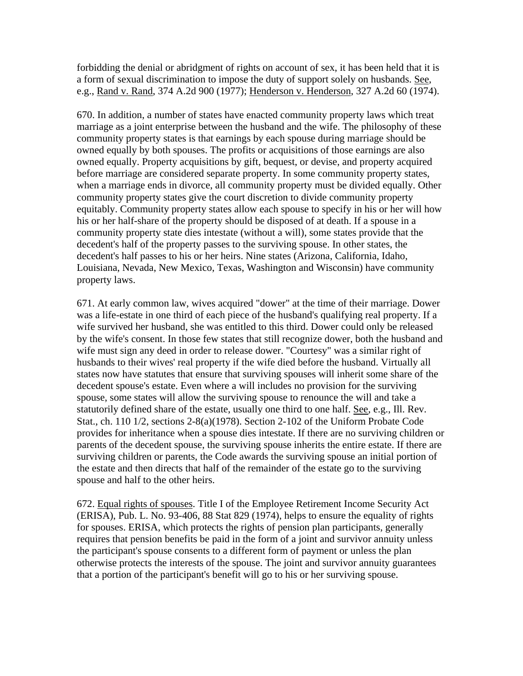forbidding the denial or abridgment of rights on account of sex, it has been held that it is a form of sexual discrimination to impose the duty of support solely on husbands. See, e.g., Rand v. Rand, 374 A.2d 900 (1977); Henderson v. Henderson, 327 A.2d 60 (1974).

670. In addition, a number of states have enacted community property laws which treat marriage as a joint enterprise between the husband and the wife. The philosophy of these community property states is that earnings by each spouse during marriage should be owned equally by both spouses. The profits or acquisitions of those earnings are also owned equally. Property acquisitions by gift, bequest, or devise, and property acquired before marriage are considered separate property. In some community property states, when a marriage ends in divorce, all community property must be divided equally. Other community property states give the court discretion to divide community property equitably. Community property states allow each spouse to specify in his or her will how his or her half-share of the property should be disposed of at death. If a spouse in a community property state dies intestate (without a will), some states provide that the decedent's half of the property passes to the surviving spouse. In other states, the decedent's half passes to his or her heirs. Nine states (Arizona, California, Idaho, Louisiana, Nevada, New Mexico, Texas, Washington and Wisconsin) have community property laws.

671. At early common law, wives acquired "dower" at the time of their marriage. Dower was a life-estate in one third of each piece of the husband's qualifying real property. If a wife survived her husband, she was entitled to this third. Dower could only be released by the wife's consent. In those few states that still recognize dower, both the husband and wife must sign any deed in order to release dower. "Courtesy" was a similar right of husbands to their wives' real property if the wife died before the husband. Virtually all states now have statutes that ensure that surviving spouses will inherit some share of the decedent spouse's estate. Even where a will includes no provision for the surviving spouse, some states will allow the surviving spouse to renounce the will and take a statutorily defined share of the estate, usually one third to one half. See, e.g., Ill. Rev. Stat., ch. 110 1/2, sections 2-8(a)(1978). Section 2-102 of the Uniform Probate Code provides for inheritance when a spouse dies intestate. If there are no surviving children or parents of the decedent spouse, the surviving spouse inherits the entire estate. If there are surviving children or parents, the Code awards the surviving spouse an initial portion of the estate and then directs that half of the remainder of the estate go to the surviving spouse and half to the other heirs.

672. Equal rights of spouses. Title I of the Employee Retirement Income Security Act (ERISA), Pub. L. No. 93-406, 88 Stat 829 (1974), helps to ensure the equality of rights for spouses. ERISA, which protects the rights of pension plan participants, generally requires that pension benefits be paid in the form of a joint and survivor annuity unless the participant's spouse consents to a different form of payment or unless the plan otherwise protects the interests of the spouse. The joint and survivor annuity guarantees that a portion of the participant's benefit will go to his or her surviving spouse.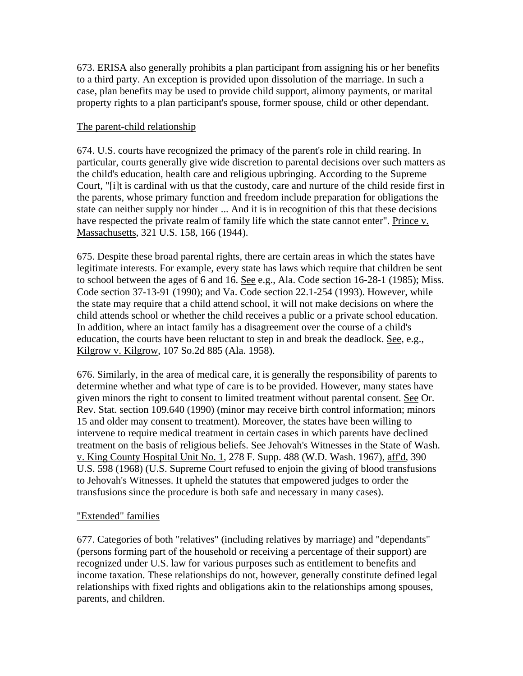673. ERISA also generally prohibits a plan participant from assigning his or her benefits to a third party. An exception is provided upon dissolution of the marriage. In such a case, plan benefits may be used to provide child support, alimony payments, or marital property rights to a plan participant's spouse, former spouse, child or other dependant.

### The parent-child relationship

674. U.S. courts have recognized the primacy of the parent's role in child rearing. In particular, courts generally give wide discretion to parental decisions over such matters as the child's education, health care and religious upbringing. According to the Supreme Court, "[i]t is cardinal with us that the custody, care and nurture of the child reside first in the parents, whose primary function and freedom include preparation for obligations the state can neither supply nor hinder ... And it is in recognition of this that these decisions have respected the private realm of family life which the state cannot enter". Prince v. Massachusetts, 321 U.S. 158, 166 (1944).

675. Despite these broad parental rights, there are certain areas in which the states have legitimate interests. For example, every state has laws which require that children be sent to school between the ages of 6 and 16. See e.g., Ala. Code section 16-28-1 (1985); Miss. Code section 37-13-91 (1990); and Va. Code section 22.1-254 (1993). However, while the state may require that a child attend school, it will not make decisions on where the child attends school or whether the child receives a public or a private school education. In addition, where an intact family has a disagreement over the course of a child's education, the courts have been reluctant to step in and break the deadlock. See, e.g., Kilgrow v. Kilgrow, 107 So.2d 885 (Ala. 1958).

676. Similarly, in the area of medical care, it is generally the responsibility of parents to determine whether and what type of care is to be provided. However, many states have given minors the right to consent to limited treatment without parental consent. See Or. Rev. Stat. section 109.640 (1990) (minor may receive birth control information; minors 15 and older may consent to treatment). Moreover, the states have been willing to intervene to require medical treatment in certain cases in which parents have declined treatment on the basis of religious beliefs. See Jehovah's Witnesses in the State of Wash. v. King County Hospital Unit No. 1, 278 F. Supp. 488 (W.D. Wash. 1967), aff'd, 390 U.S. 598 (1968) (U.S. Supreme Court refused to enjoin the giving of blood transfusions to Jehovah's Witnesses. It upheld the statutes that empowered judges to order the transfusions since the procedure is both safe and necessary in many cases).

# "Extended" families

677. Categories of both "relatives" (including relatives by marriage) and "dependants" (persons forming part of the household or receiving a percentage of their support) are recognized under U.S. law for various purposes such as entitlement to benefits and income taxation. These relationships do not, however, generally constitute defined legal relationships with fixed rights and obligations akin to the relationships among spouses, parents, and children.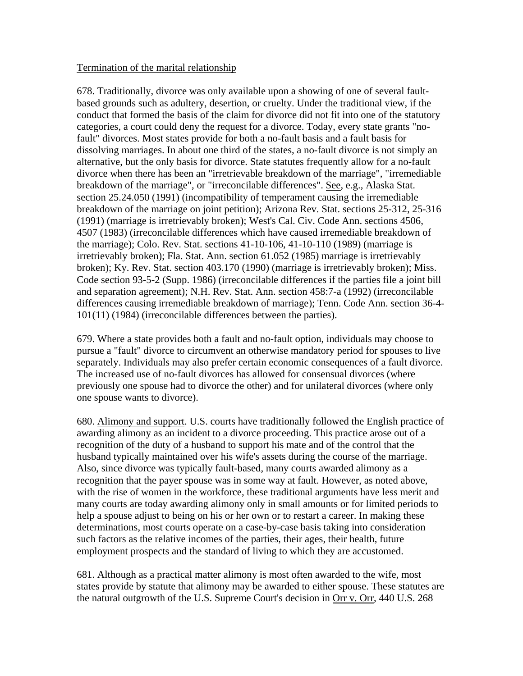### Termination of the marital relationship

678. Traditionally, divorce was only available upon a showing of one of several faultbased grounds such as adultery, desertion, or cruelty. Under the traditional view, if the conduct that formed the basis of the claim for divorce did not fit into one of the statutory categories, a court could deny the request for a divorce. Today, every state grants "nofault" divorces. Most states provide for both a no-fault basis and a fault basis for dissolving marriages. In about one third of the states, a no-fault divorce is not simply an alternative, but the only basis for divorce. State statutes frequently allow for a no-fault divorce when there has been an "irretrievable breakdown of the marriage", "irremediable breakdown of the marriage", or "irreconcilable differences". See, e.g., Alaska Stat. section 25.24.050 (1991) (incompatibility of temperament causing the irremediable breakdown of the marriage on joint petition); Arizona Rev. Stat. sections 25-312, 25-316 (1991) (marriage is irretrievably broken); West's Cal. Civ. Code Ann. sections 4506, 4507 (1983) (irreconcilable differences which have caused irremediable breakdown of the marriage); Colo. Rev. Stat. sections 41-10-106, 41-10-110 (1989) (marriage is irretrievably broken); Fla. Stat. Ann. section 61.052 (1985) marriage is irretrievably broken); Ky. Rev. Stat. section 403.170 (1990) (marriage is irretrievably broken); Miss. Code section 93-5-2 (Supp. 1986) (irreconcilable differences if the parties file a joint bill and separation agreement); N.H. Rev. Stat. Ann. section 458:7-a (1992) (irreconcilable differences causing irremediable breakdown of marriage); Tenn. Code Ann. section 36-4- 101(11) (1984) (irreconcilable differences between the parties).

679. Where a state provides both a fault and no-fault option, individuals may choose to pursue a "fault" divorce to circumvent an otherwise mandatory period for spouses to live separately. Individuals may also prefer certain economic consequences of a fault divorce. The increased use of no-fault divorces has allowed for consensual divorces (where previously one spouse had to divorce the other) and for unilateral divorces (where only one spouse wants to divorce).

680. Alimony and support. U.S. courts have traditionally followed the English practice of awarding alimony as an incident to a divorce proceeding. This practice arose out of a recognition of the duty of a husband to support his mate and of the control that the husband typically maintained over his wife's assets during the course of the marriage. Also, since divorce was typically fault-based, many courts awarded alimony as a recognition that the payer spouse was in some way at fault. However, as noted above, with the rise of women in the workforce, these traditional arguments have less merit and many courts are today awarding alimony only in small amounts or for limited periods to help a spouse adjust to being on his or her own or to restart a career. In making these determinations, most courts operate on a case-by-case basis taking into consideration such factors as the relative incomes of the parties, their ages, their health, future employment prospects and the standard of living to which they are accustomed.

681. Although as a practical matter alimony is most often awarded to the wife, most states provide by statute that alimony may be awarded to either spouse. These statutes are the natural outgrowth of the U.S. Supreme Court's decision in Orr v. Orr, 440 U.S. 268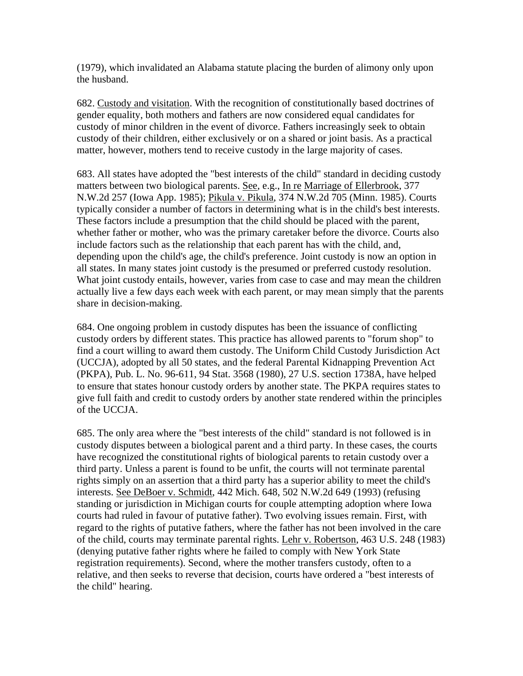(1979), which invalidated an Alabama statute placing the burden of alimony only upon the husband.

682. Custody and visitation. With the recognition of constitutionally based doctrines of gender equality, both mothers and fathers are now considered equal candidates for custody of minor children in the event of divorce. Fathers increasingly seek to obtain custody of their children, either exclusively or on a shared or joint basis. As a practical matter, however, mothers tend to receive custody in the large majority of cases.

683. All states have adopted the "best interests of the child" standard in deciding custody matters between two biological parents. See, e.g., In re Marriage of Ellerbrook, 377 N.W.2d 257 (Iowa App. 1985); Pikula v. Pikula, 374 N.W.2d 705 (Minn. 1985). Courts typically consider a number of factors in determining what is in the child's best interests. These factors include a presumption that the child should be placed with the parent, whether father or mother, who was the primary caretaker before the divorce. Courts also include factors such as the relationship that each parent has with the child, and, depending upon the child's age, the child's preference. Joint custody is now an option in all states. In many states joint custody is the presumed or preferred custody resolution. What joint custody entails, however, varies from case to case and may mean the children actually live a few days each week with each parent, or may mean simply that the parents share in decision-making.

684. One ongoing problem in custody disputes has been the issuance of conflicting custody orders by different states. This practice has allowed parents to "forum shop" to find a court willing to award them custody. The Uniform Child Custody Jurisdiction Act (UCCJA), adopted by all 50 states, and the federal Parental Kidnapping Prevention Act (PKPA), Pub. L. No. 96-611, 94 Stat. 3568 (1980), 27 U.S. section 1738A, have helped to ensure that states honour custody orders by another state. The PKPA requires states to give full faith and credit to custody orders by another state rendered within the principles of the UCCJA.

685. The only area where the "best interests of the child" standard is not followed is in custody disputes between a biological parent and a third party. In these cases, the courts have recognized the constitutional rights of biological parents to retain custody over a third party. Unless a parent is found to be unfit, the courts will not terminate parental rights simply on an assertion that a third party has a superior ability to meet the child's interests. See DeBoer v. Schmidt, 442 Mich. 648, 502 N.W.2d 649 (1993) (refusing standing or jurisdiction in Michigan courts for couple attempting adoption where Iowa courts had ruled in favour of putative father). Two evolving issues remain. First, with regard to the rights of putative fathers, where the father has not been involved in the care of the child, courts may terminate parental rights. Lehr v. Robertson, 463 U.S. 248 (1983) (denying putative father rights where he failed to comply with New York State registration requirements). Second, where the mother transfers custody, often to a relative, and then seeks to reverse that decision, courts have ordered a "best interests of the child" hearing.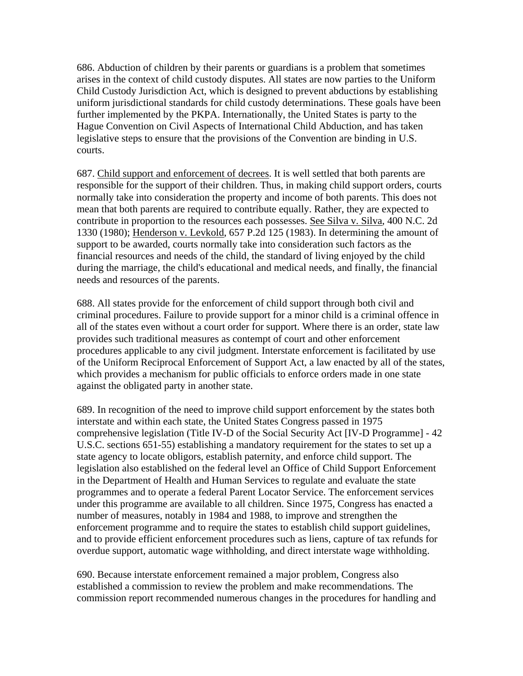686. Abduction of children by their parents or guardians is a problem that sometimes arises in the context of child custody disputes. All states are now parties to the Uniform Child Custody Jurisdiction Act, which is designed to prevent abductions by establishing uniform jurisdictional standards for child custody determinations. These goals have been further implemented by the PKPA. Internationally, the United States is party to the Hague Convention on Civil Aspects of International Child Abduction, and has taken legislative steps to ensure that the provisions of the Convention are binding in U.S. courts.

687. Child support and enforcement of decrees. It is well settled that both parents are responsible for the support of their children. Thus, in making child support orders, courts normally take into consideration the property and income of both parents. This does not mean that both parents are required to contribute equally. Rather, they are expected to contribute in proportion to the resources each possesses. See Silva v. Silva, 400 N.C. 2d 1330 (1980); Henderson v. Levkold, 657 P.2d 125 (1983). In determining the amount of support to be awarded, courts normally take into consideration such factors as the financial resources and needs of the child, the standard of living enjoyed by the child during the marriage, the child's educational and medical needs, and finally, the financial needs and resources of the parents.

688. All states provide for the enforcement of child support through both civil and criminal procedures. Failure to provide support for a minor child is a criminal offence in all of the states even without a court order for support. Where there is an order, state law provides such traditional measures as contempt of court and other enforcement procedures applicable to any civil judgment. Interstate enforcement is facilitated by use of the Uniform Reciprocal Enforcement of Support Act, a law enacted by all of the states, which provides a mechanism for public officials to enforce orders made in one state against the obligated party in another state.

689. In recognition of the need to improve child support enforcement by the states both interstate and within each state, the United States Congress passed in 1975 comprehensive legislation (Title IV-D of the Social Security Act [IV-D Programme] - 42 U.S.C. sections 651-55) establishing a mandatory requirement for the states to set up a state agency to locate obligors, establish paternity, and enforce child support. The legislation also established on the federal level an Office of Child Support Enforcement in the Department of Health and Human Services to regulate and evaluate the state programmes and to operate a federal Parent Locator Service. The enforcement services under this programme are available to all children. Since 1975, Congress has enacted a number of measures, notably in 1984 and 1988, to improve and strengthen the enforcement programme and to require the states to establish child support guidelines, and to provide efficient enforcement procedures such as liens, capture of tax refunds for overdue support, automatic wage withholding, and direct interstate wage withholding.

690. Because interstate enforcement remained a major problem, Congress also established a commission to review the problem and make recommendations. The commission report recommended numerous changes in the procedures for handling and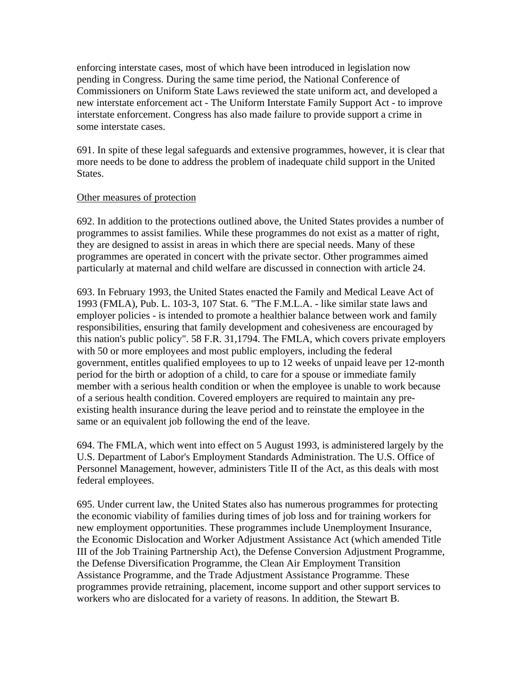enforcing interstate cases, most of which have been introduced in legislation now pending in Congress. During the same time period, the National Conference of Commissioners on Uniform State Laws reviewed the state uniform act, and developed a new interstate enforcement act - The Uniform Interstate Family Support Act - to improve interstate enforcement. Congress has also made failure to provide support a crime in some interstate cases.

691. In spite of these legal safeguards and extensive programmes, however, it is clear that more needs to be done to address the problem of inadequate child support in the United States.

#### Other measures of protection

692. In addition to the protections outlined above, the United States provides a number of programmes to assist families. While these programmes do not exist as a matter of right, they are designed to assist in areas in which there are special needs. Many of these programmes are operated in concert with the private sector. Other programmes aimed particularly at maternal and child welfare are discussed in connection with article 24.

693. In February 1993, the United States enacted the Family and Medical Leave Act of 1993 (FMLA), Pub. L. 103-3, 107 Stat. 6. "The F.M.L.A. - like similar state laws and employer policies - is intended to promote a healthier balance between work and family responsibilities, ensuring that family development and cohesiveness are encouraged by this nation's public policy". 58 F.R. 31,1794. The FMLA, which covers private employers with 50 or more employees and most public employers, including the federal government, entitles qualified employees to up to 12 weeks of unpaid leave per 12-month period for the birth or adoption of a child, to care for a spouse or immediate family member with a serious health condition or when the employee is unable to work because of a serious health condition. Covered employers are required to maintain any preexisting health insurance during the leave period and to reinstate the employee in the same or an equivalent job following the end of the leave.

694. The FMLA, which went into effect on 5 August 1993, is administered largely by the U.S. Department of Labor's Employment Standards Administration. The U.S. Office of Personnel Management, however, administers Title II of the Act, as this deals with most federal employees.

695. Under current law, the United States also has numerous programmes for protecting the economic viability of families during times of job loss and for training workers for new employment opportunities. These programmes include Unemployment Insurance, the Economic Dislocation and Worker Adjustment Assistance Act (which amended Title III of the Job Training Partnership Act), the Defense Conversion Adjustment Programme, the Defense Diversification Programme, the Clean Air Employment Transition Assistance Programme, and the Trade Adjustment Assistance Programme. These programmes provide retraining, placement, income support and other support services to workers who are dislocated for a variety of reasons. In addition, the Stewart B.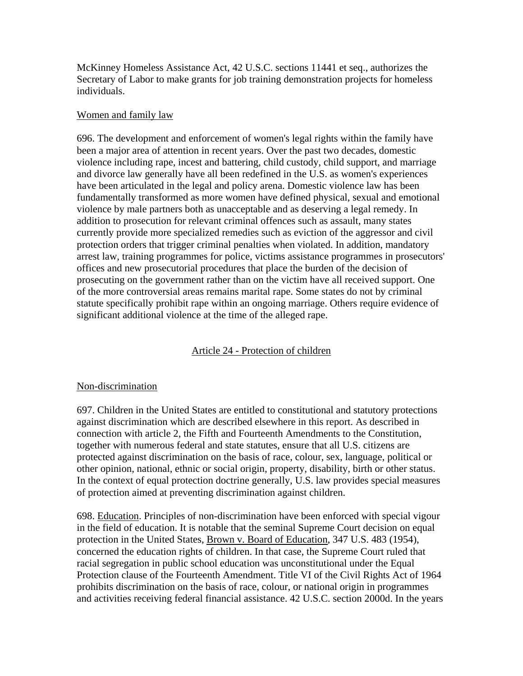McKinney Homeless Assistance Act, 42 U.S.C. sections 11441 et seq., authorizes the Secretary of Labor to make grants for job training demonstration projects for homeless individuals.

### Women and family law

696. The development and enforcement of women's legal rights within the family have been a major area of attention in recent years. Over the past two decades, domestic violence including rape, incest and battering, child custody, child support, and marriage and divorce law generally have all been redefined in the U.S. as women's experiences have been articulated in the legal and policy arena. Domestic violence law has been fundamentally transformed as more women have defined physical, sexual and emotional violence by male partners both as unacceptable and as deserving a legal remedy. In addition to prosecution for relevant criminal offences such as assault, many states currently provide more specialized remedies such as eviction of the aggressor and civil protection orders that trigger criminal penalties when violated. In addition, mandatory arrest law, training programmes for police, victims assistance programmes in prosecutors' offices and new prosecutorial procedures that place the burden of the decision of prosecuting on the government rather than on the victim have all received support. One of the more controversial areas remains marital rape. Some states do not by criminal statute specifically prohibit rape within an ongoing marriage. Others require evidence of significant additional violence at the time of the alleged rape.

# Article 24 - Protection of children

### Non-discrimination

697. Children in the United States are entitled to constitutional and statutory protections against discrimination which are described elsewhere in this report. As described in connection with article 2, the Fifth and Fourteenth Amendments to the Constitution, together with numerous federal and state statutes, ensure that all U.S. citizens are protected against discrimination on the basis of race, colour, sex, language, political or other opinion, national, ethnic or social origin, property, disability, birth or other status. In the context of equal protection doctrine generally, U.S. law provides special measures of protection aimed at preventing discrimination against children.

698. Education. Principles of non-discrimination have been enforced with special vigour in the field of education. It is notable that the seminal Supreme Court decision on equal protection in the United States, Brown v. Board of Education, 347 U.S. 483 (1954), concerned the education rights of children. In that case, the Supreme Court ruled that racial segregation in public school education was unconstitutional under the Equal Protection clause of the Fourteenth Amendment. Title VI of the Civil Rights Act of 1964 prohibits discrimination on the basis of race, colour, or national origin in programmes and activities receiving federal financial assistance. 42 U.S.C. section 2000d. In the years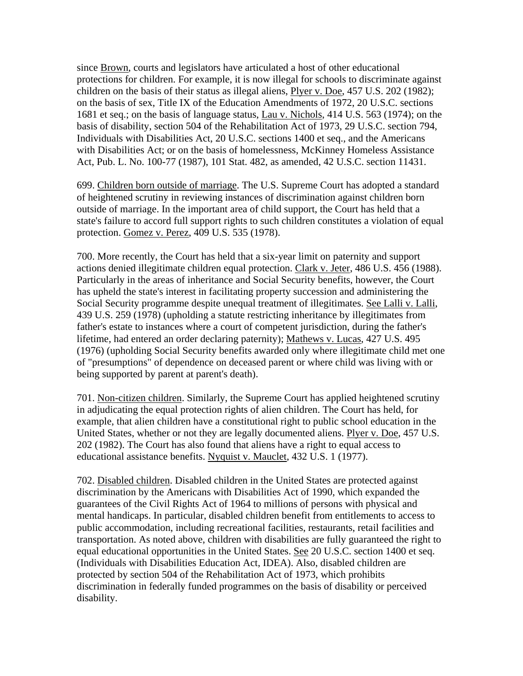since Brown, courts and legislators have articulated a host of other educational protections for children. For example, it is now illegal for schools to discriminate against children on the basis of their status as illegal aliens, Plyer v. Doe, 457 U.S. 202 (1982); on the basis of sex, Title IX of the Education Amendments of 1972, 20 U.S.C. sections 1681 et seq.; on the basis of language status, Lau v. Nichols, 414 U.S. 563 (1974); on the basis of disability, section 504 of the Rehabilitation Act of 1973, 29 U.S.C. section 794, Individuals with Disabilities Act, 20 U.S.C. sections 1400 et seq., and the Americans with Disabilities Act; or on the basis of homelessness, McKinney Homeless Assistance Act, Pub. L. No. 100-77 (1987), 101 Stat. 482, as amended, 42 U.S.C. section 11431.

699. Children born outside of marriage. The U.S. Supreme Court has adopted a standard of heightened scrutiny in reviewing instances of discrimination against children born outside of marriage. In the important area of child support, the Court has held that a state's failure to accord full support rights to such children constitutes a violation of equal protection. Gomez v. Perez, 409 U.S. 535 (1978).

700. More recently, the Court has held that a six-year limit on paternity and support actions denied illegitimate children equal protection. Clark v. Jeter, 486 U.S. 456 (1988). Particularly in the areas of inheritance and Social Security benefits, however, the Court has upheld the state's interest in facilitating property succession and administering the Social Security programme despite unequal treatment of illegitimates. See Lalli v. Lalli, 439 U.S. 259 (1978) (upholding a statute restricting inheritance by illegitimates from father's estate to instances where a court of competent jurisdiction, during the father's lifetime, had entered an order declaring paternity); Mathews v. Lucas, 427 U.S. 495 (1976) (upholding Social Security benefits awarded only where illegitimate child met one of "presumptions" of dependence on deceased parent or where child was living with or being supported by parent at parent's death).

701. Non-citizen children. Similarly, the Supreme Court has applied heightened scrutiny in adjudicating the equal protection rights of alien children. The Court has held, for example, that alien children have a constitutional right to public school education in the United States, whether or not they are legally documented aliens. Plyer v. Doe, 457 U.S. 202 (1982). The Court has also found that aliens have a right to equal access to educational assistance benefits. Nyquist v. Mauclet, 432 U.S. 1 (1977).

702. Disabled children. Disabled children in the United States are protected against discrimination by the Americans with Disabilities Act of 1990, which expanded the guarantees of the Civil Rights Act of 1964 to millions of persons with physical and mental handicaps. In particular, disabled children benefit from entitlements to access to public accommodation, including recreational facilities, restaurants, retail facilities and transportation. As noted above, children with disabilities are fully guaranteed the right to equal educational opportunities in the United States. See 20 U.S.C. section 1400 et seq. (Individuals with Disabilities Education Act, IDEA). Also, disabled children are protected by section 504 of the Rehabilitation Act of 1973, which prohibits discrimination in federally funded programmes on the basis of disability or perceived disability.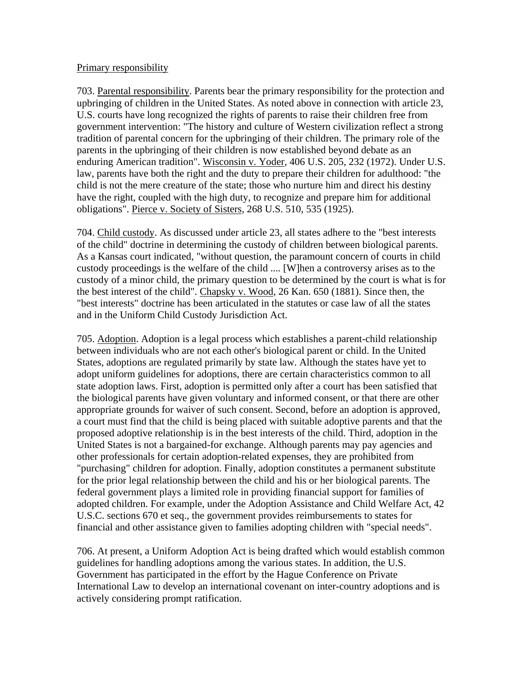#### Primary responsibility

703. Parental responsibility. Parents bear the primary responsibility for the protection and upbringing of children in the United States. As noted above in connection with article 23, U.S. courts have long recognized the rights of parents to raise their children free from government intervention: "The history and culture of Western civilization reflect a strong tradition of parental concern for the upbringing of their children. The primary role of the parents in the upbringing of their children is now established beyond debate as an enduring American tradition". Wisconsin v. Yoder, 406 U.S. 205, 232 (1972). Under U.S. law, parents have both the right and the duty to prepare their children for adulthood: "the child is not the mere creature of the state; those who nurture him and direct his destiny have the right, coupled with the high duty, to recognize and prepare him for additional obligations". Pierce v. Society of Sisters, 268 U.S. 510, 535 (1925).

704. Child custody. As discussed under article 23, all states adhere to the "best interests of the child" doctrine in determining the custody of children between biological parents. As a Kansas court indicated, "without question, the paramount concern of courts in child custody proceedings is the welfare of the child .... [W]hen a controversy arises as to the custody of a minor child, the primary question to be determined by the court is what is for the best interest of the child". Chapsky v. Wood, 26 Kan. 650 (1881). Since then, the "best interests" doctrine has been articulated in the statutes or case law of all the states and in the Uniform Child Custody Jurisdiction Act.

705. Adoption. Adoption is a legal process which establishes a parent-child relationship between individuals who are not each other's biological parent or child. In the United States, adoptions are regulated primarily by state law. Although the states have yet to adopt uniform guidelines for adoptions, there are certain characteristics common to all state adoption laws. First, adoption is permitted only after a court has been satisfied that the biological parents have given voluntary and informed consent, or that there are other appropriate grounds for waiver of such consent. Second, before an adoption is approved, a court must find that the child is being placed with suitable adoptive parents and that the proposed adoptive relationship is in the best interests of the child. Third, adoption in the United States is not a bargained-for exchange. Although parents may pay agencies and other professionals for certain adoption-related expenses, they are prohibited from "purchasing" children for adoption. Finally, adoption constitutes a permanent substitute for the prior legal relationship between the child and his or her biological parents. The federal government plays a limited role in providing financial support for families of adopted children. For example, under the Adoption Assistance and Child Welfare Act, 42 U.S.C. sections 670 et seq., the government provides reimbursements to states for financial and other assistance given to families adopting children with "special needs".

706. At present, a Uniform Adoption Act is being drafted which would establish common guidelines for handling adoptions among the various states. In addition, the U.S. Government has participated in the effort by the Hague Conference on Private International Law to develop an international covenant on inter-country adoptions and is actively considering prompt ratification.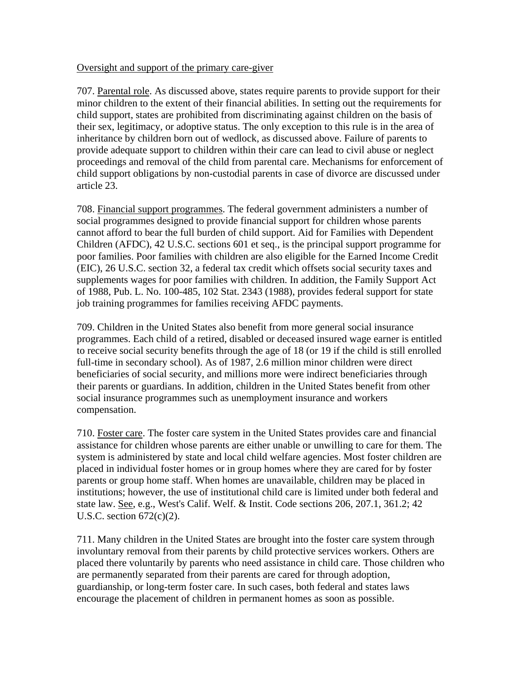### Oversight and support of the primary care-giver

707. Parental role. As discussed above, states require parents to provide support for their minor children to the extent of their financial abilities. In setting out the requirements for child support, states are prohibited from discriminating against children on the basis of their sex, legitimacy, or adoptive status. The only exception to this rule is in the area of inheritance by children born out of wedlock, as discussed above. Failure of parents to provide adequate support to children within their care can lead to civil abuse or neglect proceedings and removal of the child from parental care. Mechanisms for enforcement of child support obligations by non-custodial parents in case of divorce are discussed under article 23.

708. Financial support programmes. The federal government administers a number of social programmes designed to provide financial support for children whose parents cannot afford to bear the full burden of child support. Aid for Families with Dependent Children (AFDC), 42 U.S.C. sections 601 et seq., is the principal support programme for poor families. Poor families with children are also eligible for the Earned Income Credit (EIC), 26 U.S.C. section 32, a federal tax credit which offsets social security taxes and supplements wages for poor families with children. In addition, the Family Support Act of 1988, Pub. L. No. 100-485, 102 Stat. 2343 (1988), provides federal support for state job training programmes for families receiving AFDC payments.

709. Children in the United States also benefit from more general social insurance programmes. Each child of a retired, disabled or deceased insured wage earner is entitled to receive social security benefits through the age of 18 (or 19 if the child is still enrolled full-time in secondary school). As of 1987, 2.6 million minor children were direct beneficiaries of social security, and millions more were indirect beneficiaries through their parents or guardians. In addition, children in the United States benefit from other social insurance programmes such as unemployment insurance and workers compensation.

710. Foster care. The foster care system in the United States provides care and financial assistance for children whose parents are either unable or unwilling to care for them. The system is administered by state and local child welfare agencies. Most foster children are placed in individual foster homes or in group homes where they are cared for by foster parents or group home staff. When homes are unavailable, children may be placed in institutions; however, the use of institutional child care is limited under both federal and state law. See, e.g., West's Calif. Welf. & Instit. Code sections 206, 207.1, 361.2; 42 U.S.C. section 672(c)(2).

711. Many children in the United States are brought into the foster care system through involuntary removal from their parents by child protective services workers. Others are placed there voluntarily by parents who need assistance in child care. Those children who are permanently separated from their parents are cared for through adoption, guardianship, or long-term foster care. In such cases, both federal and states laws encourage the placement of children in permanent homes as soon as possible.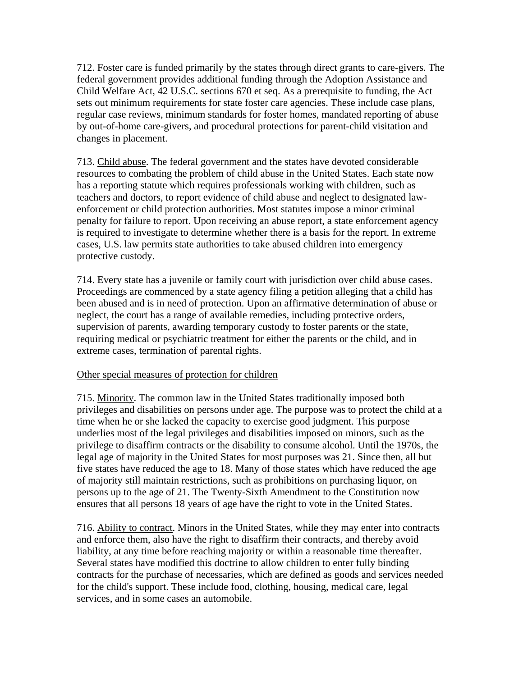712. Foster care is funded primarily by the states through direct grants to care-givers. The federal government provides additional funding through the Adoption Assistance and Child Welfare Act, 42 U.S.C. sections 670 et seq. As a prerequisite to funding, the Act sets out minimum requirements for state foster care agencies. These include case plans, regular case reviews, minimum standards for foster homes, mandated reporting of abuse by out-of-home care-givers, and procedural protections for parent-child visitation and changes in placement.

713. Child abuse. The federal government and the states have devoted considerable resources to combating the problem of child abuse in the United States. Each state now has a reporting statute which requires professionals working with children, such as teachers and doctors, to report evidence of child abuse and neglect to designated lawenforcement or child protection authorities. Most statutes impose a minor criminal penalty for failure to report. Upon receiving an abuse report, a state enforcement agency is required to investigate to determine whether there is a basis for the report. In extreme cases, U.S. law permits state authorities to take abused children into emergency protective custody.

714. Every state has a juvenile or family court with jurisdiction over child abuse cases. Proceedings are commenced by a state agency filing a petition alleging that a child has been abused and is in need of protection. Upon an affirmative determination of abuse or neglect, the court has a range of available remedies, including protective orders, supervision of parents, awarding temporary custody to foster parents or the state, requiring medical or psychiatric treatment for either the parents or the child, and in extreme cases, termination of parental rights.

# Other special measures of protection for children

715. Minority. The common law in the United States traditionally imposed both privileges and disabilities on persons under age. The purpose was to protect the child at a time when he or she lacked the capacity to exercise good judgment. This purpose underlies most of the legal privileges and disabilities imposed on minors, such as the privilege to disaffirm contracts or the disability to consume alcohol. Until the 1970s, the legal age of majority in the United States for most purposes was 21. Since then, all but five states have reduced the age to 18. Many of those states which have reduced the age of majority still maintain restrictions, such as prohibitions on purchasing liquor, on persons up to the age of 21. The Twenty-Sixth Amendment to the Constitution now ensures that all persons 18 years of age have the right to vote in the United States.

716. Ability to contract. Minors in the United States, while they may enter into contracts and enforce them, also have the right to disaffirm their contracts, and thereby avoid liability, at any time before reaching majority or within a reasonable time thereafter. Several states have modified this doctrine to allow children to enter fully binding contracts for the purchase of necessaries, which are defined as goods and services needed for the child's support. These include food, clothing, housing, medical care, legal services, and in some cases an automobile.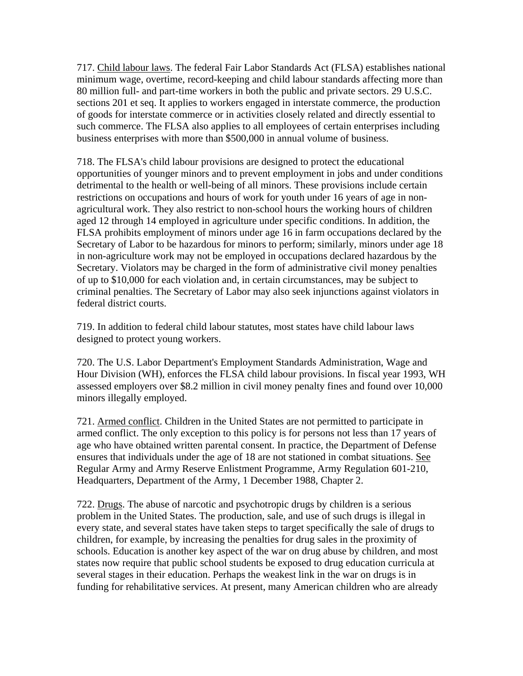717. Child labour laws. The federal Fair Labor Standards Act (FLSA) establishes national minimum wage, overtime, record-keeping and child labour standards affecting more than 80 million full- and part-time workers in both the public and private sectors. 29 U.S.C. sections 201 et seq. It applies to workers engaged in interstate commerce, the production of goods for interstate commerce or in activities closely related and directly essential to such commerce. The FLSA also applies to all employees of certain enterprises including business enterprises with more than \$500,000 in annual volume of business.

718. The FLSA's child labour provisions are designed to protect the educational opportunities of younger minors and to prevent employment in jobs and under conditions detrimental to the health or well-being of all minors. These provisions include certain restrictions on occupations and hours of work for youth under 16 years of age in nonagricultural work. They also restrict to non-school hours the working hours of children aged 12 through 14 employed in agriculture under specific conditions. In addition, the FLSA prohibits employment of minors under age 16 in farm occupations declared by the Secretary of Labor to be hazardous for minors to perform; similarly, minors under age 18 in non-agriculture work may not be employed in occupations declared hazardous by the Secretary. Violators may be charged in the form of administrative civil money penalties of up to \$10,000 for each violation and, in certain circumstances, may be subject to criminal penalties. The Secretary of Labor may also seek injunctions against violators in federal district courts.

719. In addition to federal child labour statutes, most states have child labour laws designed to protect young workers.

720. The U.S. Labor Department's Employment Standards Administration, Wage and Hour Division (WH), enforces the FLSA child labour provisions. In fiscal year 1993, WH assessed employers over \$8.2 million in civil money penalty fines and found over 10,000 minors illegally employed.

721. Armed conflict. Children in the United States are not permitted to participate in armed conflict. The only exception to this policy is for persons not less than 17 years of age who have obtained written parental consent. In practice, the Department of Defense ensures that individuals under the age of 18 are not stationed in combat situations. See Regular Army and Army Reserve Enlistment Programme, Army Regulation 601-210, Headquarters, Department of the Army, 1 December 1988, Chapter 2.

722. Drugs. The abuse of narcotic and psychotropic drugs by children is a serious problem in the United States. The production, sale, and use of such drugs is illegal in every state, and several states have taken steps to target specifically the sale of drugs to children, for example, by increasing the penalties for drug sales in the proximity of schools. Education is another key aspect of the war on drug abuse by children, and most states now require that public school students be exposed to drug education curricula at several stages in their education. Perhaps the weakest link in the war on drugs is in funding for rehabilitative services. At present, many American children who are already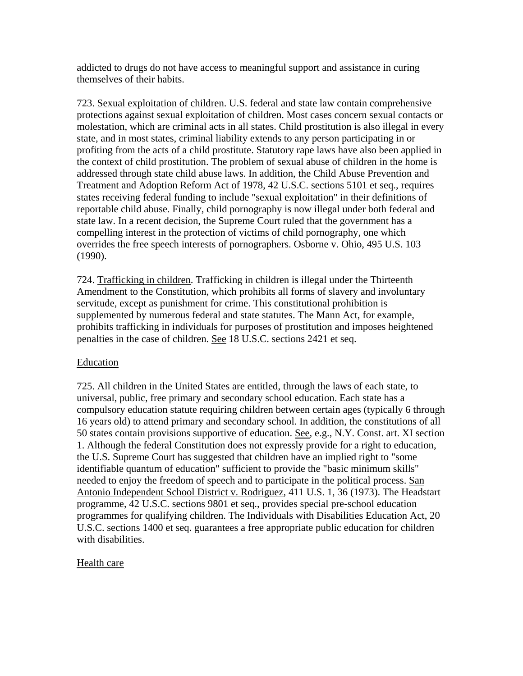addicted to drugs do not have access to meaningful support and assistance in curing themselves of their habits.

723. Sexual exploitation of children. U.S. federal and state law contain comprehensive protections against sexual exploitation of children. Most cases concern sexual contacts or molestation, which are criminal acts in all states. Child prostitution is also illegal in every state, and in most states, criminal liability extends to any person participating in or profiting from the acts of a child prostitute. Statutory rape laws have also been applied in the context of child prostitution. The problem of sexual abuse of children in the home is addressed through state child abuse laws. In addition, the Child Abuse Prevention and Treatment and Adoption Reform Act of 1978, 42 U.S.C. sections 5101 et seq., requires states receiving federal funding to include "sexual exploitation" in their definitions of reportable child abuse. Finally, child pornography is now illegal under both federal and state law. In a recent decision, the Supreme Court ruled that the government has a compelling interest in the protection of victims of child pornography, one which overrides the free speech interests of pornographers. Osborne v. Ohio, 495 U.S. 103 (1990).

724. Trafficking in children. Trafficking in children is illegal under the Thirteenth Amendment to the Constitution, which prohibits all forms of slavery and involuntary servitude, except as punishment for crime. This constitutional prohibition is supplemented by numerous federal and state statutes. The Mann Act, for example, prohibits trafficking in individuals for purposes of prostitution and imposes heightened penalties in the case of children. See 18 U.S.C. sections 2421 et seq.

# Education

725. All children in the United States are entitled, through the laws of each state, to universal, public, free primary and secondary school education. Each state has a compulsory education statute requiring children between certain ages (typically 6 through 16 years old) to attend primary and secondary school. In addition, the constitutions of all 50 states contain provisions supportive of education. See, e.g., N.Y. Const. art. XI section 1. Although the federal Constitution does not expressly provide for a right to education, the U.S. Supreme Court has suggested that children have an implied right to "some identifiable quantum of education" sufficient to provide the "basic minimum skills" needed to enjoy the freedom of speech and to participate in the political process. San Antonio Independent School District v. Rodriguez, 411 U.S. 1, 36 (1973). The Headstart programme, 42 U.S.C. sections 9801 et seq., provides special pre-school education programmes for qualifying children. The Individuals with Disabilities Education Act, 20 U.S.C. sections 1400 et seq. guarantees a free appropriate public education for children with disabilities.

# Health care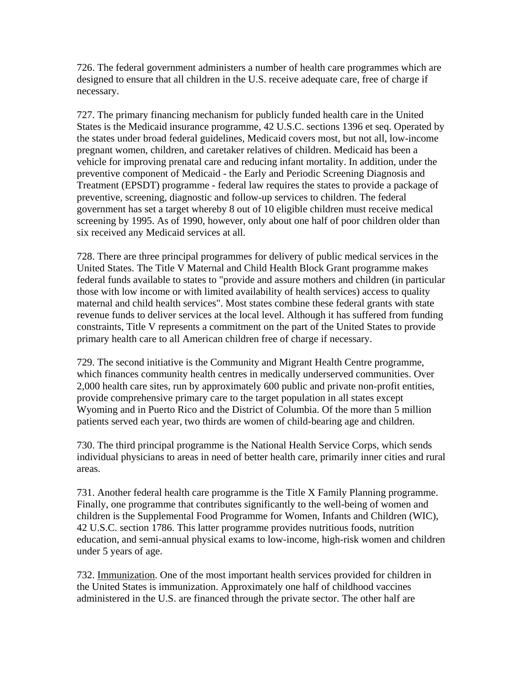726. The federal government administers a number of health care programmes which are designed to ensure that all children in the U.S. receive adequate care, free of charge if necessary.

727. The primary financing mechanism for publicly funded health care in the United States is the Medicaid insurance programme, 42 U.S.C. sections 1396 et seq. Operated by the states under broad federal guidelines, Medicaid covers most, but not all, low-income pregnant women, children, and caretaker relatives of children. Medicaid has been a vehicle for improving prenatal care and reducing infant mortality. In addition, under the preventive component of Medicaid - the Early and Periodic Screening Diagnosis and Treatment (EPSDT) programme - federal law requires the states to provide a package of preventive, screening, diagnostic and follow-up services to children. The federal government has set a target whereby 8 out of 10 eligible children must receive medical screening by 1995. As of 1990, however, only about one half of poor children older than six received any Medicaid services at all.

728. There are three principal programmes for delivery of public medical services in the United States. The Title V Maternal and Child Health Block Grant programme makes federal funds available to states to "provide and assure mothers and children (in particular those with low income or with limited availability of health services) access to quality maternal and child health services". Most states combine these federal grants with state revenue funds to deliver services at the local level. Although it has suffered from funding constraints, Title V represents a commitment on the part of the United States to provide primary health care to all American children free of charge if necessary.

729. The second initiative is the Community and Migrant Health Centre programme, which finances community health centres in medically underserved communities. Over 2,000 health care sites, run by approximately 600 public and private non-profit entities, provide comprehensive primary care to the target population in all states except Wyoming and in Puerto Rico and the District of Columbia. Of the more than 5 million patients served each year, two thirds are women of child-bearing age and children.

730. The third principal programme is the National Health Service Corps, which sends individual physicians to areas in need of better health care, primarily inner cities and rural areas.

731. Another federal health care programme is the Title X Family Planning programme. Finally, one programme that contributes significantly to the well-being of women and children is the Supplemental Food Programme for Women, Infants and Children (WIC), 42 U.S.C. section 1786. This latter programme provides nutritious foods, nutrition education, and semi-annual physical exams to low-income, high-risk women and children under 5 years of age.

732. Immunization. One of the most important health services provided for children in the United States is immunization. Approximately one half of childhood vaccines administered in the U.S. are financed through the private sector. The other half are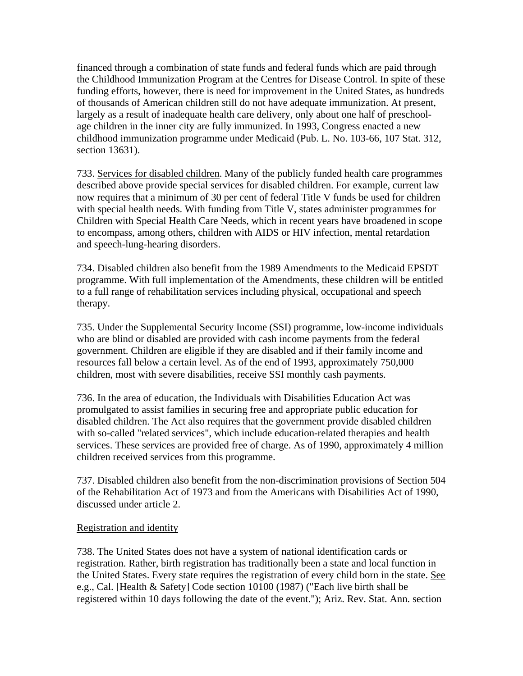financed through a combination of state funds and federal funds which are paid through the Childhood Immunization Program at the Centres for Disease Control. In spite of these funding efforts, however, there is need for improvement in the United States, as hundreds of thousands of American children still do not have adequate immunization. At present, largely as a result of inadequate health care delivery, only about one half of preschoolage children in the inner city are fully immunized. In 1993, Congress enacted a new childhood immunization programme under Medicaid (Pub. L. No. 103-66, 107 Stat. 312, section 13631).

733. Services for disabled children. Many of the publicly funded health care programmes described above provide special services for disabled children. For example, current law now requires that a minimum of 30 per cent of federal Title V funds be used for children with special health needs. With funding from Title V, states administer programmes for Children with Special Health Care Needs, which in recent years have broadened in scope to encompass, among others, children with AIDS or HIV infection, mental retardation and speech-lung-hearing disorders.

734. Disabled children also benefit from the 1989 Amendments to the Medicaid EPSDT programme. With full implementation of the Amendments, these children will be entitled to a full range of rehabilitation services including physical, occupational and speech therapy.

735. Under the Supplemental Security Income (SSI) programme, low-income individuals who are blind or disabled are provided with cash income payments from the federal government. Children are eligible if they are disabled and if their family income and resources fall below a certain level. As of the end of 1993, approximately 750,000 children, most with severe disabilities, receive SSI monthly cash payments.

736. In the area of education, the Individuals with Disabilities Education Act was promulgated to assist families in securing free and appropriate public education for disabled children. The Act also requires that the government provide disabled children with so-called "related services", which include education-related therapies and health services. These services are provided free of charge. As of 1990, approximately 4 million children received services from this programme.

737. Disabled children also benefit from the non-discrimination provisions of Section 504 of the Rehabilitation Act of 1973 and from the Americans with Disabilities Act of 1990, discussed under article 2.

### Registration and identity

738. The United States does not have a system of national identification cards or registration. Rather, birth registration has traditionally been a state and local function in the United States. Every state requires the registration of every child born in the state. See e.g., Cal. [Health & Safety] Code section 10100 (1987) ("Each live birth shall be registered within 10 days following the date of the event."); Ariz. Rev. Stat. Ann. section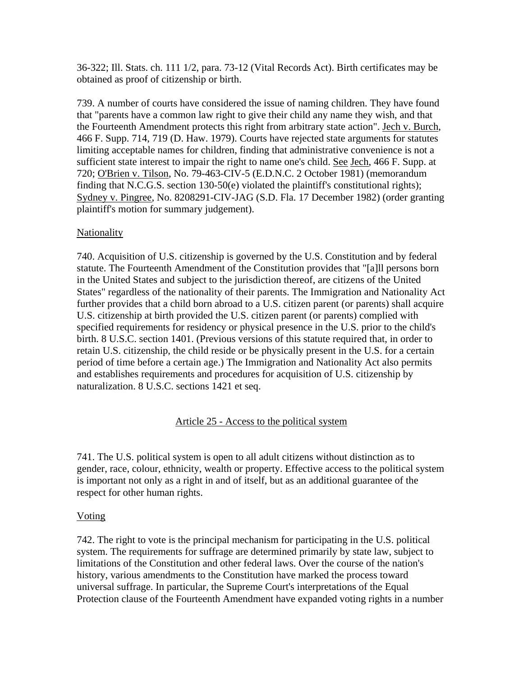36-322; Ill. Stats. ch. 111 1/2, para. 73-12 (Vital Records Act). Birth certificates may be obtained as proof of citizenship or birth.

739. A number of courts have considered the issue of naming children. They have found that "parents have a common law right to give their child any name they wish, and that the Fourteenth Amendment protects this right from arbitrary state action". Jech v. Burch, 466 F. Supp. 714, 719 (D. Haw. 1979). Courts have rejected state arguments for statutes limiting acceptable names for children, finding that administrative convenience is not a sufficient state interest to impair the right to name one's child. See Jech, 466 F. Supp. at 720; O'Brien v. Tilson, No. 79-463-CIV-5 (E.D.N.C. 2 October 1981) (memorandum finding that N.C.G.S. section 130-50(e) violated the plaintiff's constitutional rights); Sydney v. Pingree, No. 8208291-CIV-JAG (S.D. Fla. 17 December 1982) (order granting plaintiff's motion for summary judgement).

### Nationality

740. Acquisition of U.S. citizenship is governed by the U.S. Constitution and by federal statute. The Fourteenth Amendment of the Constitution provides that "[a]ll persons born in the United States and subject to the jurisdiction thereof, are citizens of the United States" regardless of the nationality of their parents. The Immigration and Nationality Act further provides that a child born abroad to a U.S. citizen parent (or parents) shall acquire U.S. citizenship at birth provided the U.S. citizen parent (or parents) complied with specified requirements for residency or physical presence in the U.S. prior to the child's birth. 8 U.S.C. section 1401. (Previous versions of this statute required that, in order to retain U.S. citizenship, the child reside or be physically present in the U.S. for a certain period of time before a certain age.) The Immigration and Nationality Act also permits and establishes requirements and procedures for acquisition of U.S. citizenship by naturalization. 8 U.S.C. sections 1421 et seq.

### Article 25 - Access to the political system

741. The U.S. political system is open to all adult citizens without distinction as to gender, race, colour, ethnicity, wealth or property. Effective access to the political system is important not only as a right in and of itself, but as an additional guarantee of the respect for other human rights.

### **Voting**

742. The right to vote is the principal mechanism for participating in the U.S. political system. The requirements for suffrage are determined primarily by state law, subject to limitations of the Constitution and other federal laws. Over the course of the nation's history, various amendments to the Constitution have marked the process toward universal suffrage. In particular, the Supreme Court's interpretations of the Equal Protection clause of the Fourteenth Amendment have expanded voting rights in a number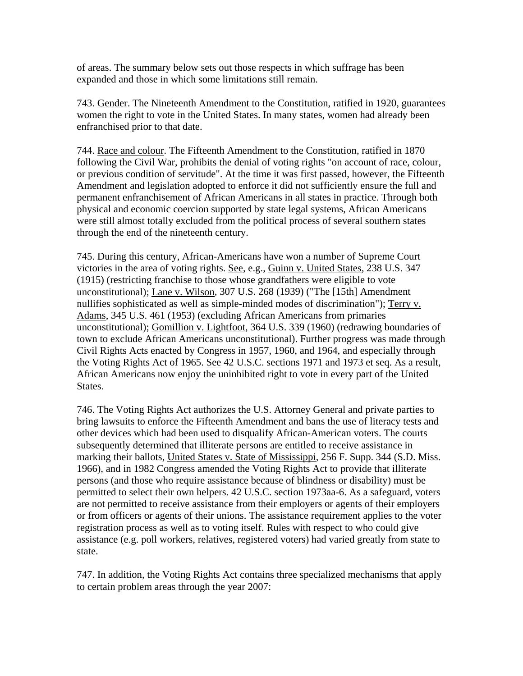of areas. The summary below sets out those respects in which suffrage has been expanded and those in which some limitations still remain.

743. Gender. The Nineteenth Amendment to the Constitution, ratified in 1920, guarantees women the right to vote in the United States. In many states, women had already been enfranchised prior to that date.

744. Race and colour. The Fifteenth Amendment to the Constitution, ratified in 1870 following the Civil War, prohibits the denial of voting rights "on account of race, colour, or previous condition of servitude". At the time it was first passed, however, the Fifteenth Amendment and legislation adopted to enforce it did not sufficiently ensure the full and permanent enfranchisement of African Americans in all states in practice. Through both physical and economic coercion supported by state legal systems, African Americans were still almost totally excluded from the political process of several southern states through the end of the nineteenth century.

745. During this century, African-Americans have won a number of Supreme Court victories in the area of voting rights. See, e.g., Guinn v. United States, 238 U.S. 347 (1915) (restricting franchise to those whose grandfathers were eligible to vote unconstitutional); Lane v. Wilson, 307 U.S. 268 (1939) ("The [15th] Amendment nullifies sophisticated as well as simple-minded modes of discrimination"); Terry v. Adams, 345 U.S. 461 (1953) (excluding African Americans from primaries unconstitutional); Gomillion v. Lightfoot, 364 U.S. 339 (1960) (redrawing boundaries of town to exclude African Americans unconstitutional). Further progress was made through Civil Rights Acts enacted by Congress in 1957, 1960, and 1964, and especially through the Voting Rights Act of 1965. See 42 U.S.C. sections 1971 and 1973 et seq. As a result, African Americans now enjoy the uninhibited right to vote in every part of the United States.

746. The Voting Rights Act authorizes the U.S. Attorney General and private parties to bring lawsuits to enforce the Fifteenth Amendment and bans the use of literacy tests and other devices which had been used to disqualify African-American voters. The courts subsequently determined that illiterate persons are entitled to receive assistance in marking their ballots, United States v. State of Mississippi, 256 F. Supp. 344 (S.D. Miss. 1966), and in 1982 Congress amended the Voting Rights Act to provide that illiterate persons (and those who require assistance because of blindness or disability) must be permitted to select their own helpers. 42 U.S.C. section 1973aa-6. As a safeguard, voters are not permitted to receive assistance from their employers or agents of their employers or from officers or agents of their unions. The assistance requirement applies to the voter registration process as well as to voting itself. Rules with respect to who could give assistance (e.g. poll workers, relatives, registered voters) had varied greatly from state to state.

747. In addition, the Voting Rights Act contains three specialized mechanisms that apply to certain problem areas through the year 2007: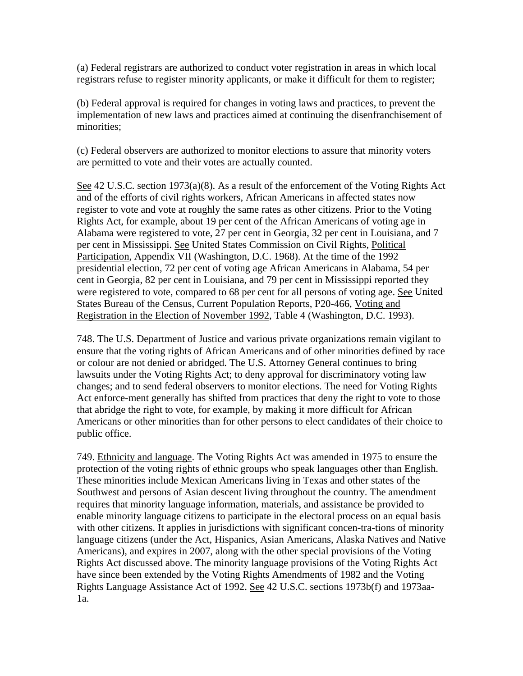(a) Federal registrars are authorized to conduct voter registration in areas in which local registrars refuse to register minority applicants, or make it difficult for them to register;

(b) Federal approval is required for changes in voting laws and practices, to prevent the implementation of new laws and practices aimed at continuing the disenfranchisement of minorities;

(c) Federal observers are authorized to monitor elections to assure that minority voters are permitted to vote and their votes are actually counted.

See 42 U.S.C. section 1973(a)(8). As a result of the enforcement of the Voting Rights Act and of the efforts of civil rights workers, African Americans in affected states now register to vote and vote at roughly the same rates as other citizens. Prior to the Voting Rights Act, for example, about 19 per cent of the African Americans of voting age in Alabama were registered to vote, 27 per cent in Georgia, 32 per cent in Louisiana, and 7 per cent in Mississippi. See United States Commission on Civil Rights, Political Participation, Appendix VII (Washington, D.C. 1968). At the time of the 1992 presidential election, 72 per cent of voting age African Americans in Alabama, 54 per cent in Georgia, 82 per cent in Louisiana, and 79 per cent in Mississippi reported they were registered to vote, compared to 68 per cent for all persons of voting age. See United States Bureau of the Census, Current Population Reports, P20-466, Voting and Registration in the Election of November 1992, Table 4 (Washington, D.C. 1993).

748. The U.S. Department of Justice and various private organizations remain vigilant to ensure that the voting rights of African Americans and of other minorities defined by race or colour are not denied or abridged. The U.S. Attorney General continues to bring lawsuits under the Voting Rights Act; to deny approval for discriminatory voting law changes; and to send federal observers to monitor elections. The need for Voting Rights Act enforce-ment generally has shifted from practices that deny the right to vote to those that abridge the right to vote, for example, by making it more difficult for African Americans or other minorities than for other persons to elect candidates of their choice to public office.

749. Ethnicity and language. The Voting Rights Act was amended in 1975 to ensure the protection of the voting rights of ethnic groups who speak languages other than English. These minorities include Mexican Americans living in Texas and other states of the Southwest and persons of Asian descent living throughout the country. The amendment requires that minority language information, materials, and assistance be provided to enable minority language citizens to participate in the electoral process on an equal basis with other citizens. It applies in jurisdictions with significant concen-tra-tions of minority language citizens (under the Act, Hispanics, Asian Americans, Alaska Natives and Native Americans), and expires in 2007, along with the other special provisions of the Voting Rights Act discussed above. The minority language provisions of the Voting Rights Act have since been extended by the Voting Rights Amendments of 1982 and the Voting Rights Language Assistance Act of 1992. See 42 U.S.C. sections 1973b(f) and 1973aa-1a.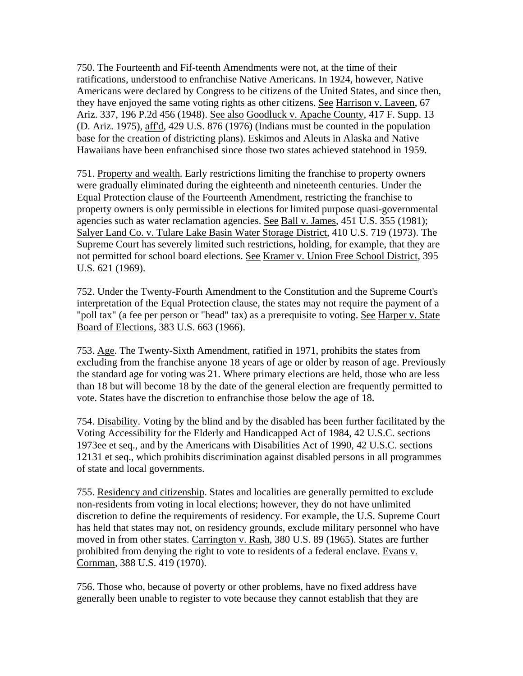750. The Fourteenth and Fif-teenth Amendments were not, at the time of their ratifications, understood to enfranchise Native Americans. In 1924, however, Native Americans were declared by Congress to be citizens of the United States, and since then, they have enjoyed the same voting rights as other citizens. See Harrison v. Laveen, 67 Ariz. 337, 196 P.2d 456 (1948). See also Goodluck v. Apache County, 417 F. Supp. 13 (D. Ariz. 1975), aff'd, 429 U.S. 876 (1976) (Indians must be counted in the population base for the creation of districting plans). Eskimos and Aleuts in Alaska and Native Hawaiians have been enfranchised since those two states achieved statehood in 1959.

751. Property and wealth. Early restrictions limiting the franchise to property owners were gradually eliminated during the eighteenth and nineteenth centuries. Under the Equal Protection clause of the Fourteenth Amendment, restricting the franchise to property owners is only permissible in elections for limited purpose quasi-governmental agencies such as water reclamation agencies. See Ball v. James, 451 U.S. 355 (1981); Salyer Land Co. v. Tulare Lake Basin Water Storage District, 410 U.S. 719 (1973). The Supreme Court has severely limited such restrictions, holding, for example, that they are not permitted for school board elections. See Kramer v. Union Free School District, 395 U.S. 621 (1969).

752. Under the Twenty-Fourth Amendment to the Constitution and the Supreme Court's interpretation of the Equal Protection clause, the states may not require the payment of a "poll tax" (a fee per person or "head" tax) as a prerequisite to voting. See Harper v. State Board of Elections, 383 U.S. 663 (1966).

753. Age. The Twenty-Sixth Amendment, ratified in 1971, prohibits the states from excluding from the franchise anyone 18 years of age or older by reason of age. Previously the standard age for voting was 21. Where primary elections are held, those who are less than 18 but will become 18 by the date of the general election are frequently permitted to vote. States have the discretion to enfranchise those below the age of 18.

754. Disability. Voting by the blind and by the disabled has been further facilitated by the Voting Accessibility for the Elderly and Handicapped Act of 1984, 42 U.S.C. sections 1973ee et seq., and by the Americans with Disabilities Act of 1990, 42 U.S.C. sections 12131 et seq., which prohibits discrimination against disabled persons in all programmes of state and local governments.

755. Residency and citizenship. States and localities are generally permitted to exclude non-residents from voting in local elections; however, they do not have unlimited discretion to define the requirements of residency. For example, the U.S. Supreme Court has held that states may not, on residency grounds, exclude military personnel who have moved in from other states. Carrington v. Rash, 380 U.S. 89 (1965). States are further prohibited from denying the right to vote to residents of a federal enclave. Evans v. Cornman, 388 U.S. 419 (1970).

756. Those who, because of poverty or other problems, have no fixed address have generally been unable to register to vote because they cannot establish that they are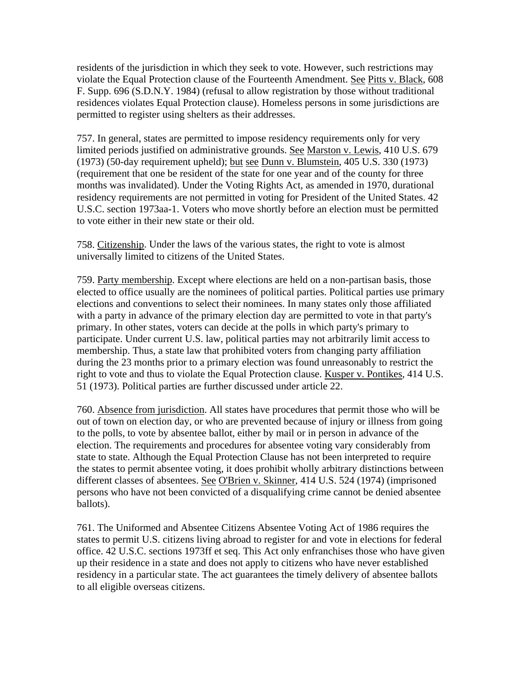residents of the jurisdiction in which they seek to vote. However, such restrictions may violate the Equal Protection clause of the Fourteenth Amendment. See Pitts v. Black, 608 F. Supp. 696 (S.D.N.Y. 1984) (refusal to allow registration by those without traditional residences violates Equal Protection clause). Homeless persons in some jurisdictions are permitted to register using shelters as their addresses.

757. In general, states are permitted to impose residency requirements only for very limited periods justified on administrative grounds. See Marston v. Lewis, 410 U.S. 679 (1973) (50-day requirement upheld); but see Dunn v. Blumstein, 405 U.S. 330 (1973) (requirement that one be resident of the state for one year and of the county for three months was invalidated). Under the Voting Rights Act, as amended in 1970, durational residency requirements are not permitted in voting for President of the United States. 42 U.S.C. section 1973aa-1. Voters who move shortly before an election must be permitted to vote either in their new state or their old.

758. Citizenship. Under the laws of the various states, the right to vote is almost universally limited to citizens of the United States.

759. Party membership. Except where elections are held on a non-partisan basis, those elected to office usually are the nominees of political parties. Political parties use primary elections and conventions to select their nominees. In many states only those affiliated with a party in advance of the primary election day are permitted to vote in that party's primary. In other states, voters can decide at the polls in which party's primary to participate. Under current U.S. law, political parties may not arbitrarily limit access to membership. Thus, a state law that prohibited voters from changing party affiliation during the 23 months prior to a primary election was found unreasonably to restrict the right to vote and thus to violate the Equal Protection clause. Kusper v. Pontikes, 414 U.S. 51 (1973). Political parties are further discussed under article 22.

760. Absence from jurisdiction. All states have procedures that permit those who will be out of town on election day, or who are prevented because of injury or illness from going to the polls, to vote by absentee ballot, either by mail or in person in advance of the election. The requirements and procedures for absentee voting vary considerably from state to state. Although the Equal Protection Clause has not been interpreted to require the states to permit absentee voting, it does prohibit wholly arbitrary distinctions between different classes of absentees. See O'Brien v. Skinner, 414 U.S. 524 (1974) (imprisoned persons who have not been convicted of a disqualifying crime cannot be denied absentee ballots).

761. The Uniformed and Absentee Citizens Absentee Voting Act of 1986 requires the states to permit U.S. citizens living abroad to register for and vote in elections for federal office. 42 U.S.C. sections 1973ff et seq. This Act only enfranchises those who have given up their residence in a state and does not apply to citizens who have never established residency in a particular state. The act guarantees the timely delivery of absentee ballots to all eligible overseas citizens.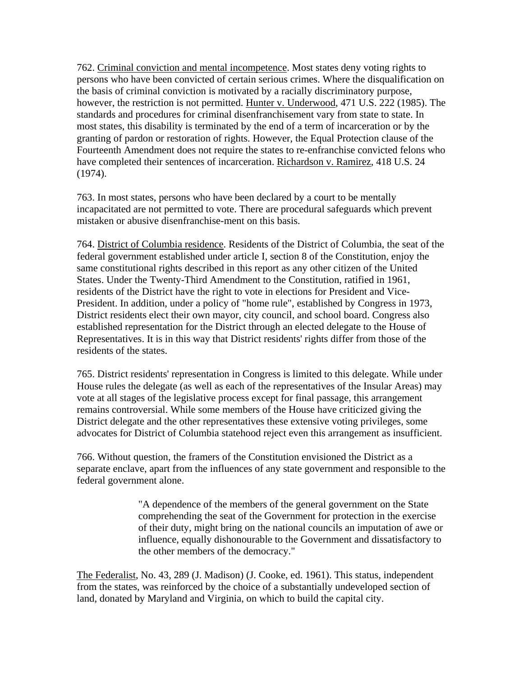762. Criminal conviction and mental incompetence. Most states deny voting rights to persons who have been convicted of certain serious crimes. Where the disqualification on the basis of criminal conviction is motivated by a racially discriminatory purpose, however, the restriction is not permitted. Hunter v. Underwood, 471 U.S. 222 (1985). The standards and procedures for criminal disenfranchisement vary from state to state. In most states, this disability is terminated by the end of a term of incarceration or by the granting of pardon or restoration of rights. However, the Equal Protection clause of the Fourteenth Amendment does not require the states to re-enfranchise convicted felons who have completed their sentences of incarceration. Richardson v. Ramirez, 418 U.S. 24 (1974).

763. In most states, persons who have been declared by a court to be mentally incapacitated are not permitted to vote. There are procedural safeguards which prevent mistaken or abusive disenfranchise-ment on this basis.

764. District of Columbia residence. Residents of the District of Columbia, the seat of the federal government established under article I, section 8 of the Constitution, enjoy the same constitutional rights described in this report as any other citizen of the United States. Under the Twenty-Third Amendment to the Constitution, ratified in 1961, residents of the District have the right to vote in elections for President and Vice-President. In addition, under a policy of "home rule", established by Congress in 1973, District residents elect their own mayor, city council, and school board. Congress also established representation for the District through an elected delegate to the House of Representatives. It is in this way that District residents' rights differ from those of the residents of the states.

765. District residents' representation in Congress is limited to this delegate. While under House rules the delegate (as well as each of the representatives of the Insular Areas) may vote at all stages of the legislative process except for final passage, this arrangement remains controversial. While some members of the House have criticized giving the District delegate and the other representatives these extensive voting privileges, some advocates for District of Columbia statehood reject even this arrangement as insufficient.

766. Without question, the framers of the Constitution envisioned the District as a separate enclave, apart from the influences of any state government and responsible to the federal government alone.

> "A dependence of the members of the general government on the State comprehending the seat of the Government for protection in the exercise of their duty, might bring on the national councils an imputation of awe or influence, equally dishonourable to the Government and dissatisfactory to the other members of the democracy."

The Federalist, No. 43, 289 (J. Madison) (J. Cooke, ed. 1961). This status, independent from the states, was reinforced by the choice of a substantially undeveloped section of land, donated by Maryland and Virginia, on which to build the capital city.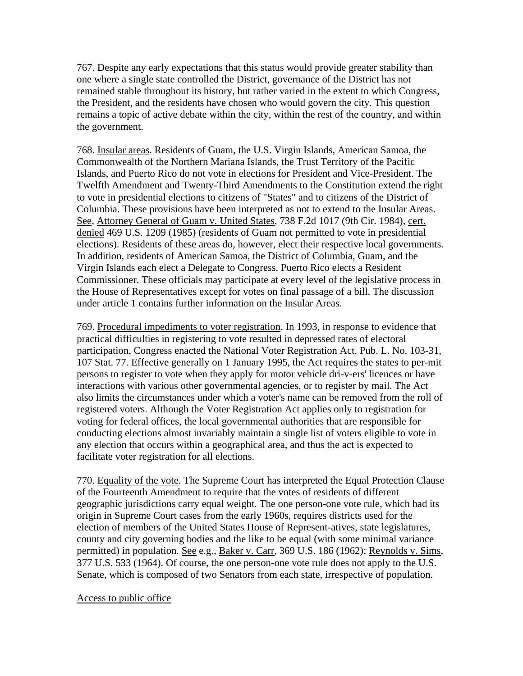767. Despite any early expectations that this status would provide greater stability than one where a single state controlled the District, governance of the District has not remained stable throughout its history, but rather varied in the extent to which Congress, the President, and the residents have chosen who would govern the city. This question remains a topic of active debate within the city, within the rest of the country, and within the government.

768. Insular areas. Residents of Guam, the U.S. Virgin Islands, American Samoa, the Commonwealth of the Northern Mariana Islands, the Trust Territory of the Pacific Islands, and Puerto Rico do not vote in elections for President and Vice-President. The Twelfth Amendment and Twenty-Third Amendments to the Constitution extend the right to vote in presidential elections to citizens of "States" and to citizens of the District of Columbia. These provisions have been interpreted as not to extend to the Insular Areas. See, Attorney General of Guam v. United States, 738 F.2d 1017 (9th Cir. 1984), cert. denied 469 U.S. 1209 (1985) (residents of Guam not permitted to vote in presidential elections). Residents of these areas do, however, elect their respective local governments. In addition, residents of American Samoa, the District of Columbia, Guam, and the Virgin Islands each elect a Delegate to Congress. Puerto Rico elects a Resident Commissioner. These officials may participate at every level of the legislative process in the House of Representatives except for votes on final passage of a bill. The discussion under article 1 contains further information on the Insular Areas.

769. Procedural impediments to voter registration. In 1993, in response to evidence that practical difficulties in registering to vote resulted in depressed rates of electoral participation, Congress enacted the National Voter Registration Act. Pub. L. No. 103-31, 107 Stat. 77. Effective generally on 1 January 1995, the Act requires the states to per-mit persons to register to vote when they apply for motor vehicle dri-v-ers' licences or have interactions with various other governmental agencies, or to register by mail. The Act also limits the circumstances under which a voter's name can be removed from the roll of registered voters. Although the Voter Registration Act applies only to registration for voting for federal offices, the local governmental authorities that are responsible for conducting elections almost invariably maintain a single list of voters eligible to vote in any election that occurs within a geographical area, and thus the act is expected to facilitate voter registration for all elections.

770. Equality of the vote. The Supreme Court has interpreted the Equal Protection Clause of the Fourteenth Amendment to require that the votes of residents of different geographic jurisdictions carry equal weight. The one person-one vote rule, which had its origin in Supreme Court cases from the early 1960s, requires districts used for the election of members of the United States House of Represent-atives, state legislatures, county and city governing bodies and the like to be equal (with some minimal variance permitted) in population. See e.g., Baker v. Carr, 369 U.S. 186 (1962); Reynolds v. Sims, 377 U.S. 533 (1964). Of course, the one person-one vote rule does not apply to the U.S. Senate, which is composed of two Senators from each state, irrespective of population.

### Access to public office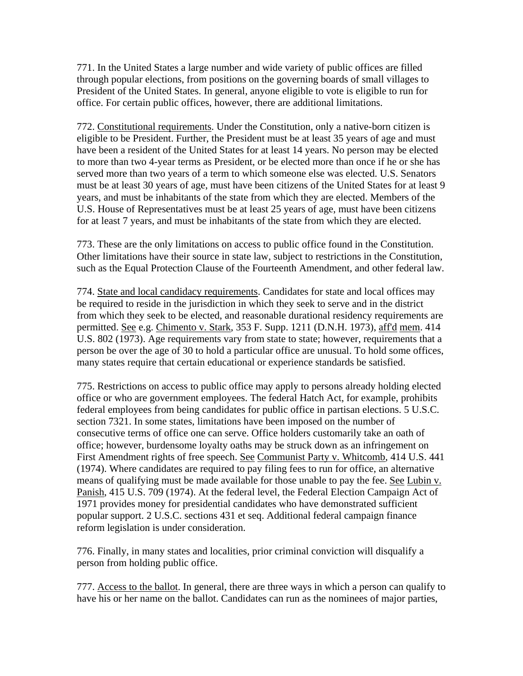771. In the United States a large number and wide variety of public offices are filled through popular elections, from positions on the governing boards of small villages to President of the United States. In general, anyone eligible to vote is eligible to run for office. For certain public offices, however, there are additional limitations.

772. Constitutional requirements. Under the Constitution, only a native-born citizen is eligible to be President. Further, the President must be at least 35 years of age and must have been a resident of the United States for at least 14 years. No person may be elected to more than two 4-year terms as President, or be elected more than once if he or she has served more than two years of a term to which someone else was elected. U.S. Senators must be at least 30 years of age, must have been citizens of the United States for at least 9 years, and must be inhabitants of the state from which they are elected. Members of the U.S. House of Representatives must be at least 25 years of age, must have been citizens for at least 7 years, and must be inhabitants of the state from which they are elected.

773. These are the only limitations on access to public office found in the Constitution. Other limitations have their source in state law, subject to restrictions in the Constitution, such as the Equal Protection Clause of the Fourteenth Amendment, and other federal law.

774. State and local candidacy requirements. Candidates for state and local offices may be required to reside in the jurisdiction in which they seek to serve and in the district from which they seek to be elected, and reasonable durational residency requirements are permitted. See e.g. Chimento v. Stark, 353 F. Supp. 1211 (D.N.H. 1973), aff'd mem. 414 U.S. 802 (1973). Age requirements vary from state to state; however, requirements that a person be over the age of 30 to hold a particular office are unusual. To hold some offices, many states require that certain educational or experience standards be satisfied.

775. Restrictions on access to public office may apply to persons already holding elected office or who are government employees. The federal Hatch Act, for example, prohibits federal employees from being candidates for public office in partisan elections. 5 U.S.C. section 7321. In some states, limitations have been imposed on the number of consecutive terms of office one can serve. Office holders customarily take an oath of office; however, burdensome loyalty oaths may be struck down as an infringement on First Amendment rights of free speech. See Communist Party v. Whitcomb, 414 U.S. 441 (1974). Where candidates are required to pay filing fees to run for office, an alternative means of qualifying must be made available for those unable to pay the fee. See Lubin v. Panish, 415 U.S. 709 (1974). At the federal level, the Federal Election Campaign Act of 1971 provides money for presidential candidates who have demonstrated sufficient popular support. 2 U.S.C. sections 431 et seq. Additional federal campaign finance reform legislation is under consideration.

776. Finally, in many states and localities, prior criminal conviction will disqualify a person from holding public office.

777. Access to the ballot. In general, there are three ways in which a person can qualify to have his or her name on the ballot. Candidates can run as the nominees of major parties,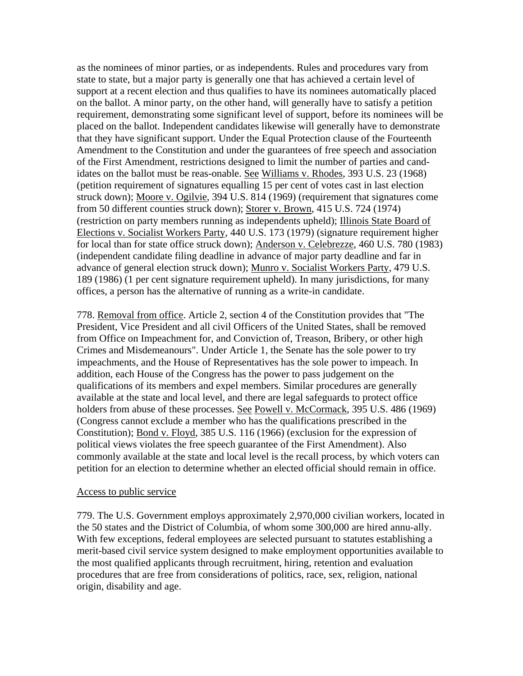as the nominees of minor parties, or as independents. Rules and procedures vary from state to state, but a major party is generally one that has achieved a certain level of support at a recent election and thus qualifies to have its nominees automatically placed on the ballot. A minor party, on the other hand, will generally have to satisfy a petition requirement, demonstrating some significant level of support, before its nominees will be placed on the ballot. Independent candidates likewise will generally have to demonstrate that they have significant support. Under the Equal Protection clause of the Fourteenth Amendment to the Constitution and under the guarantees of free speech and association of the First Amendment, restrictions designed to limit the number of parties and candidates on the ballot must be reas-onable. See Williams v. Rhodes, 393 U.S. 23 (1968) (petition requirement of signatures equalling 15 per cent of votes cast in last election struck down); Moore v. Ogilvie, 394 U.S. 814 (1969) (requirement that signatures come from 50 different counties struck down); Storer v. Brown, 415 U.S. 724 (1974) (restriction on party members running as independents upheld); Illinois State Board of Elections v. Socialist Workers Party, 440 U.S. 173 (1979) (signature requirement higher for local than for state office struck down); Anderson v. Celebrezze, 460 U.S. 780 (1983) (independent candidate filing deadline in advance of major party deadline and far in advance of general election struck down); Munro v. Socialist Workers Party, 479 U.S. 189 (1986) (1 per cent signature requirement upheld). In many jurisdictions, for many offices, a person has the alternative of running as a write-in candidate.

778. Removal from office. Article 2, section 4 of the Constitution provides that "The President, Vice President and all civil Officers of the United States, shall be removed from Office on Impeachment for, and Conviction of, Treason, Bribery, or other high Crimes and Misdemeanours". Under Article 1, the Senate has the sole power to try impeachments, and the House of Representatives has the sole power to impeach. In addition, each House of the Congress has the power to pass judgement on the qualifications of its members and expel members. Similar procedures are generally available at the state and local level, and there are legal safeguards to protect office holders from abuse of these processes. See Powell v. McCormack, 395 U.S. 486 (1969) (Congress cannot exclude a member who has the qualifications prescribed in the Constitution); Bond v. Floyd, 385 U.S. 116 (1966) (exclusion for the expression of political views violates the free speech guarantee of the First Amendment). Also commonly available at the state and local level is the recall process, by which voters can petition for an election to determine whether an elected official should remain in office.

### Access to public service

779. The U.S. Government employs approximately 2,970,000 civilian workers, located in the 50 states and the District of Columbia, of whom some 300,000 are hired annu-ally. With few exceptions, federal employees are selected pursuant to statutes establishing a merit-based civil service system designed to make employment opportunities available to the most qualified applicants through recruitment, hiring, retention and evaluation procedures that are free from considerations of politics, race, sex, religion, national origin, disability and age.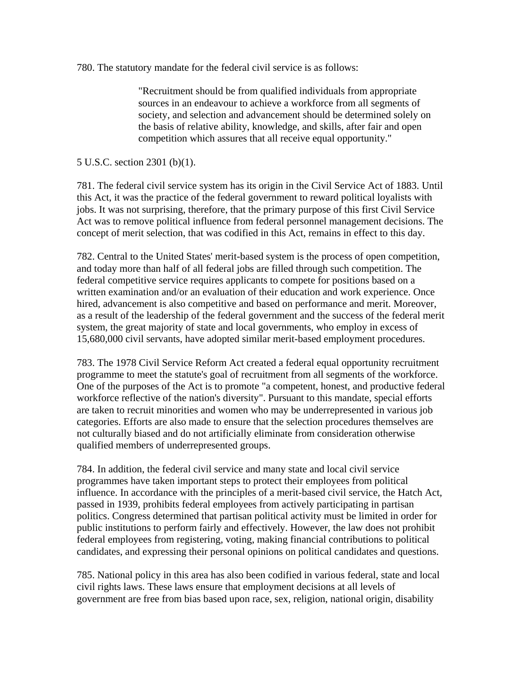780. The statutory mandate for the federal civil service is as follows:

"Recruitment should be from qualified individuals from appropriate sources in an endeavour to achieve a workforce from all segments of society, and selection and advancement should be determined solely on the basis of relative ability, knowledge, and skills, after fair and open competition which assures that all receive equal opportunity."

5 U.S.C. section 2301 (b)(1).

781. The federal civil service system has its origin in the Civil Service Act of 1883. Until this Act, it was the practice of the federal government to reward political loyalists with jobs. It was not surprising, therefore, that the primary purpose of this first Civil Service Act was to remove political influence from federal personnel management decisions. The concept of merit selection, that was codified in this Act, remains in effect to this day.

782. Central to the United States' merit-based system is the process of open competition, and today more than half of all federal jobs are filled through such competition. The federal competitive service requires applicants to compete for positions based on a written examination and/or an evaluation of their education and work experience. Once hired, advancement is also competitive and based on performance and merit. Moreover, as a result of the leadership of the federal government and the success of the federal merit system, the great majority of state and local governments, who employ in excess of 15,680,000 civil servants, have adopted similar merit-based employment procedures.

783. The 1978 Civil Service Reform Act created a federal equal opportunity recruitment programme to meet the statute's goal of recruitment from all segments of the workforce. One of the purposes of the Act is to promote "a competent, honest, and productive federal workforce reflective of the nation's diversity". Pursuant to this mandate, special efforts are taken to recruit minorities and women who may be underrepresented in various job categories. Efforts are also made to ensure that the selection procedures themselves are not culturally biased and do not artificially eliminate from consideration otherwise qualified members of underrepresented groups.

784. In addition, the federal civil service and many state and local civil service programmes have taken important steps to protect their employees from political influence. In accordance with the principles of a merit-based civil service, the Hatch Act, passed in 1939, prohibits federal employees from actively participating in partisan politics. Congress determined that partisan political activity must be limited in order for public institutions to perform fairly and effectively. However, the law does not prohibit federal employees from registering, voting, making financial contributions to political candidates, and expressing their personal opinions on political candidates and questions.

785. National policy in this area has also been codified in various federal, state and local civil rights laws. These laws ensure that employment decisions at all levels of government are free from bias based upon race, sex, religion, national origin, disability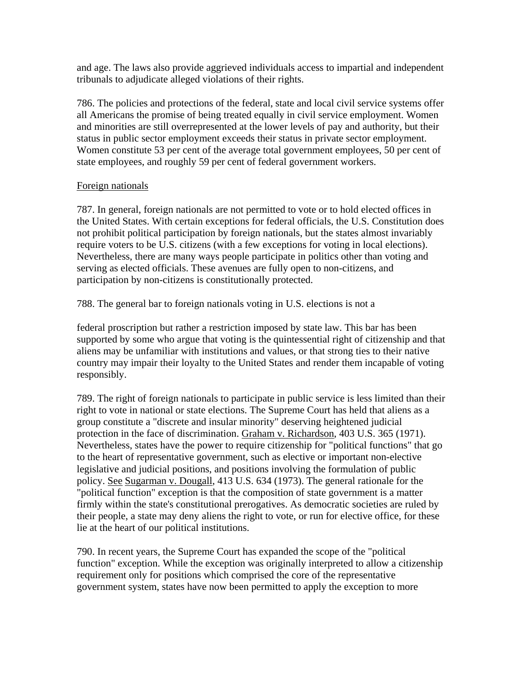and age. The laws also provide aggrieved individuals access to impartial and independent tribunals to adjudicate alleged violations of their rights.

786. The policies and protections of the federal, state and local civil service systems offer all Americans the promise of being treated equally in civil service employment. Women and minorities are still overrepresented at the lower levels of pay and authority, but their status in public sector employment exceeds their status in private sector employment. Women constitute 53 per cent of the average total government employees, 50 per cent of state employees, and roughly 59 per cent of federal government workers.

## Foreign nationals

787. In general, foreign nationals are not permitted to vote or to hold elected offices in the United States. With certain exceptions for federal officials, the U.S. Constitution does not prohibit political participation by foreign nationals, but the states almost invariably require voters to be U.S. citizens (with a few exceptions for voting in local elections). Nevertheless, there are many ways people participate in politics other than voting and serving as elected officials. These avenues are fully open to non-citizens, and participation by non-citizens is constitutionally protected.

788. The general bar to foreign nationals voting in U.S. elections is not a

federal proscription but rather a restriction imposed by state law. This bar has been supported by some who argue that voting is the quintessential right of citizenship and that aliens may be unfamiliar with institutions and values, or that strong ties to their native country may impair their loyalty to the United States and render them incapable of voting responsibly.

789. The right of foreign nationals to participate in public service is less limited than their right to vote in national or state elections. The Supreme Court has held that aliens as a group constitute a "discrete and insular minority" deserving heightened judicial protection in the face of discrimination. Graham v. Richardson, 403 U.S. 365 (1971). Nevertheless, states have the power to require citizenship for "political functions" that go to the heart of representative government, such as elective or important non-elective legislative and judicial positions, and positions involving the formulation of public policy. See Sugarman v. Dougall, 413 U.S. 634 (1973). The general rationale for the "political function" exception is that the composition of state government is a matter firmly within the state's constitutional prerogatives. As democratic societies are ruled by their people, a state may deny aliens the right to vote, or run for elective office, for these lie at the heart of our political institutions.

790. In recent years, the Supreme Court has expanded the scope of the "political function" exception. While the exception was originally interpreted to allow a citizenship requirement only for positions which comprised the core of the representative government system, states have now been permitted to apply the exception to more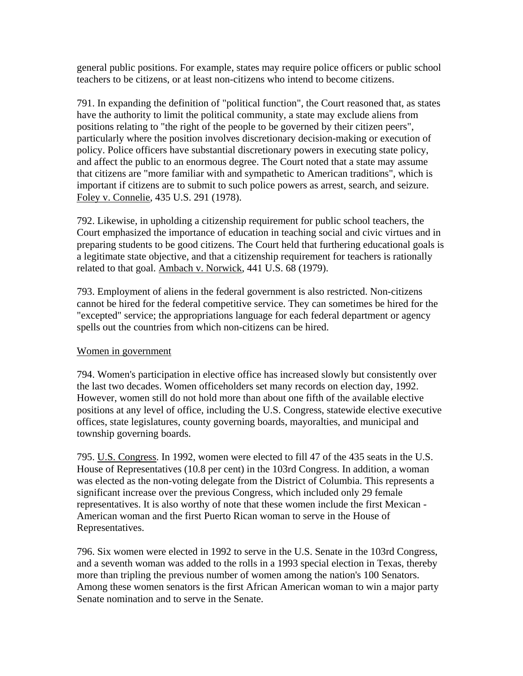general public positions. For example, states may require police officers or public school teachers to be citizens, or at least non-citizens who intend to become citizens.

791. In expanding the definition of "political function", the Court reasoned that, as states have the authority to limit the political community, a state may exclude aliens from positions relating to "the right of the people to be governed by their citizen peers", particularly where the position involves discretionary decision-making or execution of policy. Police officers have substantial discretionary powers in executing state policy, and affect the public to an enormous degree. The Court noted that a state may assume that citizens are "more familiar with and sympathetic to American traditions", which is important if citizens are to submit to such police powers as arrest, search, and seizure. Foley v. Connelie, 435 U.S. 291 (1978).

792. Likewise, in upholding a citizenship requirement for public school teachers, the Court emphasized the importance of education in teaching social and civic virtues and in preparing students to be good citizens. The Court held that furthering educational goals is a legitimate state objective, and that a citizenship requirement for teachers is rationally related to that goal. Ambach v. Norwick, 441 U.S. 68 (1979).

793. Employment of aliens in the federal government is also restricted. Non-citizens cannot be hired for the federal competitive service. They can sometimes be hired for the "excepted" service; the appropriations language for each federal department or agency spells out the countries from which non-citizens can be hired.

# Women in government

794. Women's participation in elective office has increased slowly but consistently over the last two decades. Women officeholders set many records on election day, 1992. However, women still do not hold more than about one fifth of the available elective positions at any level of office, including the U.S. Congress, statewide elective executive offices, state legislatures, county governing boards, mayoralties, and municipal and township governing boards.

795. U.S. Congress. In 1992, women were elected to fill 47 of the 435 seats in the U.S. House of Representatives (10.8 per cent) in the 103rd Congress. In addition, a woman was elected as the non-voting delegate from the District of Columbia. This represents a significant increase over the previous Congress, which included only 29 female representatives. It is also worthy of note that these women include the first Mexican - American woman and the first Puerto Rican woman to serve in the House of Representatives.

796. Six women were elected in 1992 to serve in the U.S. Senate in the 103rd Congress, and a seventh woman was added to the rolls in a 1993 special election in Texas, thereby more than tripling the previous number of women among the nation's 100 Senators. Among these women senators is the first African American woman to win a major party Senate nomination and to serve in the Senate.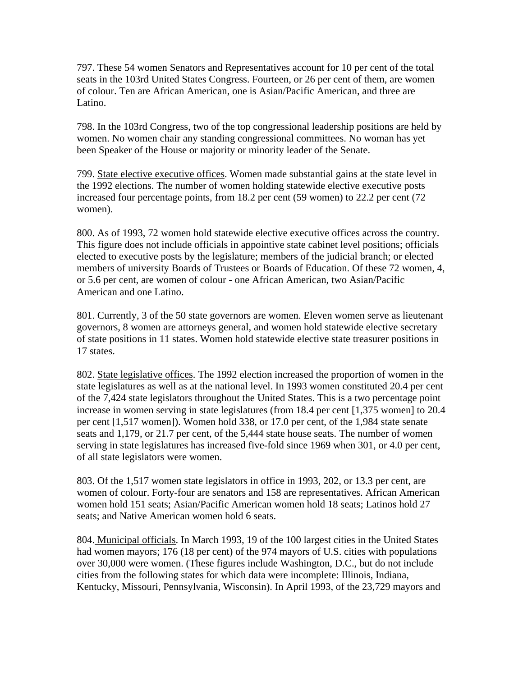797. These 54 women Senators and Representatives account for 10 per cent of the total seats in the 103rd United States Congress. Fourteen, or 26 per cent of them, are women of colour. Ten are African American, one is Asian/Pacific American, and three are Latino.

798. In the 103rd Congress, two of the top congressional leadership positions are held by women. No women chair any standing congressional committees. No woman has yet been Speaker of the House or majority or minority leader of the Senate.

799. State elective executive offices. Women made substantial gains at the state level in the 1992 elections. The number of women holding statewide elective executive posts increased four percentage points, from 18.2 per cent (59 women) to 22.2 per cent (72 women).

800. As of 1993, 72 women hold statewide elective executive offices across the country. This figure does not include officials in appointive state cabinet level positions; officials elected to executive posts by the legislature; members of the judicial branch; or elected members of university Boards of Trustees or Boards of Education. Of these 72 women, 4, or 5.6 per cent, are women of colour - one African American, two Asian/Pacific American and one Latino.

801. Currently, 3 of the 50 state governors are women. Eleven women serve as lieutenant governors, 8 women are attorneys general, and women hold statewide elective secretary of state positions in 11 states. Women hold statewide elective state treasurer positions in 17 states.

802. State legislative offices. The 1992 election increased the proportion of women in the state legislatures as well as at the national level. In 1993 women constituted 20.4 per cent of the 7,424 state legislators throughout the United States. This is a two percentage point increase in women serving in state legislatures (from 18.4 per cent [1,375 women] to 20.4 per cent [1,517 women]). Women hold 338, or 17.0 per cent, of the 1,984 state senate seats and 1,179, or 21.7 per cent, of the 5,444 state house seats. The number of women serving in state legislatures has increased five-fold since 1969 when 301, or 4.0 per cent, of all state legislators were women.

803. Of the 1,517 women state legislators in office in 1993, 202, or 13.3 per cent, are women of colour. Forty-four are senators and 158 are representatives. African American women hold 151 seats; Asian/Pacific American women hold 18 seats; Latinos hold 27 seats; and Native American women hold 6 seats.

804. Municipal officials. In March 1993, 19 of the 100 largest cities in the United States had women mayors; 176 (18 per cent) of the 974 mayors of U.S. cities with populations over 30,000 were women. (These figures include Washington, D.C., but do not include cities from the following states for which data were incomplete: Illinois, Indiana, Kentucky, Missouri, Pennsylvania, Wisconsin). In April 1993, of the 23,729 mayors and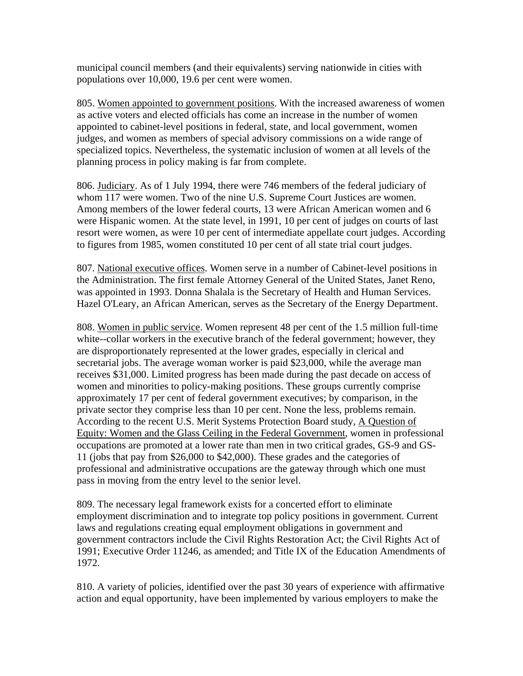municipal council members (and their equivalents) serving nationwide in cities with populations over 10,000, 19.6 per cent were women.

805. Women appointed to government positions. With the increased awareness of women as active voters and elected officials has come an increase in the number of women appointed to cabinet-level positions in federal, state, and local government, women judges, and women as members of special advisory commissions on a wide range of specialized topics. Nevertheless, the systematic inclusion of women at all levels of the planning process in policy making is far from complete.

806. Judiciary. As of 1 July 1994, there were 746 members of the federal judiciary of whom 117 were women. Two of the nine U.S. Supreme Court Justices are women. Among members of the lower federal courts, 13 were African American women and 6 were Hispanic women. At the state level, in 1991, 10 per cent of judges on courts of last resort were women, as were 10 per cent of intermediate appellate court judges. According to figures from 1985, women constituted 10 per cent of all state trial court judges.

807. National executive offices. Women serve in a number of Cabinet-level positions in the Administration. The first female Attorney General of the United States, Janet Reno, was appointed in 1993. Donna Shalala is the Secretary of Health and Human Services. Hazel O'Leary, an African American, serves as the Secretary of the Energy Department.

808. Women in public service. Women represent 48 per cent of the 1.5 million full-time white--collar workers in the executive branch of the federal government; however, they are disproportionately represented at the lower grades, especially in clerical and secretarial jobs. The average woman worker is paid \$23,000, while the average man receives \$31,000. Limited progress has been made during the past decade on access of women and minorities to policy-making positions. These groups currently comprise approximately 17 per cent of federal government executives; by comparison, in the private sector they comprise less than 10 per cent. None the less, problems remain. According to the recent U.S. Merit Systems Protection Board study, A Question of Equity: Women and the Glass Ceiling in the Federal Government, women in professional occupations are promoted at a lower rate than men in two critical grades, GS-9 and GS-11 (jobs that pay from \$26,000 to \$42,000). These grades and the categories of professional and administrative occupations are the gateway through which one must pass in moving from the entry level to the senior level.

809. The necessary legal framework exists for a concerted effort to eliminate employment discrimination and to integrate top policy positions in government. Current laws and regulations creating equal employment obligations in government and government contractors include the Civil Rights Restoration Act; the Civil Rights Act of 1991; Executive Order 11246, as amended; and Title IX of the Education Amendments of 1972.

810. A variety of policies, identified over the past 30 years of experience with affirmative action and equal opportunity, have been implemented by various employers to make the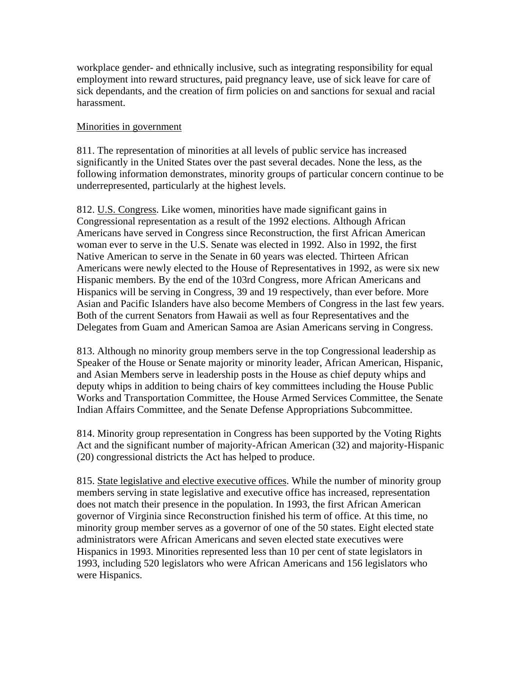workplace gender- and ethnically inclusive, such as integrating responsibility for equal employment into reward structures, paid pregnancy leave, use of sick leave for care of sick dependants, and the creation of firm policies on and sanctions for sexual and racial harassment.

### Minorities in government

811. The representation of minorities at all levels of public service has increased significantly in the United States over the past several decades. None the less, as the following information demonstrates, minority groups of particular concern continue to be underrepresented, particularly at the highest levels.

812. U.S. Congress. Like women, minorities have made significant gains in Congressional representation as a result of the 1992 elections. Although African Americans have served in Congress since Reconstruction, the first African American woman ever to serve in the U.S. Senate was elected in 1992. Also in 1992, the first Native American to serve in the Senate in 60 years was elected. Thirteen African Americans were newly elected to the House of Representatives in 1992, as were six new Hispanic members. By the end of the 103rd Congress, more African Americans and Hispanics will be serving in Congress, 39 and 19 respectively, than ever before. More Asian and Pacific Islanders have also become Members of Congress in the last few years. Both of the current Senators from Hawaii as well as four Representatives and the Delegates from Guam and American Samoa are Asian Americans serving in Congress.

813. Although no minority group members serve in the top Congressional leadership as Speaker of the House or Senate majority or minority leader, African American, Hispanic, and Asian Members serve in leadership posts in the House as chief deputy whips and deputy whips in addition to being chairs of key committees including the House Public Works and Transportation Committee, the House Armed Services Committee, the Senate Indian Affairs Committee, and the Senate Defense Appropriations Subcommittee.

814. Minority group representation in Congress has been supported by the Voting Rights Act and the significant number of majority-African American (32) and majority-Hispanic (20) congressional districts the Act has helped to produce.

815. State legislative and elective executive offices. While the number of minority group members serving in state legislative and executive office has increased, representation does not match their presence in the population. In 1993, the first African American governor of Virginia since Reconstruction finished his term of office. At this time, no minority group member serves as a governor of one of the 50 states. Eight elected state administrators were African Americans and seven elected state executives were Hispanics in 1993. Minorities represented less than 10 per cent of state legislators in 1993, including 520 legislators who were African Americans and 156 legislators who were Hispanics.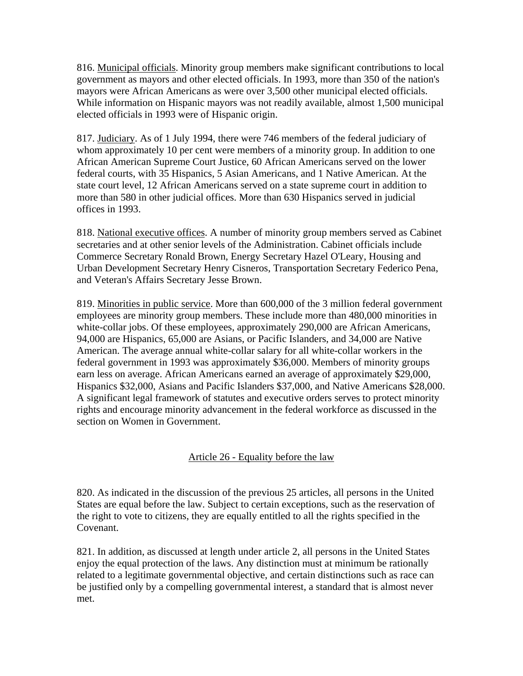816. Municipal officials. Minority group members make significant contributions to local government as mayors and other elected officials. In 1993, more than 350 of the nation's mayors were African Americans as were over 3,500 other municipal elected officials. While information on Hispanic mayors was not readily available, almost 1,500 municipal elected officials in 1993 were of Hispanic origin.

817. Judiciary. As of 1 July 1994, there were 746 members of the federal judiciary of whom approximately 10 per cent were members of a minority group. In addition to one African American Supreme Court Justice, 60 African Americans served on the lower federal courts, with 35 Hispanics, 5 Asian Americans, and 1 Native American. At the state court level, 12 African Americans served on a state supreme court in addition to more than 580 in other judicial offices. More than 630 Hispanics served in judicial offices in 1993.

818. National executive offices. A number of minority group members served as Cabinet secretaries and at other senior levels of the Administration. Cabinet officials include Commerce Secretary Ronald Brown, Energy Secretary Hazel O'Leary, Housing and Urban Development Secretary Henry Cisneros, Transportation Secretary Federico Pena, and Veteran's Affairs Secretary Jesse Brown.

819. Minorities in public service. More than 600,000 of the 3 million federal government employees are minority group members. These include more than 480,000 minorities in white-collar jobs. Of these employees, approximately 290,000 are African Americans, 94,000 are Hispanics, 65,000 are Asians, or Pacific Islanders, and 34,000 are Native American. The average annual white-collar salary for all white-collar workers in the federal government in 1993 was approximately \$36,000. Members of minority groups earn less on average. African Americans earned an average of approximately \$29,000, Hispanics \$32,000, Asians and Pacific Islanders \$37,000, and Native Americans \$28,000. A significant legal framework of statutes and executive orders serves to protect minority rights and encourage minority advancement in the federal workforce as discussed in the section on Women in Government.

# Article 26 - Equality before the law

820. As indicated in the discussion of the previous 25 articles, all persons in the United States are equal before the law. Subject to certain exceptions, such as the reservation of the right to vote to citizens, they are equally entitled to all the rights specified in the Covenant.

821. In addition, as discussed at length under article 2, all persons in the United States enjoy the equal protection of the laws. Any distinction must at minimum be rationally related to a legitimate governmental objective, and certain distinctions such as race can be justified only by a compelling governmental interest, a standard that is almost never met.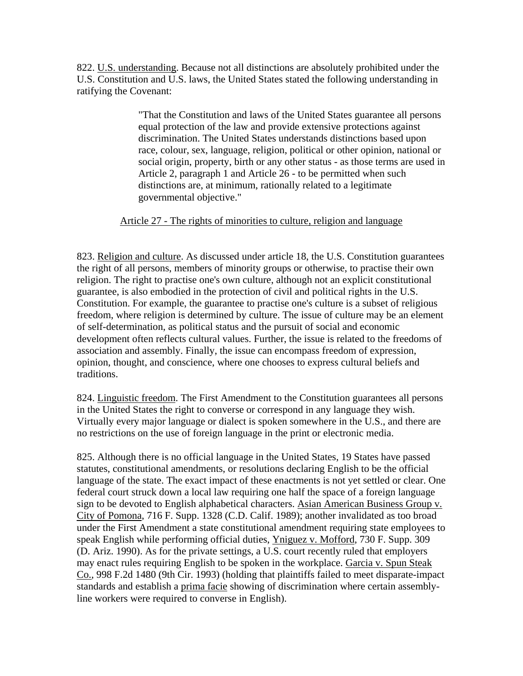822. U.S. understanding. Because not all distinctions are absolutely prohibited under the U.S. Constitution and U.S. laws, the United States stated the following understanding in ratifying the Covenant:

> "That the Constitution and laws of the United States guarantee all persons equal protection of the law and provide extensive protections against discrimination. The United States understands distinctions based upon race, colour, sex, language, religion, political or other opinion, national or social origin, property, birth or any other status - as those terms are used in Article 2, paragraph 1 and Article 26 - to be permitted when such distinctions are, at minimum, rationally related to a legitimate governmental objective."

## Article 27 - The rights of minorities to culture, religion and language

823. Religion and culture. As discussed under article 18, the U.S. Constitution guarantees the right of all persons, members of minority groups or otherwise, to practise their own religion. The right to practise one's own culture, although not an explicit constitutional guarantee, is also embodied in the protection of civil and political rights in the U.S. Constitution. For example, the guarantee to practise one's culture is a subset of religious freedom, where religion is determined by culture. The issue of culture may be an element of self-determination, as political status and the pursuit of social and economic development often reflects cultural values. Further, the issue is related to the freedoms of association and assembly. Finally, the issue can encompass freedom of expression, opinion, thought, and conscience, where one chooses to express cultural beliefs and traditions.

824. Linguistic freedom. The First Amendment to the Constitution guarantees all persons in the United States the right to converse or correspond in any language they wish. Virtually every major language or dialect is spoken somewhere in the U.S., and there are no restrictions on the use of foreign language in the print or electronic media.

825. Although there is no official language in the United States, 19 States have passed statutes, constitutional amendments, or resolutions declaring English to be the official language of the state. The exact impact of these enactments is not yet settled or clear. One federal court struck down a local law requiring one half the space of a foreign language sign to be devoted to English alphabetical characters. Asian American Business Group v. City of Pomona, 716 F. Supp. 1328 (C.D. Calif. 1989); another invalidated as too broad under the First Amendment a state constitutional amendment requiring state employees to speak English while performing official duties, Yniguez v. Mofford, 730 F. Supp. 309 (D. Ariz. 1990). As for the private settings, a U.S. court recently ruled that employers may enact rules requiring English to be spoken in the workplace. Garcia v. Spun Steak Co., 998 F.2d 1480 (9th Cir. 1993) (holding that plaintiffs failed to meet disparate-impact standards and establish a prima facie showing of discrimination where certain assemblyline workers were required to converse in English).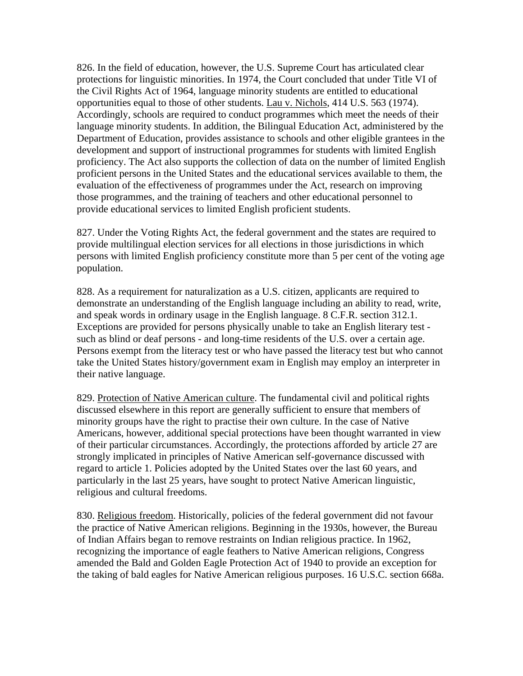826. In the field of education, however, the U.S. Supreme Court has articulated clear protections for linguistic minorities. In 1974, the Court concluded that under Title VI of the Civil Rights Act of 1964, language minority students are entitled to educational opportunities equal to those of other students. Lau v. Nichols, 414 U.S. 563 (1974). Accordingly, schools are required to conduct programmes which meet the needs of their language minority students. In addition, the Bilingual Education Act, administered by the Department of Education, provides assistance to schools and other eligible grantees in the development and support of instructional programmes for students with limited English proficiency. The Act also supports the collection of data on the number of limited English proficient persons in the United States and the educational services available to them, the evaluation of the effectiveness of programmes under the Act, research on improving those programmes, and the training of teachers and other educational personnel to provide educational services to limited English proficient students.

827. Under the Voting Rights Act, the federal government and the states are required to provide multilingual election services for all elections in those jurisdictions in which persons with limited English proficiency constitute more than 5 per cent of the voting age population.

828. As a requirement for naturalization as a U.S. citizen, applicants are required to demonstrate an understanding of the English language including an ability to read, write, and speak words in ordinary usage in the English language. 8 C.F.R. section 312.1. Exceptions are provided for persons physically unable to take an English literary test such as blind or deaf persons - and long-time residents of the U.S. over a certain age. Persons exempt from the literacy test or who have passed the literacy test but who cannot take the United States history/government exam in English may employ an interpreter in their native language.

829. Protection of Native American culture. The fundamental civil and political rights discussed elsewhere in this report are generally sufficient to ensure that members of minority groups have the right to practise their own culture. In the case of Native Americans, however, additional special protections have been thought warranted in view of their particular circumstances. Accordingly, the protections afforded by article 27 are strongly implicated in principles of Native American self-governance discussed with regard to article 1. Policies adopted by the United States over the last 60 years, and particularly in the last 25 years, have sought to protect Native American linguistic, religious and cultural freedoms.

830. Religious freedom. Historically, policies of the federal government did not favour the practice of Native American religions. Beginning in the 1930s, however, the Bureau of Indian Affairs began to remove restraints on Indian religious practice. In 1962, recognizing the importance of eagle feathers to Native American religions, Congress amended the Bald and Golden Eagle Protection Act of 1940 to provide an exception for the taking of bald eagles for Native American religious purposes. 16 U.S.C. section 668a.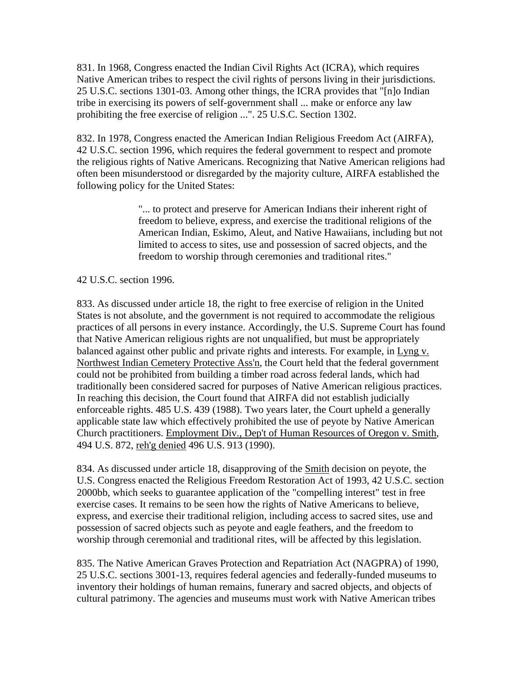831. In 1968, Congress enacted the Indian Civil Rights Act (ICRA), which requires Native American tribes to respect the civil rights of persons living in their jurisdictions. 25 U.S.C. sections 1301-03. Among other things, the ICRA provides that "[n]o Indian tribe in exercising its powers of self-government shall ... make or enforce any law prohibiting the free exercise of religion ...". 25 U.S.C. Section 1302.

832. In 1978, Congress enacted the American Indian Religious Freedom Act (AIRFA), 42 U.S.C. section 1996, which requires the federal government to respect and promote the religious rights of Native Americans. Recognizing that Native American religions had often been misunderstood or disregarded by the majority culture, AIRFA established the following policy for the United States:

> "... to protect and preserve for American Indians their inherent right of freedom to believe, express, and exercise the traditional religions of the American Indian, Eskimo, Aleut, and Native Hawaiians, including but not limited to access to sites, use and possession of sacred objects, and the freedom to worship through ceremonies and traditional rites."

42 U.S.C. section 1996.

833. As discussed under article 18, the right to free exercise of religion in the United States is not absolute, and the government is not required to accommodate the religious practices of all persons in every instance. Accordingly, the U.S. Supreme Court has found that Native American religious rights are not unqualified, but must be appropriately balanced against other public and private rights and interests. For example, in Lyng v. Northwest Indian Cemetery Protective Ass'n, the Court held that the federal government could not be prohibited from building a timber road across federal lands, which had traditionally been considered sacred for purposes of Native American religious practices. In reaching this decision, the Court found that AIRFA did not establish judicially enforceable rights. 485 U.S. 439 (1988). Two years later, the Court upheld a generally applicable state law which effectively prohibited the use of peyote by Native American Church practitioners. Employment Div., Dep't of Human Resources of Oregon v. Smith, 494 U.S. 872, reh'g denied 496 U.S. 913 (1990).

834. As discussed under article 18, disapproving of the **Smith** decision on peyote, the U.S. Congress enacted the Religious Freedom Restoration Act of 1993, 42 U.S.C. section 2000bb, which seeks to guarantee application of the "compelling interest" test in free exercise cases. It remains to be seen how the rights of Native Americans to believe, express, and exercise their traditional religion, including access to sacred sites, use and possession of sacred objects such as peyote and eagle feathers, and the freedom to worship through ceremonial and traditional rites, will be affected by this legislation.

835. The Native American Graves Protection and Repatriation Act (NAGPRA) of 1990, 25 U.S.C. sections 3001-13, requires federal agencies and federally-funded museums to inventory their holdings of human remains, funerary and sacred objects, and objects of cultural patrimony. The agencies and museums must work with Native American tribes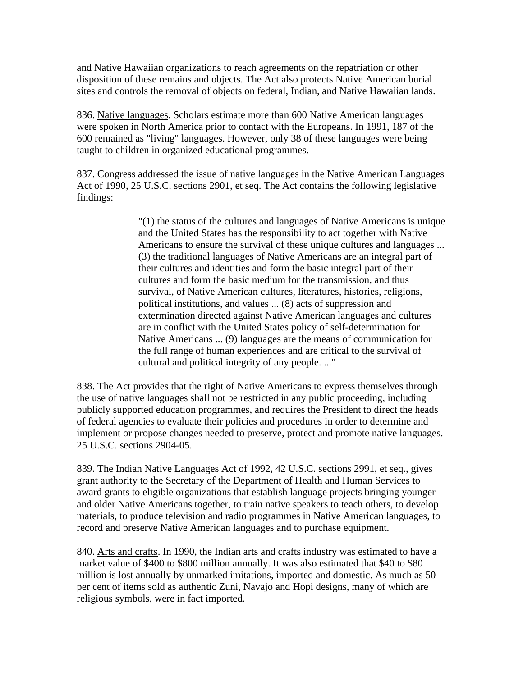and Native Hawaiian organizations to reach agreements on the repatriation or other disposition of these remains and objects. The Act also protects Native American burial sites and controls the removal of objects on federal, Indian, and Native Hawaiian lands.

836. Native languages. Scholars estimate more than 600 Native American languages were spoken in North America prior to contact with the Europeans. In 1991, 187 of the 600 remained as "living" languages. However, only 38 of these languages were being taught to children in organized educational programmes.

837. Congress addressed the issue of native languages in the Native American Languages Act of 1990, 25 U.S.C. sections 2901, et seq. The Act contains the following legislative findings:

> "(1) the status of the cultures and languages of Native Americans is unique and the United States has the responsibility to act together with Native Americans to ensure the survival of these unique cultures and languages ... (3) the traditional languages of Native Americans are an integral part of their cultures and identities and form the basic integral part of their cultures and form the basic medium for the transmission, and thus survival, of Native American cultures, literatures, histories, religions, political institutions, and values ... (8) acts of suppression and extermination directed against Native American languages and cultures are in conflict with the United States policy of self-determination for Native Americans ... (9) languages are the means of communication for the full range of human experiences and are critical to the survival of cultural and political integrity of any people. ..."

838. The Act provides that the right of Native Americans to express themselves through the use of native languages shall not be restricted in any public proceeding, including publicly supported education programmes, and requires the President to direct the heads of federal agencies to evaluate their policies and procedures in order to determine and implement or propose changes needed to preserve, protect and promote native languages. 25 U.S.C. sections 2904-05.

839. The Indian Native Languages Act of 1992, 42 U.S.C. sections 2991, et seq., gives grant authority to the Secretary of the Department of Health and Human Services to award grants to eligible organizations that establish language projects bringing younger and older Native Americans together, to train native speakers to teach others, to develop materials, to produce television and radio programmes in Native American languages, to record and preserve Native American languages and to purchase equipment.

840. Arts and crafts. In 1990, the Indian arts and crafts industry was estimated to have a market value of \$400 to \$800 million annually. It was also estimated that \$40 to \$80 million is lost annually by unmarked imitations, imported and domestic. As much as 50 per cent of items sold as authentic Zuni, Navajo and Hopi designs, many of which are religious symbols, were in fact imported.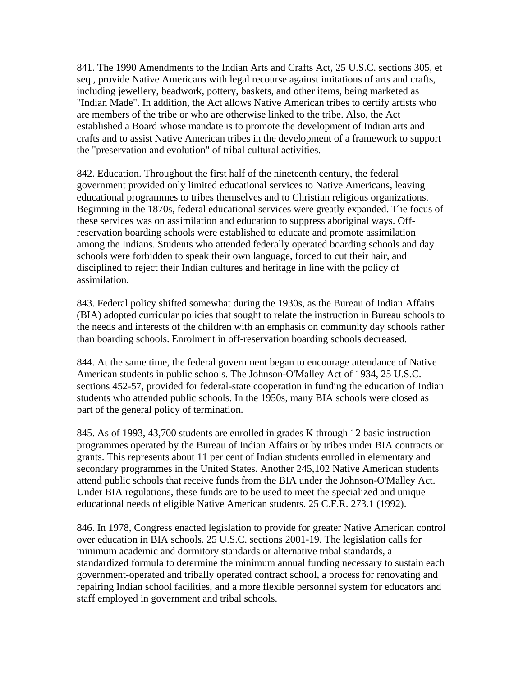841. The 1990 Amendments to the Indian Arts and Crafts Act, 25 U.S.C. sections 305, et seq., provide Native Americans with legal recourse against imitations of arts and crafts, including jewellery, beadwork, pottery, baskets, and other items, being marketed as "Indian Made". In addition, the Act allows Native American tribes to certify artists who are members of the tribe or who are otherwise linked to the tribe. Also, the Act established a Board whose mandate is to promote the development of Indian arts and crafts and to assist Native American tribes in the development of a framework to support the "preservation and evolution" of tribal cultural activities.

842. Education. Throughout the first half of the nineteenth century, the federal government provided only limited educational services to Native Americans, leaving educational programmes to tribes themselves and to Christian religious organizations. Beginning in the 1870s, federal educational services were greatly expanded. The focus of these services was on assimilation and education to suppress aboriginal ways. Offreservation boarding schools were established to educate and promote assimilation among the Indians. Students who attended federally operated boarding schools and day schools were forbidden to speak their own language, forced to cut their hair, and disciplined to reject their Indian cultures and heritage in line with the policy of assimilation.

843. Federal policy shifted somewhat during the 1930s, as the Bureau of Indian Affairs (BIA) adopted curricular policies that sought to relate the instruction in Bureau schools to the needs and interests of the children with an emphasis on community day schools rather than boarding schools. Enrolment in off-reservation boarding schools decreased.

844. At the same time, the federal government began to encourage attendance of Native American students in public schools. The Johnson-O'Malley Act of 1934, 25 U.S.C. sections 452-57, provided for federal-state cooperation in funding the education of Indian students who attended public schools. In the 1950s, many BIA schools were closed as part of the general policy of termination.

845. As of 1993, 43,700 students are enrolled in grades K through 12 basic instruction programmes operated by the Bureau of Indian Affairs or by tribes under BIA contracts or grants. This represents about 11 per cent of Indian students enrolled in elementary and secondary programmes in the United States. Another 245,102 Native American students attend public schools that receive funds from the BIA under the Johnson-O'Malley Act. Under BIA regulations, these funds are to be used to meet the specialized and unique educational needs of eligible Native American students. 25 C.F.R. 273.1 (1992).

846. In 1978, Congress enacted legislation to provide for greater Native American control over education in BIA schools. 25 U.S.C. sections 2001-19. The legislation calls for minimum academic and dormitory standards or alternative tribal standards, a standardized formula to determine the minimum annual funding necessary to sustain each government-operated and tribally operated contract school, a process for renovating and repairing Indian school facilities, and a more flexible personnel system for educators and staff employed in government and tribal schools.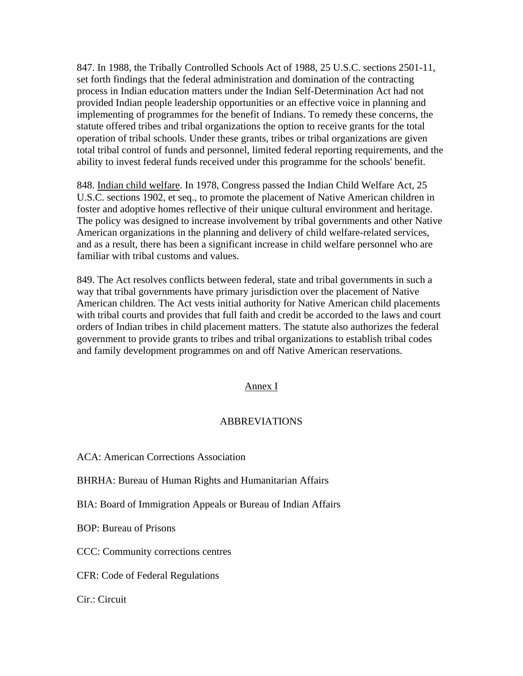847. In 1988, the Tribally Controlled Schools Act of 1988, 25 U.S.C. sections 2501-11, set forth findings that the federal administration and domination of the contracting process in Indian education matters under the Indian Self-Determination Act had not provided Indian people leadership opportunities or an effective voice in planning and implementing of programmes for the benefit of Indians. To remedy these concerns, the statute offered tribes and tribal organizations the option to receive grants for the total operation of tribal schools. Under these grants, tribes or tribal organizations are given total tribal control of funds and personnel, limited federal reporting requirements, and the ability to invest federal funds received under this programme for the schools' benefit.

848. Indian child welfare. In 1978, Congress passed the Indian Child Welfare Act, 25 U.S.C. sections 1902, et seq., to promote the placement of Native American children in foster and adoptive homes reflective of their unique cultural environment and heritage. The policy was designed to increase involvement by tribal governments and other Native American organizations in the planning and delivery of child welfare-related services, and as a result, there has been a significant increase in child welfare personnel who are familiar with tribal customs and values.

849. The Act resolves conflicts between federal, state and tribal governments in such a way that tribal governments have primary jurisdiction over the placement of Native American children. The Act vests initial authority for Native American child placements with tribal courts and provides that full faith and credit be accorded to the laws and court orders of Indian tribes in child placement matters. The statute also authorizes the federal government to provide grants to tribes and tribal organizations to establish tribal codes and family development programmes on and off Native American reservations.

### Annex I

### ABBREVIATIONS

ACA: American Corrections Association

BHRHA: Bureau of Human Rights and Humanitarian Affairs

BIA: Board of Immigration Appeals or Bureau of Indian Affairs

BOP: Bureau of Prisons

CCC: Community corrections centres

CFR: Code of Federal Regulations

Cir.: Circuit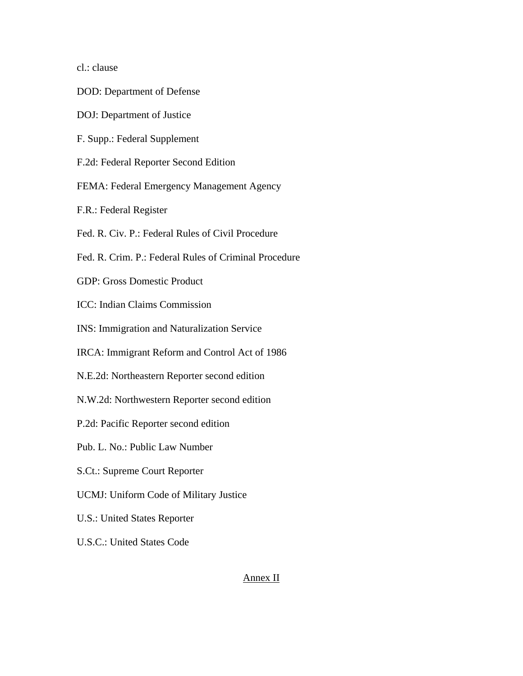cl.: clause

- DOD: Department of Defense
- DOJ: Department of Justice
- F. Supp.: Federal Supplement
- F.2d: Federal Reporter Second Edition
- FEMA: Federal Emergency Management Agency
- F.R.: Federal Register
- Fed. R. Civ. P.: Federal Rules of Civil Procedure
- Fed. R. Crim. P.: Federal Rules of Criminal Procedure
- GDP: Gross Domestic Product
- ICC: Indian Claims Commission
- INS: Immigration and Naturalization Service
- IRCA: Immigrant Reform and Control Act of 1986
- N.E.2d: Northeastern Reporter second edition
- N.W.2d: Northwestern Reporter second edition
- P.2d: Pacific Reporter second edition
- Pub. L. No.: Public Law Number
- S.Ct.: Supreme Court Reporter
- UCMJ: Uniform Code of Military Justice
- U.S.: United States Reporter
- U.S.C.: United States Code

## Annex II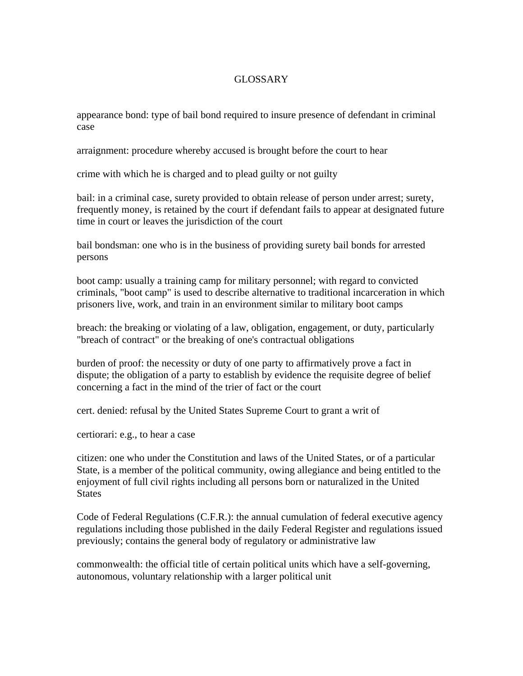## GLOSSARY

appearance bond: type of bail bond required to insure presence of defendant in criminal case

arraignment: procedure whereby accused is brought before the court to hear

crime with which he is charged and to plead guilty or not guilty

bail: in a criminal case, surety provided to obtain release of person under arrest; surety, frequently money, is retained by the court if defendant fails to appear at designated future time in court or leaves the jurisdiction of the court

bail bondsman: one who is in the business of providing surety bail bonds for arrested persons

boot camp: usually a training camp for military personnel; with regard to convicted criminals, "boot camp" is used to describe alternative to traditional incarceration in which prisoners live, work, and train in an environment similar to military boot camps

breach: the breaking or violating of a law, obligation, engagement, or duty, particularly "breach of contract" or the breaking of one's contractual obligations

burden of proof: the necessity or duty of one party to affirmatively prove a fact in dispute; the obligation of a party to establish by evidence the requisite degree of belief concerning a fact in the mind of the trier of fact or the court

cert. denied: refusal by the United States Supreme Court to grant a writ of

certiorari: e.g., to hear a case

citizen: one who under the Constitution and laws of the United States, or of a particular State, is a member of the political community, owing allegiance and being entitled to the enjoyment of full civil rights including all persons born or naturalized in the United **States** 

Code of Federal Regulations (C.F.R.): the annual cumulation of federal executive agency regulations including those published in the daily Federal Register and regulations issued previously; contains the general body of regulatory or administrative law

commonwealth: the official title of certain political units which have a self-governing, autonomous, voluntary relationship with a larger political unit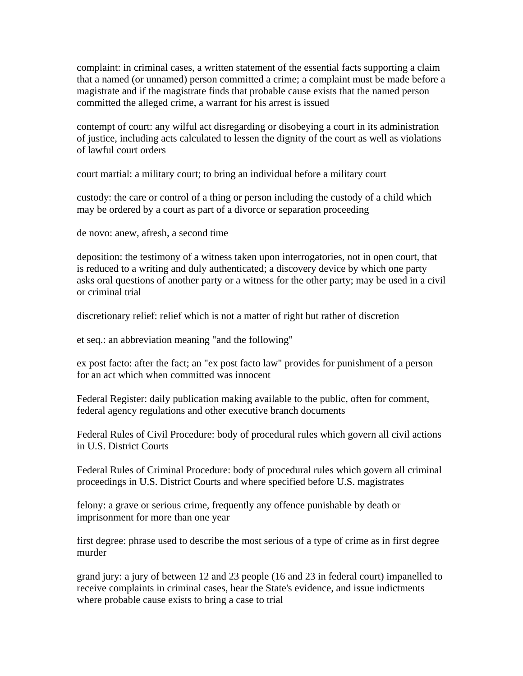complaint: in criminal cases, a written statement of the essential facts supporting a claim that a named (or unnamed) person committed a crime; a complaint must be made before a magistrate and if the magistrate finds that probable cause exists that the named person committed the alleged crime, a warrant for his arrest is issued

contempt of court: any wilful act disregarding or disobeying a court in its administration of justice, including acts calculated to lessen the dignity of the court as well as violations of lawful court orders

court martial: a military court; to bring an individual before a military court

custody: the care or control of a thing or person including the custody of a child which may be ordered by a court as part of a divorce or separation proceeding

de novo: anew, afresh, a second time

deposition: the testimony of a witness taken upon interrogatories, not in open court, that is reduced to a writing and duly authenticated; a discovery device by which one party asks oral questions of another party or a witness for the other party; may be used in a civil or criminal trial

discretionary relief: relief which is not a matter of right but rather of discretion

et seq.: an abbreviation meaning "and the following"

ex post facto: after the fact; an "ex post facto law" provides for punishment of a person for an act which when committed was innocent

Federal Register: daily publication making available to the public, often for comment, federal agency regulations and other executive branch documents

Federal Rules of Civil Procedure: body of procedural rules which govern all civil actions in U.S. District Courts

Federal Rules of Criminal Procedure: body of procedural rules which govern all criminal proceedings in U.S. District Courts and where specified before U.S. magistrates

felony: a grave or serious crime, frequently any offence punishable by death or imprisonment for more than one year

first degree: phrase used to describe the most serious of a type of crime as in first degree murder

grand jury: a jury of between 12 and 23 people (16 and 23 in federal court) impanelled to receive complaints in criminal cases, hear the State's evidence, and issue indictments where probable cause exists to bring a case to trial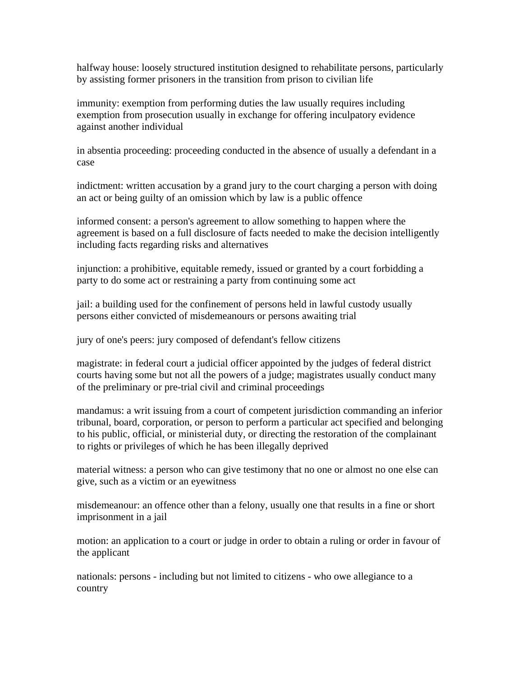halfway house: loosely structured institution designed to rehabilitate persons, particularly by assisting former prisoners in the transition from prison to civilian life

immunity: exemption from performing duties the law usually requires including exemption from prosecution usually in exchange for offering inculpatory evidence against another individual

in absentia proceeding: proceeding conducted in the absence of usually a defendant in a case

indictment: written accusation by a grand jury to the court charging a person with doing an act or being guilty of an omission which by law is a public offence

informed consent: a person's agreement to allow something to happen where the agreement is based on a full disclosure of facts needed to make the decision intelligently including facts regarding risks and alternatives

injunction: a prohibitive, equitable remedy, issued or granted by a court forbidding a party to do some act or restraining a party from continuing some act

jail: a building used for the confinement of persons held in lawful custody usually persons either convicted of misdemeanours or persons awaiting trial

jury of one's peers: jury composed of defendant's fellow citizens

magistrate: in federal court a judicial officer appointed by the judges of federal district courts having some but not all the powers of a judge; magistrates usually conduct many of the preliminary or pre-trial civil and criminal proceedings

mandamus: a writ issuing from a court of competent jurisdiction commanding an inferior tribunal, board, corporation, or person to perform a particular act specified and belonging to his public, official, or ministerial duty, or directing the restoration of the complainant to rights or privileges of which he has been illegally deprived

material witness: a person who can give testimony that no one or almost no one else can give, such as a victim or an eyewitness

misdemeanour: an offence other than a felony, usually one that results in a fine or short imprisonment in a jail

motion: an application to a court or judge in order to obtain a ruling or order in favour of the applicant

nationals: persons - including but not limited to citizens - who owe allegiance to a country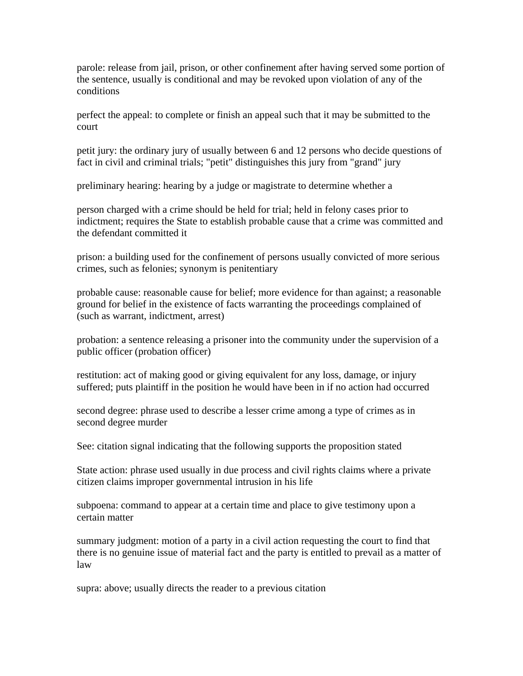parole: release from jail, prison, or other confinement after having served some portion of the sentence, usually is conditional and may be revoked upon violation of any of the conditions

perfect the appeal: to complete or finish an appeal such that it may be submitted to the court

petit jury: the ordinary jury of usually between 6 and 12 persons who decide questions of fact in civil and criminal trials; "petit" distinguishes this jury from "grand" jury

preliminary hearing: hearing by a judge or magistrate to determine whether a

person charged with a crime should be held for trial; held in felony cases prior to indictment; requires the State to establish probable cause that a crime was committed and the defendant committed it

prison: a building used for the confinement of persons usually convicted of more serious crimes, such as felonies; synonym is penitentiary

probable cause: reasonable cause for belief; more evidence for than against; a reasonable ground for belief in the existence of facts warranting the proceedings complained of (such as warrant, indictment, arrest)

probation: a sentence releasing a prisoner into the community under the supervision of a public officer (probation officer)

restitution: act of making good or giving equivalent for any loss, damage, or injury suffered; puts plaintiff in the position he would have been in if no action had occurred

second degree: phrase used to describe a lesser crime among a type of crimes as in second degree murder

See: citation signal indicating that the following supports the proposition stated

State action: phrase used usually in due process and civil rights claims where a private citizen claims improper governmental intrusion in his life

subpoena: command to appear at a certain time and place to give testimony upon a certain matter

summary judgment: motion of a party in a civil action requesting the court to find that there is no genuine issue of material fact and the party is entitled to prevail as a matter of law

supra: above; usually directs the reader to a previous citation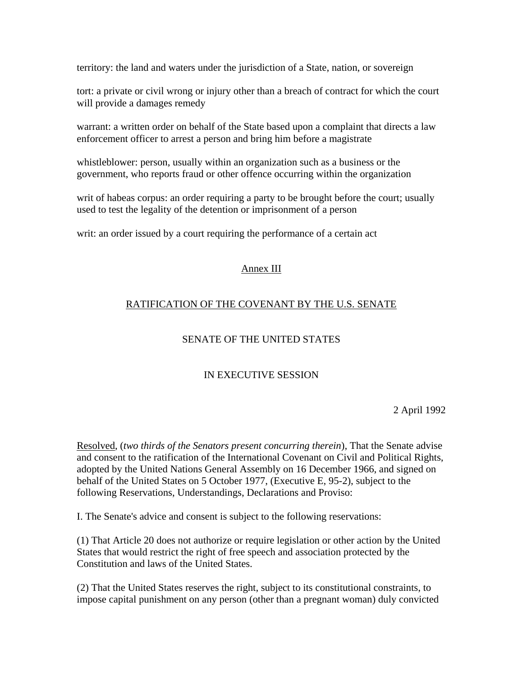territory: the land and waters under the jurisdiction of a State, nation, or sovereign

tort: a private or civil wrong or injury other than a breach of contract for which the court will provide a damages remedy

warrant: a written order on behalf of the State based upon a complaint that directs a law enforcement officer to arrest a person and bring him before a magistrate

whistleblower: person, usually within an organization such as a business or the government, who reports fraud or other offence occurring within the organization

writ of habeas corpus: an order requiring a party to be brought before the court; usually used to test the legality of the detention or imprisonment of a person

writ: an order issued by a court requiring the performance of a certain act

## Annex III

# RATIFICATION OF THE COVENANT BY THE U.S. SENATE

# SENATE OF THE UNITED STATES

# IN EXECUTIVE SESSION

2 April 1992

Resolved, (*two thirds of the Senators present concurring therein*), That the Senate advise and consent to the ratification of the International Covenant on Civil and Political Rights, adopted by the United Nations General Assembly on 16 December 1966, and signed on behalf of the United States on 5 October 1977, (Executive E, 95-2), subject to the following Reservations, Understandings, Declarations and Proviso:

I. The Senate's advice and consent is subject to the following reservations:

(1) That Article 20 does not authorize or require legislation or other action by the United States that would restrict the right of free speech and association protected by the Constitution and laws of the United States.

(2) That the United States reserves the right, subject to its constitutional constraints, to impose capital punishment on any person (other than a pregnant woman) duly convicted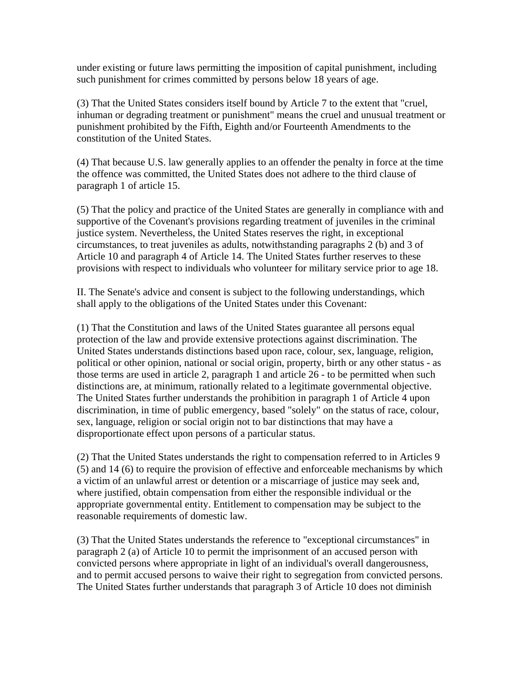under existing or future laws permitting the imposition of capital punishment, including such punishment for crimes committed by persons below 18 years of age.

(3) That the United States considers itself bound by Article 7 to the extent that "cruel, inhuman or degrading treatment or punishment" means the cruel and unusual treatment or punishment prohibited by the Fifth, Eighth and/or Fourteenth Amendments to the constitution of the United States.

(4) That because U.S. law generally applies to an offender the penalty in force at the time the offence was committed, the United States does not adhere to the third clause of paragraph 1 of article 15.

(5) That the policy and practice of the United States are generally in compliance with and supportive of the Covenant's provisions regarding treatment of juveniles in the criminal justice system. Nevertheless, the United States reserves the right, in exceptional circumstances, to treat juveniles as adults, notwithstanding paragraphs 2 (b) and 3 of Article 10 and paragraph 4 of Article 14. The United States further reserves to these provisions with respect to individuals who volunteer for military service prior to age 18.

II. The Senate's advice and consent is subject to the following understandings, which shall apply to the obligations of the United States under this Covenant:

(1) That the Constitution and laws of the United States guarantee all persons equal protection of the law and provide extensive protections against discrimination. The United States understands distinctions based upon race, colour, sex, language, religion, political or other opinion, national or social origin, property, birth or any other status - as those terms are used in article 2, paragraph 1 and article 26 - to be permitted when such distinctions are, at minimum, rationally related to a legitimate governmental objective. The United States further understands the prohibition in paragraph 1 of Article 4 upon discrimination, in time of public emergency, based "solely" on the status of race, colour, sex, language, religion or social origin not to bar distinctions that may have a disproportionate effect upon persons of a particular status.

(2) That the United States understands the right to compensation referred to in Articles 9 (5) and 14 (6) to require the provision of effective and enforceable mechanisms by which a victim of an unlawful arrest or detention or a miscarriage of justice may seek and, where justified, obtain compensation from either the responsible individual or the appropriate governmental entity. Entitlement to compensation may be subject to the reasonable requirements of domestic law.

(3) That the United States understands the reference to "exceptional circumstances" in paragraph 2 (a) of Article 10 to permit the imprisonment of an accused person with convicted persons where appropriate in light of an individual's overall dangerousness, and to permit accused persons to waive their right to segregation from convicted persons. The United States further understands that paragraph 3 of Article 10 does not diminish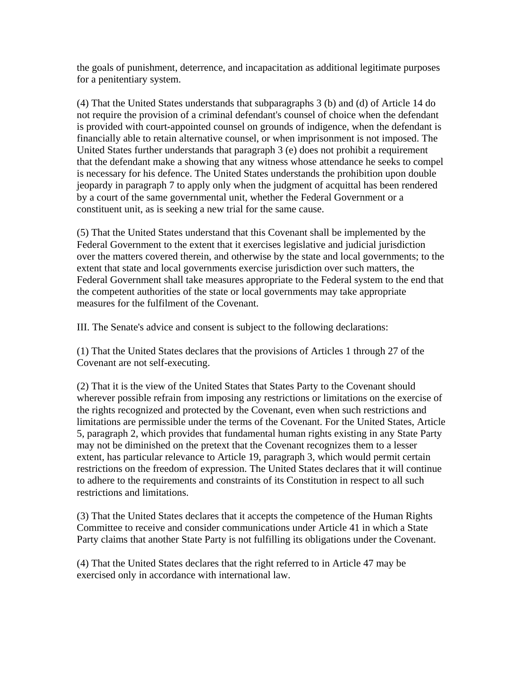the goals of punishment, deterrence, and incapacitation as additional legitimate purposes for a penitentiary system.

(4) That the United States understands that subparagraphs 3 (b) and (d) of Article 14 do not require the provision of a criminal defendant's counsel of choice when the defendant is provided with court-appointed counsel on grounds of indigence, when the defendant is financially able to retain alternative counsel, or when imprisonment is not imposed. The United States further understands that paragraph 3 (e) does not prohibit a requirement that the defendant make a showing that any witness whose attendance he seeks to compel is necessary for his defence. The United States understands the prohibition upon double jeopardy in paragraph 7 to apply only when the judgment of acquittal has been rendered by a court of the same governmental unit, whether the Federal Government or a constituent unit, as is seeking a new trial for the same cause.

(5) That the United States understand that this Covenant shall be implemented by the Federal Government to the extent that it exercises legislative and judicial jurisdiction over the matters covered therein, and otherwise by the state and local governments; to the extent that state and local governments exercise jurisdiction over such matters, the Federal Government shall take measures appropriate to the Federal system to the end that the competent authorities of the state or local governments may take appropriate measures for the fulfilment of the Covenant.

III. The Senate's advice and consent is subject to the following declarations:

(1) That the United States declares that the provisions of Articles 1 through 27 of the Covenant are not self-executing.

(2) That it is the view of the United States that States Party to the Covenant should wherever possible refrain from imposing any restrictions or limitations on the exercise of the rights recognized and protected by the Covenant, even when such restrictions and limitations are permissible under the terms of the Covenant. For the United States, Article 5, paragraph 2, which provides that fundamental human rights existing in any State Party may not be diminished on the pretext that the Covenant recognizes them to a lesser extent, has particular relevance to Article 19, paragraph 3, which would permit certain restrictions on the freedom of expression. The United States declares that it will continue to adhere to the requirements and constraints of its Constitution in respect to all such restrictions and limitations.

(3) That the United States declares that it accepts the competence of the Human Rights Committee to receive and consider communications under Article 41 in which a State Party claims that another State Party is not fulfilling its obligations under the Covenant.

(4) That the United States declares that the right referred to in Article 47 may be exercised only in accordance with international law.